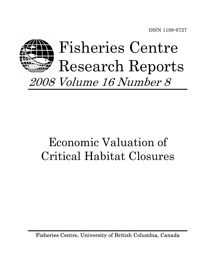ISSN 1198-6727



# Economic Valuation of Critical Habitat Closures

Fisheries Centre, University of British Columbia, Canada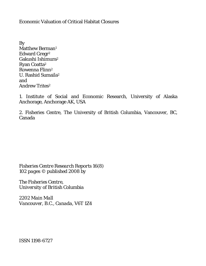Economic Valuation of Critical Habitat Closures

By Matthew Berman<sup>1</sup> Edward Gregr2 Gakushi Ishimura2 Ryan Coatta2 Rowenna Flinn2 U. Rashid Sumaila2 and Andrew Trites2

1. Institute of Social and Economic Research, University of Alaska Anchorage, Anchorage AK, USA

2. Fisheries Centre, The University of British Columbia, Vancouver, BC, Canada

*Fisheries Centre Research Reports 16(8) 102 pages © published 2008 by* 

*The Fisheries Centre, University of British Columbia* 

*2202 Main Mall Vancouver, B.C., Canada, V6T 1Z4* 

*ISSN 1198-6727*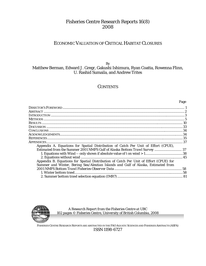# Fisheries Centre Research Reports 16(8) 2008

# ECONOMIC VALUATION OF CRITICAL HABITAT CLOSURES

# By Matthew Berman, Edward J. Gregr, Gakushi Ishimura, Ryan Coatta, Rowenna Flinn, U. Rashid Sumaila, and Andrew Trites

# **CONTENTS**

Page

| Appendix A. Equations for Spatial Distribution of Catch Per Unit of Effort (CPUE),    |  |
|---------------------------------------------------------------------------------------|--|
| Estimated from the Summer 2001 NMFS Gulf of Alaska Bottom Trawl Survey 37             |  |
|                                                                                       |  |
|                                                                                       |  |
| Appendix B. Equations for Spatial Distribution of Catch Per Unit of Effort (CPUE) for |  |
| Summer and Winter, Bering Sea/Aleutian Islands and Gulf of Alaska, Estimated from     |  |
|                                                                                       |  |
|                                                                                       |  |
|                                                                                       |  |
|                                                                                       |  |



*A Research Report from the Fisheries Centre at UBC 102 pages © Fisheries Centre, University of British Columbia, 2008* 

FISHERIES CENTRE RESEARCH REPORTS ARE ABSTRACTED IN THE FAO AQUATIC SCIENCES AND FISHERIES ABSTRACTS (ASFA) ISSN 1198-6727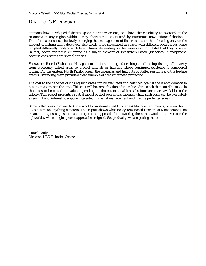# DIRECTOR'S FOREWORD

Humans have developed fisheries spanning entire oceans, and have the capability to overexploit the resources in any region within a very short time, as attested by numerous now-defunct fisheries. Therefore, a consensus is slowly emerging that management of fisheries, rather than focusing only on the amount of fishing effort deployed, also needs to be structured in space, with different ocean areas being targeted differently, and/or at different times, depending on the resources and habitat that they provide. In fact, ocean zoning is emerging as a major element of Ecosystem-Based (Fisheries) Management, because ecosystems are spatial entities.

Ecosystem-Based (Fisheries) Management implies, among other things, redirecting fishing effort away from previously fished areas to protect animals or habitats whose continued existence is considered crucial. For the eastern North Pacific ocean, the rookeries and haulouts of Steller sea lions and the feeding areas surrounding them provide a clear example of areas that need protection.

The cost to the fisheries of closing such areas can be evaluated and balanced against the risk of damage to natural resources in the area. This cost will be some fraction of the value of the catch that could be made in the areas to be closed, its value depending on the extent to which substitute areas are available to the fishery. This report presents a spatial model of fleet operations through which such costs can be evaluated; as such, it is of interest to anyone interested in spatial management and marine protected areas.

Some colleagues claim not to know what Ecosystem-Based (Fisheries) Management means, or even that it does not mean anything concrete. This report shows what Ecosystem-Based (Fisheries) Management can mean, and it poses questions and proposes an approach for answering them that would not have seen the light of day when single-species approaches reigned. So, gradually, we are getting there.

Daniel Pauly Director, UBC Fisheries Centre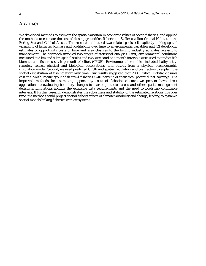# **ABSTRACT**

We developed methods to estimate the spatial variation in economic values of ocean fisheries, and applied the methods to estimate the cost of closing groundfish fisheries in Steller sea lion Critical Habitat in the Bering Sea and Gulf of Alaska. The research addressed two related goals: (1) explicitly linking spatial variability of fisheries biomass and profitability over time to environmental variables; and (2) developing estimates of opportunity costs of time and area closures to the fishing industry at scales relevant to management. The approach involved two stages of statistical analyses. First, environmental conditions measured at 3 km and 9 km spatial scales and two-week and one-month intervals were used to predict fish biomass and fisheries catch per unit of effort (CPUE). Environmental variables included bathymetry, remotely sensed physical and biological observations, and output from a physical oceanographic circulation model. Second, we used predicted CPUE and spatial regulatory and cost factors to explain the spatial distribution of fishing effort over time. Our results suggested that 2001 Critical Habitat closures cost the North Pacific groundfish trawl fisheries 5-40 percent of their total potential net earnings. The improved methods for estimating opportunity costs of fisheries closures we present have direct applications to evaluating boundary changes to marine protected areas and other spatial management decisions. Limitations include the extensive data requirements and the need to bootstrap confidence intervals. If further research demonstrates the robustness and stability of the estimated relationships over time, the methods could project spatial fishery effects of climate variability and change, leading to dynamic spatial models linking fisheries with ecosystems.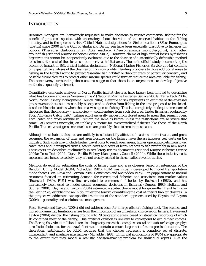## **INTRODUCTION**

Resource managers are increasingly requested to make decisions to restrict commercial fishing for the benefit of protected species, with uncertainty about the value of the reserved habitat to the fishing industry, and to the species at risk. Critical Habitat designations for Steller sea lions (SSLs; *Eumetopias jubatus*) since 2000 in the Gulf of Alaska and Bering Sea have been especially disruptive to fisheries for pollock (*Theragra chalcogramma*), Atka mackerel (*Pleurogrammus monopterygius*), and other groundfish (National Marine Fisheries Service 2001a). However, claims of high annual losses by fisheries organizations cannot be independently evaluated due to the absence of a scientifically defensible method to estimate the cost of the closures around critical habitat areas. The main official study documenting the economic impact of SSL critical habitat designation (National Marine Fisheries Service 2001a) contains only qualitative analyses of the closures on industry profits. Pending proposals to close additional areas to fishing in the North Pacific to protect 'essential fish habitat' or 'habitat areas of particular concern', and possible future closures to protect other marine species could further reduce the area available for fishing. The controversy surrounding these actions suggests that there is an urgent need to develop objective methods to quantify their cost.

Quantitative economic analyses of North Pacific habitat closures have largely been limited to describing what has become known as 'revenue at risk' (National Marine Fisheries Service 2001a; Tetra Tech 2004; North Pacific Fishery Management Council 2004). Revenue at risk represents an estimate of the ex-vessel gross revenue that could reasonably be expected to derive from fishing in the area proposed to be closed, based on historic catches when the area was open to fishing. This is a completely inadequate measure of the losses that the industry – and society – would endure from such closures. Under fisheries regulated by Total Allowable Catch (TAC), fishing effort generally moves from closed areas to areas that remain open. Total catch and gross revenue will remain the same as before unless the restrictions are so severe that some TAC remains uncaught, an unlikely outcome for overcapitalized fisheries like those of the North Pacific. True ex-vessel gross revenue losses are probably close to zero in most cases.

Although most habitat closures are unlikely to substantially affect total catches, market value, and gross revenues, the expansion of time and area closures on the fishery nevertheless imposes real costs on the industry. Such costs may include higher travel costs to reach open areas, higher operating costs from lower catch rates and interrupted trawls, search costs and costs of learning how to fish profitably in new areas. These costs are described qualitatively in regulatory review documents (National Marine Fisheries Service 2001a; Tetra Tech 2004; North Pacific Fishery Management Council (2004). While these industry costs represent real losses to society, they are not closely related to the so-called revenue at risk.

Methods do exist for estimating the costs of fishery time and area closures based on extensions of the Random Utility Model (RUM; McFadden 1981). RUM was initially developed to model transportation mode choice (Ben-Akiva and Lerman 1985; Domencich and McFadden 1975). Early applications to natural resources focused on estimating demand for recreational fisheries and associated non-market values (Bockstael 1989). RUM was first extended to commercial fisheries by Bockstael (1983), and has increasingly been used to model spatial economic decisions in fisheries (Dupont 1993; Holland and Sutinen 2000). Haynie and Layton (2004) estimated a spatial choice model for groundfish trawl fishing in the Bering Sea, establishing an initial milestone toward quantifying the cost of critical habitat closures. In this project we addressed two specific limitations of the standard approach used by Haynie and Layton (2004) – generality and usefulness to management.

First, Haynie and Layton (2004) did not address costs for a large offshore fishing fleet. The second, and more fundamental, limitation arises from the imposition of an unrealistic choice set on fishers. Haynie and Layton (2004) divided the fishing ground into 29 geographic areas, based on statistical reporting, of which 18 contained most of the fishing. This artificial division is unlikely to correspond to actual fleet choices. The Bering Sea/Aleutian Islands area is a huge expanse with a complex coastal and subsurface geography; a realistic choice set for the trawl fleet would contain a much larger set of more precise locations. The theoretical justification for RUM requires that the choices represent a complete set of discrete, independent, and available alternatives (McFadden 1981). Empirical applications of RUM are appropriate to the extent that they model a realistic decision-making problem for individual agents. Like the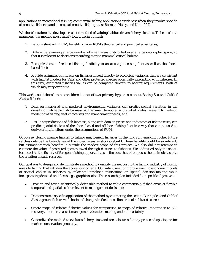applications to recreational fishing, commercial fishing applications work best when they involve specific alternative fisheries and discrete alternative fishing sites (Berman, Haley, and Kim 1997).

We therefore aimed to develop a realistic method of valuing habitat-driven fishery closures. To be useful to managers, the method must satisfy four criteria. It must:

- 1. Be consistent with RUM, benefiting from RUM's theoretical and practical advantages;
- 2. Differentiate among a large number of small areas distributed over a large geographic space, so that it is relevant to decisions regarding marine mammal critical habitat;
- 3. Recognize costs of reduced fishing flexibility to an at-sea processing fleet as well as the shorebased fleet;
- 4. Provide estimates of impacts on fisheries linked directly to ecological variables that are consistent with habitat models for SSLs and other protected species potentially interacting with fisheries. In this way, estimated fisheries values can be compared directly to habitat requirements, both of which may vary over time.

This work could therefore be considered a test of two primary hypotheses about Bering Sea and Gulf of Alaska fisheries:

- 1. Data on measured and modeled environmental variables can predict spatial variation in the density of catchable fish biomass at the small temporal and spatial scales relevant to realistic modeling of fishing fleet choice sets and management needs; and
- 2. Resulting predictions of fish biomass, along with data on prices and indicators of fishing costs, can predict spatial choices of the shore-based and offshore fishing fleet in a way that can be used to derive profit functions under the assumptions of RUM.

Of course, closing marine habitat to fishing may benefit fisheries in the long run, enabling higher future catches outside the boundaries of the closed areas as stocks rebuild. These benefits could be significant, but estimating such benefits is outside the modest scope of this project. We also did not attempt to estimate the value of protected species saved through closures to fisheries. We addressed only the shortterm cost to the fishery of foregone fishing opportunities – the cost that often poses the main obstacle to the creation of such reserves.

Our goal was to design and demonstrate a method to quantify the net cost to the fishing industry of closing areas to fishing that satisfies the above four criteria. Our intent was to improve existing economic models of spatial choice in fisheries by relaxing unrealistic restrictions on spatial decision-making while incorporating detailed and flexible geographic scales. The research plan included four specific objectives:

- Develop and test a scientifically defensible method to value commercially fished areas at flexible temporal and spatial scales relevant to management decisions;
- Demonstrate a specific application of the method by estimating the cost to Bering Sea and Gulf of Alaska groundfish trawl fisheries of changes in Steller sea lion critical habitat closures;
- Create maps of relative fisheries values for comparison to maps of relative importance to SSL recovery, in order to assist management decision-making under uncertainty;
- Generalize the method to evaluate fishery time and area closures for any protected species, or for marine conservation generally.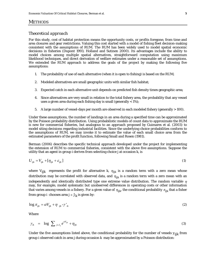## **METHODS**

#### *Theoretical approach*

For this study, cost of habitat protection means the opportunity costs, or profits foregone, from time and area closures and gear restrictions. Valuing this cost started with a model of fishing fleet decision-making consistent with the assumptions of RUM. The RUM has been widely used to model spatial economic decisions in fisheries (Dupont 1993; Holland and Sutinen 2000). Its advantages include the ability to model choices among multiple spatial alternatives, straightforward computation using maximum likelihood techniques, and direct derivation of welfare estimates under a reasonable set of assumptions. We extended the RUM approach to address the goals of the project by making the following five assumptions:

- 1. The probability of use of each alternative (when it is open to fishing) is based on the RUM;
- 2. Modeled alternatives are small geographic units with similar fish habitat;
- 3. Expected catch in each alternative unit depends on predicted fish density times geographic area;
- 4. Since alternatives are very small in relation to the total fishery area, the probability that any vessel uses a given area during each fishing day is small (generally < 1%);
- 5. A large number of vessel-days per month are observed in each modeled fishery (generally > 100).

Under these assumptions, the number of landings in an area during a specified time can be approximated by the Poisson probability distribution. Using probabilistic models of count data to approximate the RUM is new for commercial fisheries, but analogous to an approach proposed by Guimares et al. (2003) to model siting decisions regarding industrial facilities. Since the underlying choice probabilities conform to the assumptions of RUM, we may invoke it to estimate the value of each small choice area from the estimated parameters of the profit function, following Small and Rosen (1981).

Berman (2006) describes the specific technical approach developed under the project for implementing the extension of RUM to commercial fisheries, consistent with the above five assumptions. Suppose the utility that an agent in group *i* derives from selecting choice *j* at occasion *k*, is

$$
U_{ijk} = V_{ijk} + [\eta_{ijk} + \varepsilon_{ijk}]
$$
\n<sup>(1)</sup>

where  $V_{ijk}$  represents the profit for alternative *k*,  $\eta_{ijk}$  is a random term with a zero mean whose distribution may be correlated with observed data, and  $\eta_{ijk}$  is a random term with a zero mean with an independently and identically distributed type one extreme value distribution. The random variable  $\eta$ may, for example, model systematic but unobserved differences in operating costs or other information that varies among vessels in a fishery. For a given value of  $\eta_{ijk}$  the conditional probability  $\pi_{ijk}$  that a fisher from group *i* chooses area  $j \in J_k$  is given by:

$$
\log \pi_{ijk} = \alpha V_{ijk} + \eta_{ijk} - \gamma'_{ik} \tag{2}
$$

Where

$$
\gamma_{ik} = \log \sum_{j \in J_k} e^{\alpha V_{ijk}} + \eta_{ijk} \tag{3}
$$

Under the five assumptions listed above, the conditional probability for the number of vessels *yijk* from group *i* observed catch in area *j* during occasion *k* may be approximated by a Poisson distribution: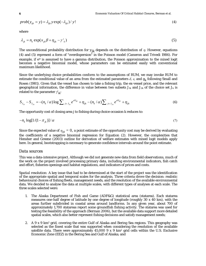$$
prob(y_{ijk} = y) = \lambda_{ijk} y \exp(-\lambda_{ijk}) / y!
$$
 (4)

where

$$
\lambda_{jk} = n_k \exp(x_{jk} \beta + \eta_{ijk} - \gamma'_{k})
$$
\n(5)

The unconditional probability distribution for  $y_{jk}$  depends on the distribution of  $\eta$ . However, equations (4) and (5) represent a form of "overdispersion" in the Poisson model (Cameron and Trivedi 1986). For example, if  $e^{\eta}$  is assumed to have a gamma distribution, the Poisson approximation to the mixed logit becomes a negative binomial model, whose parameters can be estimated easily with conventional maximum likelihood.

Since the underlying choice probabilities conform to the assumptions of RUM, we may invoke RUM to estimate the conditional value of an area from the estimated parameters  $\delta$ ,  $\varepsilon$ , and  $g_k$  following Small and Rosen (1981). Given that the vessel has chosen to take a fishing trip, the ex-vessel price, and the relevant geographical information, the difference in value between two subsets *J1k* and *J2k* of the choice set *Jk* is related to the parameter γ*' ik*:

$$
S_{J_{1k}} - S_{J_{2k}} = -(n_k/\alpha)\log \sum_{j \in J_{1k}} e^{\alpha V_{ijk}} + \eta_{ijk} - (n_k/\alpha) \sum_{j \in J_{2k}} e^{\alpha V_{ijk}} + \eta_{ijk}
$$
(6)

The opportunity cost of closing area *j* to fishing during choice occasion *k* reduces to:

$$
-n_k \log[1/(1-\pi_{jk})]/\alpha \tag{7}
$$

Since the expected value of  $\eta_{ijk} = 0$ , a point estimate of the opportunity cost may be derived by evaluating the coefficients of a negative binomial regression for Equation (2). However, the complexities that Hensher and Greene (2003) outline for derivation of welfare estimates with mixed logit models apply here. In general, bootstrapping is necessary to generate confidence intervals around the point estimate.

## *Data sources*

This was a data-intensive project. Although we did not generate new data from field observations, much of the work on the project involved processing primary data, including environmental indicators, fish catch and effort, fisheries openings and habitat regulations, and indicators of prices and costs.

*Spatial resolution:* A key issue that had to be determined at the start of the project was the identification of the appropriate spatial and temporal scales for the analysis. Three criteria drove the decision: realistic behavioural choices of fishing fleets, management needs, and the resolution of the available environmental data. We decided to analyse the data at multiple scales, with different types of analyses at each scale. The three scales selected were:

- 1. The Alaska Department of Fish and Game (ADF&G) statistical area (statarea). Each statarea measures one-half degree of latitude by one degree of longitude (roughly 30 x 40 km), with the areas further subdivided in coastal areas around landforms. In any given year, about 700 of approximately 1,700 statareas report some groundfish fishing activity. The statarea was used for testing the feasibility of the approach (Berman 2006), but the available data support more detailed spatial scales, which also better represent fishing decisions and satisfy management needs;
- 2. A 9 x 9 km2 grid, covering the entire Gulf of Alaska and Bering Sea regions. This geography was selected as the finest scale that was supported when considering the resolution of the available satellite data. There were approximately  $45,000$  9 x 9 km<sup>2</sup> grid cells within the U.S. Exclusive Economic Zone (EEZ) in the Bering Sea and Gulf of Alaska; and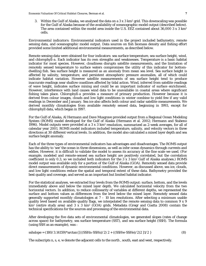3. Within the Gulf of Alaska, we analysed the data on a  $3 \times 3 \text{ km}^2$  grid. This downscaling was possible for the Gulf of Alaska because of the availability of oceanographic model output (described below). The area contained within the model area inside the U.S. EEZ contained about 36,000 3 x 3 km<sup>2</sup> cells.

*Environmental indicators:* Environmental indicators used in the project included bathymetry, remote sensing data, and oceanographic model output. Data sources on fish biomass density and fishing effort provided some limited additional environmental measurements, as described below.

Remote sensing data were obtained for four indicators: sea surface temperature, sea surface height, wind, and chlorophyll-*a*. Each indicator has its own strengths and weaknesses. Temperature is a basic habitat indicator for most species. However, cloudiness disrupts satellite measurements, and the limitation of remotely sensed temperature to surface waters compromises the utility of this indicator for bottomdwelling fish. Sea surface height is measured as an anomaly from mean sea level. Sea surface height is affected by salinity, temperature, and persistent atmospheric pressure anomalies, all of which could indicate habitat variation. However satellite measurements of sea surface height tend to produce inaccurate readings near shallow coastlines affected by tidal action. Wind, inferred from satellite readings of wave height, indicates surface mixing and could be an important indicator of surface enrichment. However, interference with land causes wind data to be unavailable in coastal areas where significant fishing takes place. Chlorophyll-*a* provides a measure of primary production. However because it is derived from colour images, clouds and low light conditions in winter combine to yield few if any valid readings in December and January. Sea ice also affects both colour and radar satellite measurements. We derived monthly climatologies from available remotely sensed data, beginning in 1993, except for chlorophyll data, which began in 1997.

For the Gulf of Alaska, Al Hermann and Dave Musgrave provided output from a Regional Ocean Modeling System (ROMS) model developed for the Gulf of Alaska (Hermann et al. 2002; Hermann and Stabeno 1996). Model outputs were provided at a 3 x 3 km2 resolution, summarized as 2-week averages, for all of calendar year 2001. ROMS model indicators included temperature, salinity, and velocity vectors in three directions at 30 different vertical levels. In addition, the model also calculated a mixed layer depth and sea surface height anomaly.

Each of the three types of environmental indicators has advantages and disadvantages. The ROMS output has the ability to 'see' the ocean in three dimensions, as well as infer ocean dynamics through currents and eddies. However, it is difficult to validate the model to assess its accuracy at the fine scale we used. (For example, modeled and remote-sensed sea surface height are positively correlated, but the correlation coefficient is only 0.3, so we included both indicators for the  $3 \times 3 \text{ km}^2$  Gulf of Alaska analyses.) ROMS model output was available only for a portion of the Gulf of Alaska (GOA). Remotely sensed data provide direct measurements of dynamic environmental conditions. However, as discussed above, sea ice, clouds, and low light conditions reduce the spatial and temporal extent of these data. Bathymetry provided the best quality and coverage, and served as an important but limited habitat indicator.

For the statistical analyses, we extracted four levels from the ROMS output: surface, bottom, and the levels immediately above and below the mixed layer depth. We calculated horizontal velocity from the two horizontal vectors. In addition, to reduce collinearity of variables at different depths, we represented the surface and bottom values as differences from the level below the mixed layer. Remotely sensed data generally supported monthly climatologies at  $7 - 10$  km resolutions. After selecting a minimum usable quality level based on available quality flags, we interpolated the remote sensing data to common 9 x 9  $km^2$  (entire study area) and 3 x 3 km<sup>2</sup> (GOA) grids. Metadata (Gregr and Coatta 2008) contain the technical specifications for the sources and processing of the environmental data.

After developing the five data sets of environmental climatologies, we generated slopes (rates of change across space) for bathymetry, sea surface temperature (SST), and sea surface height (SSH). The formula (using SSH as an example), was :

 $\text{sshslope} = (180/3.14159)^* \arctan\{((\text{CSHn-SSHs})/2) \ 2 + ((\text{SSHw-SSHe})/2) \ 2 \ 1/2 \}$  (8)

The subscripts n, s, e, w denote the adjacent cells to the north , south, east and west, respectively.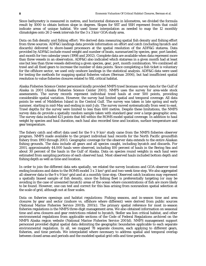Since bathymetry is measured in metres, and horizontal distances in kilometres, we divided the formula result by 1000 to obtain bottom slope in degrees. Slopes for SST and SSH represent fronts that could indicate areas of unique habitat. We used linear interpolation as needed to map the 12 monthly climatolgies onto 26 2-week intervals for the 3 x 3 km2 GOA study area.

*Data on fish density and fishing effort:* We derived data measuring spatial fish density and fishing effort from three sources. ADF&G landings data provide information on effort and catch (including bycatch and discards) delivered to shore-based processors at the spatial resolution of the ADF&G statarea. Data provided by ADF&G include round weight and number of boats, summarized by species, gear, port landed, and month for two calendar years (1998 and 2002). Complete data are available when data represent more than three vessels in an observation. ADF&G also indicated which statareas in a given month had at least one but less than three vessels delivering a given species, gear, port, month combination. We combined all trawl and all fixed gears to increase the number of data points. Since completing a fish ticket is voluntary for the offshore sector, we used only onshore landings in the statistical analysis. ADF&G data were used for testing the methods for mapping spatial fisheries values (Berman 2006), but had insufficient spatial resolution to value fisheries closures related to SSL critical habitat.

Alaska Fisheries Science Center personnel kindly provided NMFS trawl biomass survey data for the Gulf of Alaska in 2001 (Alaska Fisheries Science Center 2001). NMFS uses the survey for area-wide stock assessments. The survey records represent individual trawl hauls at over 500 points, providing considerable spatial variation. However, the survey had limited spatial and temporal coverage. All data points lie west of Middleton Island in the Central Gulf. The survey was taken in late spring and early summer, starting in mid-May and ending in mid-July. The survey moved systematically from west to east. Trawl depths for the survey were limited to less than 600 metres. Despite these limitations, the NMFS survey data do provide a spatially random sample taken with standard gear over a large geographic area. The survey data included 421 points that fell within the ROMS model spatial coverage. In addition to haul weight by species and haul duration, each haul also recorded time and location, surface temperature and gear temperature.

The fishery catch and effort data used for the  $9 \times 9 \text{ km}^2$  study came from the NMFS fisheries observer program. NMFS made available to the project individual haul records for the North Pacific groundfish fishery from 1993 through 2003. Geographic coverage for the observer data extends to the entire Alaskan fishing grounds. The data include all gears and all species caught, including bycatch and discards. For 2001, approximately 44,000 hauls were observed, including 100 percent of hauls in the Bering Sea and about 30 percent of the hauls in the Gulf of Alaska. Data on species round weights in each haul were estimated from sampling portions of each observed haul. Most observed hauls included bottom depth and fishing depth as well as time and location.

In order to join the different data sets spatially, we related the survey locations and GOA observer trawl ending locations and dates to the ROMS model  $3 \times 3 \text{ km}^2$  grid and two-week time step. We also aggregated all observer data to the  $9 \times 9$  km<sup>2</sup> grid and at a monthly time step. Observed catch locations may represent a spatially biased sample of fish density, since the fishing fleet is preferentially targeting (or may be avoiding in the case of unwanted bycatch) areas of the ocean where concentrations of fish are more likely to be found. However, one can test and correct for this bias arising from nonrandom spatial selection at the scale of grid, although not at finer scales.

*Data on fisheries openings and habitat regulations*: Fishing seasons, and in-season time and area closures by gear and sector (inshore vs. offshore where different) were derived from public sources (National Marine Fisheries Service 2001b; 2001c). The primary spatial reference for most in-season fisheries regulations is the NMFS three-digit management area. We also obtained information on seasonal time and area closures and gear restrictions related to bycatch, Steller sea lion critical habitat, and other environmental regulations from applicable sections of the Code of Federal Regulations archived on the NMFS Alaska region website (National Marine Fisheries Service 2001d). NMFS management support personnel provided digital spatial data delimiting the geographic boundaries applicable to each separate environmental regulation. In all, we mapped 78 separate closures, each applying to different gears, fisheries, and time periods. We interpolated where necessary to address spatial and temporal overlap between closed areas and periods and the modeled spatial grid cells and time periods.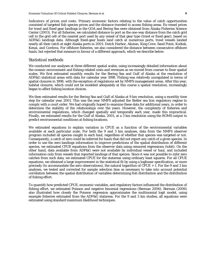*Indicators of prices and costs:* Primary economic factors relating to the value of catch opportunities consisted of targeted fish species prices and the distance traveled to access fishing areas. Ex-vessel prices for trawl and fixed gear landings in the GOA and Bering Sea were obtained from Alaska Fisheries Science Center (2003). For all fisheries, we calculated distance to port as the one-way distance from the catch grid cell to the grid cell of the nearest port used by any vessel of that gear type (trawl or fixed gear), based on ADF&G landings data. Although fixed-gear boats land catch at numerous ports, trawl vessels landed nearly all their catch at eight Alaska ports in 2001: Dutch Harbor, Akutan, King Cove, Sand Point, Kodiak, Kenai, and Cordova. For offshore fisheries, we also considered the distance between consecutive offshore hauls, but rejected that measure in favour of a different approach, which we describe below.

#### *Statistical methods*

We conducted our analyses at three different spatial scales, using increasingly detailed information about the oceanic environment and fishing-related costs and revenues as we moved from coarser to finer spatial scales. We first estimated monthly results for the Bering Sea and Gulf of Alaska at the resolution of ADF&G statistical areas with data for calendar year 1998. Fishing was relatively unregulated in terms of spatial closures in 1998, with the exception of regulations set by NMFS management areas. After this year, habitat closures, which could not be modeled adequately at this coarse a spatial resolution, increasingly began to affect fishing location choices.

We then estimated results for the Bering Sea and Gulf of Alaska at 9 km resolution, using a monthly time step for calendar year 2001. This was the year NMFS adjusted the Steller sea lion regulatory regime to comply with a court order. We had originally hoped to examine these data for additional years, in order to determine the stability of the relationships over the years. However, the complexity of fisheries and environmental regulations, which changed spatially and temporally each year, made this impractical. Finally, we estimated results for the Gulf of Alaska, 2001, at a 3 km resolution using the ROMS output to predict environmental conditions at fishing locations.

We estimated equations to explain variation in CPUE as a function of the environmental variables available at each particular scale. For both the 9 and 3 km analyses, data from the NMFS observer program included all species caught in each haul, regardless of whether that species was targeted or not. Consequently, a catch of zero could be inferred for hauls that did not report any catch of a given species. In order to use the zero-landings information to improve predictions of the spatial distribution of different species, we estimated CPUE equations from the observer data using censored regressions (tobit). On the other hand, data available from ADF&G were not available by individual vessel or haul, and included information only from vessels that reported landings of that species. Since it was not possible to infer zero catches from such data, we estimated CPUE for the statareas using ordinary least squares. For all CPUE equations, we obtained a large improvement in the statistical fit by using a loglinear specification, or more precisely (to accommodate the zero observations), the natural logarithm of CPUE  $+1$ . For the 9 and 3 km analyses, we tested and corrected for sample selection bias as necessary to take into account potential correlation between the spatial distribution of variables determining fish distribution and the distribution of fishing effort.

To quantify how predicted CPUE, economic variables, and regulatory factors influenced the distribution of fishing effort, we estimated Poisson and negative binomial regressions (Berman 2006). Berman (2006) also illustrated how closely the Poisson regression approximates the multinomial logit model, using example fisheries estimated from the ADF&G statareas. For the 9 and 3 km studies, all equations were estimated using standard maximum likelihood techniques.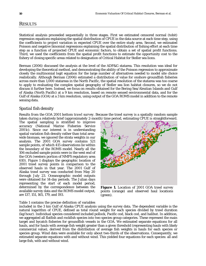# RESULTS

Statistical analysis proceeded sequentially in three stages. First we estimated censored normal (tobit) regression equations explaining the spatial distribution of CPUE in the data source at each time step, using the coefficients to project variation in expected CPUE over the entire study area. Second, we estimated Poisson and negative binomial regressions explaining the spatial distribution of fishing effort at each time step as a function of projected CPUE and economic factors, to obtain a set of spatial profit functions. Third, we used the coefficients from the spatial profit functions to estimate the opportunity cost to the fishery of closing specific areas related to designation of Critical Habitat for Steller sea lions.

Berman (2006) discussed the analysis at the level of the ADF&G statarea. This resolution was ideal for developing the theoretical method, and demonstrating the ability of the Poisson regression to approximate closely the multinomial logit equation for the large number of alternatives needed to model site choice realistically. Although Berman (2006) estimated a distribution of value for onshore groundfish fisheries across more than 1,000 statareas in the North Pacific, the spatial resolution of the statarea was too coarse to apply to evaluating the complex spatial geography of Steller sea lion habitat closures, so we do not discuss it further here. Instead, we focus on results obtained for the Bering Sea/Aleutian Islands and Gulf of Alaska (North Pacific) at a 9 km resolution, based on remote sensed environmental data, and for the Gulf of Alaska (GOA) at a 3 km resolution, using output of the GOA ROMS model in addition to the remote sensing data.

# *Spatial fish density*

*Results from the GOA 2001 bottom trawl survey.* Because the trawl survey is a spatially random sample taken during a relatively brief (approximately 2-month) time period, estimating CPUE is straightforward.

The spatial sampling is stratified to improve accuracy (National Marine Fisheries Service 2001c). Since our interest is in understanding spatial variation fish density rather than total areawide biomass, we ignored the strata weights in our analysis. The 2001 GOA survey contains 521 sample points, of which 415 observations lie within the boundary of the ROMS model. Nearly all the 106 excluded sample points were in the west end of the GOA (western portion of NMFS regulatory area 610). Figure 1 displays the geographic location of 2001 trawl survey points in comparison to the observed hauls in that year. The 2001 Gulf of Alaska trawl survey was conducted from May 20 through July 23. Oceanographic model outputs were obtained for 14-day periods. The Julian days representing the start of each model period, determined by the correspondence between the available survey data and the ROMS model output, are 137, 151, 165, 179, and 193.



**Figure 1.** Location of 2001 GOA trawl survey points (orange) and observed haul locations (green).

#### Table 1 contains the precise definition of variables

included in the 3 km Gulf of Alaska CPUE analysis using the survey data. The dependent variable is the natural logarithm of CPUE, defined as total round weight for each species divided by trawl duration (kg/hour). Individual species considered included pollock, Pacific cod, black cod, and halibut. In addition, we aggregated all flatfish and rockfish species into two species group categories. These represent the main target and bycatch fisheries for groundfish vessels in the GOA. We estimated separate equations for all hauls, and for hauls with average fish weight greater than a given threshold (representing hauls with likely commercial value), derived from the distribution of average fish weights in hauls for each species or species group. Wind data were available for only about two-thirds of the observations. Consequently, we estimated separate equations with and without wind. This yielded four equations for each species: all and large fish, with and without wind.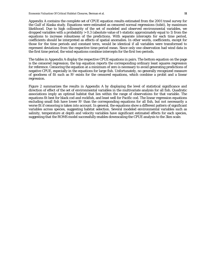Appendix A contains the complete set of CPUE equation results estimated from the 2001 trawl survey for the Gulf of Alaska study. Equations were estimated as censored normal regressions (tobit), by maximum likelihood. Due to high collinearity of the set of modeled and observed environmental variables, we dropped variables with a probability  $> 0.3$  (absolute value of t-statistic approximately equal to 1) from the equations to increase robustness of the predictions. With separate intercepts for each time period, coefficients should be interpreted as effects of spatial anomalies. In other words, coefficients, except for those for the time periods and constant term, would be identical if all variables were transformed to represent deviations from the respective time-period mean. Since only one observation had wind data in the first time period, the wind equations combine intercepts for the first two periods.

The tables in Appendix A display the respective CPUE equations in pairs. The bottom equation on the page is the censored regression; the top equation reports the corresponding ordinary least squares regression for reference. Censoring the equation at a minimum of zero is necessary to avoid generating predictions of negative CPUE, especially in the equations for large fish. Unfortunately, no generally recognized measure of goodness of fit such as  $R^2$  exists for the censored equations, which combine a probit and a linear regression.

Figure 2 summarizes the results in Appendix A by displaying the level of statistical significance and direction of effect of the set of environmental variables in the multivariate analysis for all fish. Quadratic associations imply an optimal habitat that lies within the range of observations for that variable. The equations fit best for black cod and rockfish, and least well for Pacific cod. The linear regression equations excluding small fish have lower  $R<sup>2</sup>$  than the corresponding equations for all fish, but not necessarily a worse fit if censoring is taken into account. In general, the equations show a different pattern of significant variables across species, suggesting habitat selection. Several modeled environmental variables such as salinity, temperature at depth and velocity variables have significant estimated effects for each species, suggesting that the ROMS model successfully enables downscaling the CPUE analysis to the 3km scale.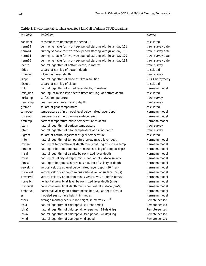**Table 1.** Environmental variables used for 3 km Gulf of Alaska CPUE equations.

| Variable           | Definition                                                                | Source            |
|--------------------|---------------------------------------------------------------------------|-------------------|
| constant           | constant term (intercept for period 12)                                   | calculated        |
| herm13             | dummy variable for two-week period starting with julian day 151           | trawl survey date |
| herm14             | dummy variable for two-week period starting with julian day 165           | trawl survey date |
| herm15             | dummy variable for two-week period starting with julian day 179           | trawl survey date |
| herm <sub>16</sub> | dummy variable for two-week period starting with julian day 193           | trawl survey date |
| Idepth             | natural logarithm of bottom depth, in metres                              | trawl survey      |
| I2dep              | square of nat. log of bottom depth                                        | calculated        |
| timeldep           | julian day times Idepth                                                   | trawl survey      |
| Islope             | natural logarithm of slope at 3km resolution                              | NOAA bathymetry   |
| I2slope            | square of nat. log of slope                                               | calculated        |
| Imld               | natural logarithm of mixed layer depth, in metres                         | Hermann model     |
| Imld_dep           | nat. log. of mixed layer depth times nat. log. of bottom depth            | calculated        |
| surftemp           | surface temperature                                                       | trawl survey      |
| geartemp           | gear temperature at fishing depth                                         | trawl survey      |
| gtemp2             | square of gear temperature                                                | calculated        |
| tempdep            | temperature at first model level below mixed layer depth                  | Hermann model     |
| mstemp             | temperature at depth minus surface temp                                   | Hermann model     |
| bmtemp             | bottom temperature minus temperature at depth                             | Hermann model     |
| <b>Istem</b>       | natural logarithm of surface temperature                                  | trawl survey      |
| Igtem              | natural logarithm of gear temperature at fishing depth                    | trawl survey      |
| I2gtem             | square of natural logarithm of gear temperature                           | calculated        |
| Imtem              | natural logarithm of temperature below mixed layer depth                  | Hermann model     |
| Imstem             | nat. log of temperature at depth minus nat. log of surface temp           | Hermann model     |
| Ibmtem             | nat. log of bottom temperature minus nat. log of temp at depth            | Hermann model     |
| Imsal              | natural logarithm of salinity below mixed layer depth                     | Hermann model     |
| Imssal             | nat. log of salinity at depth minus nat. log of surface salinity          | Hermann model     |
| Ibmsal             | nat. log of bottom salinity minus nat. log of salinity at depth           | Hermann model     |
| vervelbm           | vertical velocity at level below mixed layer depth (10 <sup>-3</sup> m/s) | Hermann model     |
| msvervel           | vertical velocity at depth minus vertical vel. at surface (cm/s)          | Hermann model     |
| bmvervel           | vertical velocity on bottom minus vertical vel. at depth (cm/s)           | Hermann model     |
| horvelbm           | horizontal velocity at level below mixed layer depth (cm/s)               | Hermann model     |
| mshorvel           | horizontal velocity at depth minus hor. vel. at surface (cm/s)            | Hermann model     |
| bmhorvel           | horizontal velocity on bottom minus hor. vel. at depth (cm/s)             | Hermann model     |
| ssh                | modeled sea surface height, in metres                                     | Hermann model     |
| sshrs              | average monthly sea surface height, in metres x 10 <sup>-2</sup>          | Remote-sensed     |
| Ichla              | natural logarithm of chlorophyll, current period                          | Remote-sensed     |
| Ichla1             | natural logarithm of chlorophyll, one-period (14-day) lag                 | Remote-sensed     |
| Ichla2             | natural logarithm of chlorophyll, two-period (28-day) lag                 | Remote-sensed     |
| Iwind              | natural logarithm of average wind speed                                   | Remote-sensed     |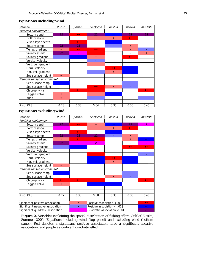#### *Equations including wind*

| Variable                  | P. coa    | pollock        | black coo | halibut   | flatfish | rockfish  |
|---------------------------|-----------|----------------|-----------|-----------|----------|-----------|
| Modeled environment       |           |                |           |           |          |           |
| Bottom depth              | 22        | $+ +$          | 22        |           | 22       | 22        |
| Bottom slope              |           |                | $+$       | ÷         | $++$     |           |
| Mixed layer depth         |           | $+ +$          |           |           |          |           |
| Bottom temp.              | 22        | 22             |           |           | $+$      |           |
| Temp. gradient            | $\ddot{}$ | $+ +$          | $+ +$     |           | ÷        |           |
| Salinity at mld           | 22        | $\overline{2}$ | $+ +$     |           |          | $\ddot{}$ |
| Salinity gradient         |           |                | $\ddot{}$ |           | $+$      |           |
| Vertical velocity         |           |                | ÷,        |           |          |           |
| Vert. vel. gradient       |           |                | $+$       |           |          |           |
| Horiz. velocity           |           |                |           | $+ +$     |          |           |
| Hor. vel. gradient        |           |                | ٠         | $+$       |          |           |
| Sea surface height        | $\ddot{}$ |                |           |           |          |           |
| Remote sensed environment |           |                |           |           |          |           |
| Sea surface temp.         |           |                |           |           | ٠        |           |
| Sea surface height        |           |                | $+ +$     | $\ddot{}$ |          |           |
| Chlorophyll-a             |           | $+ +$          | $++$      |           |          | $++$      |
| Lagged chl-a              | ÷         |                | $+$       |           |          |           |
| Wind                      | $\pm$     |                | ÷,        |           |          |           |
|                           |           |                |           |           |          |           |
| R sq. OLS                 | 0.28      | 0.33           | 0.64      | 0.35      | 0.30     | 0.45      |

# *Equations excluding wind*

| Variable                          | P. coa         | pollock        | black coo      | halibut                      | flatfish  | rockfish       |
|-----------------------------------|----------------|----------------|----------------|------------------------------|-----------|----------------|
| Modeled environment               |                |                |                |                              |           |                |
| Bottom depth                      | 22             | $++$           | $+$            | $\sim$ $\sim$                | 22        | $\overline{2}$ |
| Bottom slope                      | $\overline{2}$ |                | ÷              | $\ddot{}$                    | $+ +$     |                |
| Mixed layer depth                 |                | $+ +$          |                |                              |           |                |
| Bottom temp.                      | 22             | 22             | 22             |                              | $\ddot{}$ |                |
| Temp. gradient                    | $\ddot{}$      | $++$           | $+$            |                              | ÷         |                |
| Salinity at mld                   | 22             | $\overline{2}$ | $\overline{2}$ |                              |           | $\overline{2}$ |
| Salinity gradient                 | Ξ              | 44             |                |                              | $++$      | $++$           |
| Vertical velocity                 |                |                |                |                              |           |                |
| Vert. vel. gradient               |                |                | $+ +$          |                              |           |                |
| Horiz. velocity                   |                |                |                | $+ +$                        |           |                |
| Hor. vel. gradient                |                |                |                | $\ddot{}$                    |           |                |
| Sea surface height                | $+$            |                |                |                              |           |                |
| Remote sensed environment         |                |                |                |                              |           |                |
| Sea surface temp.                 | н.             |                |                |                              |           |                |
| Sea surface height                |                |                |                | $\ddot{}$                    |           |                |
| Chlorophyll-a                     | $+ +$          | $+ +$          | $+ +$          |                              |           | $+ +$          |
| Lagged chl-a                      | ÷              |                |                |                              |           |                |
|                                   |                |                |                |                              |           |                |
|                                   |                |                |                |                              |           |                |
| R sq. OLS                         | 0.27           | 0.33           | 0.58           | 0.35                         | 0.30      | 0.48           |
|                                   |                |                |                |                              |           |                |
| Significant positive association  |                | $+$            |                | Positive association $< .01$ |           | $+ +$          |
| Significant negative association  |                |                |                | Positive association < .01   |           | --             |
| Significant quadratic association |                | $\overline{2}$ |                | Quadratic association < .01  |           | 22             |

**Figure 2.** Variables explaining the spatial distribution of fishing effort, Gulf of Alaska, Summer 2001: Equations including wind (top panel) and excluding wind (bottom panel). Red denotes a significant positive association, blue a significant negative association, and purple a significant quadratic effect.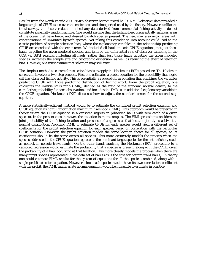*Results from the North Pacific 2001 NMFS observer bottom trawl hauls.* NMFS observer data provided a large sample of CPUE taken over the entire area and time period used by the fishery. However, unlike the trawl survey, the observer data – indeed any data derived from commercial fishing activity – do not constitute a spatially random sample. One would assume that the fishing fleet preferentially samples areas of the ocean that have target and desired bycatch species present. The fleet may also avoid areas with concentrations of unwanted bycatch species. Not taking this correlation into account could lead to the classic problem of sample selection bias, where the explanatory variables in the relationship predicting CPUE are correlated with the error term. We included all hauls in each CPUE equations, not just those hauls targeting the given modeled species, and ignored the differential rate of observer sampling in the GOA vs. BSAI regions. Including all hauls, rather than just those hauls targeting the given modeled species, increases the sample size and geographic dispersion, as well as reducing the effect of selection bias. However, one must assume that selection may still exist.

The simplest method to correct for selection bias is to apply the Heckman (1979) procedure. The Heckman correction involves a two-step process. First one estimates a probit equation for the probability that a grid cell has observed fishing activity. This is essentially a reduced-form equation that combines the variables predicting CPUE with those predicting distribution of fishing effort. From the probit equation, one calculates the inverse Mills ratio (IMR), defined as the ratio of the standard normal density to the cumulative probability for each observation, and includes the IMR as an additional explanatory variable in the CPUE equation. Heckman (1979) discusses how to adjust the standard errors for the second step equation.

A more statistically-efficient method would be to estimate the combined probit selection equation and CPUE equation using full information maximum likelihood (FIML). This approach would be preferred in theory where the CPUE equation is a censored regression (observed hauls with zero catch of a given species). In the present case, however, the situation is more complex. The FIML procedure considers the joint probability of the fishing location and presence of a species at that location jointly as a bivariate normal distribution. Applying FIML to estimate CPUE for each species would yield a different set of coefficients for the probit selection equation for each species, based on correlation with the particular CPUE equation. However, the probit equation models the same location choice for all species, so its coefficients should be the same across all species. This more accurately models the process when the species addressed in the CPUE equation represents the dominant target species for the entire fishery (such as pollock in pelagic trawl hauls). On the other hand, applying the Heckman (1979) procedure to a censored regression would estimate the probability that a species is present, along with the CPUE, given the probability of a haul occurring at that location. This more closely models the process when there are many target species represented in the data set of hauls (as is the case for bottom trawl hauls). In theory one could estimate FIML results for the system of equations for all the species combined, along with a single probit selection equation. However, since each species would have its own correlation coefficient with the probit, the FIML multivariate normal equation would be infeasible to estimate in practice.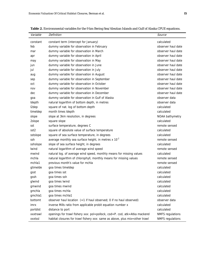| Variable         | Definition                                                                  | Source                  |
|------------------|-----------------------------------------------------------------------------|-------------------------|
| constant         | constant term (intercept for January)                                       | calculated              |
| feb              | dummy variable for observation in February                                  | observer haul date      |
| mar              | dummy variable for observation in March                                     | observer haul date      |
| apr              | dummy variable for observation in April                                     | observer haul date      |
| may              | dummy variable for observation in May                                       | observer haul date      |
| jun              | dummy variable for observation in June                                      | observer haul date      |
| jul              | dummy variable for observation in July                                      | observer haul date      |
| aug              | dummy variable for observation in August                                    | observer haul date      |
| sep              | dummy variable for observation in September                                 | observer haul date      |
| oct              | dummy variable for observation in October                                   | observer haul date      |
| nov              | dummy variable for observation in November                                  | observer haul date      |
| dec              | dummy variable for observation in December                                  | observer haul date      |
| goa              | dummy variable for observation in Gulf of Alaska                            | observer data           |
| Idepth           | natural logarithm of bottom depth, in metres                                | observer data           |
| I2dep            | square of nat. log of bottom depth                                          | calculated              |
| timeldep         | month times Idepth                                                          | calculated              |
| slope            | slope at 3km resolution, in degrees                                         | NOAA bathymetry         |
| 2slope           | square slope                                                                | calculated              |
| sst              | surface temperature, degrees C                                              | remote sensed           |
| sst <sub>2</sub> | square of absolute value of surface temperature                             | calculated              |
| sstslope         | square of sea surface temperature, in degrees                               | calculated              |
| ssh              | average monthly sea surface height, in metres $x$ 10 <sup>-2</sup>          | remote sensed           |
| sshslope         | slope of sea surface height, in degrees                                     | calculated              |
| Iwind            | natural logarithm of average wind speed                                     | remote sensed           |
| mwind            | natural log. of average wind speed, monthly means for missing values        | calculated              |
| mchla            | natural logarithm of chlorophyll, monthly means for missing values          | remote sensed           |
| mchla1           | previous month's value for mchla                                            | remote sensed           |
| gtimelde         | goa times timeldep                                                          | calculated              |
| gsst             | goa times sst                                                               | calculated              |
| gssh             | goa times ssh                                                               | calculated              |
| glwind           | goa times lwind                                                             | calculated              |
| gmwind           | goa times mwind                                                             | calculated              |
| gmchla           | goa times mchla                                                             | calculated              |
| gmchla1          | goa times mchla1                                                            | calculated              |
| bottomt          | observer haul location $(=1$ if haul observed; 0 if no haul observed)       | observer data           |
| imrx             | inverse Mills ratio from applicable probit equation number x                | calculated              |
| portdist         | distance to port                                                            | calculated              |
| xxxtrawl         | openings for trawl fishery xxx: pol=pollock, cod=P. cod, atk=Atka mackerel  | <b>NMFS</b> regulations |
| xxxtssl          | habitat closures for trawl fishery xxx: same as above, plus mix=other trawl | <b>NMFS</b> regulations |

**Table 2.** Environmental variables for the 9 km Bering Sea/Aleutian Islands and Gulf of Alaska CPUE equations.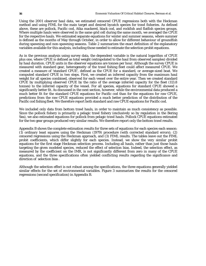Using the 2001 observer haul data, we estimated censored CPUE regressions both with the Heckman method and using FIML for the main target and desired bycatch species for trawl fisheries. As defined above, these are pollock, Pacific cod, Atka mackerel, black cod, and rockfish and flatfish species groups. Where multiple hauls were observed in the same grid cell during the same month, we averaged the CPUE for the respective hauls. We estimated separate equations for winter and summer seasons, where summer is defined as the months of May through October, in order to allow for different behaviour of groundfish during spawning and non-spawning seasons. Table 2 summarizes the exact definition of the explanatory variables available for this analysis, including those needed to estimate the selection probit equations.

As in the previous analysis using survey data, the dependent variable is the natural logarithm of CPUE plus one, where CPUE is defined as total weight (extrapolated to the haul from observed samples) divided by haul duration. CPUE units in the observer equations are tonnes per hour. Although the survey CPUE is measured with standard gear, heterogeneity of the trawl fishing fleet could affect measured CPUE. We created a measure of 'standard CPUE', defined as the CPUE for a standard, or average-sized boat. We computed standard CPUE in two steps. First, we created an inferred capacity from the maximum haul weight for all species combined, observed for each vessel over the entire year. Then we created standard CPUE by multiplying observed CPUE by the ratio of the average inferred capacity for the fleet (113.8 tonnes) to the inferred capacity of the vessel. For all species, equations for standard CPUE showed a significantly better fit. As discussed in the next section, however, while the environmental data produced a much better fit for the standard CPUE equations for Pacific cod than for the equations for raw CPUE, predictions from the raw CPUE equations provided a much better prediction of the distribution of the Pacific cod fishing fleet. We therefore report both standard and raw CPUE equations for Pacific cod.

We included only data from bottom trawl hauls, in order to maintain as much consistency as possible. Since the pollock fishery is primarily a pelagic trawl fishery (exclusively so by regulation in the Bering Sea), we also estimated equations for pollock from pelagic trawl hauls. Pollock CPUE equations estimated for the two gear groups produced very similar results. We therefore report only the bottom trawl results.

Appendix B shows the complete estimation results for three sets of equations for each species each season: (1) ordinary least squares using the Heckman (1979) procedure (with corrected standard errors); (2) censored regressions using the Heckman approach, and (3) FIML results. The tables leave out the FIML probit coefficients, which differ slightly for each species. Instead, we show the very similar probit equations for the first stage Heckman selection process. Including all hauls, rather than just those hauls targeting the given modeled species, reduced the effect of selection bias. Indeed, the selection effect, as measured by the coefficient on the IMR, is not significantly different from zero in many of the CPUE equations, and the three specifications often yielded conflicting results regarding the significance and direction of selection bias .

Although the selection effect is not robust among the specifications, the three equations generally yielded similar effects for the set of environmental variables. Figure 3 summarizes the results for the censored regressions (second specification) in Appendix B.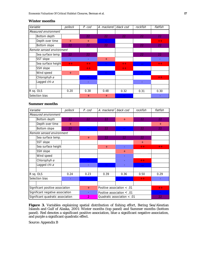#### *Winter months*

| Variable |                           | pollock | P. cod | A. mackerel     | black cod | rockfish | flatfish |
|----------|---------------------------|---------|--------|-----------------|-----------|----------|----------|
|          | Measured environment      |         |        |                 |           |          |          |
|          | Bottom depth              |         | 22     | 22              | 22        | 22       | 22       |
|          | Depth over time           | $+$     | $+$    |                 |           |          | $+ +$    |
|          | Bottom slope              | 22      | 22     | 22 <sub>1</sub> |           | 22       | 22       |
|          | Remote sensed environment |         |        |                 |           |          |          |
|          | Sea surface temp.         | 22      | 22     |                 |           | 22       | 22       |
|          | SST slope                 |         |        | $+$             |           |          |          |
|          | Sea surface height        | $+ +$   | $+ +$  |                 | $+ +$     |          | $+ +$    |
|          | SSH slope                 |         | $+ +$  |                 | $+ +$     |          |          |
|          | Wind speed                | $+$     |        |                 |           |          |          |
|          | Chlorophyll-a             |         |        |                 |           |          | $+ +$    |
|          | Lagged chl-a              |         |        |                 |           |          |          |
|          |                           |         |        |                 |           |          |          |
|          | R sq. OLS                 | 0.20    | 0.38   | 0.48            | 0.32      | 0.31     | 0.30     |
|          | Selection bias            |         | $^{+}$ | $\pm$           |           |          |          |

#### *Summer months*

| Variable                          | pollock | P. cod         | A. mackerel                 | black cod                      | rockfish | flatfish                       |
|-----------------------------------|---------|----------------|-----------------------------|--------------------------------|----------|--------------------------------|
| Measured environment              |         |                |                             |                                |          |                                |
| Bottom depth                      | 22      | 22             | 22                          | $+$                            | 22       | 22                             |
| Depth over time                   | $+$     |                |                             |                                |          | $+$                            |
| Bottom slope                      | 22      |                | 22                          |                                | 22       | 22                             |
| Remote sensed environment         |         |                |                             |                                |          |                                |
| Sea surface temp.                 |         | $+$            | 22                          | 22                             | 22       |                                |
| SST slope                         |         |                |                             |                                | $+$      |                                |
| Sea surface height                |         |                | $+$                         |                                | $+ +$    | $+ +$                          |
| SSH slope                         |         |                |                             | $+$                            |          |                                |
| Wind speed                        |         |                |                             |                                |          |                                |
| Chlorophyll-a                     |         |                |                             |                                | $+ +$    |                                |
| Lagged chl-a                      |         |                |                             |                                |          |                                |
|                                   |         |                |                             |                                |          |                                |
| R sq. OLS                         | 0.24    | 0.23           | 0.39                        | 0.36                           | 0.50     | 0.29                           |
| Selection bias                    |         |                |                             |                                | $+ +$    |                                |
|                                   |         |                |                             |                                |          |                                |
| Significant positive association  |         | $+$            |                             | Positive association $< .01$   |          | $\boldsymbol{+}\boldsymbol{+}$ |
| Significant negative association  |         |                |                             | Positive association $\lt$ .01 |          |                                |
| Significant quadratic association |         | $\overline{2}$ | Quadratic association < .01 |                                |          | 22                             |

**Figure 3.** Variables explaining spatial distribution of fishing effort, Bering Sea/Aleutian Islands and Gulf of Alaska, 2001: Winter months (top panel) and Summer months (bottom panel). Red denotes a significant positive association, blue a significant negative association, and purple a significant quadratic effect.

Source: Appendix B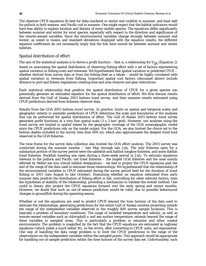The observer CPUE equations fit best for Atka mackerel in winter and rockfish in summer, and least well for pollock in both seasons, and Pacific cod in summer. One might expect that the habitat indicators would have less ability to explain location and density of more mobile species. The equations differ significantly between summer and winter for most species, especially with respect to the direction and significance of the remote-sensed variables. Since the environmental variables change strongly between summer and winter, as noted in means and standard deviations displayed with the equation results, the different equation coefficients do not necessarily imply that the fish have moved far between summer and winter habitats.

# *Spatial distribution of effort*

The aim of the statistical analysis is to derive a profit function – that is, a relationship for *Vijk* (Equation 2) based on associating the spatial distribution of observing fishing effort with a set of factors representing spatial variation in fishing costs and revenues. We hypothesized that spatial variation in predicted CPUE – whether derived from survey data or from the fishing fleet as a whole – would be highly correlated with spatial variation in revenues from fishing. Important spatial cost factors (discussed above) include distance to port and fishery regulations creating time and area closures and gear restrictions.

Each statistical relationship that predicts the spatial distribution of CPUE for a given species can potentially generate an estimated equation for the spatial distribution of effort. We first discuss results derived from the Gulf of Alaska 2001 bottom trawl survey, and then examine results estimated using CPUE predictions derived from fisheries observer data.

*Results from the GOA 2001 bottom trawl survey.* In practice, limits on spatial and temporal scales and geographic extents in available predictions of CPUE determine the scale and boundaries of the analyses that can be performed for spatial distribution of effort. The Gulf of Alaska 2001 bottom trawl survey generates profit functions at a very fine spatial scale  $(3 \times 3 \text{ km}^2 \text{ grid})$ . However, our analyses using the trawl survey are limited in spatial extent by the geographic coverage of the GOA oceanographic model since the CPUE predictions rely on the model output. For the GOA, we also limited the choice set to the bottom depths included in the survey (less than 600 m), which also approximates the deepest trawl haul observed in the GOA fisheries.

The time frame for the survey data collection also limited the GOA effort analysis. The 2001 survey was conducted during the summer months – late May through late July. The only fisheries open for a substantial portion of the survey period were the sablefish and halibut longline fisheries, and some flatfish trawl fisheries. Rockfish trawling was open during a three-week period in July. To estimate equations relevant to the pollock and Pacific cod trawl fisheries – the largest GOA fisheries and the ones mainly affected by Steller sea lion critical habitat designations – we had to project the CPUE equations past the end of the range of the data used to estimate those relationships. We hypothesized that the relationship of the environmental variables to CPUE estimated during the survey period held for the duration of trawl fishing in 2001 (late August to late October). Examining whether an equation estimated from early summer data predicts the distribution of fishing effort in fall, controlling for other relevant factors, tests the hypothesis of stability of the relationship, providing a mechanism to validate the overall method. One could in theory also project the CPUE equations forward into the early spring and winter months. However, we doubt that such an out-of-season prediction would be valid, due to possible behavioural changes in groundfish during the spawning season.

Whether or not the equations are used to predict CPUE beyond the time horizon of the data used to estimate the relationships, generating predictions for the entire Gulf of Alaska involves projecting outside the range of the independent variables observed in the roughly 400 survey sample locations. This is basically a problem of boundary conditions. The range of modeled temperature and salinity, as well as remote-sensed variables such as chlorophyll-*a* and sea surface temperature, extends beyond the range of these variables in sampled areas. This is particularly a problem in estuaries and other coastal environments. The problem is magnified by the fact that the CPUE equations are estimated as loglinear equations (which yields a much better fit), so the errors, after converting to CPUE units, are exponential. One way of handling the data range problem is to limit the CPUE predictions to the range of the observations on the independent variables within the sampled points. This approach would be appropriate for handling out-of-sample prediction within the time horizon of the survey data set. Unfortunately, such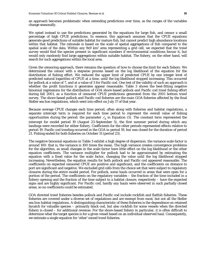an approach becomes problematic when extending predictions over time, as the ranges of the variables change seasonally.

We opted instead to use the predictions generated by the equations for large fish, and censor a small percentage of high CPUE predictions. In essence, this approach assumes that the CPUE equations generate good predictions of suitable habitat for mature fish, but cannot predict high abundance locations within that habitat. The rationale is based on the scale of spatial aggregations of fish compared to the spatial scale of the data. Within any 9x9 km2 area representing a grid cell, we expected that the trawl survey would find the species present in significant numbers if environmental conditions favour it, but would only randomly find large aggregations within suitable habitat. The fishery, on the other hand, will search for such aggregations within the local area.

Given the censoring approach, there remains the question of how to choose the limit for each fishery. We determined the censor with a stepwise process based on the log likelihood of the equation for the distribution of fishing effort. We reduced the upper limit of predicted CPUE by one integer level of predicted natural logarithm of CPUE at a time, until the log likelihood stopped increasing. This occurred for pollock at a value of 7, and at a value of 3 for Pacific cod. One test of the validity of such an approach is whether the profit functions it generates appear reasonable. Table 3 shows the best-fitting negative binomial regressions for the distribution of GOA shore-based pollock and Pacific cod trawl fishing effort during fall 2001, as a function of censored CPUE predictions generated from the 2001 bottom trawl survey. The shore-based pollock and Pacific cod fisheries are the main GOA fisheries affected by the final Steller sea lion regulations, which went into effect on July 17 of that year.

Because average CPUE changes each time period, often along with fisheries and habitat regulations, a separate intercept term is required for each time period to represent the overall value of fishing opportunities during the period: the parameter  $\gamma'_{k}$  in Equation (5). The constant term represented the intercept for model period 19 (August 23-September 5), the first summer period during which any landings were recorded for either fishery. Coefficients for the other periods represented effects relative to period 19. Pacific cod trawling occurred in the GOA in period 19, but was closed for the duration of period 21. Fishing ended for both fisheries on October 31 (period 23).

The negative binomial equations in Table 3 exhibit a high degree of dispersion: the variance scale factor is around 100: that is, the variance is 100 times the mean. The high variance creates convergence problems for the algorithm, as small changes in the scale factor have little effect on the log likelihood or the other equation coefficients. The variance multiplier for pollock had to be approximated by estimating the equation with a fixed value for the scale factor, changing the value until the log likelihood stopped increasing. Nevertheless, the equation results for both pollock and Pacific cod appeared reasonable. The coefficients on expected censored CPUE are positive and significant, and the coefficients on distance to port are significant and negative. We excluded grid cells from the choice set that were subject to regulatory closures during the entire model period. For pollock, some hauls occurred in areas that were open for a portion of the period. The coefficients on the regulatory variables – the fraction of the time included in a fishery opening and the fraction of the time subject to a habitat closure, respectively – have the expected signs and are highly significant. For Pacific cod, hardly any hauls were observed in such partially closed areas, so no coefficients could be estimated.

GOA directed trawl fisheries besides pollock and Pacific cod include rockfish and flatfish fisheries. These fisheries are covered under a diverse set of regulations and are exempt from most, but not all the Steller sea lion habitat regulations. A distinguishing characteristic of these fisheries is the dependence on retained bycatch for valuable species – primarily black cod, but also rockfish for some vessels when the directed fishery is closed – for additional revenue. For the shore-based fishery in particular, it is often difficult to determine what the target species is for a given vessel based on an individual observed haul. Consequently, we estimate a single equation for 'other' mixed trawl fisheries.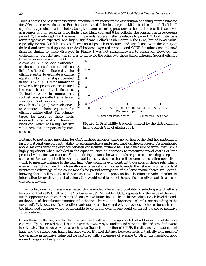Table 4 shows the best-fitting negative binomial regressions for the distribution of fishing effort estimated for GOA other trawl fisheries. For the shore-based fisheries, large rockfish, black cod, and flatfish all significantly predict location choice. Using the same censoring procedure as before, the best fit is achieved at a censor of 3 for rockfish, 4 for flatfish and black cod, and 6 for pollock. The constant term represents period 12; the intercepts for the remaining periods represent effects relative to period 12. Port distance is again negative as expected, and highly significant. Pollock is abundant in the GOA, but of lower value, especially for smaller fish. The coefficient on all pollock is negative and significant. With the variety of desired and unwanted species, a tradeoff between expected revenue and CPUE for other onshore trawl fisheries similar to those displayed in Figure 4 was not straightforward to construct. However, the coefficient on port distance was similar to those for the other two shore-based fisheries. Several offshore

trawl fisheries operate in the Gulf of Alaska. All GOA pollock is allocated to the shore-based sector, and too little Pacific cod is allocated to the offshore sector to estimate a choice equation. No mother ships operated in the GOA in 2001, but a number of trawl catcher-processors prosecuted the rockfish and flatfish fisheries. During the period in summer that rockfish was permitted as a target species (model periods 15 and 16), enough hauls (279) were observed to estimate a choice equation for offshore fishing effort. The primary target for most of these hauls appeared to be rockfish. However, black cod, which has a high market value, remains an important bycatch species.



**Figure 4.** Profitability tradeoffs implied by the distribution of fishing effort: Gulf of Alaska 2001.

Distance to port is not important for GOA offshore fisheries, since no portion of the Gulf lies particularly far from at least one port with ability to accommodate a mid-sized trawl catcher-processor. As mentioned above, we considered the distance between consecutive offshore hauls as a measure of travel cost. While highly significant when included in the equation, such an approach to measuring travel cost is of little practical value, for two reasons. First, modeling distance between hauls requires constructing a separate choice set for each grid cell in which a haul is observed, since that cell becomes the starting point from which to measure distance to the next haul. One would have to construct thousands of choice sets, which, even with sampling, would involve millions of observations in order to model the fishery. In other words, it negates the advantage of the count models for partial aggregation of the large spatial choice set. Second, knowing that a cell was selected because it was close to a previous haul location provides insufficient information for predicting spatial values. One would need to model the set of consecutive hauls in a nested choice framework.

In particular, one might assume a nested choice model, where the probability of selecting a grid cell is a function of that cell's CPUE and the "inclusive value" (McFadden 1981), representing the value of the set of future opportunities from the series of consecutive future hauls. The inclusive value at each level depends on the value of the unknown parameter for the inclusive value at a lower choice level (corresponding to the next haul). With dozens of consecutive hauls during a fishery, and with thousands of choices for each haul, the likelihood function would be infeasible to compute, even if one could construct the set of inclusive values data set.

Given these challenges, we decided to experiment with a simple approach that addressed travel distance conceptually in a nested model, but in a way that was easy to understand conceptually and straightforward to estimate. The inclusive value at each stage (haul) is a function of CPUE, the distance to a subsequent haul, and the subsequent haul's inclusive value. If travel distance between hauls is typically low, much of the variance in inclusive value will be captured with a measure of average CPUE in the neighbourhood around the grid cell in question.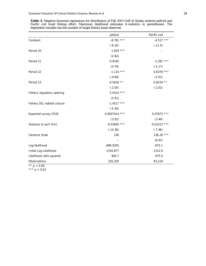|                             | pollock         | Pacific cod    |
|-----------------------------|-----------------|----------------|
| Constant                    | $-8.791$ ***    | $-4.517$ ***   |
|                             | $(-6.35)$       | $(-11.0)$      |
| Period 20                   | $1.929***$      |                |
|                             | (2.64)          |                |
| Period 21                   | 0.9192          | $-2.281$ ***   |
|                             | (0.79)          | $(-5.17)$      |
| Period 22                   | $-1.110$ ***    | $0.6378$ ***   |
|                             | $(-4.84)$       | (2.61)         |
| Period 23                   | $-0.5618$ **    | $-0.6534$ **   |
|                             | $(-2.05)$       | $(-2.02)$      |
| Fishery regulatory opening  | $5.5433$ ***    |                |
|                             | (3.91)          |                |
| Fishery SSL habitat closure | $-1.4517$ ***   |                |
|                             | $(-5.39)$       |                |
| <b>Expected survey CPUE</b> | $0.0007414$ *** | $0.07873$ ***  |
|                             | (3.02)          | (3.49)         |
| Distance to port (km)       | $-0.01665$ ***  | $-0.01223$ *** |
|                             | $(-14.36)$      | $(-7.46)$      |
| Variance Scale              | 100             | 136.28 ***     |
|                             |                 | (6.42)         |
| Log-likelihood              | $-898.5455$     | $-875.1$       |
| Initial Log-Likelihood      | $-1350.877$     | $-1312.6$      |
| Likelihood ratio squared    | 904.7           | 875.0          |
| Observations                | 105,205         | 93,219         |

**Table 3.** Negative binomial regressions for distribution of Fall 2001 Gulf of Alaska onshore pollock and Pacific cod trawl fishing effort: Maximum likelihood estimates (t-statistics in parentheses). The dependent variable was the number of target fishery hauls observed.

\*\*  $p < 0.05$ \*\*\*  $p < 0.01$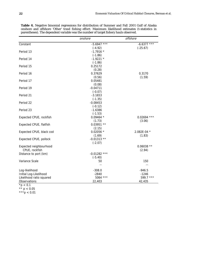|                          | onshore        | offshore      |
|--------------------------|----------------|---------------|
| Constant                 | $-5.6947$ ***  | $-6.6377$ *** |
|                          | $(-4.92)$      | $(-25.67)$    |
| Period 13                | $-1.7916*$     |               |
|                          | $(-1.86)$      |               |
| Period 14                | $-1.9221$ *    |               |
|                          | $(-1.86)$      |               |
| Period 15                | 0.25172        |               |
|                          | (0.28)         |               |
| Period 16                | 0.37629        | 0.3170        |
|                          | (0.56)         | (1.59)        |
| Period 17                | 0.05481        |               |
|                          | (0.08)         |               |
| Period 19                | $-0.04711$     |               |
|                          | $(-0.07)$      |               |
| Period 21                | $-3.1653$      |               |
|                          | $(-1.35)$      |               |
| Period 22                | $-0.08453$     |               |
|                          | $(-0.12)$      |               |
| Period 23                | $-1.6386$      |               |
|                          | $(-1.53)$      |               |
| Expected CPUE, rockfish  | $0.09464$ *    | $0.02694$ *** |
|                          | (1.73)         | (3.06)        |
| Expected CPUE, flatfish  | $0.03951**$    |               |
|                          | (2.15)         |               |
| Expected CPUE, black cod | $0.02056$ *    | 2.082E-04 *   |
|                          | (1.69)         | (1.83)        |
| Expected CPUE, pollock   | $-0.01313**$   |               |
|                          | $(-2.07)$      |               |
| Expected neighbourhood   |                | $0.06038**$   |
| CPUE, rockfish           |                | (2.94)        |
| Distance to port (km)    | $-0.01282$ *** |               |
|                          | $(-5.40)$      |               |
| Variance Scale           | 50             | 150           |
|                          | --             | $-$           |
| Log-likelihood           | $-308.0$       | $-946.5$      |
| Initial Log-Likelihood   | $-2840$        | $-1246$       |
| Likelihood ratio squared | 5064 ***       | 599.7 ***     |
| Observations             | 22,403         | 42,435        |
| $*p < 0.1$               |                |               |

**Table 4.** Negative binomial regressions for distribution of Summer and Fall 2001 Gulf of Alaska onshore and offshore 'Other' trawl fishing effort: Maximum likelihood estimates (t-statistics in parentheses). The dependent variable was the number of target fishery hauls observed.

\*\*  $p < 0.05$ 

 $***p < 0.01$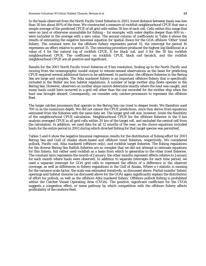In the hauls observed from the North Pacific trawl fisheries in 2001, travel distance between hauls was less than 30 km about 80% of the time. We constructed a measure of rockfish neighbourhood CPUE that was a simple average of the predicted CPUE of all grid cells within 30 km of each cell. Cells within this range that were on land or otherwise unavailable for fishing – for example, with water depths deeper than 600 m – were included in the average with a zero value. The second column of coefficients in Table 4 shows the

results of estimating the negative binomial equation for spatial choice for the GOA offshore 'Other' trawl fishery. The constant term for the offshore fishery represents period 15; the intercept for period 16 represents an effect relative to period 15. The censoring procedure produced the highest log likelihood at a value of 4 for the natural log of rockfish CPUE, 8 for black cod, and 3 for the 30 km rockfish neighbourhood CPUE. The coefficient on rockfish CPUE, black cod bycatch, and the rockfish neighbourhood CPUE are all positive and significant.

*Results for the 2001 North Pacific trawl fisheries at 9 km resolution.* Scaling up to the North Pacific and moving from the oceanographic model output to remote-sensed observations as the basis for predicting CPUE required several additional factors to be addressed. In particular, the offshore fisheries in the Bering Sea are large and complex. The Atka mackerel fishery is an important offshore fishery that is specifically included in the Steller sea lion habitat regulations. A number of large mother ship fleets operate in the Bering Sea. However, observers on mother ships cannot determine exactly where the haul was caught, and many hauls could have occurred in a grid cell other than the one recorded for the mother ship when the haul was brought aboard. Consequently, we consider only catcher-processors to represent the offshore fleet.

The larger catcher processors that operate in the Bering Sea can trawl to deeper levels. We therefore used 700 m as the maximum depth. We did not censor the CPUE predictions, since they derive from equations estimated from the fisheries with the same data set. The larger grid cell size, however, limits the flexibility of the neighbourhood CPUE calculation. Neighbourhood CPUE for the offshore fisheries in the 9 km analysis averaged CPUE in all grid cells within 20 km of the target cell, and excluded the central cell from the calculation. In addition, we used data for all 12 months of the year, so the choice equations included hauls for the entire period in 2001 during which directed fishing for that target species was permitted.

Tables 5 and 6 show the negative binomial regression results for the distribution of fishing effort for 2001 Bering Sea and Gulf of Alaska shore-based and offshore trawl fisheries, respectively. We considered pollock, Pacific cod, Atka mackerel (offshore only), and rockfish target fisheries. The fishing regulations for the diverse Bering Sea flatfish fisheries are so complex that we did not attempt to estimate equations for this fishery, but rather used rockfish as a basis from which to generalize to the other trawl fisheries. The constant term represents the month of January; the other months represent effects relative to January for each month where hauls were observed. In addition to separate intercepts for each time period, we used a separate intercept for GOA grid cells to represent the effects of a difference in the observer coverage, as well as differences in fishery regulations in the Gulf of Alaska. Where a t-statistic is missing for the variance scale factor, the scale was estimated iteratively, as discussed above. Partial months' fishery openings and habitat closures (as discussed above for the GOA) again significantly explain the distribution of effort for pollock, as well as the offshore Atka mackerel fishery. Offshore pollock fishing is prohibited within the Catcher Vessel Operating Area (CVOA). The positive, significant coefficient for the CVOA suggests a congestion effect, or some pathway by which competition with the offshore fishery affects profitability of the onshore fleet.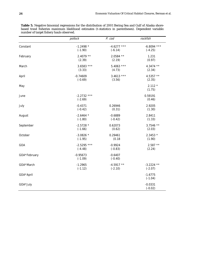|              | pollock                    | P. cod                 | rockfish               |
|--------------|----------------------------|------------------------|------------------------|
| Constant     | $-1.2498$ *                | $-4.6277$ ***          | $-6.8094$ ***          |
|              | $(-1.90)$                  | $(-6.14)$              | $(-4.25)$              |
| February     | $2.4079**$                 | $2.0584$ **            | 1.231                  |
|              | (2.39)                     | (2.19)                 | (0.97)                 |
| March        | $3.6583$ ***               | $5.4063$ ***           | 4.3474 **              |
|              | (3.33)                     | (4.73)                 | (2.34)                 |
| April        | $-0.74609$                 | $3.4613$ ***           | 4.5357 **              |
|              | $(-0.69)$                  | (3.56)                 | (2.35)                 |
| May          |                            |                        | $2.112*$<br>(1.75)     |
| June         | $-2.2732$ ***<br>$(-2.69)$ |                        | 0.59191<br>(0.46)      |
| July         | $-0.4371$                  | 0.26946                | 2.9205                 |
|              | $(-0.42)$                  | (0.31)                 | (1.30)                 |
| August       | $-2.6464*$                 | $-0.6889$              | 2.8411                 |
|              | $(-1.80)$                  | $(-0.42)$              | (1.33)                 |
| September    | $-2.5728$ *                | 0.62073                | $3.7546$ **            |
|              | $(-1.66)$                  | (0.62)                 | (2.03)                 |
| October      | $-3.0826$ *                | 0.29461                | $2.3453*$              |
|              | $(-1.95)$                  | (0.18)                 | (1.90)                 |
| GOA          | $-2.5295$ ***              | $-0.9924$              | $2.587**$              |
|              | $(-4.48)$                  | $(-0.83)$              | (2.24)                 |
| GOA*February | $-0.95673$<br>$(-1.09)$    | $-0.6407$<br>$(-0.40)$ |                        |
| GOA*March    | $-1.2965$                  | $-4.5917**$            | $-3.2224$ **           |
|              | $(-1.12)$                  | $(-2.10)$              | $(-2.07)$              |
| GOA*April    |                            |                        | $-1.6775$<br>$(-1.04)$ |
| GOA*July     |                            |                        | $-0.0331$<br>$(-0.02)$ |

**Table 5.** Negative binomial regressions for the distribution of 2001 Bering Sea and Gulf of Alaska shorebased trawl fisheries maximum likelihood estimates (t-statistics in parentheses). Dependent variable: number of target fishery hauls observed.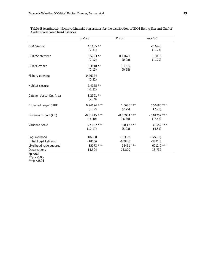|                             | pollock                     | P. cod                      | rockfish                    |
|-----------------------------|-----------------------------|-----------------------------|-----------------------------|
| GOA*August                  | 4.1665 $**$<br>(2.51)       |                             | $-2.4645$<br>$(-1.25)$      |
| GOA*September               | $3.5723$ **<br>(2.12)       | 0.11671<br>(0.08)           | $-1.9815$<br>$(-1.29)$      |
| GOA*October                 | $3.3818**$<br>(2.13)        | 1.9185<br>(0.98)            |                             |
| Fishery opening             | 0.46144<br>(0.32)           |                             |                             |
| Habitat closure             | $-7.4125$ **<br>$(-2.32)$   |                             |                             |
| Catcher Vessel Op. Area     | $3.2991**$<br>(2.59)        |                             |                             |
| <b>Expected target CPUE</b> | $0.94094$ ***<br>(3.62)     | $1.0686$ ***<br>(2.75)      | $0.54686$ ***<br>(2.72)     |
| Distance to port (km)       | $-0.01415$ ***<br>$(-6.40)$ | $-0.00984$ ***<br>$(-6.36)$ | $-0.01252$ ***<br>$(-7.42)$ |
| Variance Scale              | $22.052$ ***<br>(10.17)     | $108.43$ ***<br>(5.23)      | $38.552$ ***<br>(4.51)      |
| Log-likelihood              | $-1029.8$                   | $-363.89$                   | $-375.82)$                  |
| Initial Log-Likelihood      | $-18566$                    | $-6594.6$                   | $-3831.8$                   |
| Likelihood ratio squared    | 35073 ***                   | $12461$ ***                 | 6912.0 ***                  |
| Observations                | 14,504                      | 15,800                      | 18,732                      |

**Table 5** (continued). Negative binomial regressions for the distribution of 2001 Bering Sea and Gulf of Alaska shore-based trawl fisheries.

 $*{\rm p} < 0.1$ 

\*\*  $p < 0.05$ \*\*\*p < 0.01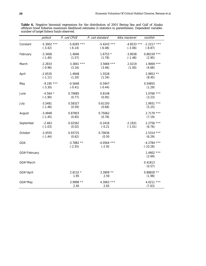**Table 6.** Negative binomial regressions for the distribution of 2001 Bering Sea and Gulf of Alaska offshore trawl fisheries maximum likelihood estimates (t-statistics in parentheses). Dependent variable: number of target fishery hauls observed.

|              | pollock                    | P. cod CPUE                | P. cod standard            | Atka mackerel          | rockfish                                 |
|--------------|----------------------------|----------------------------|----------------------------|------------------------|------------------------------------------|
| Constant     | $-5.3002$ ***<br>$(-3.42)$ | $-5.8285$ ***<br>$(-6.14)$ | $-5.4243$ ***<br>$(-6.08)$ | $(-3.06)$              | $-4.8533$ *** $-2.2217$ ***<br>$(-8.87)$ |
| February     | $-3.3406$<br>$(-1.40)$     | 1.4846<br>(1.57)           | $1.6753*$<br>(1.78)        | $-3.8038$<br>$(-1.48)$ | $0.86159$ ***<br>(2.95)                  |
| March        | $-2.2833$<br>$(-0.96)$     | $3.3841$ ***<br>(3.16)     | $3.5669$ ***<br>(3.46)     | 2.0219<br>(1.00)       | $1.9069$ ***<br>(4.68)                   |
| April        | $-2.6535$<br>$(-1.11)$     | 1.4848<br>(1.20)           | 1.5528<br>(1.34)           |                        | $2.9953$ **<br>(8.45)                    |
| May          | $-9.195$ ***<br>$(-3.30)$  | $-0.5648$<br>$(-0.41)$     | $-0.5947$<br>$(-0.44)$     |                        | 0.54855<br>(1.29)                        |
| June         | $-4.564$ *<br>$(-1.90)$    | 0.70685<br>(0.77)          | 0.8148<br>(0.95)           |                        | $1.0766$ ***<br>(3.23)                   |
| July         | $-3.5481$<br>$(-1.48)$     | 0.58327<br>(0.59)          | 0.61193<br>(0.68)          |                        | $1.9931$ ***<br>(5.25)                   |
| August       | $-3.4948$<br>$(-1.45)$     | 0.87803<br>(0.85)          | 0.75062<br>(0.78)          |                        | $2.7179$ ***<br>(7.19)                   |
| September    | $-2.463$<br>$(-1.03)$      | 0.02562<br>(0.02)          | $-0.2418$<br>$(-0.21)$     | $-2.1931$<br>$(-1.01)$ | $2.2756$ ***<br>(6.76)                   |
| October      | $-3.4555$<br>$(-1.44)$     | 0.93725<br>(0.62)          | 0.70636<br>(0.50)          |                        | $2.5314$ ***<br>(6.29)                   |
| GOA          |                            | $-3.7882**$<br>$(-2.55)$   | $-4.0564$ ***<br>$(-2.92)$ |                        | $-4.2784$ ***<br>$(-10.28)$              |
| GOA*February |                            |                            |                            |                        | $1.4902$ ***<br>(2.69)                   |
| GOA*March    |                            |                            |                            |                        | 0.41813<br>(0.57)                        |
| GOA*April    |                            | 2.8132 *<br>1.95           | $3.3909**$<br>2.59         |                        | $0.88828**$<br>(1.98)                    |
| GOA*May      |                            | 3.9998 **<br>2.40          | 4.3063 ***<br>2.65         |                        | 4.0211 ***<br>(7.63)                     |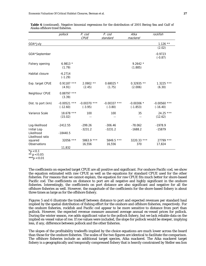|                                              | pollock                      | P. cod                      | P. cod                      | Atka                       | rockfish                     |
|----------------------------------------------|------------------------------|-----------------------------|-----------------------------|----------------------------|------------------------------|
|                                              |                              | <b>CPUE</b>                 | standard                    | mackerel                   |                              |
| GOA*July                                     |                              |                             |                             |                            | $1.126$ **                   |
|                                              |                              |                             |                             |                            | (2.02)                       |
| GOA*September                                |                              |                             |                             |                            | $-0.9723$<br>$(-0.87)$       |
| Fishery opening                              | 6.9813 $*$<br>(1.79)         |                             |                             | $9.2642*$<br>(1.885)       |                              |
| Habitat closure                              | $-6.2714$<br>$(-1.29)$       |                             |                             |                            |                              |
| Exp. target CPUE                             | $0.91187$ ***<br>(4.91)      | $2.0902$ **<br>(2.45)       | $0.68025$ *<br>(1.75)       | $0.32935$ **<br>(2.006)    | $1.3225$ ***<br>(6.30)       |
| Neighbour CPUE                               | $0.88797$ ***<br>(3.39)      |                             |                             |                            |                              |
| Dist. to port (km)                           | $-0.00521$ ***<br>$(-12.60)$ | $-0.00370$ ***<br>$(-3.95)$ | $-0.00337$ ***<br>$(-3.80)$ | $-0.00306$ *<br>$(-1.853)$ | $-0.00560$ ***<br>$(-16.40)$ |
| Variance Scale                               | $18.678$ ***<br>(15.02)      | 100                         | 100                         | 35<br>--                   | 24.25 ***<br>(12.62)         |
| Log-likelihood<br>Initial Log-<br>Likelihood | $-2412.55$<br>$-18440.5$     | $-299.26$<br>$-3231.2$      | $-306.46$<br>$-3231.2$      | $-78.062$<br>$-1688.2$     | $-1978.9$<br>$-15879$        |
| Likelihood ratio<br>squared<br>Observations  | 32056 ***<br>11,832          | $5863.9$ ***<br>16,556      | 5849.5 ***<br>16,556        | 3220.33 ***<br>370         | $27799$ ***<br>17,824        |

**Table 6** (continued). Negative binomial regressions for the distribution of 2001 Bering Sea and Gulf of Alaska offshore trawl fisheries.

 $*$ p < 0.1

 $** p < 0.05$ 

 $***p < 0.01$ 

The coefficients on expected target CPUE are all positive and significant. For onshore Pacific cod, we show the equation estimated with raw CPUE as well as the equations for standard CPUE used for the other fisheries. For reasons that we cannot explain, the equation for raw CPUE fits much better for shore-based Pacific cod. The coefficients on distance to port are all negative and highly significant in the onshore fisheries. Interestingly, the coefficients on port distance are also significant and negative for all the offshore fisheries as well. However, the magnitude of the coefficients for the shore-based fishery is about three times as large as for the offshore fishery.

Figures 5 and 6 illustrate the tradeoff between distance to port and expected revenues per standard haul implied by the spatial distribution of fishing effort for the onshore and offshore fisheries, respectively. For the onshore fisheries, rockfish and Pacific cod appear to be more sensitive to distance from port than pollock. However, the expected revenue measure assumed average annual ex-vessel prices for pollock. During the winter season, roe adds significant value to the pollock fishery, but we lack reliable data on the implied ex-vessel value of roe. If roe values were included, the slope for pollock would be steeper, implying less, if any, difference between pollock and the other fisheries.

The slopes of the profitability tradeoffs implied by the choice equations are much lower across the board than those for the onshore fisheries. The scales of the two figures are identical to facilitate the comparison. The offshore fisheries include an additional target species, Atka mackerel. The Atka mackerel target fishery is a geographically and temporally compressed fishery that is heavily constrained by Steller sea lion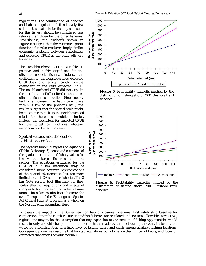regulations. The combination of fisheries and habitat regulations left relatively few cell-months available for fishing, so results for this fishery should be considered less reliable than those for the other fisheries. Nevertheless, the tradeoffs shown in Figure 6 suggest that the estimated profit functions for Atka mackerel imply similar economic tradeoffs between remoteness and expected CPUE as the other offshore fisheries.

The neighbourhood CPUE variable is positive and highly significant for the offshore pollock fishery. Indeed, the coefficient on the neighbourhood expected CPUE does not differ significantly from the coefficient on the cell's expected CPUE. The neighbourhood CPUE did not explain the distribution of effort for the other three offshore fisheries modelled. Since nearly half of all consecutive hauls took place within 9 km of the previous haul, the results suggest that the spatial scale might be too coarse to pick up the neighbourhood effect for these less mobile fisheries. Instead, the coefficient for expected CPUE for the target cell includes whatever neighbourhood effect may exist.

# *Spatial values and the cost of habitat protection*

The negative binomial regression equations (Tables 3 through 6) generated estimates of the spatial distribution of fishery values for the various target fisheries and fleet sectors. The equations estimated for the GOA at a 3 km resolution may be considered more accurate representations of the spatial relationships, but are more limited to the GOA summer fisheries. The 3 km GOA results best illustrate the finescales effect of regulations and effects of changes to boundaries of individual closure units. The 9 km results best illustrate the overall impact of the Endangered Species Act Critical Habitat program as a whole on the North Pacific groundfish fleet.



**Figure 5**. Profitability tradeoffs implied by the distribution of fishing effort: 2001 Onshore trawl fisheries.



**Figure 6.** Profitability tradeoffs implied by the distribution of fishing effort: 2001 Offshore trawl fisheries.

To assess the impact of the Steller sea lion habitat closures, one must first establish a baseline for comparison. Since the North Pacific groundfish fisheries are regulated under a total allowable catch (TAC) regime, one may make the assumption that any expansion or contraction of fishing opportunities would result in only a slight change in the number of hauls made by the fleet during the year. Instead, there would be a redistribution of a fixed level of fishing effort and catch among available fishing locations. Consequently, one may assume that habitat regulations do not change the number of hauls, and focus on estimated changes in the value per haul.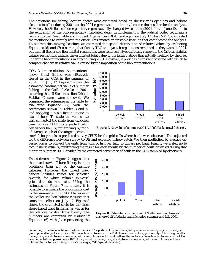The equations for fishing location choice were estimated based on the fisheries openings and habitat closures in effect during 2001, so the 2001 regime would ordinarily become the baseline for the analysis. However, the Steller sea lion regulatory regime actually changed twice during 2001, first in June 10, due to the expiration of the congressionally mandated delay in implementing the judicial order requiring a revision to the Reasonable and Prudent Alternatives (RPA), and again on July 17 when NMFS completed the regulations to comply with the order. This created an unstable baseline that complicated the analysis. To address this moving baseline, we estimated the spatial distribution of relative values by evaluating Equations (6) and (7) assuming that fishery TAC and bycatch regulations remained as they were in 2001, but that all Steller sea lion habitat regulations were removed. Hypothetically removing the Critical Habitat fishing restrictions inflates the estimated total value of the fishery above that actually realized by the fleet under the habitat regulations in effect during 2001. However, it provides a constant baseline with which to compare changes in *relative* value caused by the imposition of the habitat regulations.

*GOA 3 km resolution.* As mentioned above, trawl fishing was effectively closed in the GOA in the summer of 2001 until July 17. Figure 7 shows the estimated baseline net value of summer fishing in the Gulf of Alaska in 2001, assuming that all Steller sea lion Critical Habitat Closures were removed. We computed the estimates in the table by evaluating Equation (7) with the coefficients shown in Tables 3 and 4, and applying a scale factor unique to each fishery. To scale the values, we first converted the scale from expected trawl survey CPUE to expected catch per fishery haul by multiplying by ratio of average catch of the target species in



**Figure 7**. Net value of summer 2001 Gulf of Alaska trawl fisheries.

trawl fishery hauls to predicted survey CPUE for the grid cells where hauls were observed. This adjusted for the difference between survey CPUE and expected fishery catch. We then multiplied by average exvessel prices to convert the units from tons of fish per haul to dollars per haul. Finally, we scaled up to total fishery value by multiplying the result for each month by the number of hauls observed during that month in summer 2001, divided by the estimated percentage of hauls in the GOA sampled by observers.<sup>1</sup>

The estimates in Figure 7 suggest that the mixed trawl offshore fishery is more profitable than any of the onshore fisheries. However, the mixed trawl fishery includes values for sablefish bycatch, for which reliable ex-vessel price data do not exist. Using the estimates in Figure 7 as a base, it is possible to estimate the opportunity cost to the summer and fall 2001 fisheries of the Steller sea lion habitat closures that came into effect on July 17. Figure 8 shows the estimated costs for the three shore-based trawl fisheries, as well as for the offshore rockfish trawl fishery. The numbers are computed by evaluating Equation  $(6)$  with  $J_{1k}$  representing the

1



**Figure 8**. Estimated cost per haul of Steller sea lion closures for onshore Gulf of Alaska trawl fisheries, summer and fall, 2001.

<sup>1</sup> According to the National Marine Fisheries Service, "The portion of the catch sampled by observers varies by region, vessel-type, gear-type, and target fishery. Since 2001, vessels with observers in the BSAI have accounted for approximately 90% of the groundfish tonnage caught and observers have sampled the catch from about three-fourths of the hauls/sets. Vessels with observers in the GOA have accounted for approximately 40% of the groundfish tonnage caught and observers have sampled the catch from about twothirds of the hauls/sets." (http://www.afsc.noaa.gov/FMA/spatial\_data.htm)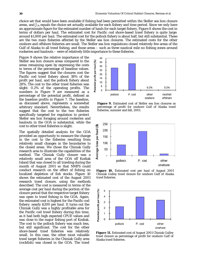choice set that would have been available if fishing had been permitted within the Steller sea lion closure areas, and *J2k* equals the choice set actually available for each fishery and time period. Since we only have an approximate figure for the estimated number of hauls for each target fishery, Figure 8 shows the cost in terms of dollars per haul. The estimated cost for Pacific cod shore-based trawl fishery is quite large: around \$1,800 per haul. The estimated cost for the pollock fishery is about half, but still substantial. These are the two main fisheries affected by the Steller sea lion closures. The estimated costs for the other onshore and offshore fisheries are small. The Steller sea lion regulations closed relatively few areas of the Gulf of Alaska to all trawl fishing, and those areas – such as three nautical mile no fishing zones around rookeries and haulouts – were of relatively little importance to these fisheries.

Figure 9 shows the relative importance of the Steller sea lion closure areas compared to the areas remaining open by expressing the costs in terms of the percentage of baseline values. The figures suggest that the closures cost the Pacific cod trawl fishery about 38% of the profit per haul, and the pollock fishery about 28%. The cost to the other trawl fisheries was slight: 0.2% of the operating profits. The numbers in Figure 9 are measured as a percentage of the potential profit, defined as the baseline profits in Figure 7. The baseline, as discussed above, represents a somewhat arbitrary standard. Nevertheless, the results suggest that the cost to the two fisheries specifically targeted for regulation to protect Steller sea lion foraging around rookeries and haulouts in the GOA is substantial, while the cost to other trawl fisheries is slight.

The spatially detailed analysis for the GOA provided an opportunity to measure the change in the cost to the fisheries resulting from relatively small changes in the boundaries to the closed areas. We chose the Chiniak Gully research area to illustrate the capabilities of the method. The Chiniak Gully closure was a relatively small area of the GOA off Kodiak Island that was closed to all trawling during the month of August 2001 so that NMFS could conduct research on the effect of fishing on localized depletion of fish stocks. Figure 10 shows the estimated cost of the August 2001 research trawl closure, using the methods described. The cost is measured in terms of the average cost per haul during the portion of the closure period that the respective target fishery was open to trawl fishing in the GOA. Again, the estimated cost is highest for the Pacific cod fishery: nearly \$200 per haul. It turns out the Chiniak Gully was a highly profitable area for the Pacific cod trawl fishery during this time, as it had both high expected CPUE values and was close to the major fishing port of Kodiak. The cost to the pollock fishery was much less, but still significant. The cost for the other shore-based trawl fisheries was relatively small. In this case, the other most valuable trawl target fisheries in the Chiniak Gully area (rockfish) was closed in the GOA. The trawl



**Figure 9.** Estimated cost of Steller sea lion closures as percentage of profit for onshore Gulf of Alaska trawl fisheries, summer and fall, 2001.



**Figure 10.** Estimated cost per haul of August 2001 Chiniak Gulley trawl closure for onshore Gulf of Alaska trawl fisheries.



**Figure 11.** Estimated cost of August 2001 Chiniak Gulley trawl closure as percentage of profit for onshore Gulf of Alaska trawl fisheries.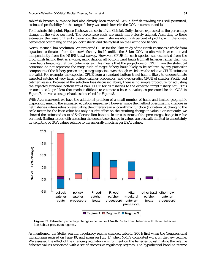sablefish bycatch allowance had also already been reached. While flatfish trawling was still permitted, estimated profitability for this target fishery was much lower in the GOA in summer and fall.

To illustrate this point, Figure 11 shows the costs of the Chiniak Gully closure expressed as the percentage change in the value per haul. The percentage costs are much more closely aligned. According to these estimates, the research trawl closure cost the trawl fisheries about 2-4 percent of profits, with the lowest percentage cost falling on the pollock fishery, and the highest on the Pacific cod fishery.

*North Pacific, 9 km resolution.* We projected CPUE for the 9 km study of the North Pacific as a whole from equations estimated from the trawl fishery itself, unlike the 3 km GOA results which were derived independently from the NMFS trawl survey. However, CPUE for each species was estimated from the groundfish fishing fleet as a whole, using data on all bottom trawl hauls from all fisheries rather than just from hauls targeting that particular species. This means that the projections of CPUE from the statistical equations do not represent the magnitude of target fishery hauls likely to be realized by any particular component of the fishery prosecuting a target species, even though we believe the relative CPUE estimates are valid. For example, the expected CPUE from a standard bottom trawl haul is likely to underestimate expected catches of very large pollock catcher-processors, and over-predict CPUE of smaller Pacific cod catcher vessels. Because of the selection bias discussed above, there is no simple procedure for adjusting the expected standard bottom trawl haul CPUE for all fisheries to the expected target fishery haul. This created a scale problem that made it difficult to estimate a baseline value, as presented for the GOA in Figure 7, or even a cost per haul, as described for Figure 8.

With Atka mackerel, we have the additional problem of a small number of hauls and limited geographic dispersion, making the estimated equation imprecise. However, since the method of estimating changes in net fisheries values relies on evaluating the difference in a logarithmic function (Equation 6), changing the scale factor for the base value has only a slight effect on the resulting change in value. Consequently, we showed the estimated costs of Steller sea lion habitat closures in terms of the percentage change in value per haul. Scaling issues with assessing the percentage change in values are basically limited to uncertainty in weighting of GOA values relative to the generally much larger BSAI values.



**Figure 12**. Estimated percentage change in net value of North Pacific trawl fisheries with three Steller sea lion habitat protection regimes.

As mentioned, the Steller sea lion regulatory regime changed twice in 2001: first when the Congressional moratorium expired on June 10, and again on July 17, when NMFS completed work on the new regime. We assessed the effect of the changing regulatory environment on the fisheries by estimating the relative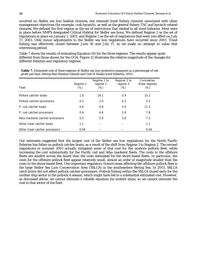involved no Steller sea lion habitat closures, but retained trawl fishery closures associated with other management objectives (for example, crab bycatch), as well as the general fishery TAC and bycatch-related closures. We defined the first regime as the set of restrictions that related to all trawl fisheries. Most were in place before NMFS designated Critical Habitat for Steller sea lions. We defined Regime 2 as the set of regulations in place on January 1, 2001, and Regime 3 as the set of regulations that went into effect on July 17, 2001. Only minor adjustments to the Steller sea lion regulations have occurred since 2001. Trawl fishing was effectively closed between June 10 and July 17, so we made no attempt to value that intervening period.

Table 7 shows the results of evaluating Equation (6) for the three regimes. The results appear quite different from those shown for the GOA. Figure 12 illustrates the relative magnitude of the changes for different fisheries and regulatory regimes.

| Fleet                            | Regime 1<br>$(\%)$ | Regime 1 to<br>regime 2<br>$(\%)$ | Regime 2 to<br>regime 3<br>$(\%)$ | Cumulative,<br>three regimes<br>$(\%)$ |
|----------------------------------|--------------------|-----------------------------------|-----------------------------------|----------------------------------------|
| Pollock catcher boats            | 1.0                | 18.1                              | $-3.9$                            | 15.2                                   |
| Pollock catcher-processors       | 0.2                | 2.0                               | 0.3                               | 2.5                                    |
| P. cod catcher boats             | 0.6                | 4.8                               | 5.9                               | 11.3                                   |
| P. cod catcher-processors        | 0.4                | 4.6                               | 2.8                               | 7.8                                    |
| Atka mackerel catcher-processors | 0.5                | 3.0                               | 3.8                               | 7.3                                    |
| Other trawl catcher boats        | 1.1                | --                                |                                   | 1.1                                    |
| Other trawl catcher processors   | 0.04               |                                   |                                   | 0.04                                   |

**Table 7.** Estimated cost of three regimes of Steller sea lion protective measures as a percentage of net profit per haul: Bering Sea/Aleutian Islands and Gulf of Alaska trawl fisheries, 2001.

Our estimates suggested that the largest cost of the Steller sea lion regulations for the North Pacific fisheries has fallen on pollock catcher boats, as a result of the shift from Regime 1 to Regime 2. The revised regulations in summer 2001 actually mitigated some of that cost for the onshore pollock fleet, while increasing the cost substantially for the Pacific cod and Atka mackerel fleets. The costs to the offshore fleets are smaller across the board than the costs estimated for the shore-based fleets. In particular, the costs for the offshore pollock fleet appear relatively small: almost an order of magnitude smaller than the costs to the shore-based fleet. One important regulatory closure areas affecting the offshore pollock fleet is the large Steller Sea Lion Conservation Area (SSLCA) in the southeastern Bering Sea. In 2001, SSLCA catch limits did not affect pollock catcher-processors. Pollock fishing within the SSLCA closed early for the mother ship sector in the pollock A season, which might have led to a substantial estimated cost. However, as discussed above, we cannot estimate a reliable equation for mother ships, so we cannot estimate the cost to that sector of the fleet.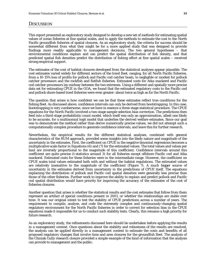This report presented an exploratory study designed to develop a new set of methods for estimating spatial values of ocean fisheries at fine spatial scales, and to apply the methods to estimate the cost to the North Pacific groundfish fisheries of spatial closures. As an exploratory study, the criteria for success should be somewhat different from what they might be for a more applied study that was designed to provide findings more readily applicable to management decisions. The two general hypotheses – that environmental conditions explain and can predict the spatial distribution of fish density, and that predicted spatial fish densities predict the distribution of fishing effort at fine spatial scales – received strong empirical support.

The estimates of the cost of habitat closures developed from the statistical analyses appear plausible. The cost estimates varied widely for different sectors of the trawl fleet, ranging, for all North Pacific fisheries, from a 10-15% loss of profits for pollock and Pacific cod catcher boats, to negligible or modest for pollock catcher processors and the rockfish and flatfish fisheries. Estimated costs for Atka mackerel and Pacific cod catcher-processors lay midway between the two extremes. Using a different and spatially more precise data set for estimating CPUE in the GOA, we found that the estimated regulatory costs to the Pacific cod and pollock shore-based trawl fisheries were even greater: about twice as high as for the North Pacific.

The question that arises is how confident we can be that these estimates reflect true conditions for the fishing fleet. As discussed above, confidence intervals can only be derived from bootstrapping. In this case, bootstrapping is very cumbersome, since we have in essence a three-stage statistical procedure. The CPUE equations for the North Pacific involved a two-stage sample selection bias correction. The predictions then feed into a third-stage probabilistic count model, which itself was only an approximation, albeit one likely to be accurate, for a multinomial logit model that underlies the derived welfare estimates. Since our goal was to demonstrate the method rather than derive numerically precise values, we did not attempt such a computationally complex procedure to generate confidence intervals, and leave this for further research.

Nevertheless, the empirical results for the different statistical analyses, combined with general characteristics of the RUM approach, provided some insights into the likely nature and magnitude of the uncertainty in the estimates. First, the coefficient on CPUE in the negative binomial regressions becomes a multiplicative scale factor in Equations (6) and (7) for the estimated values. The total values and values per haul are inversely proportional to the magnitude of this coefficient. Confidence intervals around this coefficient are quite precise (t-statistics around 3) for all fisheries except offshore Pacific cod and Atka mackerel. Estimated costs for these fisheries were in the intermediate range. However, the coefficient on CPUE scales total values estimated both with and without the habitat regulations. The estimated values are relatively insensitive to the magnitude of the coefficient (Figure 7). A much bigger source of uncertainty in the estimates derived from uncertainty in the predictions of CPUE itself. The equations explaining the distribution of pollock and Pacific cod spatial densities were generally less precise than those of the other fisheries. Further work to improve the ability to explain and predict pollock and Pacific cod spatial distribution would have priority for improving the accuracy of the estimates of the cost of fisheries closures.

Another question that arises is whether the statistical results and the cost estimates that follow from them represent an artifact of special conditions present in 2001, or whether the relationships are stable over time. It was our original intent to test the stability of CPUE predictions across a number of years. The requirement to compile, analyze, and code the extremely complex and continuously-changing spatial regulatory environment for the North Pacific fisheries in order to correct for selection bias in the CPUE equations made it impossible for us to conduct such stability tests. Clearly, this remains a high priority for future research.

As an exploratory study, the refinements discussed here should be undertaken before applying the results in a management context. Once questions about the stability and robustness of the results are resolved, the analysis can be applied directly in a management context to estimate the costs and benefits of all proposed regulatory changes that involve time and area closures for the groundfish fleet. The analysis of the Chiniak Gully research closure provided a simple example of the kind of information that the analysis can provide to management and the public.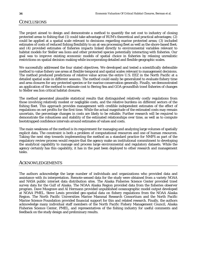#### **CONCLUSIONS**

The project aimed to design and demonstrate a method to quantify the net cost to industry of closing protected areas to fishing that (1) could take advantage of RUM's theoretical and practical advantages; (2) could be applied at a spatial scale relevant to decisions regarding marine protected areas; (3) included estimates of costs of reduced fishing flexibility to an at-sea processing fleet as well as the shore-based fleet; and (4) provided estimates of fisheries impacts linked directly to environmental variables relevant to habitat models for Steller sea lions and other protected species potentially interacting with fisheries. Our goal was to improve existing economic models of spatial choice in fisheries by relaxing unrealistic restrictions on spatial decision-making while incorporating detailed and flexible geographic scales.

We successfully addressed the four stated objectives. We developed and tested a scientifically defensible method to value fishery use areas at flexible temporal and spatial scales relevant to management decisions. The method produced predictions of relative value across the entire U.S. EEZ in the North Pacific at a detailed spatial scale in different seasons. The method could easily be generalized to evaluate fishery time and area closures for any protected species or for marine conservation generally. Finally, we demonstrated an application of the method to estimate cost to Bering Sea and GOA groundfish trawl fisheries of changes to Steller sea lion critical habitat closures.

The method generated plausible statistical results that distinguished relatively costly regulations from those involving relatively modest or negligible costs, and the relative burdens on different sectors of the fishing fleet. This approach provides management with credible independent estimates of the effect of regulations on net profits for the first time. While the actual magnitude of the estimated costs may remain uncertain, the percentage changes in costs are likely to be reliable. Further research will be required to demonstrate the robustness and stability of the estimated relationships over time, as well as to compute bootstrapped confidence intervals around estimates of values and costs.

The main weakness of the method is its requirement for managing and analyzing large volumes of spatially explicit data. The constraint is both a problem of computational resources and one of human resources. Taking the next step towards implementing the method as a standard practice for NMFS as part of the regulatory review process would require that the agency make an institutional commitment to developing the analytical capability to manage and process large environmental and regulatory datasets. While the agency certainly has this capability, it has in the past been deployed to other research and management tasks.

#### ACKNOWLEDGEMENTS

The authors acknowledge the large number of individuals and organizations who provided data and assistance with its interpretation. Remote-sensed data for the study were obtained from a variety NOAA and NASA public internet data distribution sites. The Alaska Fisheries Science Center provided trawl survey data for the Gulf of Alaska. The NOAA Alaska Region provided data from the fisheries observer program. Dave Musgrave and Al Hermann provided unpublished oceanographic model output developed at NOAA PMEL. Steve Lewis provided geo-spatial data on fishery regulations from the NOAA Alaska Region. The North Pacific Universities Marine Mammal Research Consortium and the North Pacific Marine Science Foundation provided financial support for this and related research. Finally, the authors acknowledge many individual staff members of the North Pacific Fishery Management Council, Alaska Fisheries Science Center, PMEL, and representatives of the fishing industry for useful comments and feedback on the study design and preliminary results.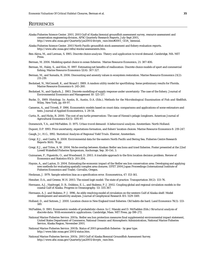#### **REFERENCES**

- Alaska Fisheries Science Center. 2001. 2001 Gulf of Alaska biennial groundfish assessment survey, resource assessment and conservation engineering division, AFSC Quarterly Research Reports, July-Sept 2001, http://www.afsc.noaa.gov/Quarterly/jas2001/divrpts\_race.htm#2001\_GOA\_biennial.
- Alaska Fisheries Science Center. 2003 North Pacific groundfish stock assessment and fishery evaluation reports. http://www.afsc.noaa.gov/refm/stocks/assessments.htm.
- Ben-Akiva, M., and Lerman, S. 1985. *Discrete choice analysis: Theory and application to travel demand*. Cambridge, MA: MIT Press.

Berman, M. 2006. Modeling spatial choice in ocean fisheries. Marine Resource Economics, 21: 387-406.

- Berman, M., Haley, S., and Kim, H. 1997. Estimating net benefits of reallocation: Discrete choice models of sport and commercial fishing. Marine Resource Economics 12(4): 307-327.
- Berman, M., and Sumaila, R. 2006. Discounting and amenity values in ecosystem restoration. Marine Resource Economics 21(2): 211-219.
- Bockstael, N., McConnell, K., and Strand I. 1989. A random utility model for sportfishing: Some preliminary results for Florida. Marine Resource Economics 6: 245-260.
- Bockstael, N., and Opaluch, J. 1983. Discrete modelling of supply response under uncertainty: The case of the fishery. Journal of Environmental Economics and Management 10: 125-137.
- Bucke, D., 1989. Histology. *In*: Austin, B., Austin, D.A. (Eds.), *Methods for the Microbiological Examination of Fish and Shellfish*. Wiley, New York, pp. 69-97.
- Cameron, A., and Trivedi, P. 1986. Econometric models based on count data: comparisons and applications of some estimators and tests. Journal of Applied Econometrics, 1: 29-54.
- Curtis, R., and Hicks, R. 2000. The cost of sea turtle preservation: The case of Hawaii's pelagic longliners. American Journal of Agricultural Economics 82(5): 1191-97.

Domencich, T.A., and McFadden. D. 1975. *Urban travel demand: A behavioural analysis*. Amsterdam: North Holland.

Dupont, D.P. 1993. Price uncertainty, expectations formation, and fishers' location choices. Marine Resource Economics 8: 219-247.

Gaugh, Jr., H.G., 1992. *Statistical Analysis of Regional Yield Trials*. Elsevier, Amsterdam.

- Gregr, E.J., and Coatta, R. 2008. Environmental data for the eastern North Pacific and Bering Sea. Fisheries Centre Research Reports 16(6). 76 pp.
- Gregr, E.J., and Trites, A. W. 2004. Niche overlap between Alaskan Steller sea lions and trawl fisheries. Poster presented at the 22nd Lowell Wakefield Fisheries Symposium, Anchorage, Sep. 30-Oct. 3.
- Guimaraes, P., Figueirdo, O., and Woodward, D. 2003. A tractable approach to the firm location decision problem. Review of Economics and Statistics 85(1): 201-204.
- Haynie, A., and Layton, D. 2004. Estimating the economic impact of the Steller sea lion conservation area: Developing and applying new methods for evaluating spatially complex area closures. IIFET 2004 Japan Proceedings (International Institute of Fisheries Economics and Trade). Corvallis, Oregon.

Heckman, J. 1979. Sample selection bias as a specification error. Econometrica, 47: 153-161.

Hensher, D.A., and Greene, W.H. 2003. The mixed logit model: The state of practice. Transportation 30(2): 133-76.

- Hermann, A.J., Haidvogel, D. B., Dobbins, E. L., and Stabeno, P. J. 2002. Coupling global and regional circulation models in the coastal Gulf of Alaska. Progress in Oceanography. 53: 335-367.
- Hermann, A. J. and Stabeno, P. J. 1996. An eddy resolving model of circulation on the western Gulf of Alaska shelf: Model development and sensitivity analyses. Journal of Geophysical Research 101: 1129-1149.
- Holland, D., and Sutinen, J. 2000. Location choice in New England trawl fisheries: Old habits die hard. Land Economics 76(1): 133- 149.
- McFadden, D. 1981. Econometric models of probabilistic choice. *In* C. Manski and D. McFadden (Eds.) *Structural analysis of discrete data: With econometric applications*. Cambridge, Mass. MIT Press, pp 198-272.
- National Marine Fisheries Service. 2001a. Steller sea lion protection measures final supplemental environmental impact statement, United States Department of Commerce, National Oceanic and Atmospheric Administration, National Marine Fisheries Service, Alaska Region, November 2001.
- National Marine Fisheries Service. 2001b. Status of 2001 groundfish fisheries by gear type. http://www.fakr.noaa.gov/2001/status.htm.
- National Marine Fisheries Service. 2001c. 2001 Gulf of Alaska Biennial Groundfish Assessment Survey. http://www.afsc.noaa.gov/Quarterly/jas2001/divrpts\_race.htm.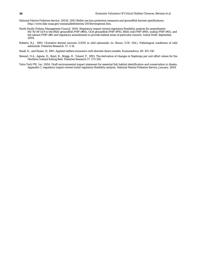- National Marine Fisheries Service. 2001d. 2001 Steller sea lion protection measures and groundfish harvest specifications. http://www.fakr.noaa.gov/sustainablefisheries/2001hrvstspecssl.htm.
- North Pacific Fishery Management Council. 2004. Regulatory impact review/regulatory flexibility analysis for amendments  $84/76/19/11/8$  to the BSAI groundfish FMP (#84), GOA groundfish FMP (#76), BSAI crab FMP (#19), scallop FMP (#11), and the salmon FMP (#8) and regulatory amendments to provide habitat areas of particular concern. Initial Draft, September, 2004.
- Roberts, R.J., 1993. Ulcerative dermal necrosis (UDN) in wild salmonids. In: Bruno, D.W. (Ed.), Pathological conditions of wild salmonids. Fisheries Research: 17: 3-14.
- Small, K., and Rosen, H. 1981. Applied welfare economics with discrete choice models. Econometrica. 49: 105-130.
- Stewart, D.A., Agnew, D., Boyd, R., Briggs, R., Toland, P., 1993. The derivation of changes in Nephrops per unit effort values for the Northern Ireland fishing fleet. Fisheries Research 17: 273-292.
- Tetra Tech FW, Inc. 2004. Draft environmental impact statement for essential fish habitat identification and conservation in Alaska, Appendix C, regulatory impact review/initial regulatory flexibility analysis. National Marine Fisheries Service, January, 2004.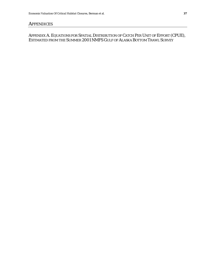### **APPENDICES**

### *APPENDIX A. EQUATIONS FOR SPATIAL DISTRIBUTION OF CATCH PER UNIT OF EFFORT (CPUE), ESTIMATED FROM THE SUMMER 2001 NMFS GULF OF ALASKA BOTTOM TRAWL SURVEY*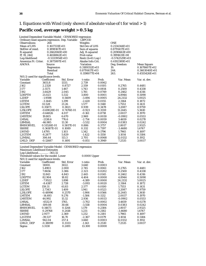## *1. Equations with Wind (only shown if absolute value of t for wind > 1)*

## **Pacific cod, average weight > 0.5 kg**

|                                                        | Limited Dependent Variable Model - CENSORED regression |                 |                       |                  |                  |                  |  |  |
|--------------------------------------------------------|--------------------------------------------------------|-----------------|-----------------------|------------------|------------------|------------------|--|--|
|                                                        | Ordinary least squares regression. Dep. Variable       |                 | <b>LBPCOD</b>         |                  |                  |                  |  |  |
| <b>Observations</b>                                    | 264                                                    |                 | Weights               |                  | <b>ONE</b>       |                  |  |  |
| Mean of LHS                                            | $0.1617331E+01$                                        |                 | <b>Std.Dev of LHS</b> |                  | $0.2134344E+01$  |                  |  |  |
| StdDev of resid.                                       | $0.1898167E+01$                                        |                 | Sum of squares        |                  | 0.8791417E+03    |                  |  |  |
| R-squared                                              | 0.2662060E+00                                          |                 | Adj. R-squared        |                  | 0.2090663E+00    |                  |  |  |
| F[19, 244]                                             | $0.4658862E+01$                                        |                 | Prob value            |                  | 0.3991631E-08    |                  |  |  |
| Log-likelihood                                         | $-0.5333954E+03$                                       |                 | $Restr.(b=0) Log-1$   |                  | $-0.5742529E+03$ |                  |  |  |
| Amemiya Pr. Criter.                                    | $0.3875997E+01$                                        |                 | Akaike Info.Crit.     |                  | 0.4192389E+01    |                  |  |  |
| <b>ANOVA</b>                                           | Source                                                 |                 | <b>Variation</b>      |                  | Deg. freedom     | Mean Square      |  |  |
|                                                        | Regression                                             |                 | $0.3189352E+03$       |                  | 19.              | $0.1678607E+02$  |  |  |
|                                                        | Residual                                               |                 | $0.8791417E+03$       |                  | 244.             | 0.3603040E+01    |  |  |
|                                                        | Total                                                  |                 | 0.1198077E+04         |                  | 263.             | 0.4555426E+01    |  |  |
| $N(0,1)$ used for significance levels.                 |                                                        |                 |                       |                  |                  |                  |  |  |
| Variable<br>Constant                                   | Coefficient<br>3651.8                                  | Std. Error      | t-ratio               | Prob.            | Var. Mean        | Var. st. dev.    |  |  |
|                                                        |                                                        | 1333.           | 2.739                 | 0.0062           |                  |                  |  |  |
| J162                                                   | 2.2328                                                 | 0.8727          | 2.559                 | 0.0105           | 0.2765           | 0.4481           |  |  |
| J177                                                   | 2.5571                                                 | 1.467           | 1.743                 | 0.0814           | 0.2500           | 0.4338           |  |  |
| J192<br>LDEPTH                                         | 3.6429                                                 | 2.045<br>5.532  | 1.781<br>3.800        | 0.0749           | 0.2462<br>4.8944 | 0.4316           |  |  |
| L2DEP                                                  | 21.023<br>$-1.9598$                                    | 0.5609          | $-3.494$              | 0.0001<br>0.0005 |                  | 0.5090           |  |  |
| <b>LSTEM</b>                                           |                                                        |                 |                       |                  | 24.2132          | 5.0025           |  |  |
| <b>LGTEM</b>                                           | $-3.1445$                                              | 1.299           | $-2.420$              | 0.0155           | 2.3164           | 0.1872           |  |  |
| <b>LSLOPE</b>                                          | 33.528<br>0.35871                                      | 21.26<br>0.3821 | 1.577<br>0.939        | 0.1148<br>0.3478 | 1.7553<br>3.2087 | 0.1431<br>0.9759 |  |  |
| <b>L2SLOPE</b>                                         | $-0.69028E-01$                                         | 0.7476E-01      | $-0.923$              | 0.3559           | 11.2445          | 5.3610           |  |  |
| <b>LMTEM</b>                                           | $-0.64826$                                             | 4.017           | $-0.161$              | 0.8718           | 2.0037           | 0.1970           |  |  |
| LMSTEM                                                 | 19.805                                                 | 6.670           | 2.969                 | 0.0030           | $-0.0902$        | 0.0553           |  |  |
| LMSAL                                                  | $-2138.6$                                              | 776.6           | $-2.754$              | 0.0059           | 3.4659           | 0.0278           |  |  |
| LBMSAL                                                 | $-46.985$                                              | 13.30           | $-3.532$              | 0.0004           | 0.0383           | 0.0242           |  |  |
| <b>BMHORVEL</b>                                        | 0.51526E-01                                            | 0.5817E-01      | 0.886                 | 0.3757           | 2.8017           | 2.9325           |  |  |
| <b>SSHRE</b>                                           | 0.36187E-01                                            | 0.1089          | 0.332                 | 0.7397           | -3.4680          | 1.6767           |  |  |
| LWIND                                                  | 1.4795                                                 | 1.103           | 1.342                 | 0.1796           | 1.7965           | 0.1697           |  |  |
| L2GTEM                                                 | $-8.2877$                                              | 5.829           | $-1.422$              | 0.1550           | 3.1014           | 0.5184           |  |  |
| <b>L2MSAL</b>                                          | 306.44                                                 | 113.3           | 2.705                 | 0.0068           | 12.0132          | 0.1912           |  |  |
| LMLD_DEP                                               | $-0.12687$                                             | 0.1491          | $-0.851$              | 0.3949           | 7.2535           | 3.0037           |  |  |
|                                                        |                                                        |                 |                       |                  |                  |                  |  |  |
| Limited Dependent Variable Model - CENSORED regression |                                                        |                 |                       |                  |                  |                  |  |  |
| Maximum Likelihood Estimates                           |                                                        |                 |                       |                  |                  |                  |  |  |
| Log-Likelihood -363.32                                 |                                                        |                 |                       |                  |                  |                  |  |  |
| Threshold values for the model: Lower                  |                                                        |                 | 0.0000 Upper          |                  | **********       |                  |  |  |
| $N(0,1)$ used for significance levels.                 |                                                        |                 |                       |                  |                  |                  |  |  |
| Variable                                               | Coefficient                                            | Std. Error      | t-ratio               | Prob.            | Var. Mean        | Var. st. dev.    |  |  |
| Constant                                               | 11000.                                                 | 3022.           | 3.640                 | 0.0003           |                  |                  |  |  |
| J162                                                   | 5.4903                                                 | 2.000           | 2.745                 | 0.0061           | 0.2765           | 0.4481           |  |  |
| J177                                                   | 7.8656                                                 | 3.386           | 2.323                 | 0.0202           | 0.2500           | 0.4338           |  |  |
| J192                                                   | 11.843                                                 | 4.843           | 2.445                 | 0.0145           | 0.2462           | 0.4316           |  |  |
| LDEPTH                                                 | 82.904                                                 | 18.82           | 4.404                 | 0.0000           | 4.8944           | 0.5090           |  |  |
| L2DEP                                                  | -7.9522                                                | 1.898           | -4.189                | 0.0000           | 24.2132          | 5.0025           |  |  |
| <b>LSTEM</b>                                           | -8.4387                                                | 2.728           | $-3.093$              | 0.0020           | 2.3164           | 0.1872           |  |  |
| <b>LGTEM</b>                                           | 159.31                                                 | 61.83           | 2.577                 | 0.0100           | 1.7553           | 0.1431           |  |  |
| <b>LSLOPE</b>                                          | 2.7343                                                 | 1.409           | 1.941                 | 0.0523           | 3.2087           | 0.9759           |  |  |
| <b>L2SLOPE</b>                                         | $-0.48996$                                             | 0.2570          | $-1.906$              | 0.0566           | 11.2445          | 5.3610           |  |  |
| <b>LMTEM</b>                                           | $-14.693$                                              | 9.276           | $-1.584$              | 0.1132           | 2.0037           | 0.1970           |  |  |
| <b>LMSTEM</b>                                          | 44.992                                                 | 15.32           | 2.936                 | 0.0033           | $-0.0902$        | 0.0553           |  |  |
| <b>LMSAL</b>                                           | $-6532.9$                                              | 1765.           | $-3.702$              | 0.0002           | 3.4659           | 0.0278           |  |  |
| <b>LBMSAL</b>                                          | $-109.08$                                              | 30.66           | $-3.558$              | 0.0004           | 0.0383           | 0.0242           |  |  |
| <b>BMHORVEL</b>                                        | 0.14673                                                | 0.1244          | 1.179                 | 0.2384           | 2.8017           | 2.9325           |  |  |
| <b>SSHRE</b>                                           | 0.29768                                                | 0.2418          | 1.231                 | 0.2182           | $-3.4680$        | 1.6767           |  |  |
| <b>LWIND</b>                                           | 2.9177                                                 | 2.369           | 1.232                 | 0.2181           | 1.7965           | 0.1697           |  |  |
| L2GTEM                                                 | $-39.537$                                              | 16.70           | $-2.367$              | 0.0179           | 3.1014           | 0.5184           |  |  |
| <b>L2MSAL</b>                                          | 942.04                                                 | 257.4           | 3.660                 | 0.0003           | 12.0132          | 0.1912           |  |  |
| LMLD_DEP                                               | $-0.38099$                                             | 0.3333          | $-1.143$              | 0.2530           | 7.2535           | 3.0037           |  |  |
| Sigma                                                  | 3.3130                                                 | 0.2491          | 13.300                | 0.0000           |                  |                  |  |  |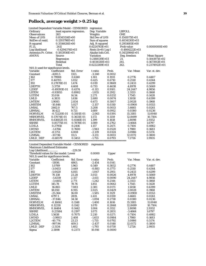# **Pollock, average weight > 0.25 kg**

| Limited Dependent Variable Model - CENSORED |                           |            | regression            |              |                  |                    |
|---------------------------------------------|---------------------------|------------|-----------------------|--------------|------------------|--------------------|
| Ordinary                                    | least squares regression. |            | Dep. Variable         |              | <b>LBPOLL</b>    |                    |
| <b>Observations</b>                         | 263                       |            | Weights               |              | <b>ONE</b>       |                    |
| Mean of LHS                                 | 0.8345154E+00             |            | <b>Std.Dev of LHS</b> |              | $0.1541075E+01$  |                    |
| StdDev of resid.                            | $0.1293798E+01$           |            | Sum of squares        |              | 0.4034130E+03    |                    |
| R-squared                                   | 0.3516626E+00             |            | Adj. R-squared        |              | $0.2951685E+00$  |                    |
|                                             |                           |            |                       |              |                  |                    |
| F[21,                                       | 2411                      |            | 0.6224763E+01         |              | Prob value       | $0.0000000E+00$    |
| Log-likelihood                              | $-0.4294374E+03$          |            | $Restr.(b=0) Log-1$   |              | $-0.4864222E+03$ |                    |
| Amemiya Pr. Criter.                         | $0.1813936E+01$           |            | Akaike Info.Crit.     |              | 0.3432984E+01    |                    |
| <b>ANOVA</b>                                | Source                    |            | <b>Variation</b>      |              | Deg. freedom     | <b>Mean Square</b> |
|                                             | Regression                |            | 0.2188139E+03         |              | 21.              | 0.1041971E+02      |
|                                             | Residual                  |            | 0.4034130E+03         |              | 241.             | $0.1673913E+01$    |
|                                             | Total                     |            | 0.6222269E+03         |              | 262.             | 0.2374912E+01      |
| $N(0,1)$ used for significance levels.      |                           |            |                       |              |                  |                    |
| Variable                                    | Coefficient               | Std. Error | t-ratio               | Prob.        | Var. Mean        | Var. st. dev.      |
| Constant                                    | $-4281.5$                 | 1321.      | $-3.240$              | 0.0012       |                  |                    |
| J162                                        | 0.79908                   | 0.6140     | 1.301                 | 0.1931       | 0.2776           | 0.4487             |
| J177                                        | 0.44705                   | 1.052      | 0.425                 | 0.6710       | 0.2510           | 0.4344             |
| <b>J192</b>                                 | 0.27878E-01               | 1.474      | 0.019                 | 0.9849       | 0.2433           | 0.4299             |
| LDEPTH                                      | 3.3759                    | 4.608      | 0.733                 | 0.4638       | 4.8978           | 0.5069             |
| L2DEP                                       | $-0.49393E-01$            | 0.4374     | $-0.113$              | 0.9101       | 24.2447          | 4.9856             |
| <b>LSTEM</b>                                | $-0.93955$                | 0.8902     | $-1.055$              | 0.2912       | 2.3153           | 0.1868             |
|                                             |                           |            |                       |              |                  |                    |
| <b>LGTEM</b>                                | 33.014                    | 14.54      | 2.271                 | 0.0232       | 1.7545           | 0.1428             |
| <b>LMLD</b>                                 | 4.3831                    | 1.636      | 2.680                 | 0.0074       | 1.5058           | 0.6399             |
| <b>LMTEM</b>                                | 1.9085                    | 2.834      | 0.673                 | 0.5007       | 2.0028           | 0.1968             |
| <b>LMSTEM</b>                               | $-10.846$                 | 5.027      | $-2.157$              | 0.0310       | -0.0900          | 0.0553             |
| <b>LMSAL</b>                                | 2462.0                    | 767.5      | 3.208                 | 0.0013       | 3.4665           | 0.0261             |
| <b>LBMSAL</b>                               | 16.422                    | 9.721      | 1.689                 | 0.0912       | 0.0380           | 0.0236             |
| <b>HORVELM</b>                              | $-0.72220E-01$            | 0.3501E-01 | $-2.063$              | 0.0391       | 15.3185          | 11.0040            |
| <b>MSHORVEL</b>                             | 0.57074E-01               | 0.3631E-01 | 1.572                 | 0.1159       | 12.8499          | 10.7104            |
| <b>BMHORVEL</b>                             | 0.63602E-01               | 0.4546E-01 | 1.399                 | 0.1618       | 2.8098           | 2.9352             |
| <b>SSHRE</b>                                | 0.85775E-01               | 0.7878E-01 | 1.089                 | 0.2762       | -3.4664          | 1.6797             |
| LCHLA                                       | 0.27958                   | 0.2416     | 1.157                 | 0.2471       | 0.7104           | 0.4982             |
| LWIND                                       | $-1.4766$                 | 0.7600     | $-1.943$              | 0.0520       | 1.7980           | 0.1683             |
| L2GTEM                                      | $-8.5751$                 | 4.008      | $-2.139$              | 0.0324       | 3.0986           | 0.5174             |
| <b>L2MSAL</b>                               | $-357.96$                 | 111.5      | $-3.211$              | 0.0013       |                  |                    |
|                                             |                           |            |                       |              | 12.0172          | 0.1800             |
| LMLD DEP                                    | $-0.60579$                | 0.3453     | $-1.755$              | 0.0793       | 7.2726           | 2.9935             |
|                                             |                           |            |                       |              |                  |                    |
| Limited Dependent Variable Model - CENSORED |                           |            | regression            |              |                  |                    |
| <b>Maximum Likelihood Estimates</b>         |                           |            |                       |              |                  |                    |
| Log-Likelihood                              |                           | $-229.59$  |                       |              |                  |                    |
| Threshold values for the model: Lower       |                           |            | 0.0000                | <b>Upper</b> | **********       |                    |
| $N(0,1)$ used for significance levels.      |                           |            |                       |              |                  |                    |
| Variable                                    | Coefficient               | Std. Error | t-ratio               | Prob.        | Var. Mean        | Var. st. dev.      |
| Constant                                    | $-11936.$                 | 4863.      | $-2.454$              | 0.0141       |                  |                    |
| J162                                        | 1.0769                    | 1.963      | 0.549                 | 0.5832       | 0.2776           | 0.4487             |
| J177                                        | -3.0453                   | 3.449      | $-0.883$              | 0.3773       | 0.2510           | 0.4344             |
| J192                                        | -5.0420                   | 4.815      | $-1.047$              | 0.2951       | 0.2433           | 0.4299             |
| LDEPTH                                      | 70.138                    | 23.28      | 3.013                 | 0.0026       | 4.8978           | 0.5069             |
| L2DEP                                       | $-5.6319$                 | 2.157      | $-2.611$              | 0.0090       | 24.2447          | 4.9856             |
| <b>LSTEM</b>                                | $-3.4402$                 | 2.771      | $-1.242$              | 0.2144       | 2.3153           | 0.1868             |
| LGTEM                                       | 145.78                    | 78.76      | 1.851                 | 0.0642       | 1.7545           | 0.1428             |
| <b>LMLD</b>                                 | 16.865                    | 7.083      | 2.381                 | 0.0173       | 1.5058           | 0.6399             |
| <b>LMTEM</b>                                | 18.050                    | 8.915      | 2.025                 | 0.0429       | 2.0028           | 0.1968             |
|                                             |                           |            |                       |              |                  |                    |
| <b>LMSTEM</b>                               | $-25.364$                 | 16.00      | $-1.585$              | 0.1129       | -0.0900          | 0.0553             |
| <b>LMSAL</b>                                | 6797.1                    | 2819.      | 2.411                 | 0.0159       | 3.4665           | 0.0261             |
| <b>LBMSAL</b>                               | $-37.846$                 | 34.58      | $-1.094$              | 0.2738       | 0.0380           | 0.0236             |
| <b>HORVELM</b>                              | $-0.16061$                | 0.1148     | $-1.400$              | 0.1616       | 15.3185          | 11.0040            |
| <b>MSHORVEL</b>                             | 0.12218                   | 0.1142     | 1.070                 | 0.2848       | 12.8499          | 10.7104            |
| <b>BMHORVEL</b>                             | 0.14484                   | 0.1442     | 1.004                 | 0.3152       | 2.8098           | 2.9352             |
| <b>SSHRE</b>                                | 0.23584                   | 0.2197     | 1.073                 | 0.2831       | $-3.4664$        | 1.6797             |
| <b>LCHLA</b>                                | 1.5638                    | 0.7075     | 2.210                 | 0.0271       | 0.7104           | 0.4982             |
| <b>LWIND</b>                                | $-3.9803$                 | 2.408      | $-1.653$              | 0.0984       | 1.7980           | 0.1683             |
| L2GTEM                                      | $-40.774$                 | 23.23      | $-1.755$              | 0.0792       | 3.0986           | 0.5174             |
| L2MSAL                                      | $-997.94$                 | 409.5      | $-2.437$              | 0.0148       | 12.0172          | 0.1800             |
| LMLD DEP                                    | $-2.5134$                 | 1.402      | $-1.793$              | 0.0730       | 7.2726           | 2.9935             |
| Sigma                                       | 2.5898                    | 0.2373     | 10.916                | 0.0000       |                  |                    |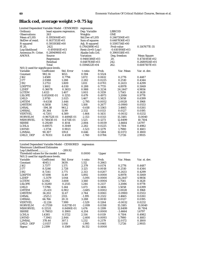# **Black cod, average weight > 0.75 kg**

| Limited Dependent Variable Model - CENSORED        |                     | regression                |                       |                  |                     |                    |
|----------------------------------------------------|---------------------|---------------------------|-----------------------|------------------|---------------------|--------------------|
| Ordinary                                           |                     | least squares regression. | Dep. Variable         |                  | <b>LBBCOD</b>       |                    |
| <b>Observations</b>                                | 263                 |                           | Weights               |                  | <b>ONE</b>          |                    |
| Mean of LHS                                        | 0.1955044E+01       |                           | <b>Std.Dev of LHS</b> |                  | 0.2467206E+01       |                    |
| StdDev of resid.                                   | $0.1637353E+01$     |                           | Sum of squares        |                  | 0.6487836E+03       |                    |
| R-squared                                          | 0.5931938E+00       |                           | Adj. R-squared        |                  | $0.5595734E+00$     |                    |
| F[20,                                              | 2421                |                           | 0.1764389E+02         |                  | Prob value          | 0.1147677E-35      |
| Log-likelihood                                     | $-0.4919181E+03$    |                           | $Restr.(b=0) Log-1$   |                  | $-0.6101916E+03$    |                    |
| Amemiya Pr. Criter.                                | 0.2894990E+01       |                           | Akaike Info.Crit.     |                  | 0.3900518E+01       |                    |
| ANOVA                                              | Source              |                           | <b>Variation</b>      |                  | Deg. freedom        | <b>Mean Square</b> |
|                                                    | Regression          |                           | 0.9460386E+03         |                  | 20.                 | $0.4730193E+02$    |
|                                                    | Residual            |                           | 0.6487836E+03         |                  | 242.                | $0.2680924E+01$    |
|                                                    | Total               |                           | 0.1594822E+04         |                  | 262.                | 0.6087107E+01      |
| $N(0,1)$ used for significance levels.<br>Variable | Coefficient         | Std. Error                | t-ratio               | Prob.            | Var. Mean           | Var. st. dev.      |
| Constant                                           | 982.14              | 1653.                     | 0.594                 | 0.5524           |                     |                    |
| J162                                               | 1.4588              | 0.7794                    | 1.872                 | 0.0612           | 0.2776              | 0.4487             |
| J177                                               | 2.9388              | 1.288                     | 2.282                 | 0.0225           | 0.2510              | 0.4344             |
| J192                                               | 3.2753              | 1.809                     | 1.811                 | 0.0701           | 0.2433              | 0.4299             |
| LDEPTH                                             | 1.1602              | 4.030                     | 0.288                 | 0.7735           | 4.8978              | 0.5069             |
| L2DEP                                              | 0.36078             | 0.3653                    | 0.988                 | 0.3234           | 24.2447             | 4.9856             |
| LGTEM                                              | 1.4113              | 1.407                     | 1.003                 | 0.3159           | 1.7545              | 0.1428             |
| <b>LSLOPE</b>                                      | 0.85200E-01         | 0.1255                    | 0.679                 | 0.4973           | 3.2086              | 0.9778             |
| LMLD                                               | 2.9710              | 2.025                     | 1.467                 | 0.1423           | 1.5058              | 0.6399             |
| <b>LMTEM</b>                                       | $-9.6338$           | 3.446                     | $-2.795$              | 0.0052           | 2.0028              | 0.1968             |
| LMSTEM                                             | 6.5858              | 5.942                     | 1.108                 | 0.2677           | -0.0900             | 0.0553             |
| LMSAL                                              | $-594.38$           | 961.2                     | $-0.618$              | 0.5363           | 3.4665              | 0.0261             |
| <b>LMSSAL</b>                                      | 30.364              | 11.99                     | 2.532                 | 0.0113           | 0.0127              | 0.0195             |
| <b>VERTVEL</b>                                     | $-6.7201$           | 4.589                     | $-1.464$              | 0.1431           | -0.0032             | 0.0232             |
| <b>HORVELM</b>                                     | -0.96752E-01        | 0.4494E-01                | $-2.153$              | 0.0313           | 15.3185             | 11.0040            |
| <b>MSHORVEL</b>                                    | 0.71843E-01         | 0.4711E-01                | 1.525                 | 0.1273           | 12.8499             | 10.7104            |
| <b>SSHRE</b>                                       | 0.29249             | 0.1014                    | 2.884                 | 0.0039           | $-3.4664$           | 1.6797             |
| <b>LCHLA</b>                                       | 0.69575             | 0.3049                    | 2.282                 | 0.0225           | 0.7104              | 0.4982             |
| <b>LWIND</b>                                       | -1.3734             | 0.9021                    | $-1.523$              | 0.1279           | 1.7980              | 0.1683             |
| <b>L2MSAL</b>                                      | 90.307              | 139.8                     | 0.646                 | 0.5184           | 12.0172             | 0.1800             |
| LMLD_DEP                                           | -0.76351            | 0.4338                    | $-1.760$              | 0.0784           | 7.2726              | 2.9935             |
|                                                    |                     |                           |                       |                  |                     |                    |
|                                                    |                     |                           |                       |                  |                     |                    |
| Limited Dependent Variable Model - CENSORED        |                     |                           | regression            |                  |                     |                    |
| <b>Maximum Likelihood Estimates</b>                |                     |                           |                       |                  |                     |                    |
| Log-Likelihood                                     |                     | $-289.92$                 |                       |                  |                     |                    |
| Threshold values for the model: Lower              |                     |                           | 0.0000                | Upper            | **********          |                    |
| $N(0,1)$ used for significance levels.             |                     |                           |                       |                  |                     |                    |
| Variable                                           | Coefficient         | Std. Error                | t-ratio               | Prob.            | Var. Mean           | Var. st. dev.      |
| Constant                                           | 4045.1              | 3639.                     | 1.112                 | 0.2663           |                     |                    |
| J162                                               | 3.7377              | 1.571                     | 2.379                 | 0.0174           | 0.2776              | 0.4487             |
| J177                                               | 8.5246              | 2.728                     | 3.125                 | 0.0018           | 0.2510              | 0.4344             |
| J192                                               | 8.7241              | 3.771                     | 2.313                 | 0.0207           | 0.2433              | 0.4299             |
| <b>LDEPTH</b>                                      | 67.698              | 11.49                     | 5.892                 | 0.0000           | 4.8978              | 0.5069             |
| L2DEP                                              | $-5.3179$           | 1.044                     | $-5.091$              | 0.0000           | 24.2447             | 4.9856             |
| LGTEM<br><b>LSLOPE</b>                             | 12.842<br>0.31280   | 3.608<br>0.2515           | 3.560<br>1.244        | 0.0004<br>0.2137 | 1.7545<br>3.2086    | 0.1428<br>0.9778   |
| <b>LMLD</b>                                        | 7.5796              | 5.144                     | 1.473                 | 0.1406           | 1.5058              | 0.6399             |
|                                                    |                     | 6.902                     | $-3.685$              | 0.0002           |                     | 0.1968             |
| <b>LMTEM</b><br><b>LMSTEM</b>                      | $-25.431$<br>34.202 | 12.47                     | 2.744                 | 0.0061           | 2.0028<br>$-0.0900$ | 0.0553             |
| LMSAL                                              | $-2525.1$           | 2113.                     | $-1.195$              | 0.2322           | 3.4665              | 0.0261             |
| <b>LMSSAL</b>                                      | 66.766              | 20.31                     | 3.288                 | 0.0010           | 0.0127              | 0.0195             |
| <b>VERTVEL</b>                                     | $-12.226$           | 7.999                     | $-1.529$              | 0.1264           | $-0.0032$           | 0.0232             |
| <b>HORVELM</b>                                     | $-0.17359$          | 0.8271E-01                | $-2.099$              | 0.0358           | 15.3185             | 11.0040            |
| <b>MSHORVEL</b>                                    | 0.12531             | 0.8490E-01                | 1.476                 | 0.1399           | 12.8499             | 10.7104            |
| <b>SSHRE</b>                                       | 0.79853             | 0.1900                    | 4.204                 | 0.0000           | $-3.4664$           | 1.6797             |
| <b>LCHLA</b>                                       | 1.4385              | 0.5722                    | 2.514                 | 0.0119           | 0.7104              | 0.4982             |
| <b>LWIND</b>                                       | $-7.3941$           | 2.844                     | $-2.600$              | 0.0093           | 1.7980              | 0.1683             |
| <b>L2MSAL</b>                                      | 378.44              | 307.1                     | 1.232                 | 0.2179           | 12.0172             | 0.1800             |
| LMLD_DEP                                           | $-2.0157$           | 1.010                     | $-1.995$              | 0.0461           | 7.2726              | 2.9935             |
| Sigma                                              | 2.2199              | 0.1569                    | 14.152                | 0.0000           |                     |                    |
|                                                    |                     |                           |                       |                  |                     |                    |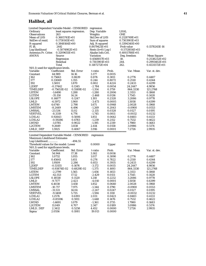## **Halibut, all**

| Limited Dependent Variable Model - CENSORED |                  | regression                |                     |        |                  |                 |
|---------------------------------------------|------------------|---------------------------|---------------------|--------|------------------|-----------------|
| Ordinary                                    |                  | least squares regression. | Dep. Variable       |        | LHAL             |                 |
| <b>Observations</b>                         | 263              |                           | Weights             |        | <b>ONE</b>       |                 |
| Mean of LHS                                 | 0.3605741E+01    |                           | Std.Dev of LHS      |        | 0.2128749E+01    |                 |
| StdDev of resid.                            | 0.1730145E+01    |                           | Sum of squares      |        | 0.7303901E+03    |                 |
| R-squared                                   | 0.3848164E+00    |                           | Adj. R-squared      |        | 0.3394340E+00    |                 |
| F[18,                                       | 244              |                           | 0.8479421E+01       |        | Prob value       | 0.1578245E-16   |
| Log-likelihood                              | $-0.5074982E+03$ |                           | $Restr.(b=0) Log-1$ |        | $-0.5713854E+03$ |                 |
| Amemiya Pr. Criter.                         | $0.3209655E+01$  |                           | Akaike Info.Crit.   |        | 0.4003788E+01    |                 |
| <b>ANOVA</b>                                | Source           |                           | <b>Variation</b>    |        | Deg. freedom     | Mean Square     |
|                                             | Regression       |                           | 0.4568817E+03       |        | 18.              | 0.2538232E+02   |
|                                             | Residual         |                           | 0.7303901E+03       |        | 244.             | $0.2993402E+01$ |
| Total                                       |                  | 0.1187272E+04             |                     | 262.   | 0.4531572E+01    |                 |
| $N(0,1)$ used for significance levels.      |                  |                           |                     |        |                  |                 |
| Variable                                    | Coefficient      | Std. Error                | t-ratio             | Prob.  | Var. Mean        | Var. st. dev.   |
| Constant                                    | 44.989           | 14.16                     | 3.177               | 0.0015 |                  |                 |
| J162                                        | 0.75663          | 0.8639                    | 0.876               | 0.3811 | 0.2776           | 0.4487          |
| J177                                        | 0.33069          | 1.355                     | 0.244               | 0.8072 | 0.2510           | 0.4344          |
| J192                                        | 1.5001           | 1.870                     | 0.802               | 0.4224 | 0.2433           | 0.4299          |
| L2DEP                                       | -0.37442         | 0.1345                    | $-2.784$            | 0.0054 | 24.2447          | 4.9856          |
| TIMELDEP                                    | -0.75653E-02     | 0.5589E-02                | $-1.354$            | 0.1759 | 864.3330         | 121.2768        |
| <b>LSTEM</b>                                | $-1.6490$        | 1.288                     | $-1.280$            | 0.2006 | 2.3153           | 0.1868          |
| <b>LGTEM</b>                                |                  | 14.24                     | $-2.468$            |        |                  |                 |
|                                             | -35.150          |                           |                     | 0.0136 | 1.7545           | 0.1428          |
| <b>LSLOPE</b>                               | 0.14877          | 0.1247                    | 1.193               | 0.2328 | 3.2086           | 0.9778          |
| LMLD                                        | -6.5972          | 1.900                     | $-3.473$            | 0.0005 | 1.5058           | 0.6399          |
| <b>LMTEM</b>                                | 4.6740           | 2.798                     | 1.671               | 0.0948 | 2.0028           | 0.1968          |
| <b>LMSTEM</b>                               | -8.2449          | 6.496                     | $-1.269$            | 0.2043 | -0.0900          | 0.0553          |
| LMSSAL                                      | -23.534          | 11.02                     | $-2.135$            | 0.0328 | 0.0127           | 0.0195          |
| <b>VERTVEL</b>                              | $-8.3319$        | 4.776                     | $-1.745$            | 0.0811 | -0.0032          | 0.0232          |
| LCHLA1                                      | 0.92643          | 0.5006                    | 1.851               | 0.0642 | 0.8483           | 0.4133          |
| LCHLA <sub>2</sub>                          | $-0.59286$       | 0.4783                    | $-1.239$            | 0.2152 | 0.7532           | 0.4622          |
| LWIND                                       | $-1.0785$        | 0.9022                    | $-1.195$            | 0.2319 | 1.7980           | 0.1683          |
| L2GTEM                                      | 9.2649           | 3.838                     | 2.414               | 0.0158 | 3.0986           | 0.5174          |
| LMLD_DEP                                    | 1.5925           | 0.4067                    | 3.916               | 0.0001 | 7.2726           | 2.9935          |
|                                             |                  |                           |                     |        |                  |                 |
| Limited Dependent Variable Model - CENSORED |                  |                           | regression          |        |                  |                 |
| <b>Maximum Likelihood Estimates</b>         |                  |                           |                     |        |                  |                 |
| Log-Likelihood                              |                  | -494.55                   |                     |        |                  |                 |
| Threshold values for the model: Lower       |                  |                           | 0.0000              | Upper  | **********       |                 |
| $N(0,1)$ used for significance levels.      |                  |                           |                     |        |                  |                 |
| Variable                                    | Coefficient      | Std. Error                | t-ratio             | Prob.  | Var. Mean        | Var. st. dev.   |
| Constant                                    | 54.944           | 17.38                     | 3.162               | 0.0016 |                  |                 |
| J162                                        | 1.0732           | 1.055                     | 1.017               | 0.3090 | 0.2776           | 0.4487          |
| J177                                        | 0.45641          | 1.651                     | 0.276               | 0.7822 | 0.2510           | 0.4344          |
| J192                                        | 1.9509           | 2.286                     | 0.853               | 0.3935 | 0.2433           | 0.4299          |
| L2DEP                                       | -0.53155         | 0.1676                    | $-3.172$            | 0.0015 | 24.2447          | 4.9856          |
| TIMELDEP                                    | $-0.93874E-02$   | 0.6829E-02                | $-1.375$            | 0.1693 | 864.3330         | 121.2768        |
| <b>LSTEM</b>                                | $-2.2799$        | 1.565                     | $-1.456$            | 0.1453 | 2.3153           | 0.1868          |
| <b>LGTEM</b>                                | $-42.553$        | 17.52                     | $-2.429$            | 0.0151 | 1.7545           | 0.1428          |
| <b>LSLOPE</b>                               | 0.18518          | 0.1520                    | 1.218               | 0.2232 | 3.2086           | 0.9778          |
| <b>LMLD</b>                                 | $-9.7177$        | 2.423                     | $-4.010$            | 0.0001 | 1.5058           | 0.6399          |
| <b>LMTEM</b>                                | 6.4038           | 3.458                     | 1.852               | 0.0640 | 2.0028           | 0.1968          |
| <b>LMSTEM</b>                               | $-10.717$        | 7.975                     | $-1.344$            | 0.1790 | $-0.0900$        | 0.0553          |
| <b>LMSSAL</b>                               | -31.531          | 14.04                     | $-2.247$            | 0.0247 | 0.0127           | 0.0195          |
| <b>VERTVEL</b>                              | $-9.1408$        | 5.735                     | $-1.594$            | 0.1110 | $-0.0032$        | 0.0232          |
| LCHLA1                                      | 1.2576           | 0.6193                    | 2.031               | 0.0423 | 0.8483           | 0.4133          |
| LCHLA <sub>2</sub>                          | $-0.85596$       | 0.5911                    | $-1.448$            | 0.1476 | 0.7532           | 0.4622          |
| LWIND                                       | $-1.4691$        | 1.079                     | $-1.361$            | 0.1735 | 1.7980           | 0.1683          |
| L2GTEM                                      | 11.049           | 4.707                     | 2.347               | 0.0189 | 3.0986           | 0.5174          |
| LMLD_DEP                                    | 2.3412           | 0.5258                    | 4.452               | 0.0000 | 7.2726           | 2.9935          |
| Sigma                                       | 2.0556           | 0.1081                    | 19.013              | 0.0000 |                  |                 |
|                                             |                  |                           |                     |        |                  |                 |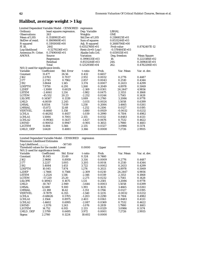# **Halibut, average weight > 1 kg**

| Limited Dependent Variable Model - CENSORED regression<br>Ordinary |                  | least squares regression. | Dep. Variable         |        | <b>LBHAL</b>     |                    |
|--------------------------------------------------------------------|------------------|---------------------------|-----------------------|--------|------------------|--------------------|
| <b>Observations</b>                                                | 263              |                           | Weights               |        | <b>ONE</b>       |                    |
| Mean of LHS                                                        | $0.3518902E+01$  |                           | <b>Std.Dev of LHS</b> |        | 0.2186825E+01    |                    |
| StdDev of resid.                                                   | 0.1869869E+01    |                           | Sum of squares        |        | $0.8531244E+03$  |                    |
| R-squared                                                          | 0.3191008E+00    |                           | Adj. R-squared        |        | 0.2688706E+00    |                    |
| F[18,                                                              | 244]             |                           | 0.6352760E+01         |        | Prob value       | 0.8742407E-12      |
| Log-likelihood                                                     | $-0.5279236E+03$ |                           | $Restr.(b=0) Log-1$   |        | $-0.5784645E+03$ |                    |
| Amemiya Pr. Criter.                                                | $0.3749004E+01$  |                           | Akaike Info.Crit.     |        | $0.4159115E+01$  |                    |
| <b>ANOVA</b>                                                       | Source           |                           | <b>Variation</b>      |        | Deg. freedom     | <b>Mean Square</b> |
|                                                                    | Regression       |                           | $0.3998135E+03$       |        | 18.              | 0.2221186E+02      |
|                                                                    | Residual         |                           | $0.8531244E+03$       |        | 244.             | $0.3496411E+01$    |
|                                                                    | Total            |                           | 0.1252938E+04         |        | 262.             | $0.4782206E+01$    |
| $N(0,1)$ used for significance levels.                             |                  |                           |                       |        |                  |                    |
| Variable                                                           | Coefficient      | Std. Error                | t-ratio               | Prob.  | Var. Mean        | Var. st. dev.      |
| Constant                                                           | 11.477           | 26.56                     | 0.432                 | 0.6657 |                  |                    |
| J162                                                               | 2.0763           | 0.7037                    | 2.951                 | 0.0032 | 0.2776           | 0.4487             |
| J177                                                               | 2.2745           | 0.7962                    | 2.857                 | 0.0043 | 0.2510           | 0.4344             |
| J192                                                               | 3.8644           | 1.145                     | 3.374                 | 0.0007 | 0.2433           | 0.4299             |
| <b>LDEPTH</b>                                                      | 7.9750           | 6.291                     | 1.268                 | 0.2049 | 4.8978           | 0.5069             |
| L2DEP                                                              | $-1.3080$        | 0.6029                    | $-2.169$              | 0.0301 | 24.2447          | 4.9856             |
| <b>LSTEM</b>                                                       | $-2.4061$        | 1.214                     | $-1.982$              | 0.0475 | 2.3153           | 0.1868             |
| <b>LGTEM</b>                                                       | $-45.552$        | 20.23                     | $-2.252$              | 0.0244 | 1.7545           | 0.1428             |
| <b>LSLOPE</b>                                                      | 0.14587          | 0.1339                    | 1.089                 | 0.2760 | 3.2086           | 0.9778             |
| LMLD                                                               | $-6.8059$        | 2.245                     | $-3.031$              | 0.0024 | 1.5058           | 0.6399             |
| LMSAL                                                              | 8.8554           | 7.039                     | 1.258                 | 0.2084 | 3.4665           | 0.0261             |
| <b>LMSSAL</b>                                                      | $-15.872$        | 12.68                     | $-1.252$              | 0.2106 | 0.0127           | 0.0195             |
| <b>VERTVEL</b>                                                     | $-8.6660$        | 5.158                     | $-1.680$              | 0.0929 | $-0.0032$        | 0.0232             |
| <b>LCHLA</b>                                                       | $-0.46292$       | 0.4457                    | $-1.039$              | 0.2990 | 0.7104           | 0.4982             |
| LCHLA1                                                             | 1.5084           | 0.7001                    | 2.155                 | 0.0312 | 0.8483           | 0.4133             |
| LCHLA2                                                             | $-0.99361$       | 0.5437                    | $-1.827$              | 0.0676 | 0.7532           | 0.4622             |
| <b>LWIND</b>                                                       | $-0.90053$       | 0.9947                    | $-0.905$              | 0.3653 | 1.7980           | 0.1683             |
| L2GTEM                                                             | 11.884           | 5.566                     | 2.135                 | 0.0327 | 3.0986           | 0.5174             |
| LMLD DEP                                                           | 1.6428           | 0.4881                    | 3.366                 | 0.0008 | 7.2726           | 2.9935             |
|                                                                    |                  |                           |                       |        |                  |                    |
|                                                                    |                  |                           |                       |        |                  |                    |
| Limited Dependent Variable Model - CENSORED                        |                  | regression                |                       |        |                  |                    |

Maximum Likelihood Estimates

| Log-Likelihood | $-507.60$  |                                                                                 |              |           |               |
|----------------|------------|---------------------------------------------------------------------------------|--------------|-----------|---------------|
|                |            | 0.0000                                                                          | <b>Upper</b> |           |               |
|                |            |                                                                                 |              |           |               |
| Coefficient    | Std. Error | t-ratio                                                                         | Prob.        | Var. Mean | Var. st. dev. |
| 10.845         | 33.49      | 0.324                                                                           | 0.7460       |           |               |
| 2.9686         | 0.8959     | 3.314                                                                           | 0.0009       | 0.2776    | 0.4487        |
| 3.2217         | 1.005      | 3.205                                                                           | 0.0014       | 0.2510    | 0.4344        |
| 5.4084         | 1.453      | 3.722                                                                           | 0.0002       | 0.2433    | 0.4299        |
| 10.045         | 7.874      | 1.276                                                                           | 0.2021       | 4.8978    | 0.5069        |
| $-1.7466$      | 0.7566     | $-2.309$                                                                        | 0.0210       | 24.2447   | 4.9856        |
| $-3.2524$      | 1.516      | $-2.146$                                                                        | 0.0319       | 2.3153    | 0.1868        |
| $-57.220$      | 25.20      | $-2.271$                                                                        | 0.0232       | 1.7545    | 0.1428        |
| 0.18943        | 0.1675     | 1.131                                                                           | 0.2581       | 3.2086    | 0.9778        |
| $-10.747$      | 2.949      | $-3.644$                                                                        | 0.0003       | 1.5058    | 0.6399        |
| 12.680         | 9.100      | 1.393                                                                           | 0.1635       | 3.4665    | 0.0261        |
| $-22.188$      | 16.42      | $-1.351$                                                                        | 0.1766       | 0.0127    | 0.0195        |
| $-9.7879$      | 6.355      | $-1.540$                                                                        | 0.1235       | $-0.0032$ | 0.0232        |
| $-0.68626$     | 0.5705     | $-1.203$                                                                        | 0.2290       | 0.7104    | 0.4982        |
| 2.1564         | 0.8975     | 2.403                                                                           | 0.0163       | 0.8483    | 0.4133        |
| $-1.4602$      | 0.6995     | $-2.087$                                                                        | 0.0369       | 0.7532    | 0.4622        |
| $-1.3376$      | 1.243      | $-1.076$                                                                        | 0.2819       | 1.7980    | 0.1683        |
| 14.752         | 6.915      | 2.133                                                                           | 0.0329       | 3.0986    | 0.5174        |
| 2.5799         | 0.6495     | 3.972                                                                           | 0.0001       | 7.2726    | 2.9935        |
| 2.2760         | 0.1224     | 18.602                                                                          | 0.0000       |           |               |
|                |            | Threshold values for the model: Lower<br>$N(0,1)$ used for significance levels. |              |           | **********    |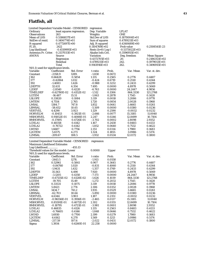## **Flatfish, all**

| Limited Dependent Variable Model - CENSORED |                | regression                |                       |                     |                |                    |
|---------------------------------------------|----------------|---------------------------|-----------------------|---------------------|----------------|--------------------|
| Ordinary                                    |                | least squares regression. |                       | Dep. Variable       | <b>LFLAT</b>   |                    |
| <b>Observations</b>                         | 263            |                           | Weights               |                     | <b>ONE</b>     |                    |
| Mean of LHS                                 | 0.5386837E+01  |                           | <b>Std.Dev of LHS</b> |                     | 0.1870004E+01  |                    |
| StdDev of resid.                            | 0.1406774E+01  |                           | Sum of squares        |                     | 0.4789211E+03  |                    |
| R-squared                                   | 0.4772697E+00  |                           | Adj. R-squared        |                     | 0.4340689E+00  |                    |
| F[20,                                       | 2421           |                           | 0.1104769E+02         |                     | Prob value     | 0.2508541E-23      |
| Log-likelihood                              |                | $-0.4519995E+03$          |                       | $Restr.(b=0) Log-1$ | -0.5373022E+03 |                    |
| Amemiya Pr. Criter.                         | 0.2137033E+01  |                           | Akaike Info.Crit.     |                     | 0.3596955E+01  |                    |
| <b>ANOVA</b>                                | Source         |                           | <b>Variation</b>      |                     | Deg. freedom   | <b>Mean Square</b> |
|                                             | Regression     |                           | 0.4372705E+03         |                     | 20.            | $0.2186353E+02$    |
|                                             | Residual       |                           | 0.4789211E+03         |                     | 242.           | $0.1979013E+01$    |
|                                             | Total          |                           | 0.9161916E+03         |                     | 262.           | $0.3496915E+01$    |
| $N(0,1)$ used for significance levels.      |                |                           |                       |                     |                |                    |
| Variable                                    | Coefficient    | Std. Error                | t-ratio               | Prob.               | Var. Mean      | Var. st. dev.      |
| Constant                                    | $-2358.9$      | 1289.                     | $-1.830$              | 0.0672              |                |                    |
| J162                                        | 0.66428        | 0.5854                    | 1.135                 | 0.2565              | 0.2776         | 0.4487             |
| J177                                        | $-0.42864$     | 1.012                     | $-0.424$              | 0.6719              | 0.2510         | 0.4344             |
| J192                                        | $-1.4083$      | 1.426                     | $-0.988$              | 0.3232              | 0.2433         | 0.4299             |
| LDEPTH                                      | 32.631         | 4.354                     | 7.495                 | 0.0000              | 4.8978         | 0.5069             |
| L2DEP                                       | $-2.8540$      | 0.4220                    | $-6.763$              | 0.0000              | 24.2447        | 4.9856             |
| <b>TIMELDEP</b>                             | $-0.62780E-02$ | 0.4152E-02                | $-1.512$              | 0.1306              | 864.3330       | 121.2768           |
| <b>LGTEM</b>                                | $-16.487$      | 15.51                     | $-1.063$              | 0.2878              | 1.7545         | 0.1428             |
| <b>LSLOPE</b>                               | 0.33820        | 0.1084                    | 3.119                 | 0.0018              | 3.2086         | 0.9778             |
| <b>LMTEM</b>                                | 4.7554         | 2.765                     | 1.720                 | 0.0854              | 2.0028         | 0.1968             |
| <b>LMSAL</b>                                | 1384.7         | 747.8                     | 1.852                 | 0.0641              | 3.4665         | 0.0261             |
| <b>LBMSAL</b>                               | -58.652        | 10.65                     | $-5.509$              | 0.0000              | 0.0380         | 0.0236             |
| <b>VERTVEL</b>                              | 4.4290         | 3.923                     | 1.129                 | 0.2590              | $-0.0032$      | 0.0232             |
| <b>HORVELM</b>                              | $-0.10453$     | 0.3921E-01                | $-2.666$              | 0.0077              | 15.3185        | 11.0040            |
| <b>MSHORVEL</b>                             | 0.91852E-01    | 0.4088E-01                | 2.247                 | 0.0246              | 12.8499        | 10.7104            |
| <b>BMHORVEL</b>                             | $-0.17495$     | 0.4726E-01                | $-3.702$              | 0.0002              | 2.8098         | 2.9352             |
| LCHLA1                                      | 0.48358        | 0.4142                    | 1.167                 | 0.2430              | 0.8483         | 0.4133             |
| LCHLA <sub>2</sub>                          | $-0.76722$     | 0.4142                    | $-1.852$              | 0.0640              | 0.7532         | 0.4622             |
| <b>LWIND</b>                                | 1.6687         | 0.7756                    | 2.151                 | 0.0314              | 1.7980         | 0.1683             |
| L2GTEM                                      | 5.6575         | 4.273                     | 1.324                 | 0.1855              | 3.0986         | 0.5174             |
| L2MSAL                                      | $-209.67$      | 108.5                     | $-1.932$              | 0.0534              | 12.0172        | 0.1800             |
|                                             |                |                           |                       |                     |                |                    |
| Limited Dependent Variable Model - CENSORED |                |                           | regression            |                     |                |                    |
| <b>Maximum Likelihood Estimates</b>         |                |                           |                       |                     |                |                    |
| Log-Likelihood                              |                | $-455.13$                 |                       |                     |                |                    |
| Threshold values for the model: Lower       |                |                           | 0.0000                | Upper               | **********     |                    |
| $N(0,1)$ used for significance levels.      |                |                           |                       |                     |                |                    |
| Variable                                    | Coefficient    | Std. Error                | t-ratio               | Prob.               | Var. Mean      | Var. st. dev.      |
| Constant                                    | $-2443.5$      | 1278.                     | $-1.913$              | 0.0558              |                |                    |
| J162                                        | 0.52961        | 0.5841                    | 0.907                 | 0.3645              | 0.2776         | 0.4487             |
| J177                                        | $-0.84760$     | 1.020                     | $-0.831$              | 0.4060              | 0.2510         | 0.4344             |
| J192                                        | -1.9431        | 1.432                     | $-1.357$              | 0.1749              | 0.2433         | 0.4299             |
| <b>LDEPTH</b>                               | 35.563         | 4.490                     | 7.920                 | 0.0000              | 4.8978         | 0.5069             |
| L2DEP                                       | $-3.1205$      | 0.4350                    | -7.173                | 0.0000              | 24.2447        | 4.9856             |
| <b>TIMELDEP</b>                             | $-0.67135E-02$ | 0.4128E-02                | $-1.626$              | 0.1039              | 864.3330       | 121.2768           |
| LGTEM                                       | $-19.705$      | 15.49                     | $-1.272$              | 0.2032              | 1.7545         | 0.1428             |
| <b>LSLOPE</b>                               | 0.33531        | 0.1075                    | 3.119                 | 0.0018              | 3.2086         | 0.9778             |
| <b>LMTEM</b>                                | 5.8421         | 2.774                     | 2.106                 | 0.0352              | 2.0028         | 0.1968             |
| <b>LMSAL</b>                                | 1434.7         | 741.2                     | 1.935                 | 0.0529              | 3.4665         | 0.0261             |
| <b>LBMSAL</b>                               | $-62.703$      | 10.64                     | $-5.892$              | 0.0000              | 0.0380         | 0.0236             |
| <b>VERTVEL</b>                              | 4.6344         | 3.903                     | 1.187                 | 0.2351              | $-0.0032$      | 0.0232             |
| <b>HORVELM</b>                              | $-0.96556E-01$ | 0.3916E-01                | $-2.465$              | 0.0137              | 15.3185        | 11.0040            |
| <b>MSHORVEL</b>                             | 0.85591E-01    | 0.4072E-01                | 2.102                 | 0.0355              | 12.8499        | 10.7104            |
| <b>BMHORVEL</b>                             | $-0.18795$     | 0.4721E-01                | $-3.981$              | 0.0001              | 2.8098         | 2.9352             |
| LCHLA1                                      | 0.46835        | 0.4126                    | 1.135                 | 0.2563              | 0.8483         | 0.4133             |
| LCHLA2                                      | $-0.76605$     | 0.4146                    | $-1.848$              | 0.0646              | 0.7532         | 0.4622             |
| <b>LWIND</b>                                | 1.6930         | 0.7700                    | 2.199                 | 0.0279              | 1.7980         | 0.1683             |
| L2GTEM                                      | 6.6162         | 4.270                     | 1.549                 | 0.1213              | 3.0986         | 0.5174             |
| <b>L2MSAL</b>                               | $-217.59$      | 107.6                     | $-2.022$              | 0.0431              | 12.0172        | 0.1800             |
| Sigma                                       | 1.3934         | 0.6260E-01                | 22.258                | 0.0000              |                |                    |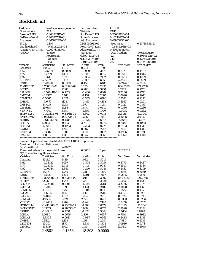# **Rockfish, all**

| Ordinary                                    |                           | least squares regression. | Dep. Variable                         |                  | <b>LROCK</b>                  |                    |
|---------------------------------------------|---------------------------|---------------------------|---------------------------------------|------------------|-------------------------------|--------------------|
| <b>Observations</b>                         | 263                       |                           | Weights                               |                  | <b>ONE</b>                    |                    |
| Mean of LHS                                 | 0.3033271E+01             |                           | <b>Std.Dev of LHS</b>                 |                  | 0.2706313E+01                 |                    |
| StdDev of resid.                            | $0.2062773E+01$           |                           | Sum of squares                        |                  | 0.1021207E+04                 |                    |
| R-squared                                   | 0.4678222E+00             |                           | Adj. R-squared                        |                  | 0.4190393E+00                 |                    |
| F[22,                                       | 240]                      |                           | 0.9589869E+01                         |                  | Prob value                    | 0.1974883E-21      |
| Log-likelihood                              | $-0.5515720E+03$          |                           | $Restr.(b=0) Log-1$                   |                  | $-0.6345193E+03$              |                    |
| Amemiya Pr. Criter.<br><b>ANOVA</b>         | $0.4627143E+01$<br>Source |                           | Akaike Info.Crit.<br><b>Variation</b> |                  | 0.4369369E+01<br>Deg. freedom | Mean Square        |
|                                             | Regression                |                           | $0.8977141E+03$                       |                  | 22.                           | 0.4080519E+02      |
|                                             | Residual                  |                           | 0.1021207E+04                         |                  | 240.                          | 0.4255031E+01      |
|                                             | Total                     |                           | 0.1918921E+04                         |                  | 262.                          | 0.7324128E+01      |
| Variable                                    | Coefficient               | Std. Error                | t-ratio                               | Prob.            | Var. Mean                     | Var. st. dev.      |
| Constant                                    | 1504.2                    | 1944.                     | 0.774                                 | 0.4390           |                               |                    |
| J162                                        | $-0.75671$                | 0.8060                    | $-0.939$                              | 0.3478           | 0.2776                        | 0.4487             |
| J177                                        | $-0.27890$                | 1.490                     | $-0.187$                              | 0.8515           | 0.2510                        | 0.4344             |
| <b>J</b> 192                                | $-0.76191$                | 2.095                     | $-0.364$                              | 0.7162           | 0.2433                        | 0.4299             |
| LDEPTH                                      | $-2.5107$                 | 6.417                     | $-0.391$                              | 0.6956           | 4.8978                        | 0.5069             |
| L2DEP                                       | 0.28820                   | 0.6328                    | 0.455                                 | 0.6488           | 24.2447                       | 4.9856             |
| TIMELDEP                                    | 0.78801E-02               | 0.6279E-02                | 1.255                                 | 0.2095           | 864.3330                      | 121.2768           |
| LGTEM<br><b>LSLOPE</b>                      | 22.477<br>$-0.70144E-01$  | 22.86<br>0.1629           | 0.983<br>$-0.430$                     | 0.3254<br>0.6669 | 1.7545<br>3.2086              | 0.1428<br>0.9778   |
| <b>LMTEM</b>                                | $-6.4377$                 | 5.463                     | $-1.178$                              | 0.2387           | 2.0028                        | 0.1968             |
| <b>LBMTEM</b>                               | -6.5865                   | 2.821                     | $-2.335$                              | 0.0196           | $-0.1522$                     | 0.1850             |
| <b>LMSAL</b>                                | $-916.79$                 | 1128.                     | $-0.813$                              | 0.4163           | 3.4665                        | 0.0261             |
| LMSSAL                                      | 24.445                    | 15.53                     | 1.574                                 | 0.1154           | 0.0127                        | 0.0195             |
| LBMSAL                                      | 29.658                    | 15.83                     | 1.874                                 | 0.0610           | 0.0380                        | 0.0236             |
| <b>VERTVEL</b>                              | $-7.7301$                 | 5.687                     | $-1.359$                              | 0.1740           | $-0.0032$                     | 0.0232             |
| <b>HORVELM</b>                              | $-0.32319E-01$            | 0.1793E-01                | $-1.802$                              | 0.0715           | 15.3185                       | 11.0040            |
| <b>BMHORVEL</b>                             | 0.94278E-01               | 0.7277E-01                | 1.296                                 | 0.1951           | 2.8098                        | 2.9352             |
| <b>SSHRE</b>                                | $-0.61026E - 01$          | 0.1284                    | $-0.475$                              | 0.6345           | $-3.4664$                     | 1.6797             |
| LCHLA                                       | 1.4035                    | 0.5139                    | 2.731                                 | 0.0063           | 0.7104                        | 0.4982             |
| LCHLA1                                      | $-1.0980$                 | 0.4983                    | $-2.203$                              | 0.0276           | 0.8483                        | 0.4133             |
| LWIND                                       | 0.34816                   | 1.214                     | 0.287                                 | 0.7742           | 1.7980                        | 0.1683             |
| L2GTEM                                      | $-6.3082$                 | 6.300                     | $-1.001$                              | 0.3167           | 3.0986                        | 0.5174             |
| <b>L2MSAL</b>                               | 138.63                    | 163.6                     | 0.847                                 | 0.3969           | 12.0172                       | 0.1800             |
| Limited Dependent Variable Model - CENSORED |                           |                           | regression                            |                  |                               |                    |
| Maximum Likelihood Estimates                |                           |                           |                                       |                  |                               |                    |
| Log-Likelihood                              |                           | $-479.26$                 |                                       |                  |                               |                    |
| Threshold values for the model: Lower       |                           |                           | 0.0000                                | Upper            | **********                    |                    |
| N(0,1) used for significance levels.        |                           |                           |                                       |                  |                               |                    |
| Variable                                    | Coefficient               | Std. Error                | t-ratio                               | Prob.            | Var. Mean                     | Var. st. dev.      |
| Constant                                    | 2518.5                    | 2439.                     | 1.032                                 | 0.3019           |                               |                    |
| J162                                        | $-0.94423$                | 1.057                     | $-0.894$                              | 0.3715           | 0.2776                        | 0.4487             |
| J177                                        | $-0.23051$                | 2.011                     | $-0.115$                              | 0.9087           | 0.2510                        | 0.4344             |
| J192                                        | $-0.70044$                | 2.845                     | $-0.246$                              | 0.8056           | 0.2433                        | 0.4299             |
| LDEPTH                                      | 16.379                    | 12.49                     | 1.311                                 | 0.1899           | 4.8978                        | 0.5069             |
| L2DEP<br>TIMELDEP                           | $-1.5830$<br>0.82648E-02  | 1.226<br>0.8136E-02       | -1.291<br>1.016                       | 0.1967<br>0.3097 | 24.2447<br>864.3330           | 4.9856<br>121.2768 |
| LGTEM                                       | 52.069                    | 41.42                     | 1.257                                 | 0.2088           | 1.7545                        | 0.1428             |
| <b>LSLOPE</b>                               | $-0.22848$                | 0.2106                    | $-1.085$                              | 0.2781           | 3.2086                        | 0.9778             |
| <b>LMTEM</b>                                | $-8.2066$                 | 6.995                     | $-1.173$                              | 0.2407           | 2.0028                        | 0.1968             |
| LBMTEM                                      | $-11.663$                 | 3.758                     | $-3.104$                              | 0.0019           | -0.1522                       | 0.1850             |
| LMSAL                                       | $-1560.6$                 | 1416.                     | $-1.102$                              | 0.2705           | 3.4665                        | 0.0261             |
| <b>LMSSAL</b>                               | 24.014                    | 19.63                     | 1.224                                 | 0.2211           | 0.0127                        | 0.0195             |
| <b>LBMSAL</b>                               | 49.506                    | 22.24                     | 2.226                                 | 0.0260           | 0.0380                        | 0.0236             |
| <b>VERTVEL</b>                              | $-8.9489$                 | 7.202                     | $-1.243$                              | 0.2140           | $-0.0032$                     | 0.0232             |
| <b>HORVELM</b>                              | $-0.41086E-01$            | 0.2331E-01                | $-1.763$                              | 0.0779           | 15.3185                       | 11.0040            |
| <b>BMHORVEL</b>                             | 0.19113                   | 0.9863E-01                | 1.938                                 | 0.0527           | 2.8098                        | 2.9352             |
| <b>SSHRE</b>                                | $-0.16915$                | 0.1654                    | $-1.023$                              | 0.3064           | $-3.4664$                     | 1.6797             |
| <b>LCHLA</b>                                | 1.6080                    | 0.6656                    | 2.416                                 | 0.0157           | 0.7104                        | 0.4982             |
| LCHLA1                                      | $-1.3805$                 | 0.6614                    | $-2.087$                              | 0.0369           | 0.8483                        | 0.4133             |
| <b>LWIND</b>                                | 2.5312                    | 2.195                     | 1.153                                 | 0.2487           | 1.7980                        | 0.1683             |
| L2GTEM<br>L2MSAL                            | $-15.351$<br>233.79       | 11.72<br>205.7            | $-1.310$<br>1.136                     | 0.1902<br>0.2558 | 3.0986<br>12.0172             | 0.5174             |
|                                             |                           |                           |                                       |                  |                               | 0.1800             |
| Sigma                                       | 2.4862                    | 0.1358                    | 18.308                                | 0.0000           |                               |                    |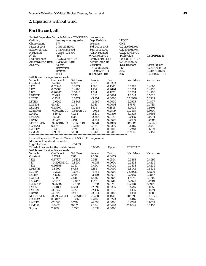# *2. Equations without wind*

# **Pacific cod, all**

| Limited Dependent Variable Model - CENSORED |                  |                           | regression            |               |                  |                    |
|---------------------------------------------|------------------|---------------------------|-----------------------|---------------|------------------|--------------------|
| Ordinary                                    |                  | least squares regression. |                       | Dep. Variable | <b>LPCOD</b>     |                    |
| Observations                                | 377              |                           | Weights               |               | <b>ONE</b>       |                    |
| Mean of LHS                                 | $0.1951593E+01$  |                           | <b>Std.Dev of LHS</b> |               | $0.2121660E+01$  |                    |
| StdDev of resid.                            | $0.1870424E+01$  |                           | Sum of squares        |               | 0.1259456E+04    |                    |
| R-squared                                   | 0.2558793E+00    |                           | Adj. R-squared        |               | 0.2228073E+00    |                    |
| F[16,                                       | 360]             |                           |                       | 0.7737031E+01 | Prob value       | 0.8994911E-15      |
| Log-likelihood                              | $-0.7623066E+03$ |                           | $Restr.(b=0) Log-1$   |               | $-0.8180181E+03$ |                    |
| Amemiya Pr. Criter.                         | $0.3656244E+01$  |                           | Akaike Info.Crit.     |               | 0.4134252E+01    |                    |
| <b>ANOVA</b>                                | Source           |                           | Variation             |               | Deg. freedom     | <b>Mean Square</b> |
|                                             | Regression       |                           | 0.4330865E+03         |               | 16.              | 0.2706791E+02      |
|                                             | Residual         |                           | 0.1259456E+04         |               | 360.             | 0.3498488E+01      |
|                                             | Total            |                           | $0.1692542E+04$       |               | 376.             | $0.4501442E+01$    |
| N(0,1) used for significance levels.        |                  |                           |                       |               |                  |                    |
| Variable                                    | Coefficient      | Std. Error                | t-ratio               | Prob.         | Var. Mean        | Var. st. dev.      |
| Constant                                    | 1423.6           | 690.7                     | 2.061                 | 0.0393        |                  |                    |
| J162                                        | 0.52740          | 0.3813                    | 1.383                 | 0.1666        | 0.3263           | 0.4695             |
| J177                                        | 0.55088          | 0.4990                    | 1.104                 | 0.2696        | 0.2334           | 0.4236             |
| J192                                        | 0.90287          | 0.5848                    | 1.544                 | 0.1226        | 0.2334           | 0.4236             |
| <b>LDEPTH</b>                               | 12.498           | 3.273                     | 3.818                 | 0.0001        | 4.8044           | 0.5626             |
| L2DEP                                       | $-1.1314$        | 0.3373                    | $-3.354$              | 0.0008        | 23.3976          | 5.3509             |
| <b>LSTEM</b>                                | $-2.6242$        | 0.8848                    | $-2.966$              | 0.0030        | 2.2955           | 0.1867             |
| <b>LGTEM</b>                                | 46.412           | 11.78                     | 3.941                 | 0.0001        | 1.7873           | 0.1745             |
| <b>LSLOPE</b>                               | 0.43460          | 0.3255                    | 1.335                 | 0.1818        | 3.2026           | 0.9801             |
| <b>L2SLOPE</b>                              | $-0.66421E-01$   | 0.6250E-01                | $-1.063$              | 0.2879        | 11.2148          | 5.3014             |
| <b>LMSAL</b>                                | $-846.40$        | 402.8                     | $-2.101$              | 0.0356        | 3.4545           | 0.0358             |
| <b>LMSSAL</b>                               | $-19.928$        | 8.351                     | $-2.386$              | 0.0170        | 0.0135           | 0.0274             |
| <b>LBMSAL</b>                               | $-28.354$        | 7.911                     | $-3.584$              | 0.0003        | 0.0410           | 0.0305             |
| <b>MSHORVEL</b>                             | $-0.95601E-02$   | 0.1150E-01                | $-0.831$              | 0.4060        | 10.9195          | 10.0521            |
| LCHLA2                                      | 0.47311          | 0.2280                    | 2.075                 | 0.0380        | 0.8487           | 0.5049             |
| L2GTEM                                      | $-11.400$        | 3.124                     | $-3.649$              | 0.0003        | 3.2248           | 0.6559             |
| <b>L2MSAL</b>                               | 119.69           | 58.60                     | 2.042                 | 0.0411        | 11.9349          | 0.2450             |
|                                             |                  |                           |                       |               |                  |                    |
| Limited Dependent Variable Model - CENSORED |                  |                           | regression            |               |                  |                    |
| <b>Maximum Likelihood Estimates</b>         |                  |                           |                       |               |                  |                    |
| Log-Likelihood                              |                  | $-614.09$                 |                       |               | **********       |                    |
| Threshold values for the model: Lower       |                  |                           | 0.0000                | Upper         |                  |                    |
| $N(0,1)$ used for significance levels.      |                  |                           |                       |               |                  |                    |
| Variable                                    | Coefficient      | Std. Error                | t-ratio               | Prob.         | Var. Mean        | Var. st. dev.      |
| Constant                                    | 2375.4           | 1188.                     | 2.000                 | 0.0455        |                  |                    |
| J162                                        | 0.37777          | 0.6423                    | 0.588                 | 0.5564        | 0.3263           | 0.4695             |
| J177                                        | $-0.32678E-01$   | 0.8509                    | $-0.038$              | 0.9694        | 0.2334           | 0.4236             |
| J192                                        | 0.46898          | 1.010                     | 0.464                 | 0.6424        | 0.2334           | 0.4236             |
| LDEPTH                                      | 33.600           | 6.485                     | 5.181                 | 0.0000        | 4.8044           | 0.5626             |
| L2DEP                                       | $-3.2230$        | 0.6741                    | $-4.781$              | 0.0000        | 23.3976          | 5.3509             |
| <b>LSTEM</b>                                | $-4.5960$        | 1.464                     | $-3.140$              | 0.0017        | 2.2955           | 0.1867             |
| <b>LGTEM</b>                                | 107.99           | 22.11                     | 4.885                 | 0.0000        | 1.7873           | 0.1745             |
| <b>LSLOPE</b>                               | 1.5487           | 0.7957                    | 1.946                 | 0.0516        | 3.2026           | 0.9801             |
| <b>L2SLOPE</b>                              | $-0.25802$       | 0.1450                    | $-1.780$              | 0.0751        | 11.2148          | 5.3014             |
| <b>LMSAL</b>                                | $-1448.1$        | 692.3                     | $-2.092$              | 0.0365        | 3.4545           | 0.0358             |
| <b>LMSSAL</b>                               | $-35.562$        | 14.72                     | $-2.416$              | 0.0157        | 0.0135           | 0.0274             |
| LBMSAL                                      | $-45.527$        | 12.99                     | $-3.504$              | 0.0005        | 0.0410           | 0.0305             |
| <b>MSHORVEL</b>                             | $-0.29942E-01$   | 0.2054E-01                | $-1.458$              | 0.1449        | 10.9195          | 10.0521            |
| LCHLA <sub>2</sub>                          | 0.88429          | 0.3869                    | 2.286                 | 0.0223        | 0.8487           | 0.5049             |
| L2GTEM                                      | -26.392          | 5.780                     | $-4.566$              | 0.0000        | 3.2248           | 0.6559             |
| <b>L2MSAL</b>                               | 204.76           | 100.7                     | 2.034                 | 0.0420        | 11.9349          | 0.2450             |
| Sigma                                       | 2.7979           | 0.1501                    | 18.634                | 0.0000        |                  |                    |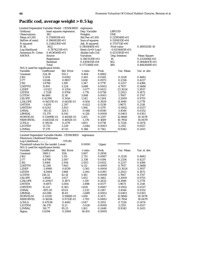# **Pacific cod, average weight > 0.5 kg**

| Limited Dependent Variable Model - CENSORED |                  | regression      |                           |                       |                  |                 |                    |
|---------------------------------------------|------------------|-----------------|---------------------------|-----------------------|------------------|-----------------|--------------------|
| Ordinary                                    |                  |                 | least squares regression. | Dep. Variable         |                  | <b>LBPCOD</b>   |                    |
| <b>Observations</b>                         |                  | 381             |                           | Weights               |                  | <b>ONE</b>      |                    |
| Mean of LHS                                 |                  | 0.1749955E+01   |                           | <b>Std.Dev of LHS</b> |                  | $0.2159548E+01$ |                    |
| StdDev of resid.                            |                  | $0.1960828E+01$ |                           | Sum of squares        |                  | 0.1391835E+04   |                    |
| R-squared                                   |                  | 0.2146230E+00   |                           | Adj. R-squared        |                  | $0.1755711E+00$ |                    |
| F[18,                                       |                  | 3621            |                           | 0.5495840E+01         |                  | Prob value      | 0.1895555E-10      |
| Log-likelihood                              | $-0.7874233E+03$ |                 | $Restr.(b=0) Log-1$       |                       | $-0.8334465E+03$ |                 |                    |
| Amemiya Pr. Criter.                         |                  | 0.4036584E+01   |                           | Akaike Info.Crit.     |                  | 0.4233193E+01   |                    |
| <b>ANOVA</b>                                |                  | Source          |                           | <b>Variation</b>      |                  | Deg. freedom    | <b>Mean Square</b> |
|                                             |                  | Regression      |                           | 0.3803519E+03         |                  | 18.             | 0.2113066E+02      |
|                                             |                  | Residual        |                           | $0.1391835E+04$       |                  | 362.            |                    |
|                                             |                  |                 |                           | 0.1772186E+04         |                  |                 | 0.3844847E+01      |
|                                             |                  | Total           |                           |                       |                  | 380.            | 0.4663649E+01      |
| $N(0,1)$ used for significance levels.      |                  |                 |                           |                       |                  |                 |                    |
| Variable                                    |                  | Coefficient     | Std. Error                | t-ratio               | Prob.            | Var. Mean       | Var. st. dev.      |
| Constant                                    |                  | 224.30          | 555.1                     | 0.404                 | 0.6862           |                 |                    |
| J162                                        | 1.5314           |                 | 0.6262                    | 2.445                 | 0.0145           | 0.3228          | 0.4682             |
| J177                                        |                  | 1.6346          | 0.9857                    | 1.658                 | 0.0972           | 0.2336          | 0.4237             |
| J192                                        |                  | 1.8798          | 1.395                     | 1.347                 | 0.1778           | 0.2257          | 0.4186             |
| LDEPTH                                      | 11.891           |                 | 3.224                     | 3.688                 | 0.0002           | 4.7937          | 0.5688             |
| L2DEP                                       |                  | $-1.0322$       | 0.3354                    | $-3.077$              | 0.0021           | 23.3024         | 5.3937             |
| <b>LSTEM</b>                                |                  | $-1.7338$       | 0.9764                    | $-1.776$              | 0.0758           | 2.2923          | 0.1872             |
| <b>LGTEM</b>                                | 46.860           |                 | 12.18                     | 3.848                 | 0.0001           | 1.7847          | 0.1747             |
| <b>LSLOPE</b>                               |                  | 0.42390         | 0.3414                    | 1.242                 | 0.2144           | 3.2009          | 0.9755             |
| <b>L2SLOPE</b>                              |                  | -0.56517E-01    | 0.6615E-01                | $-0.854$              | 0.3929           | 11.1949         | 5.2778             |
| <b>LMTEM</b>                                |                  | -1.4291         | 2.297                     | $-0.622$              | 0.5338           | 1.9673          | 0.2118             |
| LMSTEM                                      |                  | 6.0243          | 3.853                     | 1.564                 | 0.1179           | $-0.0912$       | 0.0537             |
| <b>LMSAL</b>                                |                  | $-145.42$       | 324.5                     | $-0.448$              | 0.6540           | 3.4544          | 0.0352             |
| LBMSAL                                      |                  | -33.179         | 8.041                     | $-4.126$              | 0.0000           | 0.0403          | 0.0301             |
| <b>HORVELM</b>                              |                  | 0.53499E-01     | 0.4454E-01                | 1.201                 | 0.2297           | 12.9840         | 10.5078            |
| <b>MSHORVEL</b>                             |                  | $-0.64555E-01$  | 0.4692E-01                | $-1.376$              | 0.1689           | 10.7954         | 10.0679            |
| LCHLA                                       |                  | 0.39234         | 0.2179                    | 1.801                 | 0.0718           | 0.7226          | 0.5474             |
| L2GTEM                                      | -11.733          |                 | 3.220                     | $-3.644$              | 0.0003           | 3.2155          | 0.6557             |
| <b>L2MSAL</b>                               |                  | 17.370          | 47.43                     | 0.366                 | 0.7142           | 11.9342         | 0.2413             |
|                                             |                  |                 |                           |                       |                  |                 |                    |
| Limited Dependent Variable Model - CENSORED |                  |                 |                           |                       |                  |                 |                    |
| <b>Maximum Likelihood Estimates</b>         |                  |                 |                           | regression            |                  |                 |                    |
|                                             |                  |                 | $-570.80$                 |                       |                  |                 |                    |
| Log-Likelihood                              |                  |                 |                           |                       |                  | **********      |                    |
| Threshold values for the model: Lower       |                  |                 |                           | 0.0000                | Upper            |                 |                    |
| N(0,1) used for significance levels.        |                  |                 |                           |                       |                  |                 |                    |
| Variable                                    |                  | Coefficient     | Std. Error                | t-ratio               | Prob.            | Var. Mean       | Var. st. dev.      |
| Constant                                    |                  | 1189.3          | 1114.                     | 1.067                 | 0.2858           |                 |                    |
| <b>J162</b>                                 |                  | 3.5561          | 1.311                     | 2.713                 | 0.0067           | 0.3228          | 0.4682             |
| J177                                        |                  | 4.8798          | 2.087                     | 2.338                 | 0.0194           | 0.2336          | 0.4237             |
| J192                                        |                  | 5.9164          | 2.954                     | 2.003                 | 0.0452           | 0.2257          | 0.4186             |
| <b>LDEPTH</b>                               |                  | 32.248          | 7.843                     | 4.112                 | 0.0000           | 4.7937          | 0.5688             |
| L2DEP                                       |                  | $-2.8980$       | 0.8139                    | $-3.561$              | 0.0004           | 23.3024         | 5.3937             |
| <b>LSTEM</b>                                |                  | $-4.0984$       | 1.988                     | $-2.061$              | 0.0393           | 2.2923          | 0.1872             |
| <b>LGTEM</b>                                | 218.32           |                 | 42.14                     | 5.181                 | 0.0000           | 1.7847          | 0.1747             |
| <b>LSLOPE</b>                               |                  | 1.4928          | 1.027                     | 1.453                 | 0.1463           | 3.2009          | 0.9755             |
| <b>L2SLOPE</b>                              |                  | $-0.20927$      | 0.1871                    | -1.119                | 0.2633           | 11.1949         | 5.2778             |
| <b>LMTEM</b>                                |                  | -9.4971         | 5.004                     | $-1.898$              | 0.0577           | 1.9673          | 0.2118             |
| <b>LMSTEM</b>                               | 15.221           |                 | 8.363                     | 1.820                 | 0.0687           | $-0.0912$       | 0.0537             |
| <b>LMSAL</b>                                |                  | $-805.20$       | 651.8                     | $-1.235$              | 0.2167           | 3.4544          | 0.0352             |
| <b>LBMSAL</b>                               |                  | $-62.086$       | 16.83                     | $-3.689$              | 0.0002           | 0.0403          | 0.0301             |
| <b>HORVELM</b>                              |                  | 0.13319         | 0.9186E-01                | 1.450                 | 0.1471           | 12.9840         | 10.5078            |
| <b>MSHORVEL</b>                             |                  | $-0.16556$      | 0.9713E-01                | $-1.705$              | 0.0883           | 10.7954         | 10.0679            |
| <b>LCHLA</b>                                |                  | 0.47038         | 0.4492                    | 1.047                 | 0.2951           | 0.7226          | 0.5474             |
| L2GTEM                                      |                  | $-56.370$       | 11.21                     | $-5.028$              | 0.0000           | 3.2155          | 0.6557             |
| L2MSAL                                      | 110.77           |                 | 95.23                     | 1.163                 | 0.2448           | 11.9342         | 0.2413             |
| Sigma                                       | 3.4294           |                 | 0.2084                    | 16.455                | 0.0000           |                 |                    |
|                                             |                  |                 |                           |                       |                  |                 |                    |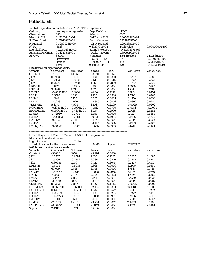#### **Pollock, all**

BMHORVEL

| Limited Dependent Variable Model - CENSORED |                  | regression                |                       |                |                   |                    |
|---------------------------------------------|------------------|---------------------------|-----------------------|----------------|-------------------|--------------------|
| Ordinary                                    |                  | least squares regression. | Dep. Variable         |                | <b>LPOLL</b>      |                    |
| Observations                                | 380              |                           | Weights               |                | ONE               |                    |
| <b>Mean of LHS</b>                          | $0.1580394E+01$  |                           | <b>Std.Dev of LHS</b> |                | $0.2058696E+01$   |                    |
| StdDev of resid.                            | $0.1726682E+01$  |                           | Sum of squares        |                | 0.1079278E+04     |                    |
| R-squared                                   |                  | $0.3280923E+00$           |                       | Adj. R-squared | 0.2965386E+00     |                    |
| F[17,                                       | 362]             |                           | $0.1039791E+02$       |                | Prob value        | 0.0000000E+00      |
| Log-likelihood                              | $-0.7375332E+03$ |                           | $Restr.(b=0) Log-1$   |                | $-0.8130837E+03$  |                    |
| Amemiya Pr. Criter.                         | $0.3122657E+01$  |                           | Akaike Info.Crit.     |                | $0.3976490E + 01$ |                    |
| <b>ANOVA</b>                                | Source           |                           | <b>Variation</b>      |                | Deg. freedom      | <b>Mean Square</b> |
|                                             | Regression       |                           | $0.5270111E+03$       |                | 17.               | 0.3100065E+02      |
|                                             | Residual         |                           | 0.1079278E+04         |                | 362.              | 0.2981431E+01      |
|                                             | Total            |                           | 0.1606289E+04         |                | 379.              | 0.4238230E+01      |
| $N(0,1)$ used for significance levels.      |                  |                           |                       |                |                   |                    |
| Variable                                    | Coefficient      | Std. Error                | t-ratio               | Prob.          | Var. Mean         | Var. st. dev.      |
| Constant                                    | $-1937.3$        | 643.6                     | $-3.010$              | 0.0026         |                   |                    |
| J162                                        | 0.92638          | 0.4346                    | 2.131                 | 0.0330         | 0.3237            | 0.4685             |
| J177                                        | 1.2384           | 0.5070                    | 2.443                 | 0.0146         | 0.2342            | 0.4241             |
| J192                                        | 0.76996          | 0.7230                    | 1.065                 | 0.2869         | 0.2237            | 0.4173             |
| <b>LDEPTH</b>                               | 3.8528           | 0.6249                    | 6.166                 | 0.0000         | 4.7950            | 0.5690             |
| <b>LGTEM</b>                                | 38.828           | 8.212                     | 4.728                 | 0.0000         | 1.7844            | 0.1748             |
| <b>LSLOPE</b>                               | $-0.82837E-01$   | 0.1030                    | $-0.804$              | 0.4211         | 3.1984            | 0.9756             |
| <b>LMLD</b>                                 | 2.5593           | 1.333                     | 1.920                 | 0.0548         | 1.5198            | 0.6260             |
| <b>LMSAL</b>                                | 1139.0           | 375.3                     | 3.035                 | 0.0024         | 3.4550            | 0.0336             |
| LBMSAL                                      | $-27.278$        | 7.020                     | $-3.886$              | 0.0001         | 0.0399            | 0.0287             |
| <b>VERTVEL</b>                              | 5.4075           | 4.504                     | 1.201                 | 0.2299         | -0.0025           | 0.0202             |
| <b>HORVELM</b>                              | $-0.19863E-01$   | 0.1096E-01                | $-1.812$              | 0.0700         | 13.0181           | 10.5005            |
| <b>BMHORVEL</b>                             | 0.45647E-01      | 0.4401E-01                | 1.037                 | 0.2996         | 2.7418            | 2.9262             |
| <b>LCHLA</b>                                | 0.72940          | 0.2705                    | 2.696                 | 0.0070         | 0.7227            | 0.5481             |
| LCHLA1                                      | $-0.23812$       | 0.2881                    | $-0.826$              | 0.4086         | 0.9196            | 0.4705             |
| L2GTEM                                      | $-9.7652$        | 2.148                     | -4.547                | 0.0000         | 3.2144            | 0.6562             |
| L2MSAL                                      | $-171.94$        | 54.64                     | $-3.147$              | 0.0016         | 11.9379           | 0.2306             |
| LMLD DEP                                    | $-0.50035$       | 0.3005                    | $-1.665$              | 0.0960         | 7.1724            | 2.8464             |
|                                             |                  |                           |                       |                |                   |                    |
| Limited Dependent Variable Model - CENSORED |                  |                           | regression            |                |                   |                    |
| <b>Maximum Likelihood Estimates</b>         |                  |                           |                       |                |                   |                    |
| Log-Likelihood                              |                  | $-628.14$                 |                       |                |                   |                    |
| Threshold values for the model: Lower       |                  |                           | 0.0000                | Upper          | **********        |                    |
| $N(0,1)$ used for significance levels.      |                  |                           |                       |                |                   |                    |
| Variable                                    | Coefficient      | Std. Error                | t-ratio               | Prob.          | Var. Mean         | Var. st. dev.      |
| Constant                                    | $-3281.3$        | 1050.                     | $-3.126$              | 0.0018         |                   |                    |
| J162                                        | 1.0767           | 0.6594                    | 1.633                 | 0.1025         | 0.3237            | 0.4685             |
| J177                                        | 1.6396           | 0.7861                    | 2.086                 | 0.0370         | 0.2342            | 0.4241             |
| J192                                        | 0.80336          | 1.106                     | 0.727                 | 0.4675         | 0.2237            | 0.4173             |

 LDEPTH 5.8535 0.9975 5.868 0.0000 4.7950 0.5690 LGTEM 60.649 13.48 4.498 0.0000 1.7844 0.1748 LSLOPE -0.16146 0.1544 -1.045 0.2958 3.1984 0.9756 LMLD 4.2850 2.116 2.025 0.0428 1.5198 0.6260 LMSAL 1919.7 611.2 3.141 0.0017 3.4550 0.0336 LBMSAL -38.469 10.70 -3.596 0.0003 0.0399 0.0287 VERTVEL 9.0343 6.867 1.316 0.1883 -0.0025 0.0202

 LCHLA 0.88612 0.4046 2.190 0.0285 0.7227 0.5481 LCHLA1 -0.44773 0.4311 -1.038 0.2991 0.9196 0.4705 L2GTEM -15.501 3.570 -4.342 0.0000 3.2144 0.6562 L2MSAL -287.83 89.00 -3.234 0.0012 11.9379 0.2306 LMLD\_DEP -0.86254 0.4681 -1.843 0.0654 7.1724 2.8464

 $\begin{array}{cccc} -0.36579\text{E}-01 & 0.1690\text{E}-01 & -2.164 & 0.0304 & 13.0181 & 10.500 \\ 0.12661 & 0.6929\text{E}-01 & 1.827 & 0.0677 & 2.7418 & 2.9262 \end{array}$ 

 $0.0000$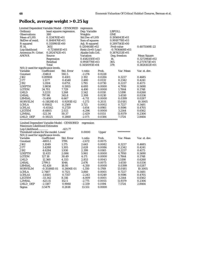# **Pollock, average weight > 0.25 kg**

| Limited Dependent Variable Model - CENSORED                                        |                  | regression                                 |                       |               |                  |                    |
|------------------------------------------------------------------------------------|------------------|--------------------------------------------|-----------------------|---------------|------------------|--------------------|
| Ordinary                                                                           |                  | Dep. Variable<br>least squares regression. |                       |               | <b>LBPOLL</b>    |                    |
| <b>Observations</b>                                                                | 380              |                                            | Weights               |               | <b>ONE</b>       |                    |
| Mean of LHS                                                                        | $0.1134761E+01$  |                                            | <b>Std.Dev of LHS</b> |               | 0.1956043E+01    |                    |
| StdDev of resid.                                                                   | 0.1648476E+01    |                                            | Sum of squares        |               | 0.9918778E+03    |                    |
| R-squared                                                                          | 0.3159901E+00    |                                            | Adj. R-squared        |               | 0.2897541E+00    |                    |
| F[14,                                                                              | 365]             |                                            | 0.1204414E+02         |               | Prob value       | 0.4875549E-22      |
| Log-likelihood                                                                     | $-0.7214881E+03$ |                                            | $Restr.(b=0) Log-1$   |               | $-0.7936468E+03$ |                    |
| Amemiya Pr. Criter.                                                                | $0.2824742E+01$  |                                            | Akaike Info.Crit.     |               | $0.3876253E+01$  |                    |
| ANOVA                                                                              | Source           |                                            | <b>Variation</b>      |               | Deg. freedom     | <b>Mean Square</b> |
|                                                                                    | Regression       |                                            |                       | 0.4582150E+03 | 14.              | $0.3272964E+02$    |
|                                                                                    | Residual         |                                            | $0.9918778E+03$       |               | 365.             | $0.2717473E + 01$  |
|                                                                                    | Total            |                                            | 0.1450093E+04         |               | 379.             | $0.3826102E+01$    |
| $N(0,1)$ used for significance levels.                                             |                  |                                            |                       |               |                  |                    |
| Variable                                                                           | Coefficient      | Std. Error                                 | t-ratio               | Prob.         | Var. Mean        | Var. st. dev.      |
| Constant                                                                           | $-1348.8$        | 592.5                                      | $-2.276$              | 0.0228        |                  |                    |
| J162                                                                               | 0.89908          | 0.4101                                     | 2.192                 | 0.0284        | 0.3237           | 0.4685             |
| J177                                                                               | 1.1277           | 0.4548                                     | 2.480                 | 0.0132        | 0.2342           | 0.4241             |
| J192                                                                               | 1.2104           | 0.6751                                     | 1.793                 | 0.0730        | 0.2237           | 0.4173             |
| <b>LDEPTH</b>                                                                      | 3.9858           | 0.5955                                     | 6.693                 | 0.0000        | 4.7950           | 0.5690             |
| <b>LGTEM</b>                                                                       | 34.701           | 7.729                                      | 4.490                 | 0.0000        | 1.7844           | 0.1748             |
| <b>LMLD</b>                                                                        | 3.2231           | 1.268                                      | 2.542                 | 0.0110        | 1.5198           | 0.6260             |
| LMSAL                                                                              | 797.98           | 345.8                                      | 2.308                 | 0.0210        | 3.4550           | 0.0336             |
| <b>LBMSAL</b>                                                                      | $-31.406$        | 6.667                                      | $-4.711$              | 0.0000        | 0.0399           | 0.0287             |
| <b>HORVELM</b>                                                                     | $-0.11829E - 01$ | 0.9293E-02                                 | $-1.273$              | 0.2031        | 13.0181          | 10.5005            |
| <b>LCHLA</b>                                                                       | 0.95612          | 0.2569                                     | 3.721                 | 0.0002        | 0.7227           | 0.5481             |
| LCHLA1                                                                             | $-0.45142$       | 0.2729                                     | $-1.654$              | 0.0981        | 0.9196           | 0.4705             |
| L2GTEM                                                                             | $-8.6805$        | 2.021                                      | $-4.296$              | 0.0000        | 3.2144           | 0.6562             |
| <b>L2MSAL</b>                                                                      | $-122.34$        | 50.37                                      | $-2.429$              | 0.0151        | 11.9379          | 0.2306             |
| LMLD DEP                                                                           | $-0.59225$       | 0.2860                                     | $-2.071$              | 0.0384        | 7.1724           | 2.8464             |
|                                                                                    |                  |                                            |                       |               |                  |                    |
|                                                                                    |                  |                                            |                       |               |                  |                    |
| Limited Dependent Variable Model - CENSORED<br><b>Maximum Likelihood Estimates</b> |                  |                                            | regression            |               |                  |                    |
| Log-Likelihood                                                                     |                  | $-421.77$                                  |                       |               |                  |                    |
| Threshold values for the model: Lower                                              |                  |                                            | 0.0000                | Upper         | **********       |                    |
|                                                                                    |                  |                                            |                       |               |                  |                    |
| $N(0,1)$ used for significance levels.<br>Variable                                 | Coefficient      | Std. Error                                 |                       |               |                  |                    |
|                                                                                    |                  |                                            | t-ratio               | Prob.         | Var. Mean        | Var. st. dev.      |
| Constant                                                                           | $-4805.1$        | 1799.                                      | $-2.672$              | 0.0075        |                  |                    |
| J162                                                                               | 3.1049           | 1.175                                      | 2.643                 | 0.0082        | 0.3237           | 0.4685             |
| J177                                                                               | 3.4288           | 1.305                                      | 2.628                 | 0.0086        | 0.2342           | 0.4241             |
| J192                                                                               | 4.6284           | 1.930                                      | 2.399                 | 0.0165        | 0.2237           | 0.4173             |
| <b>LDEPTH</b>                                                                      | 12.433           | 2.086                                      | 5.961                 | 0.0000        | 4.7950           | 0.5690             |
| <b>LGTEM</b>                                                                       | 127.18           | 30.49                                      | 4.171                 | 0.0000        | 1.7844           | 0.1748             |
| <b>LMLD</b>                                                                        | 12.360           | 4.333                                      | 2.853                 | 0.0043        | 1.5198           | 0.6260             |
| <b>LMSAL</b>                                                                       | 2799.5           | 1046.                                      | 2.676                 | 0.0075        | 3.4550           | 0.0336             |
| <b>LBMSAL</b>                                                                      | $-82.426$        | 18.95                                      | $-4.350$              | 0.0000        | 0.0399           | 0.0287             |
| <b>HORVELM</b>                                                                     | $-0.35186E-01$   | 0.2606E-01                                 | $-1.350$              | 0.1769        | 13.0181          | 10.5005            |
| LCHLA                                                                              | 2.7487           | 0.7121                                     | 3.860                 | 0.0001        | 0.7227           | 0.5481             |
| LCHLA1                                                                             | $-1.6501$        | 0.7357                                     | $-2.243$              | 0.0249        | 0.9196           | 0.4705             |
| L2GTEM                                                                             | $-33.342$        | 8.316                                      | $-4.009$              | 0.0001        | 3.2144           | 0.6562             |
| <b>L2MSAL</b>                                                                      | $-423.15$        | 152.5                                      | $-2.775$              | 0.0055        | 11.9379          | 0.2306             |
| LMLD_DEP                                                                           | $-2.1187$        | 0.9060                                     | $-2.339$              | 0.0194        | 7.1724           | 2.8464             |
| Sigma                                                                              | 3.5479           | 0.2618                                     | 13.551                | 0.0000        |                  |                    |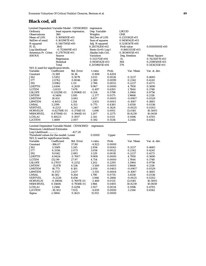## **Black cod, all**

| Limited Dependent Variable Model - CENSORED |                  |                           | regression            |                        |                  |                    |
|---------------------------------------------|------------------|---------------------------|-----------------------|------------------------|------------------|--------------------|
| Ordinary                                    |                  | least squares regression. | Dep. Variable         |                        | <b>LBCOD</b>     |                    |
| <b>Observations</b>                         | 380              |                           | Weights               |                        | <b>ONE</b>       |                    |
| Mean of LHS                                 | $0.1691693E+01$  |                           | <b>Std.Dev of LHS</b> |                        | $0.2331162E+01$  |                    |
| StdDev of resid.                            | $0.1611987E+01$  |                           | Sum of squares        |                        | $0.9458542E+03$  |                    |
| R-squared                                   | 0.5407595E+00    |                           | Adj. R-squared        |                        | 0.5218347E+00    |                    |
| F[15,                                       | 3641             |                           | $0.2857420E+02$       |                        | Prob value       | $0.0000000E + 00$  |
| Log-likelihood                              | $-0.7124609E+03$ |                           | $Restr.(b=0) Log-1$   |                        | $-0.8603153E+03$ |                    |
| Amemiya Pr. Criter.                         | $0.2707911E+01$  |                           | Akaike Info.Crit.     |                        | 0.3834005E+01    |                    |
| <b>ANOVA</b>                                | Source           |                           | <b>Variation</b>      |                        | Deg. freedom     | <b>Mean Square</b> |
|                                             | Regression       |                           | 0.1113751E+04         |                        | 15.              | 0.7425007E+02      |
|                                             | Residual         |                           | 0.9458542E+03         |                        | 364.             | 0.2598500E+01      |
|                                             | Total            |                           | 0.2059605E+04         |                        | 379.             | 0.5434315E+01      |
| $N(0,1)$ used for significance levels.      |                  |                           |                       |                        |                  |                    |
| Variable                                    | Coefficient      | Std. Error                | t-ratio               | Prob.                  | Var. Mean        | Var. st. dev.      |
| Constant                                    | $-11.569$        | 14.36                     | $-0.806$              | 0.4204                 |                  |                    |
| J162                                        | 1.5302           | 0.5078                    | 3.013                 | 0.0026                 | 0.3237           | 0.4685             |
| J177                                        | 2.0762           | 0.8046                    | 2.580                 | 0.0099                 | 0.2342           | 0.4241             |
| J192                                        | 3.0962           | 1.111                     | 2.786                 | 0.0053                 | 0.2237           | 0.4173             |
| <b>LDEPTH</b>                               | 2.6106           | 0.2619                    | 9.967                 | 0.0000                 | 4.7950           | 0.5690             |
| <b>LGTEM</b>                                | $-3.8113$        | 7.670                     | $-0.497$              | 0.6193                 | 1.7844           | 0.1748             |
| <b>LSLOPE</b>                               | 0.53129E-01      | 0.9596E-01                | 0.554                 | 0.5798                 | 3.1984           | 0.9756             |
| <b>LMTEM</b>                                | $-4.5406$        | 1.910                     | $-2.377$              | 0.0175                 | 1.9668           | 0.2118             |
| <b>LMSTEM</b>                               | 10.651           | 3.081                     | 3.457                 | 0.0005                 | $-0.0907$        | 0.0529             |
| <b>LBMTEM</b>                               | $-4.4453$        | 1.154                     | $-3.851$              | 0.0001                 | $-0.1087$        | 0.1885             |
| LMSAL                                       | 3.2199           | 4.153                     | 0.775                 | 0.4381                 | 3.4550           | 0.0336             |
| <b>VERTVEL</b>                              | $-6.2213$        | 4.241                     | $-1.467$              | 0.1424                 | $-0.0025$        | 0.0202             |
| <b>HORVELM</b>                              | $-0.62759E-01$   | 0.3714E-01                | $-1.690$              | 0.0911                 | 13.0181          | 10.5005            |
| <b>MSHORVEL</b>                             | 0.47594E-01      | 0.3944E-01                | 1.207                 | 0.2275                 | 10.8239          | 10.0659            |
| LCHLA1                                      | 0.49223          | 0.1937                    | 2.541                 | 0.0111                 | 0.9196           | 0.4705             |
| L2GTEM                                      | 1.1889           | 2.007                     | 0.592                 | 0.5536                 | 3.2144           | 0.6562             |
|                                             |                  |                           |                       | ********************** |                  |                    |
| Limited Dependent Variable Model - CENSORED |                  |                           | regression            |                        |                  |                    |
| <b>Maximum Likelihood Estimates</b>         |                  |                           |                       |                        |                  |                    |
| Log-Likelihood                              |                  | $-427.20$                 |                       |                        |                  |                    |
| Threshold values for the model: Lower       |                  |                           | 0.0000                | Upper                  | **********       |                    |
| $N(0,1)$ used for significance levels.      |                  |                           |                       |                        |                  |                    |
| Variable                                    | Coefficient      | Std. Error                | t-ratio               | Prob.                  | Var. Mean        | Var. st. dev.      |
| Constant                                    | $-186.07$        | 37.80                     | $-4.923$              | 0.0000                 |                  |                    |
| J162                                        | 3.5569           | 1.245                     | 2.856                 | 0.0043                 | 0.3237           | 0.4685             |
| J177                                        | 6.3356           | 2.073                     | 3.056                 | 0.0022                 | 0.2342           | 0.4241             |
| J192                                        | 9.0142           | 2.881                     | 3.129                 | 0.0018                 | 0.2237           | 0.4173             |
| <b>LDEPTH</b>                               | 6.9424           | 0.7007                    | 9.908                 | 0.0000                 | 4.7950           | 0.5690             |
| <b>LGTEM</b>                                | 132.99           | 27.97                     | 4.754                 | 0.0000                 | 1.7844           | 0.1748             |
| <b>LSLOPE</b>                               | 0.27057          | 0.2252                    | 1.202                 | 0.2295                 | 3.1984           | 0.9756             |
| <b>LMTEM</b>                                | $-15.878$        | 4.536                     | $-3.500$              | 0.0005                 | 1.9668           | 0.2118             |
| <b>LMSTEM</b>                               | 16.773           | 8.181                     | 2.050                 | 0.0403                 | -0.0907          | 0.0529             |
| <b>LBMTEM</b>                               | $-9.3727$        | 2.637                     | $-3.555$              | 0.0004                 | $-0.1087$        | 0.1885             |
| <b>LMSAL</b>                                | 16.582           | 9.264                     | 1.790                 | 0.0735                 | 3.4550           | 0.0336             |
| <b>VERTVEL</b>                              | $-9.2226$        | 8.656                     | $-1.066$              | 0.2866                 | $-0.0025$        | 0.0202             |
| <b>HORVELM</b>                              | $-0.19006$       | 0.7697E-01                | $-2.469$              | 0.0135                 | 13.0181          | 10.5005            |
| <b>MSHORVEL</b>                             | 0.15606          | 0.7938E-01                | 1.966                 | 0.0493                 | 10.8239          | 10.0659            |
| LCHLA1                                      | 1.2566           | 0.4294                    | 2.927                 | 0.0034                 | 0.9196           | 0.4705             |
| L2GTEM                                      | $-36.502$        | 7.835                     | $-4.659$              | 0.0000                 | 3.2144           | 0.6562             |
| Sigma                                       | 2.5864           | 0.1625                    | 15.913                | 0.0000                 |                  |                    |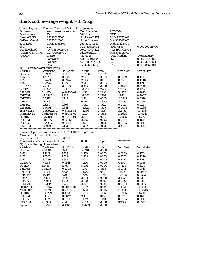# **Black cod, average weight > 0.75 kg**

| Limited Dependent Variable Model - CENSORED |                  | regression                |                       |        |                  |                    |  |
|---------------------------------------------|------------------|---------------------------|-----------------------|--------|------------------|--------------------|--|
| Ordinary                                    |                  | least squares regression. | Dep. Variable         |        | <b>LBBCOD</b>    |                    |  |
| <b>Observations</b>                         | 374              |                           | Weights               |        | <b>ONE</b>       |                    |  |
| Mean of LHS                                 | $0.1696323E+01$  |                           | <b>Std.Dev of LHS</b> |        | $0.2349267E+01$  |                    |  |
| StdDev of resid.                            | $0.1628311E+01$  |                           | Sum of squares        |        | 0.9438974E+03    |                    |  |
| R-squared                                   | 0.5414875E+00    |                           | Adj. R-squared        |        | $0.5195922E+00$  |                    |  |
| F[ 17,                                      | 3561             |                           | 0.2473081E+02         |        | Prob value       | 0.0000000E+00      |  |
| Log-likelihood                              | $-0.7038005E+03$ |                           | $Restr.(b=0)$ Log-l   |        | $-0.8496170E+03$ |                    |  |
| Amemiya Pr. Criter.                         | 0.2779005E+01    |                           | Akaike Info.Crit.     |        | 0.3859895E+01    |                    |  |
| <b>ANOVA</b>                                | Source           |                           | Variation             |        | Deg. freedom     | <b>Mean Square</b> |  |
|                                             | Regression       |                           | 0.1114710E+04         |        | 17.              | 0.6557120E+02      |  |
|                                             | Residual         |                           | 0.9438974E+03         |        | 356.             | 0.2651397E+01      |  |
|                                             | Total            |                           | 0.2058608E+04         |        | 373.             | 0.5519056E+01      |  |
| $N(0,1)$ used for significance levels.      |                  |                           |                       |        |                  |                    |  |
| Variable                                    | Coefficient      | Std. Error                | t-ratio               | Prob.  | Var. Mean        | Var. st. dev.      |  |
| Constant                                    | $-15.959$        | 20.30                     | $-0.786$              | 0.4317 |                  |                    |  |
| J162                                        | 1.7021           | 0.5732                    | 2.969                 | 0.0030 | 0.3289           | 0.4704             |  |
| J177                                        | 2.2423           | 0.8924                    | 2.513                 | 0.0120 | 0.2353           | 0.4248             |  |
| J192                                        | 3.2224           | 1.185                     | 2.719                 | 0.0065 | 0.2273           | 0.4196             |  |
| LDEPTH                                      | 2.9182           | 0.3463                    | 8.427                 | 0.0000 | 4.8091           | 0.5586             |  |
| <b>LGTEM</b>                                | $-10.021$        | 8.246                     | $-1.215$              | 0.2242 | 1.7859           | 0.1739             |  |
| <b>LSLOPE</b>                               | 0.11155          | 0.9676E-01                | 1.153                 | 0.2490 | 3.1972           | 0.9813             |  |
| <b>LMTEM</b>                                | $-2.0865$        | 1.928                     | $-1.082$              | 0.2792 | 1.9714           | 0.2087             |  |
| <b>LMSTEM</b>                               | 8.5575           | 3.145                     | 2.721                 | 0.0065 | $-0.0915$        | 0.0528             |  |
| LMSAL                                       | 4.6443           | 6.711                     | 0.692                 | 0.4889 | 3.4556           | 0.0334             |  |
| LMSSAL                                      | 9.1180           | 6.368                     | 1.432                 | 0.1522 | 0.0127           | 0.0241             |  |
| LBMSAL                                      | $-9.0701$        | 6.851                     | $-1.324$              | 0.1855 | 0.0404           | 0.0286             |  |
| <b>HORVELM</b>                              | $-0.56622E-01$   | 0.3755E-01                | $-1.508$              | 0.1316 | 13.1751          | 10.4944            |  |
| <b>MSHORVEL</b>                             | 0.51108E-01      | 0.3954E-01                | 1.293                 | 0.1962 | 10.9839          | 10.0643            |  |
| <b>SSHRE</b>                                | 0.12401          | 0.5373E-01                | 2.308                 | 0.0210 | $-3.5265$        | 1.8770             |  |
| LCHLA1                                      | 0.83496          | 0.3605                    | 2.316                 | 0.0206 | 0.9176           | 0.4615             |  |
| LCHLA2                                      | $-0.43952$       | 0.3528                    | $-1.246$              | 0.2128 | 0.8485           | 0.5044             |  |
| L2GTEM                                      | 2.6929           | 2.173                     | 1.239                 | 0.2153 | 3.2197           | 0.6533             |  |
|                                             |                  |                           |                       |        |                  |                    |  |
| Limited Dependent Variable Model - CENSORED |                  |                           | regression            |        |                  |                    |  |
| <b>Maximum Likelihood Estimates</b>         |                  |                           |                       |        |                  |                    |  |
| Log-Likelihood                              |                  | $-391.25$                 |                       |        |                  |                    |  |
| Threshold values for the model: Lower       |                  |                           | 0.0000                | Upper  | **********       |                    |  |
| N(0,1) used for significance levels.        |                  |                           |                       |        |                  |                    |  |
| Variable                                    | Coefficient      | Std. Error                | t-ratio               | Prob.  | Var. Mean        | Var. st. dev.      |  |
| Constant                                    | -466.94          | 89.95                     | -5.191                | 0.0000 |                  |                    |  |
| J162                                        | 4.1629           | 1.509                     | 2.759                 | 0.0058 | 0.3289           | 0.4704             |  |
| J177                                        | 7.3562           | 2.529                     | 2.909                 | 0.0036 | 0.2353           | 0.4248             |  |
| J192                                        | 8.7336           | 3.343                     | 2.613                 | 0.0090 | 0.2273           | 0.4196             |  |
| LDEPTH                                      | 7.1558           | 0.9911                    | 7.220                 | 0.0000 | 4.8091           | 0.5586             |  |
| <b>LGTEM</b>                                | 115.82           | 32.66                     | 3.546                 | 0.0004 | 1.7859           | 0.1739             |  |
| <b>LSLOPE</b>                               | 0.31719          | 0.2308                    | 1.374                 | 0.1694 | 3.1972           | 0.9813             |  |
| <b>LMTEM</b>                                | $-10.210$        | 5.835                     | $-1.750$              | 0.0801 | 1.9714           | 0.2087             |  |
| <b>LMSTEM</b>                               | 13.796           | 8.799                     | 1.568                 | 0.1169 | $-0.0915$        | 0.0528             |  |
| LMSAL                                       | 97.421           | 29.22                     | 3.334                 | 0.0009 | 3.4556           | 0.0334             |  |
| LMSSAL                                      | 34.048           | 15.62                     | 2.180                 | 0.0292 | 0.0127           | 0.0241             |  |
| LBMSAL                                      | 70.359           | 31.05                     | 2.266                 | 0.0234 | 0.0404           | 0.0286             |  |
| <b>HORVELM</b>                              | $-0.17467$       | 0.8019E-01                | $-2.178$              | 0.0294 | 13.1751          | 10.4944            |  |
| <b>MSHORVEL</b>                             | 0.13521          | 0.7991E-01                | 1.692                 | 0.0906 | 10.9839          |                    |  |
| <b>SSHRE</b>                                | 0.17729          | 0.1218                    | 1.455                 | 0.1456 | $-3.5265$        | 10.0643<br>1.8770  |  |
| LCHLA1                                      | 2.1955           | 0.8847                    | 2.482                 | 0.0131 | 0.9176           | 0.4615             |  |
| LCHLA2                                      | $-1.1974$        |                           |                       | 0.1540 |                  | 0.5044             |  |
| L2GTEM                                      | $-31.303$        | 0.8400<br>9.360           | $-1.425$<br>$-3.344$  | 0.0008 | 0.8485<br>3.2197 | 0.6533             |  |
| Sigma                                       | 2.4939           | 0.1595                    | 15.633                | 0.0000 |                  |                    |  |
|                                             |                  |                           |                       |        |                  |                    |  |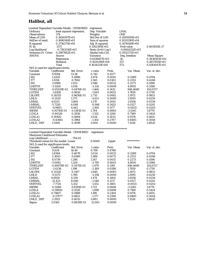## **Halibut, all**

| Limited Dependent Variable Model - CENSORED |                  |                           | regression               |        |                  |                 |
|---------------------------------------------|------------------|---------------------------|--------------------------|--------|------------------|-----------------|
| Ordinary                                    |                  | least squares regression. | Dep. Variable<br>Weights |        | LHAL             |                 |
| <b>Observations</b>                         |                  | 374                       |                          |        | <b>ONE</b>       |                 |
| Mean of LHS                                 | 0.3650597E+01    |                           | <b>Std.Dev of LHS</b>    |        | $0.2093095E+01$  |                 |
| StdDev of resid.                            | 0.1690549E+01    |                           | Sum of squares           |        | 0.1020290E+04    |                 |
| R-squared                                   | 0.3756375E+00    |                           | Adj. R-squared           |        | 0.3476549E+00    |                 |
| F  16,                                      | 3571             |                           | 0.1342395E+02            |        | Prob value       | 0.4611915E-27   |
| Log-likelihood                              | $-0.7183536E+03$ |                           | $Restr.(b=0) Log-1$      |        | $-0.8064352E+03$ |                 |
| Amemiya Pr. Criter.                         | $0.2987862E+01$  |                           | Akaike Info.Crit.        |        | 0.3932372E+01    |                 |
| ANOVA                                       | Source           |                           | Variation                |        | Deg. freedom     | Mean Square     |
|                                             | Regression       |                           | 0.6138407E+03            |        | 16.              | 0.3836505E+02   |
|                                             | Residual         |                           | 0.1020290E+04            |        | 357.             | $0.2857955E+01$ |
|                                             | Total            |                           | 0.1634131E+04            |        | 373.             | 0.4381047E+01   |
| $N(0,1)$ used for significance levels.      |                  |                           |                          |        |                  |                 |
| Variable                                    | Coefficient      | Std. Error                | t-ratio                  | Prob.  | Var. Mean        | Var. st. dev.   |
| Constant                                    | 9.9394           | 13.38                     | 0.743                    | 0.4577 |                  |                 |
| J162                                        | 1.4329           | 0.4986                    | 2.874                    | 0.0041 | 0.3289           | 0.4704          |
| J177                                        | 1.8114           | 0.7062                    | 2.565                    | 0.0103 | 0.2353           | 0.4248          |
| J192                                        | 3.0988           | 1.052                     | 2.946                    | 0.0032 | 0.2273           | 0.4196          |
| LDEPTH                                      | -3.5200          | 1.056                     | $-3.332$                 | 0.0009 | 4.8091           | 0.5586          |
| TIMELDEP                                    | -0.65529E-02     | 0.4476E-02                | $-1.464$                 | 0.1432 | 846.4649         | 124.6727        |
| LGTEM                                       | $-1.8108$        | 0.9826                    | $-1.843$                 | 0.0653 | 1.7859           | 0.1739          |
| <b>LSLOPE</b>                               | 0.26355          | 0.9636E-01                | 2.735                    | 0.0062 | 3.1972           | 0.9813          |
| LMLD                                        | -6.3529          | 1.375                     | $-4.621$                 | 0.0000 | 1.5095           | 0.6250          |
| LMSAL                                       | 4.6533           | 3.664                     | 1.270                    | 0.2041 | 3.4556           | 0.0334          |
| LMSSAL                                      | -5.7320          | 6.048                     | $-0.948$                 | 0.3433 | 0.0127           | 0.0241          |
| <b>VERTVEL</b>                              | -6.9483          | 4.442                     | $-1.564$                 | 0.1177 | $-0.0025$        | 0.0202          |
| <b>SSHRE</b>                                | 0.91710E-01      | 0.5381E-01                | 1.704                    | 0.0883 | -3.5265          | 1.8770          |
| <b>LCHLA</b>                                | -0.44326         | 0.2856                    | $-1.552$                 | 0.1206 | 0.7189           | 0.5424          |
| LCHLA1                                      | 0.50492          | 0.4884                    | 1.034                    | 0.3013 | 0.9176           | 0.4615          |
| LCHLA2                                      | $-0.43661$       | 0.3964                    | $-1.102$                 | 0.2707 | 0.8485           | 0.5044          |
| LMLD DEP                                    | 1.5506           | 0.3099                    | 5.004                    | 0.0000 | 7.1526           | 2.8620          |
|                                             |                  |                           |                          |        |                  |                 |
| Limited Dependent Variable Model - CENSORED |                  |                           | regression               |        |                  |                 |
| Maximum Likelihood Estimates                |                  |                           |                          |        |                  |                 |
| Log-Likelihood                              |                  | $-704.05$                 |                          |        |                  |                 |
| Threshold values for the model: Lower       |                  |                           | 0.0000                   | Upper  | **********       |                 |
| $N(0,1)$ used for significance levels.      |                  |                           |                          |        |                  |                 |
| Variable                                    | Coefficient      | Std. Error                | t-ratio                  | Prob.  | Var. Mean        | Var. st. dev.   |
| Constant                                    | 11.614           | 16.40                     | 0.708                    | 0.4788 |                  |                 |
| J162                                        | 1.8384           | 0.6079                    | 3.024                    | 0.0025 | 0.3289           | 0.4704          |
| J177                                        | 2.3043           | 0.8580                    | 2.686                    | 0.0072 | 0.2353           | 0.4248          |
| J192                                        | 4.0739           | 1.286                     | 3.167                    | 0.0015 | 0.2273           | 0.4196          |
| LDEPTH                                      | -5.0082          | 1.320                     | $-3.795$                 | 0.0001 | 4.8091           | 0.5586          |
| TIMELDEP                                    | -0.80978E-02     | 0.5475E-02                | $-1.479$                 | 0.1391 | 846.4649         | 124.6727        |
| LGTEM                                       | $-2.6236$        | 1.198                     | $-2.189$                 | 0.0286 | 1.7859           | 0.1739          |
| <b>LSLOPE</b>                               | 0.31328          | 0.1187                    | 2.640                    | 0.0083 | 3.1972           | 0.9813          |
| LMLD                                        | -9.5375          | 1.780                     | $-5.358$                 | 0.0000 | 1.5095           | 0.6250          |
| LMSAL                                       | 6.6920           | 4.539                     | 1.474                    | 0.1404 | 3.4556           | 0.0334          |
| <b>LMSSAL</b>                               | -12.453          | 8.046                     | $-1.548$                 | 0.1217 | 0.0127           | 0.0241          |
| <b>VERTVEL</b>                              | $-7.7724$        | 5.352                     | $-1.452$                 | 0.1465 | $-0.0025$        | 0.0202          |
| <b>SSHRE</b>                                | 0.11360          | 0.6591E-01                | 1.723                    | 0.0848 | $-3.5265$        | 1.8770          |
| <b>LCHLA</b>                                | $-0.59920$       | 0.3528                    | $-1.698$                 | 0.0894 | 0.7189           | 0.5424          |
| LCHLA1                                      | 0.71807          | 0.5988                    | 1.199                    | 0.2304 | 0.9176           | 0.4615          |
| LCHLA <sub>2</sub>                          | $-0.57077$       | 0.4851                    | $-1.177$                 | 0.2394 | 0.8485           | 0.5044          |
| LMLD_DEP                                    | 2.2913           | 0.4032                    | 5.683                    | 0.0000 | 7.1526           | 2.8620          |
| Sigma                                       | 2.0165           | 0.8828E-01                | 22.841                   | 0.0000 |                  |                 |
|                                             |                  |                           |                          |        |                  |                 |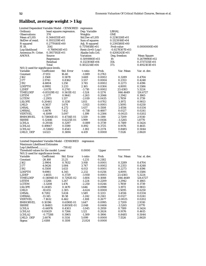# **Halibut, average weight > 1 kg**

| Limited Dependent Variable Model - CENSORED                                        |                 |                           | regression          |        |                  |                    |
|------------------------------------------------------------------------------------|-----------------|---------------------------|---------------------|--------|------------------|--------------------|
| Ordinary                                                                           |                 | least squares regression. | Dep. Variable       |        | LBHAL            |                    |
| <b>Observations</b>                                                                | 374             |                           | Weights             |        | <b>ONE</b>       |                    |
| Mean of LHS                                                                        | $0.3444155E+01$ |                           | Std.Dev of LHS      |        | 0.2216326E+01    |                    |
| StdDev of resid.                                                                   | $0.1933219E+01$ |                           | Sum of squares      |        | 0.1323016E+04    |                    |
| R-squared                                                                          | 0.2779140E+00   |                           | Adj. R-squared      |        | 0.2391580E+00    |                    |
| F[19,                                                                              | 354]            |                           | 0.7170858E+01       |        | Prob value       | 0.0000000E+00      |
| Log-likelihood                                                                     | -0.7669414E+03  |                           | $Restr.(b=0) Log-1$ |        | $-0.8278307E+03$ |                    |
| Amemiya Pr. Criter.                                                                | $0.3937192E+01$ |                           | Akaike Info.Crit.   |        | 0.4208243E+01    |                    |
| <b>ANOVA</b>                                                                       | Source          |                           | <b>Variation</b>    |        | Deg. freedom     | <b>Mean Square</b> |
|                                                                                    | Regression      |                           | 0.5091980E+03       |        | 19.              | 0.2679990E+02      |
|                                                                                    | Residual        |                           | 0.1323016E+04       |        | 354.             | 0.3737335E+01      |
|                                                                                    | Total           |                           | 0.1832214E+04       |        | 373.             | 0.4912103E+01      |
| $N(0,1)$ used for significance levels.                                             |                 |                           |                     |        |                  |                    |
| Variable                                                                           | Coefficient     | Std. Error                | t-ratio             | Prob.  | Var. Mean        | Var. st. dev.      |
| Constant                                                                           | $-17.851$       | 16.40                     | $-1.089$            | 0.2763 |                  |                    |
| J162                                                                               | 2.1568          | 0.5878                    | 3.669               | 0.0002 | 0.3289           | 0.4704             |
| J177                                                                               | 2.9741          | 0.8362                    | 3.557               | 0.0004 | 0.2353           | 0.4248             |
| J192                                                                               | 4.6804          | 1.250                     | 3.745               | 0.0002 | 0.2273           | 0.4196             |
| LDEPTH                                                                             | 6.9992          | 3.233                     | 2.165               | 0.0304 | 4.8091           | 0.5586             |
| L2DEP                                                                              | $-1.0170$       | 0.2741                    | $-3.710$            | 0.0002 | 23.4383          | 5.3224             |
| TIMELDEP                                                                           | -0.85529E-02    | 0.5611E-02                | $-1.524$            | 0.1274 | 846.4649         | 124.6727           |
| <b>LSTEM</b>                                                                       | $-1.2177$       | 0.9641                    | $-1.263$            | 0.2066 | 2.2942           | 0.1865             |
| <b>LGTEM</b>                                                                       | $-2.2955$       | 1.137                     | $-2.019$            | 0.0435 | 1.7859           | 0.1739             |
| <b>LSLOPE</b>                                                                      | 0.20461         | 0.1130                    | 1.811               | 0.0702 | 3.1972           | 0.9813             |
| <b>LMLD</b>                                                                        | $-6.5637$       | 1.674                     | $-3.921$            | 0.0001 | 1.5095           | 0.6250             |
| <b>LMSAL</b>                                                                       | 6.1386          | 4.272                     | 1.437               | 0.1508 | 3.4556           | 0.0334             |
| <b>LMSSAL</b>                                                                      | $-5.4676$       | 7.412                     | $-0.738$            | 0.4607 | 0.0127           | 0.0241             |
| <b>VERTVEL</b>                                                                     | $-6.1099$       | 5.097                     | $-1.199$            | 0.2306 | -0.0025          | 0.0202             |
| <b>BMHORVEL</b>                                                                    | 0.73806E-01     | 0.4734E-01                | 1.559               | 0.1190 | 2.7209           | 2.9310             |
| <b>SSHRE</b>                                                                       | 0.12446         | 0.6225E-01                | 1.999               | 0.0456 | $-3.5265$        | 1.8770             |
| LCHLA                                                                              | $-0.29316$      | 0.3297                    | $-0.889$            | 0.3739 | 0.7189           | 0.5424             |
| LCHLA1                                                                             | 0.49847         | 0.5590                    | 0.892               | 0.3725 | 0.9176           | 0.4615             |
| LCHLA2                                                                             | $-0.53682$      | 0.4543                    | $-1.182$            | 0.2374 | 0.8485           | 0.5044             |
| LMLD_DEP                                                                           | 1.6323          | 0.3694                    | 4.419               | 0.0000 | 7.1526           | 2.8620             |
|                                                                                    |                 |                           |                     |        |                  |                    |
|                                                                                    |                 |                           |                     |        |                  |                    |
| Limited Dependent Variable Model - CENSORED<br><b>Maximum Likelihood Estimates</b> |                 |                           | regression          |        |                  |                    |
| Log-Likelihood                                                                     |                 | -730.62                   |                     |        |                  |                    |
| Threshold values for the model: Lower                                              |                 |                           | 0.0000              | Upper  | **********       |                    |
| $N(0,1)$ used for significance levels.                                             |                 |                           |                     |        |                  |                    |
| Variable                                                                           | Coefficient     | Std. Error                | t-ratio             | Prob.  | Var. Mean        | Var. st. dev.      |
| Constant                                                                           | $-26.168$       | 21.25                     | $-1.231$            | 0.2182 |                  |                    |
| J162                                                                               | 2.9904          | 0.7632                    | 3.918               | 0.0001 | 0.3289           | 0.4704             |
| J177                                                                               | 4.0626          | 1.084                     | 3.747               | 0.0002 | 0.2353           | 0.4248             |
| <b>J</b> 192                                                                       | 6.5508          | 1.633                     | 4.013               | 0.0001 | 0.2273           | 0.4196             |
| LDEPTH                                                                             | 9.6981          | 4.345                     | 2.232               | 0.0256 | 4.8091           | 0.5586             |
| L2DEP                                                                              | $-1.4655$       | 0.3729                    | $-3.930$            | 0.0001 | 23.4383          | 5.3224             |
| <b>TIMELDEP</b>                                                                    | $0.11694E-01$   | 0.7292E-02                | $-1.604$            | 0.1088 | 846.4649         | 124.6727           |
| <b>LSTEM</b>                                                                       | $-1.5266$       | 1.247                     | $-1.224$            | 0.2209 | 2.2942           | 0.1865             |
| <b>LGTEM</b>                                                                       | $-3.3208$       | 1.476                     | $-2.250$            | 0.0244 | 1.7859           | 0.1739             |
| <b>LSLOPE</b>                                                                      | 0.24185         | 0.1470                    | 1.646               | 0.0998 | 3.1972           | 0.9813             |
| LMLD                                                                               | $-10.655$       | 2.305                     | $-4.624$            | 0.0000 | 1.5095           | 0.6250             |
| <b>LMSAL</b>                                                                       | 8.7282          | 5.634                     | 1.549               | 0.1213 | 3.4556           | 0.0334             |
| LMSSAL                                                                             | $-13.145$       | 10.58                     | $-1.242$            | 0.2141 | 0.0127           | 0.0241             |
| <b>VERTVEL</b>                                                                     | $-7.1632$       | 6.462                     | $-1.108$            | 0.2677 | $-0.0025$        | 0.0202             |
| <b>BMHORVEL</b>                                                                    | 0.10196         | 0.6190E-01                | 1.647               | 0.0995 | 2.7209           | 2.9310             |
| <b>SSHRE</b>                                                                       | 0.16483         | 0.8050E-01                | 2.048               | 0.0406 | $-3.5265$        | 1.8770             |
| <b>LCHLA</b>                                                                       | $-0.44976$      | 0.4303                    | $-1.045$            | 0.2959 | 0.7189           | 0.5424             |
| LCHLA1                                                                             | 0.81429         | 0.7266                    | 1.121               | 0.2624 | 0.9176           | 0.4615             |
| LCHLA <sub>2</sub>                                                                 | $-0.77288$      | 0.5905                    | $-1.309$            | 0.1906 | 0.8485           | 0.5044             |
| LMLD_DEP                                                                           | 2.6076          | 0.5114                    | 5.099               | 0.0000 | 7.1526           | 2.8620             |
| Sigma                                                                              | 2.4188          | 0.1108                    | 21.824              | 0.0000 |                  |                    |
|                                                                                    |                 |                           |                     |        |                  |                    |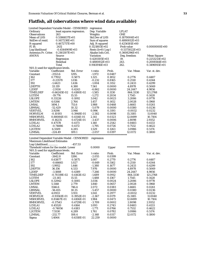## **Flatfish, all (obervations where wind data available)**

| Limited Dependent Variable Model - CENSORED |                  |                           | regression          |        |                  |                    |
|---------------------------------------------|------------------|---------------------------|---------------------|--------|------------------|--------------------|
| Ordinary                                    |                  | least squares regression. | Dep. Variable       |        | <b>LFLAT</b>     |                    |
| <b>Observations</b>                         | 263              | Weights                   |                     |        | <b>ONE</b>       |                    |
| Mean of LHS                                 | 0.5386837E+01    |                           | Std.Dev of LHS      |        | $0.1870004E+01$  |                    |
| StdDev of resid.                            | $0.1417238E+01$  |                           | Sum of squares      |        | $0.4880812E+03$  |                    |
| R-squared                                   | 0.4672717E+00    |                           | Adj. R-squared      |        | $0.4256181E+00$  |                    |
| F[ 19,                                      | 2431             |                           | $0.1121803E+02$     |        | Prob value       | 0.0000000E+00      |
| Log-likelihood                              | $-0.4544909E+03$ |                           | $Restr.(b=0) Log-1$ |        | $-0.5373022E+03$ |                    |
| Amemiya Pr. Criter.                         | $0.2161307E+01$  |                           | Akaike Info.Crit.   |        | 0.3608296E+01    |                    |
| <b>ANOVA</b>                                | Source           |                           | <b>Variation</b>    |        | Deg. freedom     | <b>Mean Square</b> |
|                                             | Regression       |                           | 0.4281105E+03       |        | 19.              | 0.2253213E+02      |
|                                             | Residual         |                           | $0.4880812E+03$     |        | 243.             | 0.2008564E+01      |
|                                             | Total            |                           | $0.9161916E+03$     |        | 262.             | 0.3496915E+01      |
| N(0,1) used for significance levels.        |                  |                           |                     |        |                  |                    |
| Variable                                    | Coefficient      | Std. Error                | t-ratio             | Prob.  | Var. Mean        | Var. st. dev.      |
| Constant                                    | $-2553.6$        | 1295.                     | $-1.972$            | 0.0487 |                  |                    |
| J162                                        | 0.77812          | 0.5873                    | 1.325               | 0.1852 | 0.2776           | 0.4487             |
| J177                                        | $-0.23570$       | 1.016                     | $-0.232$            | 0.8165 | 0.2510           | 0.4344             |
| <b>J192</b>                                 | -1.4423          | 1.436                     | $-1.004$            | 0.3152 | 0.2433           | 0.4299             |
| LDEPTH                                      | 33.119           | 4.380                     | 7.561               | 0.0000 | 4.8978           | 0.5069             |
| L2DEP                                       | $-2.9114$        | 0.4243                    | $-6.862$            | 0.0000 | 24.2447          | 4.9856             |
| TIMELDEP                                    | $-0.66245E-02$   | 0.4180E-02                | $-1.585$            | 0.1130 | 864.3330         | 121.2768           |
| <b>LGTEM</b>                                | $-19.776$        | 15.55                     | $-1.272$            | 0.2034 | 1.7545           | 0.1428             |
| <b>LSLOPE</b>                               | 0.33226          | 0.1092                    | 3.042               | 0.0023 | 3.2086           | 0.9778             |
| <b>LMTEM</b>                                | 4.0266           | 2.764                     | 1.457               | 0.1452 | 2.0028           | 0.1968             |
| <b>LMSAL</b>                                | 1494.1           | 751.6                     | 1.988               | 0.0468 | 3.4665           | 0.0261             |
| LBMSAL                                      | $-52.429$        | 10.32                     | $-5.079$            | 0.0000 | 0.0380           | 0.0236             |
| <b>VERTVEL</b>                              | 3.9298           | 3.946                     | 0.996               | 0.3193 | $-0.0032$        | 0.0232             |
| <b>HORVELM</b>                              | $-0.10193$       | 0.3948E-01                | $-2.582$            | 0.0098 | 15.3185          | 11.0040            |
| <b>MSHORVEL</b>                             | 0.88084E-01      | 0.4114E-01                | 2.141               | 0.0323 | 12.8499          | 10.7104            |
| <b>BMHORVEL</b>                             | $-0.16235$       | 0.4724E-01                | $-3.437$            | 0.0006 | 2.8098           | 2.9352             |
| LCHLA1                                      | 0.47578          | 0.4173                    | 1.140               | 0.2542 | 0.8483           | 0.4133             |
| LCHLA2                                      | -0.74886         | 0.4172                    | $-1.795$            | 0.0726 | 0.7532           | 0.4622             |
| L2GTEM                                      | 6.5509           | 4.285                     | 1.529               | 0.1263 | 3.0986           | 0.5174             |
| <b>L2MSAL</b>                               | $-224.49$        | 109.1                     | $-2.057$            | 0.0397 | 12.0172          | 0.1800             |
|                                             |                  |                           |                     |        |                  |                    |
| Limited Dependent Variable Model - CENSORED |                  |                           | regression          |        |                  |                    |
| Maximum Likelihood Estimates                |                  |                           |                     |        |                  |                    |
| Log-Likelihood                              |                  | $-457.53$                 |                     |        |                  |                    |
| Threshold values for the model: Lower       |                  |                           | 0.0000              | Upper  | **********       |                    |
| $N(0,1)$ used for significance levels.      |                  |                           |                     |        |                  |                    |
| Variable                                    | Coefficient      | Std. Error                | t-ratio             | Prob.  | Var. Mean        | Var. st. dev.      |
| Constant                                    | $-2642.8$        | 1286.                     | $-2.055$            | 0.0399 |                  |                    |
| J162                                        | 0.63877          | 0.5875                    | 1.087               | 0.2770 | 0.2776           | 0.4487             |
| J177                                        | $-0.66665$       | 1.027                     | $-0.649$            | 0.5162 | 0.2510           | 0.4344             |
| J192                                        | $-1.9952$        | 1.446                     | $-1.380$            | 0.1677 | 0.2433           | 0.4299             |
| LDEPTH                                      | 36.156           | 4.533                     | 7.976               | 0.0000 | 4.8978           | 0.5069             |
| L2DEP                                       | $-3.1888$        | 0.4389                    | -7.266              | 0.0000 | 24.2447          | 4.9856             |
| TIMELDEP                                    | -0.70319E-02     | 0.4163E-02                | $-1.689$            | 0.0912 | 864.3330         | 121.2768           |
| <b>LGTEM</b>                                | $-23.145$        | 15.55                     | -1.488              | 0.1367 | 1.7545           | 0.1428             |
| <b>LSLOPE</b>                               | 0.32942          | 0.1085                    | 3.036               | 0.0024 | 3.2086           | 0.9778             |
| <b>LMTEM</b>                                | 5.1148           | 2.779                     | 1.840               | 0.0657 | 2.0028           | 0.1968             |
| LMSAL                                       | 1546.6           | 746.4                     | 2.072               | 0.0383 | 3.4665           | 0.0261             |
| LBMSAL                                      | $-56.455$        | 10.35                     | $-5.457$            | 0.0000 | 0.0380           | 0.0236             |
| <b>VERTVEL</b>                              | 4.0933           | 3.931                     | 1.041               | 0.2977 | $-0.0032$        | 0.0232             |
| <b>HORVELM</b>                              | $-0.93561E-01$   | 0.3952E-01                | $-2.367$            | 0.0179 | 15.3185          | 11.0040            |
| <b>MSHORVEL</b>                             | 0.81467E-01      | 0.4106E-01                | 1.984               | 0.0473 | 12.8499          | 10.7104            |
| <b>BMHORVEL</b>                             | $-0.17543$       | 0.4729E-01                | $-3.709$            | 0.0002 | 2.8098           | 2.9352             |
| LCHLA1                                      | 0.45520          | 0.4164                    | 1.093               | 0.2743 | 0.8483           | 0.4133             |
| LCHLA <sub>2</sub>                          | $-0.74056$       | 0.4183                    | $-1.771$            | 0.0766 | 0.7532           | 0.4622             |
| L2GTEM                                      | 7.5530           | 4.289                     | 1.761               | 0.0782 | 3.0986           | 0.5174             |
| L2MSAL                                      | $-232.77$        | 108.4                     | $-2.148$            | 0.0317 | 12.0172          | 0.1800             |
| Sigma                                       | 1.4064           | 0.6318E-01                | 22.259              | 0.0000 |                  |                    |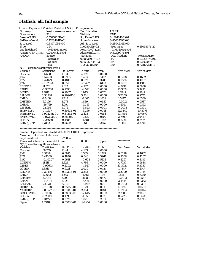## **Flatfish, all, full sample**

| Limited Dependent Variable Model - CENSORED regression |                  |                           |                       |              |                |               |
|--------------------------------------------------------|------------------|---------------------------|-----------------------|--------------|----------------|---------------|
| Ordinary                                               |                  | least squares regression. | Dep. Variable         |              | <b>LFLAT</b>   |               |
| <b>Observations</b>                                    | 381              |                           | Weights               |              | <b>ONE</b>     |               |
| Mean of LHS                                            | $0.5595923E+01$  |                           | <b>Std.Dev of LHS</b> |              | 0.1801840E+01  |               |
| StdDev of resid.                                       | $0.1528464E+01$  |                           | Sum of squares        |              | 0.8503779E+03  |               |
| R-squared                                              | $0.3107195E+00$  |                           | Adj. R-squared        |              | 0.2804214E+00  |               |
| F  16,                                                 | 3641             |                           | $0.1025543E+02$       |              | Prob value     | 0.1805557E-20 |
| Log-likelihood                                         | $-0.6935645E+03$ |                           | $Restr.(b=0) Log-1$   |              | -0.7644509E+03 |               |
| Amemiya Pr. Criter.                                    | 0.2440443E+01    |                           | Akaike Info.Crit.     |              | 0.3729997E+01  |               |
| ANOVA                                                  | Source           |                           | Variation             |              | Deg. freedom   | Mean Square   |
|                                                        | Regression       |                           | 0.3833403E+03         |              | 16.            | 0.2395877E+02 |
|                                                        | Residual         |                           | 0.8503779E+03         |              | 364.           | 0.2336203E+01 |
|                                                        | Total            |                           | 0.1233718E+04         |              | 380.           | 0.3246627E+01 |
| $N(0,1)$ used for significance levels.                 |                  |                           |                       |              |                |               |
| Variable                                               | Coefficient      | Std. Error                | t-ratio               | Prob.        | Var. Mean      | Var. st. dev. |
| Constant                                               | 66.658           | 16.34                     | 4.078                 | 0.0000       |                |               |
| J162                                                   | 0.57483          | 0.3955                    | 1.453                 | 0.1462       | 0.3228         | 0.4682        |
| J177                                                   | 0.47079          | 0.4818                    | 0.977                 | 0.3285       | 0.2336         | 0.4237        |
| J192                                                   | $-0.32654$       | 0.6573                    | -0.497                | 0.6193       | 0.2257         | 0.4186        |
| LDEPTH                                                 | 11.020           | 2.312                     | 4.767                 | 0.0000       | 4.7937         | 0.5688        |
| L2DEP                                                  | $-0.98788$       | 0.2190                    | $-4.510$              | 0.0000       | 23.3024        | 5.3937        |
| <b>LGTEM</b>                                           | 1.7617           | 0.9067                    | 1.943                 | 0.0520       | 1.7847         | 0.1747        |
| <b>LSLOPE</b>                                          | 0.30548          | 0.9090E-01                | 3.361                 | 0.0008       | 3.2009         | 0.9755        |
| LMLD                                                   | $-1.7468$        | 1.243                     | $-1.405$              | 0.1601       | 1.5147         | 0.6330        |
| <b>LMSTEM</b>                                          | 6.0196           | 3.273                     | 1.839                 | 0.0659       | $-0.0912$      | 0.0537        |
| <b>LMSAL</b>                                           | $-26.729$        | 4.994                     | $-5.353$              | 0.0000       | 3.4544         | 0.0352        |
| LBMSAL                                                 | $-22.951$        | 5.972                     | $-3.843$              | 0.0001       | 0.0403         | 0.0301        |
| <b>HORVELM</b>                                         | $-0.11637$       | 0.3563E-01                | $-3.266$              | 0.0011       | 12.9840        | 10.5078       |
| <b>MSHORVEL</b>                                        | 0.90229E-01      | 0.3723E-01                | 2.423                 | 0.0154       | 10.7954        | 10.0679       |
| <b>BMHORVEL</b>                                        | $-0.97203E-01$   | 0.3809E-01                | $-2.552$              | 0.0107       | 2.7609         | 2.9459        |
| LCHLA                                                  | $-0.26639$       | 0.1685                    | $-1.581$              | 0.1139       | 0.7226         | 0.5474        |
| LMLD_DEP                                               | 0.31329          | 0.2699                    | 1.161                 | 0.2457       | 7.1489         | 2.8796        |
|                                                        |                  |                           |                       |              |                |               |
|                                                        |                  |                           |                       |              |                |               |
| Limited Dependent Variable Model - CENSORED            |                  |                           | regression            |              |                |               |
| Maximum Likelihood Estimates                           |                  |                           |                       |              |                |               |
| Log-Likelihood                                         |                  | $-700.72$                 |                       |              |                |               |
| Threshold values for the model: Lower                  |                  |                           | 0.0000                | <b>Upper</b> | **********     |               |
| $N(0,1)$ used for significance levels.                 |                  |                           |                       |              |                |               |
| Variable                                               | Coefficient      | Std. Error                | t-ratio               | Prob.        | Var. Mean      | Var. st. dev. |
| Constant                                               | 68.759           | 16.44                     | 4.183                 | 0.0000       |                |               |
| J162                                                   | 0.54184          | 0.3975                    | 1.363                 | 0.1729       | 0.3228         | 0.4682        |
| J177                                                   | 0.41089          | 0.4848                    | 0.848                 | 0.3967       | 0.2336         | 0.4237        |
| J192                                                   | $-0.40207$       | 0.6611                    | $-0.608$              | 0.5431       | 0.2257         | 0.4186        |
| LDEPTH                                                 | 11.118           | 2.323                     | 4.786                 | 0.0000       | 4.7937         | 0.5688        |
| L2DEP                                                  | $-0.99673$       | 0.2202                    | $-4.527$              | 0.0000       | 23.3024        | 5.3937        |
| <b>LGTEM</b>                                           | 1.8515           | 0.9121                    | 2.030                 | 0.0424       | 1.7847         | 0.1747        |
| <b>LSLOPE</b>                                          | 0.30430          | 0.9130E-01                | 3.333                 | 0.0009       | 3.2009         | 0.9755        |
| LMLD                                                   | $-1.9632$        | 1.255                     | $-1.564$              | 0.1178       | 1.5147         | 0.6330        |
| <b>LMSTEM</b>                                          | 6.2444           | 3.290                     | 1.898                 | 0.0577       | $-0.0912$      | 0.0537        |
| <b>LMSAL</b>                                           | $-27.404$        | 5.023                     | $-5.456$              | 0.0000       | 3.4544         | 0.0352        |
| <b>LBMSAL</b>                                          | $-23.924$        | 6.012                     | $-3.979$              | 0.0001       | 0.0403         | 0.0301        |
| <b>HORVELM</b>                                         | $-0.11518$       | 0.3585E-01                | $-3.213$              | 0.0013       | 12.9840        | 10.5078       |
| MSHORVEL                                               | 0.88527E-01      | 0.3744E-01                | 2.364                 | 0.0181       | 10.7954        | 10.0679       |
| <b>BMHORVEL</b>                                        | $-0.10137$       | 0.3833E-01                | $-2.645$              | 0.0082       | 2.7609         | 2.9459        |
| $\rm LCHLA$                                            | $-0.28096$       | 0.1695                    | $-1.658$              | 0.0973       | 0.7226         | 0.5474        |
| LMLD DEP                                               | 0.34779          | 0.2720                    | 1.278                 | 0.2011       | 7.1489         | 2.8796        |
| Sigma                                                  | 1.5348           | 0.5703E-01                | 26.914                | 0.0000       |                |               |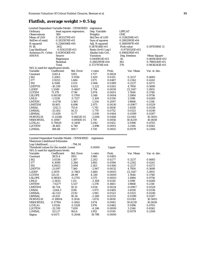# **Flatfish, average weight > 0.5 kg**

| Dep. Variable<br>least squares regression.<br><b>Observations</b><br>380<br>Weights<br>ONE<br>Mean of LHS<br>0.3833270E+01<br>Std.Dev of LHS<br>0.3136294E+01<br>StdDev of resid.<br>$0.2825974E+01$<br>Sum of squares<br>0.2882993E+04<br>Adj. R-squared<br>0.1880997E+00<br>R-squared<br>0.2266596E+00<br>0.5878116E+01<br>361<br>0.1970590E-11<br>F[18,<br>Prob value<br>Log-likelihood<br>$-0.9242151E+03$<br>$Restr.(b=0) Log-1$<br>$-0.9730520E+03$<br>Amemiya Pr. Criter.<br>0.8385436E+01<br>Akaike Info.Crit.<br>0.4964290E+01<br>ANOVA<br>Source<br><b>Variation</b><br>Deg. freedom<br>Mean Square<br>Regression<br>0.8449811E+03<br>18.<br>0.4694340E+02<br>Residual<br>0.2882993E+04<br>361.<br>0.7986130E+01<br>379.<br>Total<br>0.3727974E+04<br>0.9836343E+01<br>N(0,1) used for significance levels.<br>Variable<br>Var. Mean<br>Coefficient<br>Std. Error<br>Prob.<br>Var. st. dev.<br>t-ratio<br>Constant<br>2245.4<br>1293.<br>1.737<br>0.0824<br>J162<br>2.2061<br>0.9116<br>2.420<br>0.0155<br>0.3237<br>0.4685<br>J177<br>2.9253<br>1.484<br>1.971<br>0.2342<br>0.4241<br>0.0487<br>J192<br>4.1548<br>2.011<br>2.066<br>0.0389<br>0.2237<br>0.4173<br>LDEPTH<br>$-10.339$<br>4.653<br>$-2.222$<br>4.7950<br>0.5690<br>0.0263<br>L2DEP<br>1.3349<br>0.4847<br>2.754<br>5.3955<br>0.0059<br>23.3147<br><b>LGTEM</b><br>71.379<br>17.96<br>3.974<br>0.0001<br>1.7844<br>0.1748<br><b>LSLOPE</b><br>0.60310<br>0.1700<br>3.548<br>0.9756<br>0.0004<br>3.1984<br>LMLD<br>0.7217<br>-1.5218<br>$-2.109$<br>0.0350<br>1.5198<br>0.6260<br>$-1.254$<br><b>LMTEM</b><br>-4.4718<br>3.565<br>0.2097<br>1.9668<br>0.2118<br><b>LMSTEM</b><br>19.905<br>6.696<br>2.973<br>0.0030<br>$-0.0907$<br>0.0529<br>LMSAL<br>$-1312.3$<br>753.6<br>$-1.741$<br>0.0816<br>3.4550<br>0.0336<br>LMSSAL<br>-25.502<br>14.33<br>$-1.779$<br>0.0752<br>0.0125<br>0.0240<br>$-2.010$<br>LBMSAL<br>-23.659<br>11.77<br>0.0444<br>0.0399<br>0.0287<br>0.6602E-01<br><b>HORVELM</b><br>-0.13246<br>$-2.006$<br>0.0448<br>13.0181<br>10.5005<br>0.6950E-01<br>1.719<br>MSHORVEL<br>0.11947<br>0.0856<br>10.8239<br>10.0659<br>LCHLA1<br>0.70629<br>0.3459<br>2.042<br>0.0412<br>0.9196<br>0.4705<br>L2GTEM<br>$-18.465$<br>$-3.896$<br>0.0001<br>3.2144<br>0.6562<br>4.740<br><b>L2MSAL</b><br>188.68<br>109.7<br>1.720<br>0.0855<br>11.9379<br>0.2306<br>Limited Dependent Variable Model - CENSORED<br>regression<br><b>Maximum Likelihood Estimates</b><br>Log-Likelihood<br>$-794.34$<br>**********<br>Threshold values for the model: Lower<br>0.0000<br>Upper<br>$N(0,1)$ used for significance levels.<br>Coefficient<br>Variable<br>Std. Error<br>Prob.<br>Var. Mean<br>Var. st. dev.<br>t-ratio<br>Constant<br>3835.4<br>1951.<br>1.966<br>0.0493<br>J162<br>1.387<br>0.0277<br>0.3237<br>0.4685<br>3.0538<br>2.202<br>J177<br>2.286<br>1.885<br>0.2342<br>0.4241<br>4.3090<br>0.0594<br>J192<br>3.094<br>0.2237<br>0.4173<br>6.6923<br>2.163<br>0.0306<br><b>LDEPTH</b><br>7.160<br>$-2.947$<br>4.7950<br>-21.097<br>0.0032<br>0.5690<br>L2DEP<br>2.5970<br>0.7463<br>3.480<br>0.0005<br>23.3147<br>5.3955<br><b>LGTEM</b><br>125.55<br>28.99<br>4.330<br>0.0000<br>1.7844<br>0.1748<br><b>LSLOPE</b><br>0.2755<br>3.575<br>0.98501<br>0.0003<br>3.1984<br>0.9756<br><b>LMLD</b><br>$-2.5635$<br>1.111<br>$-2.308$<br>0.0210<br>1.5198<br>0.6260<br>5.537<br><b>LMTEM</b><br>$-7.6277$<br>$-1.378$<br>0.1683<br>1.9668<br>0.2118<br><b>LMSTEM</b><br>30.724<br>10.13<br>3.034<br>0.0024<br>0.0529<br>$-0.0907$<br><b>LMSAL</b><br>$-2244.3$<br>1138.<br>$-1.973$<br>0.0485<br>3.4550<br>0.0336<br><b>LMSSAL</b><br>$-42.533$<br>21.92<br>$-1.941$<br>0.0125<br>0.0240<br>0.0523<br><b>LBMSAL</b><br>$-41.613$<br>18.34<br>$-2.269$<br>0.0233<br>0.0399<br>0.0287<br><b>HORVELM</b><br>$-0.19004$<br>0.1014<br>$-1.874$<br>0.0610<br>13.0181<br>10.5005<br>0.17784<br>0.1062<br>1.674<br><b>MSHORVEL</b><br>0.0941<br>10.8239<br>10.0659<br>1.976<br>LCHLA1<br>1.0526<br>0.5328<br>0.0482<br>0.9196<br>0.4705<br>L2GTEM<br>$-32.519$<br>7.659<br>$-4.246$<br>0.0000<br>3.2144<br>0.6562<br><b>L2MSAL</b><br>165.6<br>323.27<br>1.952<br>0.0510<br>11.9379<br>0.2306<br>0.2044<br>19.798<br>0.0000 | Limited Dependent Variable Model - CENSORED |        |  | regression |               |  |
|---------------------------------------------------------------------------------------------------------------------------------------------------------------------------------------------------------------------------------------------------------------------------------------------------------------------------------------------------------------------------------------------------------------------------------------------------------------------------------------------------------------------------------------------------------------------------------------------------------------------------------------------------------------------------------------------------------------------------------------------------------------------------------------------------------------------------------------------------------------------------------------------------------------------------------------------------------------------------------------------------------------------------------------------------------------------------------------------------------------------------------------------------------------------------------------------------------------------------------------------------------------------------------------------------------------------------------------------------------------------------------------------------------------------------------------------------------------------------------------------------------------------------------------------------------------------------------------------------------------------------------------------------------------------------------------------------------------------------------------------------------------------------------------------------------------------------------------------------------------------------------------------------------------------------------------------------------------------------------------------------------------------------------------------------------------------------------------------------------------------------------------------------------------------------------------------------------------------------------------------------------------------------------------------------------------------------------------------------------------------------------------------------------------------------------------------------------------------------------------------------------------------------------------------------------------------------------------------------------------------------------------------------------------------------------------------------------------------------------------------------------------------------------------------------------------------------------------------------------------------------------------------------------------------------------------------------------------------------------------------------------------------------------------------------------------------------------------------------------------------------------------------------------------------------------------------------------------------------------------------------------------------------------------------------------------------------------------------------------------------------------------------------------------------------------------------------------------------------------------------------------------------------------------------------------------------------------------------------------------------------------------------------------------------------------------------------------------------------------------------------------------------------------------------------------------------------------------------------------------------------------------------------------------------------------------------------------------------------------------------------------------------------------------------------------------------------------------------------------------------------------------------------------------------------------------------------|---------------------------------------------|--------|--|------------|---------------|--|
|                                                                                                                                                                                                                                                                                                                                                                                                                                                                                                                                                                                                                                                                                                                                                                                                                                                                                                                                                                                                                                                                                                                                                                                                                                                                                                                                                                                                                                                                                                                                                                                                                                                                                                                                                                                                                                                                                                                                                                                                                                                                                                                                                                                                                                                                                                                                                                                                                                                                                                                                                                                                                                                                                                                                                                                                                                                                                                                                                                                                                                                                                                                                                                                                                                                                                                                                                                                                                                                                                                                                                                                                                                                                                                                                                                                                                                                                                                                                                                                                                                                                                                                                                                                                   | Ordinary                                    |        |  |            | <b>LBFLAT</b> |  |
|                                                                                                                                                                                                                                                                                                                                                                                                                                                                                                                                                                                                                                                                                                                                                                                                                                                                                                                                                                                                                                                                                                                                                                                                                                                                                                                                                                                                                                                                                                                                                                                                                                                                                                                                                                                                                                                                                                                                                                                                                                                                                                                                                                                                                                                                                                                                                                                                                                                                                                                                                                                                                                                                                                                                                                                                                                                                                                                                                                                                                                                                                                                                                                                                                                                                                                                                                                                                                                                                                                                                                                                                                                                                                                                                                                                                                                                                                                                                                                                                                                                                                                                                                                                                   |                                             |        |  |            |               |  |
|                                                                                                                                                                                                                                                                                                                                                                                                                                                                                                                                                                                                                                                                                                                                                                                                                                                                                                                                                                                                                                                                                                                                                                                                                                                                                                                                                                                                                                                                                                                                                                                                                                                                                                                                                                                                                                                                                                                                                                                                                                                                                                                                                                                                                                                                                                                                                                                                                                                                                                                                                                                                                                                                                                                                                                                                                                                                                                                                                                                                                                                                                                                                                                                                                                                                                                                                                                                                                                                                                                                                                                                                                                                                                                                                                                                                                                                                                                                                                                                                                                                                                                                                                                                                   |                                             |        |  |            |               |  |
|                                                                                                                                                                                                                                                                                                                                                                                                                                                                                                                                                                                                                                                                                                                                                                                                                                                                                                                                                                                                                                                                                                                                                                                                                                                                                                                                                                                                                                                                                                                                                                                                                                                                                                                                                                                                                                                                                                                                                                                                                                                                                                                                                                                                                                                                                                                                                                                                                                                                                                                                                                                                                                                                                                                                                                                                                                                                                                                                                                                                                                                                                                                                                                                                                                                                                                                                                                                                                                                                                                                                                                                                                                                                                                                                                                                                                                                                                                                                                                                                                                                                                                                                                                                                   |                                             |        |  |            |               |  |
|                                                                                                                                                                                                                                                                                                                                                                                                                                                                                                                                                                                                                                                                                                                                                                                                                                                                                                                                                                                                                                                                                                                                                                                                                                                                                                                                                                                                                                                                                                                                                                                                                                                                                                                                                                                                                                                                                                                                                                                                                                                                                                                                                                                                                                                                                                                                                                                                                                                                                                                                                                                                                                                                                                                                                                                                                                                                                                                                                                                                                                                                                                                                                                                                                                                                                                                                                                                                                                                                                                                                                                                                                                                                                                                                                                                                                                                                                                                                                                                                                                                                                                                                                                                                   |                                             |        |  |            |               |  |
|                                                                                                                                                                                                                                                                                                                                                                                                                                                                                                                                                                                                                                                                                                                                                                                                                                                                                                                                                                                                                                                                                                                                                                                                                                                                                                                                                                                                                                                                                                                                                                                                                                                                                                                                                                                                                                                                                                                                                                                                                                                                                                                                                                                                                                                                                                                                                                                                                                                                                                                                                                                                                                                                                                                                                                                                                                                                                                                                                                                                                                                                                                                                                                                                                                                                                                                                                                                                                                                                                                                                                                                                                                                                                                                                                                                                                                                                                                                                                                                                                                                                                                                                                                                                   |                                             |        |  |            |               |  |
|                                                                                                                                                                                                                                                                                                                                                                                                                                                                                                                                                                                                                                                                                                                                                                                                                                                                                                                                                                                                                                                                                                                                                                                                                                                                                                                                                                                                                                                                                                                                                                                                                                                                                                                                                                                                                                                                                                                                                                                                                                                                                                                                                                                                                                                                                                                                                                                                                                                                                                                                                                                                                                                                                                                                                                                                                                                                                                                                                                                                                                                                                                                                                                                                                                                                                                                                                                                                                                                                                                                                                                                                                                                                                                                                                                                                                                                                                                                                                                                                                                                                                                                                                                                                   |                                             |        |  |            |               |  |
|                                                                                                                                                                                                                                                                                                                                                                                                                                                                                                                                                                                                                                                                                                                                                                                                                                                                                                                                                                                                                                                                                                                                                                                                                                                                                                                                                                                                                                                                                                                                                                                                                                                                                                                                                                                                                                                                                                                                                                                                                                                                                                                                                                                                                                                                                                                                                                                                                                                                                                                                                                                                                                                                                                                                                                                                                                                                                                                                                                                                                                                                                                                                                                                                                                                                                                                                                                                                                                                                                                                                                                                                                                                                                                                                                                                                                                                                                                                                                                                                                                                                                                                                                                                                   |                                             |        |  |            |               |  |
|                                                                                                                                                                                                                                                                                                                                                                                                                                                                                                                                                                                                                                                                                                                                                                                                                                                                                                                                                                                                                                                                                                                                                                                                                                                                                                                                                                                                                                                                                                                                                                                                                                                                                                                                                                                                                                                                                                                                                                                                                                                                                                                                                                                                                                                                                                                                                                                                                                                                                                                                                                                                                                                                                                                                                                                                                                                                                                                                                                                                                                                                                                                                                                                                                                                                                                                                                                                                                                                                                                                                                                                                                                                                                                                                                                                                                                                                                                                                                                                                                                                                                                                                                                                                   |                                             |        |  |            |               |  |
|                                                                                                                                                                                                                                                                                                                                                                                                                                                                                                                                                                                                                                                                                                                                                                                                                                                                                                                                                                                                                                                                                                                                                                                                                                                                                                                                                                                                                                                                                                                                                                                                                                                                                                                                                                                                                                                                                                                                                                                                                                                                                                                                                                                                                                                                                                                                                                                                                                                                                                                                                                                                                                                                                                                                                                                                                                                                                                                                                                                                                                                                                                                                                                                                                                                                                                                                                                                                                                                                                                                                                                                                                                                                                                                                                                                                                                                                                                                                                                                                                                                                                                                                                                                                   |                                             |        |  |            |               |  |
|                                                                                                                                                                                                                                                                                                                                                                                                                                                                                                                                                                                                                                                                                                                                                                                                                                                                                                                                                                                                                                                                                                                                                                                                                                                                                                                                                                                                                                                                                                                                                                                                                                                                                                                                                                                                                                                                                                                                                                                                                                                                                                                                                                                                                                                                                                                                                                                                                                                                                                                                                                                                                                                                                                                                                                                                                                                                                                                                                                                                                                                                                                                                                                                                                                                                                                                                                                                                                                                                                                                                                                                                                                                                                                                                                                                                                                                                                                                                                                                                                                                                                                                                                                                                   |                                             |        |  |            |               |  |
|                                                                                                                                                                                                                                                                                                                                                                                                                                                                                                                                                                                                                                                                                                                                                                                                                                                                                                                                                                                                                                                                                                                                                                                                                                                                                                                                                                                                                                                                                                                                                                                                                                                                                                                                                                                                                                                                                                                                                                                                                                                                                                                                                                                                                                                                                                                                                                                                                                                                                                                                                                                                                                                                                                                                                                                                                                                                                                                                                                                                                                                                                                                                                                                                                                                                                                                                                                                                                                                                                                                                                                                                                                                                                                                                                                                                                                                                                                                                                                                                                                                                                                                                                                                                   |                                             |        |  |            |               |  |
|                                                                                                                                                                                                                                                                                                                                                                                                                                                                                                                                                                                                                                                                                                                                                                                                                                                                                                                                                                                                                                                                                                                                                                                                                                                                                                                                                                                                                                                                                                                                                                                                                                                                                                                                                                                                                                                                                                                                                                                                                                                                                                                                                                                                                                                                                                                                                                                                                                                                                                                                                                                                                                                                                                                                                                                                                                                                                                                                                                                                                                                                                                                                                                                                                                                                                                                                                                                                                                                                                                                                                                                                                                                                                                                                                                                                                                                                                                                                                                                                                                                                                                                                                                                                   |                                             |        |  |            |               |  |
|                                                                                                                                                                                                                                                                                                                                                                                                                                                                                                                                                                                                                                                                                                                                                                                                                                                                                                                                                                                                                                                                                                                                                                                                                                                                                                                                                                                                                                                                                                                                                                                                                                                                                                                                                                                                                                                                                                                                                                                                                                                                                                                                                                                                                                                                                                                                                                                                                                                                                                                                                                                                                                                                                                                                                                                                                                                                                                                                                                                                                                                                                                                                                                                                                                                                                                                                                                                                                                                                                                                                                                                                                                                                                                                                                                                                                                                                                                                                                                                                                                                                                                                                                                                                   |                                             |        |  |            |               |  |
|                                                                                                                                                                                                                                                                                                                                                                                                                                                                                                                                                                                                                                                                                                                                                                                                                                                                                                                                                                                                                                                                                                                                                                                                                                                                                                                                                                                                                                                                                                                                                                                                                                                                                                                                                                                                                                                                                                                                                                                                                                                                                                                                                                                                                                                                                                                                                                                                                                                                                                                                                                                                                                                                                                                                                                                                                                                                                                                                                                                                                                                                                                                                                                                                                                                                                                                                                                                                                                                                                                                                                                                                                                                                                                                                                                                                                                                                                                                                                                                                                                                                                                                                                                                                   |                                             |        |  |            |               |  |
|                                                                                                                                                                                                                                                                                                                                                                                                                                                                                                                                                                                                                                                                                                                                                                                                                                                                                                                                                                                                                                                                                                                                                                                                                                                                                                                                                                                                                                                                                                                                                                                                                                                                                                                                                                                                                                                                                                                                                                                                                                                                                                                                                                                                                                                                                                                                                                                                                                                                                                                                                                                                                                                                                                                                                                                                                                                                                                                                                                                                                                                                                                                                                                                                                                                                                                                                                                                                                                                                                                                                                                                                                                                                                                                                                                                                                                                                                                                                                                                                                                                                                                                                                                                                   |                                             |        |  |            |               |  |
|                                                                                                                                                                                                                                                                                                                                                                                                                                                                                                                                                                                                                                                                                                                                                                                                                                                                                                                                                                                                                                                                                                                                                                                                                                                                                                                                                                                                                                                                                                                                                                                                                                                                                                                                                                                                                                                                                                                                                                                                                                                                                                                                                                                                                                                                                                                                                                                                                                                                                                                                                                                                                                                                                                                                                                                                                                                                                                                                                                                                                                                                                                                                                                                                                                                                                                                                                                                                                                                                                                                                                                                                                                                                                                                                                                                                                                                                                                                                                                                                                                                                                                                                                                                                   |                                             |        |  |            |               |  |
|                                                                                                                                                                                                                                                                                                                                                                                                                                                                                                                                                                                                                                                                                                                                                                                                                                                                                                                                                                                                                                                                                                                                                                                                                                                                                                                                                                                                                                                                                                                                                                                                                                                                                                                                                                                                                                                                                                                                                                                                                                                                                                                                                                                                                                                                                                                                                                                                                                                                                                                                                                                                                                                                                                                                                                                                                                                                                                                                                                                                                                                                                                                                                                                                                                                                                                                                                                                                                                                                                                                                                                                                                                                                                                                                                                                                                                                                                                                                                                                                                                                                                                                                                                                                   |                                             |        |  |            |               |  |
|                                                                                                                                                                                                                                                                                                                                                                                                                                                                                                                                                                                                                                                                                                                                                                                                                                                                                                                                                                                                                                                                                                                                                                                                                                                                                                                                                                                                                                                                                                                                                                                                                                                                                                                                                                                                                                                                                                                                                                                                                                                                                                                                                                                                                                                                                                                                                                                                                                                                                                                                                                                                                                                                                                                                                                                                                                                                                                                                                                                                                                                                                                                                                                                                                                                                                                                                                                                                                                                                                                                                                                                                                                                                                                                                                                                                                                                                                                                                                                                                                                                                                                                                                                                                   |                                             |        |  |            |               |  |
|                                                                                                                                                                                                                                                                                                                                                                                                                                                                                                                                                                                                                                                                                                                                                                                                                                                                                                                                                                                                                                                                                                                                                                                                                                                                                                                                                                                                                                                                                                                                                                                                                                                                                                                                                                                                                                                                                                                                                                                                                                                                                                                                                                                                                                                                                                                                                                                                                                                                                                                                                                                                                                                                                                                                                                                                                                                                                                                                                                                                                                                                                                                                                                                                                                                                                                                                                                                                                                                                                                                                                                                                                                                                                                                                                                                                                                                                                                                                                                                                                                                                                                                                                                                                   |                                             |        |  |            |               |  |
|                                                                                                                                                                                                                                                                                                                                                                                                                                                                                                                                                                                                                                                                                                                                                                                                                                                                                                                                                                                                                                                                                                                                                                                                                                                                                                                                                                                                                                                                                                                                                                                                                                                                                                                                                                                                                                                                                                                                                                                                                                                                                                                                                                                                                                                                                                                                                                                                                                                                                                                                                                                                                                                                                                                                                                                                                                                                                                                                                                                                                                                                                                                                                                                                                                                                                                                                                                                                                                                                                                                                                                                                                                                                                                                                                                                                                                                                                                                                                                                                                                                                                                                                                                                                   |                                             |        |  |            |               |  |
|                                                                                                                                                                                                                                                                                                                                                                                                                                                                                                                                                                                                                                                                                                                                                                                                                                                                                                                                                                                                                                                                                                                                                                                                                                                                                                                                                                                                                                                                                                                                                                                                                                                                                                                                                                                                                                                                                                                                                                                                                                                                                                                                                                                                                                                                                                                                                                                                                                                                                                                                                                                                                                                                                                                                                                                                                                                                                                                                                                                                                                                                                                                                                                                                                                                                                                                                                                                                                                                                                                                                                                                                                                                                                                                                                                                                                                                                                                                                                                                                                                                                                                                                                                                                   |                                             |        |  |            |               |  |
|                                                                                                                                                                                                                                                                                                                                                                                                                                                                                                                                                                                                                                                                                                                                                                                                                                                                                                                                                                                                                                                                                                                                                                                                                                                                                                                                                                                                                                                                                                                                                                                                                                                                                                                                                                                                                                                                                                                                                                                                                                                                                                                                                                                                                                                                                                                                                                                                                                                                                                                                                                                                                                                                                                                                                                                                                                                                                                                                                                                                                                                                                                                                                                                                                                                                                                                                                                                                                                                                                                                                                                                                                                                                                                                                                                                                                                                                                                                                                                                                                                                                                                                                                                                                   |                                             |        |  |            |               |  |
|                                                                                                                                                                                                                                                                                                                                                                                                                                                                                                                                                                                                                                                                                                                                                                                                                                                                                                                                                                                                                                                                                                                                                                                                                                                                                                                                                                                                                                                                                                                                                                                                                                                                                                                                                                                                                                                                                                                                                                                                                                                                                                                                                                                                                                                                                                                                                                                                                                                                                                                                                                                                                                                                                                                                                                                                                                                                                                                                                                                                                                                                                                                                                                                                                                                                                                                                                                                                                                                                                                                                                                                                                                                                                                                                                                                                                                                                                                                                                                                                                                                                                                                                                                                                   |                                             |        |  |            |               |  |
|                                                                                                                                                                                                                                                                                                                                                                                                                                                                                                                                                                                                                                                                                                                                                                                                                                                                                                                                                                                                                                                                                                                                                                                                                                                                                                                                                                                                                                                                                                                                                                                                                                                                                                                                                                                                                                                                                                                                                                                                                                                                                                                                                                                                                                                                                                                                                                                                                                                                                                                                                                                                                                                                                                                                                                                                                                                                                                                                                                                                                                                                                                                                                                                                                                                                                                                                                                                                                                                                                                                                                                                                                                                                                                                                                                                                                                                                                                                                                                                                                                                                                                                                                                                                   |                                             |        |  |            |               |  |
|                                                                                                                                                                                                                                                                                                                                                                                                                                                                                                                                                                                                                                                                                                                                                                                                                                                                                                                                                                                                                                                                                                                                                                                                                                                                                                                                                                                                                                                                                                                                                                                                                                                                                                                                                                                                                                                                                                                                                                                                                                                                                                                                                                                                                                                                                                                                                                                                                                                                                                                                                                                                                                                                                                                                                                                                                                                                                                                                                                                                                                                                                                                                                                                                                                                                                                                                                                                                                                                                                                                                                                                                                                                                                                                                                                                                                                                                                                                                                                                                                                                                                                                                                                                                   |                                             |        |  |            |               |  |
|                                                                                                                                                                                                                                                                                                                                                                                                                                                                                                                                                                                                                                                                                                                                                                                                                                                                                                                                                                                                                                                                                                                                                                                                                                                                                                                                                                                                                                                                                                                                                                                                                                                                                                                                                                                                                                                                                                                                                                                                                                                                                                                                                                                                                                                                                                                                                                                                                                                                                                                                                                                                                                                                                                                                                                                                                                                                                                                                                                                                                                                                                                                                                                                                                                                                                                                                                                                                                                                                                                                                                                                                                                                                                                                                                                                                                                                                                                                                                                                                                                                                                                                                                                                                   |                                             |        |  |            |               |  |
|                                                                                                                                                                                                                                                                                                                                                                                                                                                                                                                                                                                                                                                                                                                                                                                                                                                                                                                                                                                                                                                                                                                                                                                                                                                                                                                                                                                                                                                                                                                                                                                                                                                                                                                                                                                                                                                                                                                                                                                                                                                                                                                                                                                                                                                                                                                                                                                                                                                                                                                                                                                                                                                                                                                                                                                                                                                                                                                                                                                                                                                                                                                                                                                                                                                                                                                                                                                                                                                                                                                                                                                                                                                                                                                                                                                                                                                                                                                                                                                                                                                                                                                                                                                                   |                                             |        |  |            |               |  |
|                                                                                                                                                                                                                                                                                                                                                                                                                                                                                                                                                                                                                                                                                                                                                                                                                                                                                                                                                                                                                                                                                                                                                                                                                                                                                                                                                                                                                                                                                                                                                                                                                                                                                                                                                                                                                                                                                                                                                                                                                                                                                                                                                                                                                                                                                                                                                                                                                                                                                                                                                                                                                                                                                                                                                                                                                                                                                                                                                                                                                                                                                                                                                                                                                                                                                                                                                                                                                                                                                                                                                                                                                                                                                                                                                                                                                                                                                                                                                                                                                                                                                                                                                                                                   |                                             |        |  |            |               |  |
|                                                                                                                                                                                                                                                                                                                                                                                                                                                                                                                                                                                                                                                                                                                                                                                                                                                                                                                                                                                                                                                                                                                                                                                                                                                                                                                                                                                                                                                                                                                                                                                                                                                                                                                                                                                                                                                                                                                                                                                                                                                                                                                                                                                                                                                                                                                                                                                                                                                                                                                                                                                                                                                                                                                                                                                                                                                                                                                                                                                                                                                                                                                                                                                                                                                                                                                                                                                                                                                                                                                                                                                                                                                                                                                                                                                                                                                                                                                                                                                                                                                                                                                                                                                                   |                                             |        |  |            |               |  |
|                                                                                                                                                                                                                                                                                                                                                                                                                                                                                                                                                                                                                                                                                                                                                                                                                                                                                                                                                                                                                                                                                                                                                                                                                                                                                                                                                                                                                                                                                                                                                                                                                                                                                                                                                                                                                                                                                                                                                                                                                                                                                                                                                                                                                                                                                                                                                                                                                                                                                                                                                                                                                                                                                                                                                                                                                                                                                                                                                                                                                                                                                                                                                                                                                                                                                                                                                                                                                                                                                                                                                                                                                                                                                                                                                                                                                                                                                                                                                                                                                                                                                                                                                                                                   |                                             |        |  |            |               |  |
|                                                                                                                                                                                                                                                                                                                                                                                                                                                                                                                                                                                                                                                                                                                                                                                                                                                                                                                                                                                                                                                                                                                                                                                                                                                                                                                                                                                                                                                                                                                                                                                                                                                                                                                                                                                                                                                                                                                                                                                                                                                                                                                                                                                                                                                                                                                                                                                                                                                                                                                                                                                                                                                                                                                                                                                                                                                                                                                                                                                                                                                                                                                                                                                                                                                                                                                                                                                                                                                                                                                                                                                                                                                                                                                                                                                                                                                                                                                                                                                                                                                                                                                                                                                                   |                                             |        |  |            |               |  |
|                                                                                                                                                                                                                                                                                                                                                                                                                                                                                                                                                                                                                                                                                                                                                                                                                                                                                                                                                                                                                                                                                                                                                                                                                                                                                                                                                                                                                                                                                                                                                                                                                                                                                                                                                                                                                                                                                                                                                                                                                                                                                                                                                                                                                                                                                                                                                                                                                                                                                                                                                                                                                                                                                                                                                                                                                                                                                                                                                                                                                                                                                                                                                                                                                                                                                                                                                                                                                                                                                                                                                                                                                                                                                                                                                                                                                                                                                                                                                                                                                                                                                                                                                                                                   |                                             |        |  |            |               |  |
|                                                                                                                                                                                                                                                                                                                                                                                                                                                                                                                                                                                                                                                                                                                                                                                                                                                                                                                                                                                                                                                                                                                                                                                                                                                                                                                                                                                                                                                                                                                                                                                                                                                                                                                                                                                                                                                                                                                                                                                                                                                                                                                                                                                                                                                                                                                                                                                                                                                                                                                                                                                                                                                                                                                                                                                                                                                                                                                                                                                                                                                                                                                                                                                                                                                                                                                                                                                                                                                                                                                                                                                                                                                                                                                                                                                                                                                                                                                                                                                                                                                                                                                                                                                                   |                                             |        |  |            |               |  |
|                                                                                                                                                                                                                                                                                                                                                                                                                                                                                                                                                                                                                                                                                                                                                                                                                                                                                                                                                                                                                                                                                                                                                                                                                                                                                                                                                                                                                                                                                                                                                                                                                                                                                                                                                                                                                                                                                                                                                                                                                                                                                                                                                                                                                                                                                                                                                                                                                                                                                                                                                                                                                                                                                                                                                                                                                                                                                                                                                                                                                                                                                                                                                                                                                                                                                                                                                                                                                                                                                                                                                                                                                                                                                                                                                                                                                                                                                                                                                                                                                                                                                                                                                                                                   |                                             |        |  |            |               |  |
|                                                                                                                                                                                                                                                                                                                                                                                                                                                                                                                                                                                                                                                                                                                                                                                                                                                                                                                                                                                                                                                                                                                                                                                                                                                                                                                                                                                                                                                                                                                                                                                                                                                                                                                                                                                                                                                                                                                                                                                                                                                                                                                                                                                                                                                                                                                                                                                                                                                                                                                                                                                                                                                                                                                                                                                                                                                                                                                                                                                                                                                                                                                                                                                                                                                                                                                                                                                                                                                                                                                                                                                                                                                                                                                                                                                                                                                                                                                                                                                                                                                                                                                                                                                                   |                                             |        |  |            |               |  |
|                                                                                                                                                                                                                                                                                                                                                                                                                                                                                                                                                                                                                                                                                                                                                                                                                                                                                                                                                                                                                                                                                                                                                                                                                                                                                                                                                                                                                                                                                                                                                                                                                                                                                                                                                                                                                                                                                                                                                                                                                                                                                                                                                                                                                                                                                                                                                                                                                                                                                                                                                                                                                                                                                                                                                                                                                                                                                                                                                                                                                                                                                                                                                                                                                                                                                                                                                                                                                                                                                                                                                                                                                                                                                                                                                                                                                                                                                                                                                                                                                                                                                                                                                                                                   |                                             |        |  |            |               |  |
|                                                                                                                                                                                                                                                                                                                                                                                                                                                                                                                                                                                                                                                                                                                                                                                                                                                                                                                                                                                                                                                                                                                                                                                                                                                                                                                                                                                                                                                                                                                                                                                                                                                                                                                                                                                                                                                                                                                                                                                                                                                                                                                                                                                                                                                                                                                                                                                                                                                                                                                                                                                                                                                                                                                                                                                                                                                                                                                                                                                                                                                                                                                                                                                                                                                                                                                                                                                                                                                                                                                                                                                                                                                                                                                                                                                                                                                                                                                                                                                                                                                                                                                                                                                                   |                                             |        |  |            |               |  |
|                                                                                                                                                                                                                                                                                                                                                                                                                                                                                                                                                                                                                                                                                                                                                                                                                                                                                                                                                                                                                                                                                                                                                                                                                                                                                                                                                                                                                                                                                                                                                                                                                                                                                                                                                                                                                                                                                                                                                                                                                                                                                                                                                                                                                                                                                                                                                                                                                                                                                                                                                                                                                                                                                                                                                                                                                                                                                                                                                                                                                                                                                                                                                                                                                                                                                                                                                                                                                                                                                                                                                                                                                                                                                                                                                                                                                                                                                                                                                                                                                                                                                                                                                                                                   |                                             |        |  |            |               |  |
|                                                                                                                                                                                                                                                                                                                                                                                                                                                                                                                                                                                                                                                                                                                                                                                                                                                                                                                                                                                                                                                                                                                                                                                                                                                                                                                                                                                                                                                                                                                                                                                                                                                                                                                                                                                                                                                                                                                                                                                                                                                                                                                                                                                                                                                                                                                                                                                                                                                                                                                                                                                                                                                                                                                                                                                                                                                                                                                                                                                                                                                                                                                                                                                                                                                                                                                                                                                                                                                                                                                                                                                                                                                                                                                                                                                                                                                                                                                                                                                                                                                                                                                                                                                                   |                                             |        |  |            |               |  |
|                                                                                                                                                                                                                                                                                                                                                                                                                                                                                                                                                                                                                                                                                                                                                                                                                                                                                                                                                                                                                                                                                                                                                                                                                                                                                                                                                                                                                                                                                                                                                                                                                                                                                                                                                                                                                                                                                                                                                                                                                                                                                                                                                                                                                                                                                                                                                                                                                                                                                                                                                                                                                                                                                                                                                                                                                                                                                                                                                                                                                                                                                                                                                                                                                                                                                                                                                                                                                                                                                                                                                                                                                                                                                                                                                                                                                                                                                                                                                                                                                                                                                                                                                                                                   |                                             |        |  |            |               |  |
|                                                                                                                                                                                                                                                                                                                                                                                                                                                                                                                                                                                                                                                                                                                                                                                                                                                                                                                                                                                                                                                                                                                                                                                                                                                                                                                                                                                                                                                                                                                                                                                                                                                                                                                                                                                                                                                                                                                                                                                                                                                                                                                                                                                                                                                                                                                                                                                                                                                                                                                                                                                                                                                                                                                                                                                                                                                                                                                                                                                                                                                                                                                                                                                                                                                                                                                                                                                                                                                                                                                                                                                                                                                                                                                                                                                                                                                                                                                                                                                                                                                                                                                                                                                                   |                                             |        |  |            |               |  |
|                                                                                                                                                                                                                                                                                                                                                                                                                                                                                                                                                                                                                                                                                                                                                                                                                                                                                                                                                                                                                                                                                                                                                                                                                                                                                                                                                                                                                                                                                                                                                                                                                                                                                                                                                                                                                                                                                                                                                                                                                                                                                                                                                                                                                                                                                                                                                                                                                                                                                                                                                                                                                                                                                                                                                                                                                                                                                                                                                                                                                                                                                                                                                                                                                                                                                                                                                                                                                                                                                                                                                                                                                                                                                                                                                                                                                                                                                                                                                                                                                                                                                                                                                                                                   |                                             |        |  |            |               |  |
|                                                                                                                                                                                                                                                                                                                                                                                                                                                                                                                                                                                                                                                                                                                                                                                                                                                                                                                                                                                                                                                                                                                                                                                                                                                                                                                                                                                                                                                                                                                                                                                                                                                                                                                                                                                                                                                                                                                                                                                                                                                                                                                                                                                                                                                                                                                                                                                                                                                                                                                                                                                                                                                                                                                                                                                                                                                                                                                                                                                                                                                                                                                                                                                                                                                                                                                                                                                                                                                                                                                                                                                                                                                                                                                                                                                                                                                                                                                                                                                                                                                                                                                                                                                                   |                                             |        |  |            |               |  |
|                                                                                                                                                                                                                                                                                                                                                                                                                                                                                                                                                                                                                                                                                                                                                                                                                                                                                                                                                                                                                                                                                                                                                                                                                                                                                                                                                                                                                                                                                                                                                                                                                                                                                                                                                                                                                                                                                                                                                                                                                                                                                                                                                                                                                                                                                                                                                                                                                                                                                                                                                                                                                                                                                                                                                                                                                                                                                                                                                                                                                                                                                                                                                                                                                                                                                                                                                                                                                                                                                                                                                                                                                                                                                                                                                                                                                                                                                                                                                                                                                                                                                                                                                                                                   |                                             |        |  |            |               |  |
|                                                                                                                                                                                                                                                                                                                                                                                                                                                                                                                                                                                                                                                                                                                                                                                                                                                                                                                                                                                                                                                                                                                                                                                                                                                                                                                                                                                                                                                                                                                                                                                                                                                                                                                                                                                                                                                                                                                                                                                                                                                                                                                                                                                                                                                                                                                                                                                                                                                                                                                                                                                                                                                                                                                                                                                                                                                                                                                                                                                                                                                                                                                                                                                                                                                                                                                                                                                                                                                                                                                                                                                                                                                                                                                                                                                                                                                                                                                                                                                                                                                                                                                                                                                                   |                                             |        |  |            |               |  |
|                                                                                                                                                                                                                                                                                                                                                                                                                                                                                                                                                                                                                                                                                                                                                                                                                                                                                                                                                                                                                                                                                                                                                                                                                                                                                                                                                                                                                                                                                                                                                                                                                                                                                                                                                                                                                                                                                                                                                                                                                                                                                                                                                                                                                                                                                                                                                                                                                                                                                                                                                                                                                                                                                                                                                                                                                                                                                                                                                                                                                                                                                                                                                                                                                                                                                                                                                                                                                                                                                                                                                                                                                                                                                                                                                                                                                                                                                                                                                                                                                                                                                                                                                                                                   |                                             |        |  |            |               |  |
|                                                                                                                                                                                                                                                                                                                                                                                                                                                                                                                                                                                                                                                                                                                                                                                                                                                                                                                                                                                                                                                                                                                                                                                                                                                                                                                                                                                                                                                                                                                                                                                                                                                                                                                                                                                                                                                                                                                                                                                                                                                                                                                                                                                                                                                                                                                                                                                                                                                                                                                                                                                                                                                                                                                                                                                                                                                                                                                                                                                                                                                                                                                                                                                                                                                                                                                                                                                                                                                                                                                                                                                                                                                                                                                                                                                                                                                                                                                                                                                                                                                                                                                                                                                                   |                                             |        |  |            |               |  |
|                                                                                                                                                                                                                                                                                                                                                                                                                                                                                                                                                                                                                                                                                                                                                                                                                                                                                                                                                                                                                                                                                                                                                                                                                                                                                                                                                                                                                                                                                                                                                                                                                                                                                                                                                                                                                                                                                                                                                                                                                                                                                                                                                                                                                                                                                                                                                                                                                                                                                                                                                                                                                                                                                                                                                                                                                                                                                                                                                                                                                                                                                                                                                                                                                                                                                                                                                                                                                                                                                                                                                                                                                                                                                                                                                                                                                                                                                                                                                                                                                                                                                                                                                                                                   |                                             |        |  |            |               |  |
|                                                                                                                                                                                                                                                                                                                                                                                                                                                                                                                                                                                                                                                                                                                                                                                                                                                                                                                                                                                                                                                                                                                                                                                                                                                                                                                                                                                                                                                                                                                                                                                                                                                                                                                                                                                                                                                                                                                                                                                                                                                                                                                                                                                                                                                                                                                                                                                                                                                                                                                                                                                                                                                                                                                                                                                                                                                                                                                                                                                                                                                                                                                                                                                                                                                                                                                                                                                                                                                                                                                                                                                                                                                                                                                                                                                                                                                                                                                                                                                                                                                                                                                                                                                                   |                                             |        |  |            |               |  |
|                                                                                                                                                                                                                                                                                                                                                                                                                                                                                                                                                                                                                                                                                                                                                                                                                                                                                                                                                                                                                                                                                                                                                                                                                                                                                                                                                                                                                                                                                                                                                                                                                                                                                                                                                                                                                                                                                                                                                                                                                                                                                                                                                                                                                                                                                                                                                                                                                                                                                                                                                                                                                                                                                                                                                                                                                                                                                                                                                                                                                                                                                                                                                                                                                                                                                                                                                                                                                                                                                                                                                                                                                                                                                                                                                                                                                                                                                                                                                                                                                                                                                                                                                                                                   |                                             |        |  |            |               |  |
|                                                                                                                                                                                                                                                                                                                                                                                                                                                                                                                                                                                                                                                                                                                                                                                                                                                                                                                                                                                                                                                                                                                                                                                                                                                                                                                                                                                                                                                                                                                                                                                                                                                                                                                                                                                                                                                                                                                                                                                                                                                                                                                                                                                                                                                                                                                                                                                                                                                                                                                                                                                                                                                                                                                                                                                                                                                                                                                                                                                                                                                                                                                                                                                                                                                                                                                                                                                                                                                                                                                                                                                                                                                                                                                                                                                                                                                                                                                                                                                                                                                                                                                                                                                                   |                                             |        |  |            |               |  |
|                                                                                                                                                                                                                                                                                                                                                                                                                                                                                                                                                                                                                                                                                                                                                                                                                                                                                                                                                                                                                                                                                                                                                                                                                                                                                                                                                                                                                                                                                                                                                                                                                                                                                                                                                                                                                                                                                                                                                                                                                                                                                                                                                                                                                                                                                                                                                                                                                                                                                                                                                                                                                                                                                                                                                                                                                                                                                                                                                                                                                                                                                                                                                                                                                                                                                                                                                                                                                                                                                                                                                                                                                                                                                                                                                                                                                                                                                                                                                                                                                                                                                                                                                                                                   |                                             |        |  |            |               |  |
|                                                                                                                                                                                                                                                                                                                                                                                                                                                                                                                                                                                                                                                                                                                                                                                                                                                                                                                                                                                                                                                                                                                                                                                                                                                                                                                                                                                                                                                                                                                                                                                                                                                                                                                                                                                                                                                                                                                                                                                                                                                                                                                                                                                                                                                                                                                                                                                                                                                                                                                                                                                                                                                                                                                                                                                                                                                                                                                                                                                                                                                                                                                                                                                                                                                                                                                                                                                                                                                                                                                                                                                                                                                                                                                                                                                                                                                                                                                                                                                                                                                                                                                                                                                                   |                                             |        |  |            |               |  |
|                                                                                                                                                                                                                                                                                                                                                                                                                                                                                                                                                                                                                                                                                                                                                                                                                                                                                                                                                                                                                                                                                                                                                                                                                                                                                                                                                                                                                                                                                                                                                                                                                                                                                                                                                                                                                                                                                                                                                                                                                                                                                                                                                                                                                                                                                                                                                                                                                                                                                                                                                                                                                                                                                                                                                                                                                                                                                                                                                                                                                                                                                                                                                                                                                                                                                                                                                                                                                                                                                                                                                                                                                                                                                                                                                                                                                                                                                                                                                                                                                                                                                                                                                                                                   |                                             |        |  |            |               |  |
|                                                                                                                                                                                                                                                                                                                                                                                                                                                                                                                                                                                                                                                                                                                                                                                                                                                                                                                                                                                                                                                                                                                                                                                                                                                                                                                                                                                                                                                                                                                                                                                                                                                                                                                                                                                                                                                                                                                                                                                                                                                                                                                                                                                                                                                                                                                                                                                                                                                                                                                                                                                                                                                                                                                                                                                                                                                                                                                                                                                                                                                                                                                                                                                                                                                                                                                                                                                                                                                                                                                                                                                                                                                                                                                                                                                                                                                                                                                                                                                                                                                                                                                                                                                                   |                                             |        |  |            |               |  |
|                                                                                                                                                                                                                                                                                                                                                                                                                                                                                                                                                                                                                                                                                                                                                                                                                                                                                                                                                                                                                                                                                                                                                                                                                                                                                                                                                                                                                                                                                                                                                                                                                                                                                                                                                                                                                                                                                                                                                                                                                                                                                                                                                                                                                                                                                                                                                                                                                                                                                                                                                                                                                                                                                                                                                                                                                                                                                                                                                                                                                                                                                                                                                                                                                                                                                                                                                                                                                                                                                                                                                                                                                                                                                                                                                                                                                                                                                                                                                                                                                                                                                                                                                                                                   |                                             |        |  |            |               |  |
|                                                                                                                                                                                                                                                                                                                                                                                                                                                                                                                                                                                                                                                                                                                                                                                                                                                                                                                                                                                                                                                                                                                                                                                                                                                                                                                                                                                                                                                                                                                                                                                                                                                                                                                                                                                                                                                                                                                                                                                                                                                                                                                                                                                                                                                                                                                                                                                                                                                                                                                                                                                                                                                                                                                                                                                                                                                                                                                                                                                                                                                                                                                                                                                                                                                                                                                                                                                                                                                                                                                                                                                                                                                                                                                                                                                                                                                                                                                                                                                                                                                                                                                                                                                                   |                                             |        |  |            |               |  |
|                                                                                                                                                                                                                                                                                                                                                                                                                                                                                                                                                                                                                                                                                                                                                                                                                                                                                                                                                                                                                                                                                                                                                                                                                                                                                                                                                                                                                                                                                                                                                                                                                                                                                                                                                                                                                                                                                                                                                                                                                                                                                                                                                                                                                                                                                                                                                                                                                                                                                                                                                                                                                                                                                                                                                                                                                                                                                                                                                                                                                                                                                                                                                                                                                                                                                                                                                                                                                                                                                                                                                                                                                                                                                                                                                                                                                                                                                                                                                                                                                                                                                                                                                                                                   | Sigma                                       | 4.0471 |  |            |               |  |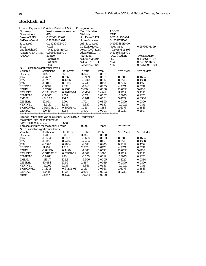## **Rockfish, all**

| Limited Dependent Variable Model - CENSORED |                  | regression                |                       |        |                  |                    |
|---------------------------------------------|------------------|---------------------------|-----------------------|--------|------------------|--------------------|
| Ordinary                                    |                  | least squares regression. | Dep. Variable         |        | <b>LROCK</b>     |                    |
| <b>Observations</b>                         | 415              |                           | Weights               |        | <b>ONE</b>       |                    |
| <b>Mean of LHS</b>                          | $0.2230611E+01$  |                           | <b>Std.Dev of LHS</b> |        | 0.2518493E+01    |                    |
| StdDev of resid.                            | $0.1838761E+01$  |                           | Sum of squares        |        | 0.1359179E+04    |                    |
| R-squared                                   | 0.4823993E+00    |                           | Adj. R-squared        |        | 0.4669485E+00    |                    |
| F[12,                                       | 402]             |                           | 0.3122170E+02         |        | Prob value       | 0.2573607E-49      |
| Log-likelihood                              | $-0.8350287E+03$ |                           | $Restr.(b=0) Log-1$   |        | $-0.9716781E+03$ |                    |
| Amemiya Pr. Criter.                         | $0.3486955E+01$  |                           | Akaike Info.Crit.     |        | 0.4086885E+01    |                    |
| ANOVA                                       | Source           |                           | <b>Variation</b>      |        | Deg. freedom     | <b>Mean Square</b> |
|                                             | Regression       |                           | 0.1266743E+04         |        | 12.              | 0.1055619E+03      |
|                                             | Residual         |                           | 0.1359179E+04         |        | 402.             | 0.3381043E+01      |
|                                             | Total            |                           | $0.2625922E+04$       |        | 414.             | $0.6342808E+01$    |
| $N(0,1)$ used for significance levels.      |                  |                           |                       |        |                  |                    |
| Variable                                    | Coefficient      | Std. Error                | t-ratio               | Prob.  | Var. Mean        | Var. st. dev.      |
| Constant                                    | 1422.6           | 369.8                     | 3.847                 | 0.0001 |                  |                    |
| J162                                        | $-1.2637$        | 0.3160                    | $-3.999$              | 0.0001 | 0.3108           | 0.4634             |
| J177                                        | $-1.3701$        | 0.4226                    | $-3.242$              | 0.0012 | 0.2578           | 0.4380             |
| J192                                        | $-1.3041$        | 0.5398                    | $-2.416$              | 0.0157 | 0.2217           | 0.4159             |
| <b>LDEPTH</b>                               | $-3.6561$        | 2.092                     | $-1.748$              | 0.0805 | 4.7674           | 0.5731             |
| L2DEP                                       | 0.57280          | 0.2187                    | 2.619                 | 0.0088 | 23.0556          | 5.4133             |
| <b>L2SLOPE</b>                              | -0.13411E-01     | 0.1962E-01                | $-0.684$              | 0.4942 | 11.1722          | 5.3092             |
| <b>LBMTEM</b>                               | $-3.8807$        | 1.039                     | $-3.734$              | 0.0002 | $-0.1073$        | 0.1828             |
|                                             |                  |                           |                       |        |                  |                    |
| <b>LMSAL</b>                                | $-846.88$        | 216.5                     | $-3.911$              | 0.0001 | 3.4529           | 0.0380             |
| LBMSAL                                      | 10.041           | 5.904                     | 1.701                 | 0.0890 | 0.0399           | 0.0320             |
| <b>VERTVEL</b>                              | $-8.6183$        | 4.686                     | $-1.839$              | 0.0659 | $-0.0024$        | 0.0196             |
| <b>BMHORVEL</b>                             | 0.52898E-01      | 0.4025E-01                | 1.314                 | 0.1888 | 2.6973           | 2.8813             |
| L2MSAL                                      | 126.49           | 31.69                     | 3.991                 | 0.0001 | 11.9241          | 0.2597             |
|                                             |                  |                           |                       |        |                  |                    |
| Limited Dependent Variable Model - CENSORED |                  |                           | regression            |        |                  |                    |
| <b>Maximum Likelihood Estimates</b>         |                  |                           |                       |        |                  |                    |
| Log-Likelihood                              |                  | $-668.81$                 |                       |        |                  |                    |
| Threshold values for the model: Lower       |                  |                           | 0.0000                | Upper  | **********       |                    |
| $N(0,1)$ used for significance levels.      |                  |                           |                       |        |                  |                    |
| Variable                                    | Coefficient      | Std. Error                | t-ratio               | Prob.  | Var. Mean        | Var. st. dev.      |
| Constant                                    | 1841.9           | 550.6                     | 3.345                 | 0.0008 |                  |                    |
| J162                                        | $-1.8584$        | 0.5091                    | $-3.650$              | 0.0003 | 0.3108           | 0.4634             |
| J177                                        | $-1.8095$        | 0.7284                    | $-2.484$              | 0.0130 | 0.2578           | 0.4380             |
| J192                                        | $-2.2790$        | 0.9834                    | $-2.318$              | 0.0205 | 0.2217           | 0.4159             |
| <b>LDEPTH</b>                               | 11.207           | 4.418                     | 2.537                 | 0.0112 | 4.7674           | 0.5731             |
| L2DEP                                       | $-0.84570$       | 0.4490                    | $-1.883$              | 0.0596 | 23.0556          | 5.4133             |
| <b>L2SLOPE</b>                              | $-0.51155E-01$   | 0.3195E-01                | $-1.601$              | 0.1093 | 11.1722          | 5.3092             |
| <b>LBMTEM</b>                               | $-5.8966$        | 1.814                     | $-3.250$              | 0.0012 | $-0.1073$        | 0.1828             |
| LMSAL                                       | $-1131.7$        | 322.8                     | $-3.506$              | 0.0005 | 3.4529           | 0.0380             |
| LBMSAL                                      | 30.484           | 10.56                     | 2.887                 | 0.0039 | 0.0399           | 0.0320             |
| <b>VERTVEL</b>                              | $-12.762$        | 6.933                     | $-1.841$              | 0.0656 | $-0.0024$        | 0.0196             |
| <b>BMHORVEL</b>                             | 0.14213          | 0.6724E-01                | 2.114                 | 0.0345 | 2.6973           | 2.8813             |
| <b>L2MSAL</b>                               | 170.48           | 47.33                     | 3.602                 | 0.0003 | 11.9241          | 0.2597             |
| Sigma                                       | 2.5557           | 0.1232                    | 20.744                | 0.0000 |                  |                    |
|                                             |                  |                           |                       |        |                  |                    |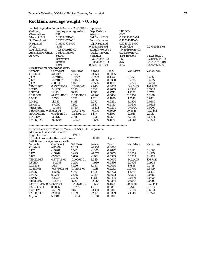# **Rockfish, average weight > 0.5 kg**

| Limited Dependent Variable Model - CENSORED      |                           |                           | regression                            |        |                  |                                  |
|--------------------------------------------------|---------------------------|---------------------------|---------------------------------------|--------|------------------|----------------------------------|
| Ordinary                                         |                           | least squares regression. | Dep. Variable                         |        | <b>LBROCK</b>    |                                  |
| <b>Observations</b>                              | 391                       |                           | Weights                               |        | <b>ONE</b>       |                                  |
| Mean of LHS                                      | 0.1339421E+01             |                           | <b>Std.Dev of LHS</b>                 |        | 0.2389698E+01    |                                  |
| StdDev of resid.                                 | $0.2223165E+01$           |                           | Sum of squares                        |        | 0.1853424E+04    |                                  |
| R-squared                                        | 0.1678070E+00             |                           | Adj. R-squared                        |        | 0.1345193E+00    |                                  |
|                                                  | 3751                      |                           | $0.5041109E+01$                       |        | Prob value       | 0.3734648E-08                    |
| F[15,<br>Log-likelihood                          |                           |                           |                                       |        |                  |                                  |
|                                                  | $-0.8590191E+03$          |                           | $Restr.(b=0) Log-1$                   |        | $-0.8949307E+03$ |                                  |
| Amemiya Pr. Criter.<br><b>ANOVA</b>              | $0.5144713E+01$<br>Source |                           | Akaike Info.Crit.<br><b>Variation</b> |        | 0.4475801E+01    |                                  |
|                                                  |                           |                           |                                       |        | Deg. freedom     | <b>Mean Square</b>               |
|                                                  | Regression<br>Residual    |                           | 0.3737325E+03                         |        | 15.<br>375.      | 0.2491550E+02<br>$0.4942464E+01$ |
|                                                  |                           |                           | 0.1853424E+04                         |        |                  |                                  |
|                                                  | Total                     |                           | 0.2227156E+04                         |        | 390.             | $0.5710657E+01$                  |
| N(0,1) used for significance levels.<br>Variable |                           |                           |                                       |        |                  |                                  |
|                                                  | Coefficient               | Std. Error                | t-ratio                               | Prob.  | Var. Mean        | Var. st. dev.                    |
| Constant                                         | $-64.247$                 | 20.25                     | $-3.173$                              | 0.0015 |                  |                                  |
| J162                                             | $-0.74014$                | 0.5727                    | $-1.292$                              | 0.1962 | 0.3171           | 0.4660                           |
| J177                                             | $-0.74802$                | 0.7823                    | $-0.956$                              | 0.3390 | 0.2302           | 0.4215                           |
| J192                                             | $-1.8074$                 | 1.160                     | $-1.558$                              | 0.1193 | 0.2327           | 0.4231                           |
| TIMELDEP                                         | 0.93623E-02               | 0.3178E-02                | 2.946                                 | 0.0032 | 842.1405         | 126.7421                         |
| <b>LSTEM</b>                                     | 0.11830                   | 1.023                     | 0.116                                 | 0.9079 | 2.2926           | 0.1903                           |
| <b>LGTEM</b>                                     | 11.193                    | 10.23                     | 1.094                                 | 0.2741 | 1.7858           | 0.1758                           |
| <b>L2SLOPE</b>                                   | $-0.22014E-01$            | 0.2438E-01                | $-0.903$                              | 0.3664 | 11.2754          | 5.3109                           |
| <b>LMLD</b>                                      | 1.7334                    | 1.323                     | 1.311                                 | 0.1900 | 1.5073           | 0.6411                           |
| <b>LMSAL</b>                                     | 14.083                    | 6.198                     | 2.272                                 | 0.0231 | 3.4524           | 0.0389                           |
| LBMSAL                                           | 6.4959                    | 7.952                     | 0.817                                 | 0.4140 | 0.0410           | 0.0323                           |
| <b>VERTVEL</b>                                   | $-13.389$                 | 5.760                     | $-2.324$                              | 0.0201 | $-0.0024$        | 0.0200                           |
| <b>MSHORVEL -0.13167E-01</b>                     |                           | 0.1447E-01                | $-0.910$                              | 0.3629 | 10.5688          | 10.0444                          |
| <b>BMHORVEL</b>                                  | 0.79452E-01               | 0.5379E-01                | 1.477                                 | 0.1397 | 2.7515           | 2.9133                           |
| L2GTEM                                           | $-3.0617$                 | 2.711                     | $-1.130$                              | 0.2587 | 3.2198           | 0.6594                           |
| LMLD DEP                                         | $-0.45503$                | 0.2926                    | $-1.555$                              | 0.1199 | 7.1040           | 2.9228                           |
|                                                  |                           |                           |                                       |        |                  |                                  |
| Limited Dependent Variable Model - CENSORED      |                           |                           | regression                            |        |                  |                                  |
| <b>Maximum Likelihood Estimates</b>              |                           |                           |                                       |        |                  |                                  |
| Log-Likelihood                                   |                           | $-471.12$                 |                                       |        |                  |                                  |
| Threshold values for the model: Lower            |                           |                           | 0.0000                                | Upper  | **********       |                                  |
| $N(0,1)$ used for significance levels.           |                           |                           |                                       |        |                  |                                  |
| Variable                                         | Coefficient               | Std. Error                | t-ratio                               | Prob.  | Var. Mean        | Var. st. dev.                    |
| Constant                                         | $-410.09$                 | 86.33                     | $-4.750$                              | 0.0000 |                  |                                  |
| J162                                             | $-1.9281$                 | 1.745                     | $-1.105$                              | 0.2692 | 0.3171           | 0.4660                           |
| J177                                             | $-1.3962$                 | 2.429                     | $-0.575$                              | 0.5655 | 0.2302           | 0.4215                           |
| J192                                             | $-7.0661$                 | 3.660                     | $-1.931$                              | 0.0535 | 0.2327           | 0.4231                           |
| TIMELDEP                                         | 0.37971E-01               | 0.1029E-01                | 3.689                                 | 0.0002 | 842.1405         | 126.7421                         |
| <b>LSTEM</b>                                     | $-6.2988$                 | 3.264                     | $-1.930$                              | 0.0536 | 2.2926           | 0.1903                           |
| <b>LGTEM</b>                                     | 171.57                    | 49.20                     | 3.487                                 | 0.0005 | 1.7858           | 0.1758                           |
| <b>L2SLOPE</b>                                   | $-0.87869E-01$            | 0.7214E-01                | $-1.218$                              | 0.2232 | 11.2754          | 5.3109                           |
| <b>LMLD</b>                                      | 8.5802                    | 4.772                     | 1.798                                 | 0.0722 | 1.5073           | 0.6411                           |
| <b>LMSAL</b>                                     | 69.276                    | 23.65                     | 2.929                                 | 0.0034 | 3.4524           | 0.0389                           |
| LBMSAL                                           | 58.733                    | 29.96                     | 1.961                                 | 0.0499 | 0.0410           | 0.0323                           |
| <b>VERTVEL</b>                                   | $-33.644$                 | 16.27                     | $-2.068$                              | 0.0386 | $-0.0024$        | 0.0200                           |
| <b>MSHORVEL -0.63866E-01</b>                     |                           | 0.4067E-01                | $-1.570$                              | 0.1163 | 10.5688          | 10.0444                          |
| <b>BMHORVEL</b>                                  | 0.30568                   | 0.1795                    | 1.703                                 | 0.0886 | 2.7515           | 2.9133                           |
| L2GTEM                                           | $-47.574$                 | 13.63                     | $-3.491$                              | 0.0005 | 3.2198           | 0.6594                           |
| LMLD_DEP                                         | $-2.1410$                 | 1.009                     | $-2.121$                              | 0.0339 | 7.1040           | 2.9228                           |
|                                                  |                           |                           |                                       |        |                  |                                  |

Sigma 5.0184 0.3764 13.334 0.0000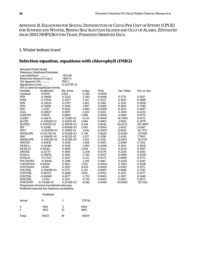#### *APPENDIX B. EQUATIONS FOR SPATIAL DISTRIBUTION OF CATCH PER UNIT OF EFFORT (CPUE) FOR SUMMER AND WINTER, BERING SEA/ALEUTIAN ISLANDS AND GULF OF ALASKA, ESTIMATED FROM 2001 NMFS BOTTOM TRAWL FISHERIES OBSERVER DATA*

#### *1. Winter bottom trawl*

### **Selection equation, equations with chlorophyll (IMR2)**

| <b>Binomial Probit Model</b>               |                                        |             |          |        |           |               |
|--------------------------------------------|----------------------------------------|-------------|----------|--------|-----------|---------------|
|                                            | <b>Maximum Likelihood Estimates</b>    |             |          |        |           |               |
| Log-Likelihood                             |                                        | $-803.90$   |          |        |           |               |
| Restricted (Slopes 0) Log-L.               |                                        | $-4647.4$   |          |        |           |               |
| Chi-Squared (29)                           |                                        | 7687.1      |          |        |           |               |
| Significance Level                         |                                        | 0.32173E-13 |          |        |           |               |
|                                            | $N(0,1)$ used for significance levels. |             |          |        |           |               |
| Variable                                   | Coefficient                            | Std. Error  | t-ratio  | Prob.  | Var. Mean | Var. st. dev. |
| Constant                                   | $-8.0095$                              | 1.824       | $-4.392$ | 0.0000 |           |               |
| <b>FEB</b>                                 | $-0.58440$                             | 0.2262      | $-2.583$ | 0.0098 | 0.1770    | 0.3817        |
| <b>MAR</b>                                 | $-0.27818$                             | 0.2437      | $-1.141$ | 0.2537 | 0.1625    | 0.3689        |
| <b>APR</b>                                 | $-0.33022$                             | 0.2787      | $-1.185$ | 0.2361 | 0.1592    | 0.3659        |
| <b>NOV</b>                                 | $-0.51956$                             | 0.2642      | $-1.967$ | 0.0492 | 0.1691    | 0.3748        |
| DEC                                        | $-1.3110$                              | 0.2641      | $-4.963$ | 0.0000 | 0.1633    | 0.3697        |
| GOA                                        | $-0.28827$                             | 0.1897      | $-1.520$ | 0.1285 | 0.2505    | 0.4333        |
| <b>LDEPTH</b>                              | 3.9029                                 | 0.6864      | 5.686    | 0.0000 | 4.4569    | 0.9573        |
| L2DEP                                      | $-0.45071$                             | 0.7256E-01  | $-6.212$ | 0.0000 | 20.7804   | 8.8173        |
| <b>SLOPE</b>                               | 0.25926E-01                            | 0.1530E-01  | 1.694    | 0.0902 | 3.9482    | 8.2979        |
| SLOPE2                                     | 0.17093E-03                            | 0.3905E-03  | 0.438    | 0.6616 | 84.4372   | 287.8697      |
| <b>SST</b>                                 | 0.21348                                | 0.8084E-01  | 2.641    | 0.0083 | 2.4452    | 2.6567        |
| SST <sub>2</sub>                           | $-0.50597E-01$                         | 0.1390E-01  | $-3.641$ | 0.0003 | 11.6614   | 14.7372       |
| <b>SSTSLOPE</b>                            | 0.22275E-02                            | 0.3028E-02  | 0.736    | 0.4620 | 13.8289   | 13.0156       |
| <b>SSH</b>                                 | $-0.12662E - 01$                       | 0.1032E-01  | $-1.227$ | 0.2198 | $-3.4514$ | 7.7605        |
| <b>SSHSLOPE</b>                            | $-0.20823E-02$                         | 0.2055E-02  | $-1.013$ | 0.3110 | 32.0651   | 19.2719       |
| <b>MWIND</b>                               | $-0.43418$                             | 0.3434      | $-1.264$ | 0.2061 | 2.4399    | 0.1314        |
| <b>MCHLA</b>                               | $-0.30384$                             | 0.1549      | $-1.962$ | 0.0498 | 0.3811    | 0.3658        |
| MCHLA1                                     | 0.16545                                | 0.1648      | 1.004    | 0.3153 | 0.4223    | 0.3927        |
| <b>DWIND</b>                               | $-0.32717$                             | 0.1485      | $-2.204$ | 0.0276 | 0.2554    | 0.4361        |
| <b>DCHLA</b>                               | $-0.38978$                             | 0.1410      | $-2.765$ | 0.0057 | 0.4946    | 0.5000        |
| <b>DCHLA1</b>                              | $-0.27557$                             | 0.1247      | $-2.211$ | 0.0271 | 0.6494    | 0.4772        |
| <b>POLTRAWL</b>                            | $-0.18045$                             | 0.1398      | $-1.291$ | 0.1967 | 0.4259    | 0.4510        |
| <b>CODTRAWL</b>                            | 0.64341                                | 0.1811      | 3.552    | 0.0004 | 0.7303    | 0.3938        |
| <b>ATKTRAWL</b>                            | 1.4558                                 | 0.3287      | 4.429    | 0.0000 | 0.0193    | 0.1173        |
| <b>POLTSSL</b>                             | 0.23449E-01                            | 0.1772      | 0.132    | 0.8947 | 0.1648    | 0.3710        |
| <b>CODTSSL</b>                             | 0.48325                                | 0.2669      | 1.810    | 0.0702 | 0.1515    | 0.3577        |
| <b>ATKTSSL</b>                             | $-0.84069$                             | 0.3077      | $-2.732$ | 0.0063 | 0.1387    | 0.3448        |
| <b>MIXTSSL</b>                             | $-1.1763$                              | 0.3151      | $-3.733$ | 0.0002 | 0.0913    | 0.2871        |
| <b>PORTDIST</b>                            | $-0.17414E-01$                         | 0.2034E-02  | $-8.562$ | 0.0000 | 63.9429   | 39.7322       |
| Frequencies of actual & predicted outcomes |                                        |             |          |        |           |               |

Predicted outcome has maximum probability.

| Actual        | 0            |         | <b>TOTAL</b> |
|---------------|--------------|---------|--------------|
| $\Omega$<br>1 | 9161<br>1652 | 3<br>13 | 9164<br>1665 |
| Total         | 10813        | 16      | 10829        |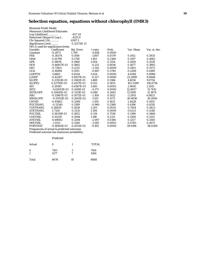## **Selection equation, equations without chlorophyll (IMR3)**

|                                                      | <b>Binomial Probit Model</b> |             |          |        |           |               |  |  |
|------------------------------------------------------|------------------------------|-------------|----------|--------|-----------|---------------|--|--|
| <b>Maximum Likelihood Estimates</b>                  |                              |             |          |        |           |               |  |  |
| Log-Likelihood                                       |                              | $-827.24$   |          |        |           |               |  |  |
| Restricted (Slopes 0) Log-L.                         |                              | $-4125.9$   |          |        |           |               |  |  |
| Chi-Squared (24)                                     |                              | 6597.3      |          |        |           |               |  |  |
| Significance Level                                   |                              | 0.32173E-13 |          |        |           |               |  |  |
| $N(0,1)$ used for significance levels.               |                              |             |          |        |           |               |  |  |
| Variable                                             | Coefficient                  | Std. Error  | t-ratio  | Prob.  | Var. Mean | Var. st. dev. |  |  |
| Constant                                             | $-8.2873$                    | 1.709       | $-4.848$ | 0.0000 |           |               |  |  |
| <b>FEB</b>                                           | $-0.36374$                   | 0.1918      | $-1.897$ | 0.0579 | 0.1912    | 0.3933        |  |  |
| <b>MAR</b>                                           | 0.20799                      | 0.1758      | 1.183    | 0.2369 | 0.1597    | 0.3663        |  |  |
| <b>APR</b>                                           | 0.19676                      | 0.1960      | 1.004    | 0.3154 | 0.1459    | 0.3530        |  |  |
| <b>NOV</b>                                           | $-0.46857E-01$               | 0.1865      | $-0.251$ | 0.8016 | 0.1877    | 0.3905        |  |  |
| DEC                                                  | $-0.73421$                   | 0.2215      | $-3.314$ | 0.0009 | 0.1502    | 0.3573        |  |  |
| GOA                                                  | $-0.16994$                   | 0.1915      | $-0.887$ | 0.3749 | 0.2269    | 0.4189        |  |  |
| <b>LDEPTH</b>                                        | 3.6863                       | 0.6554      | 5.624    | 0.0000 | 4.6349    | 0.8986        |  |  |
| L2DEP                                                | $-0.42507$                   | 0.6937E-01  | $-6.127$ | 0.0000 | 22.2899   | 8.6848        |  |  |
| <b>SLOPE</b>                                         | 0.23553E-01                  | 0.1582E-01  | 1.489    | 0.1366 | 4.6016    | 9.0754        |  |  |
| SLOPE <sub>2</sub>                                   | 0.22750E-03                  | 0.4127E-03  | 0.551    | 0.5815 | 103.5289  | 316.6736      |  |  |
| <b>SST</b>                                           | 0.29195                      | 0.8387E-01  | 3.481    | 0.0005 | 2.9045    | 2.1915        |  |  |
| SST <sub>2</sub>                                     | $-0.62001E-01$               | 0.1418E-01  | $-4.371$ | 0.0000 | 12.8857   | 13.7415       |  |  |
| <b>SSTSLOPE</b>                                      | 0.29445E-02                  | 0.3113E-02  | 0.946    | 0.3442 | 13.5910   | 12.1874       |  |  |
| <b>SSH</b>                                           | $-0.13987E - 01$             | 0.1072E-01  | $-1.304$ | 0.1922 | $-3.2951$ | 6.6821        |  |  |
| <b>SSHSLOPE</b>                                      | $-0.29155E-02$               | 0.2061E-02  | $-1.415$ | 0.1572 | 30.6658   | 18.2006       |  |  |
| <b>LWIND</b>                                         | $-0.45863$                   | 0.3288      | $-1.395$ | 0.1631 | 2.4428    | 0.1455        |  |  |
| <b>POLTRAWL</b>                                      | $-0.13340$                   | 0.1389      | $-0.960$ | 0.3368 | 0.4196    | 0.4519        |  |  |
| <b>CODTRAWL</b>                                      | 0.58830                      | 0.1838      | 3.201    | 0.0014 | 0.7504    | 0.3823        |  |  |
| <b>ATKTRAWL</b>                                      | 1.7320                       | 0.3335      | 5.194    | 0.0000 | 0.0221    | 0.1248        |  |  |
| <b>POLTSSL</b>                                       | 0.58119E-01                  | 0.1852      | 0.314    | 0.7536 | 0.1396    | 0.3466        |  |  |
| <b>CODTSSL</b>                                       | 0.35259                      | 0.2944      | 1.198    | 0.2311 | 0.1300    | 0.3351        |  |  |
| <b>ATKTSSL</b>                                       | $-0.69082$                   | 0.3294      | $-2.097$ | 0.0360 | 0.1257    | 0.3305        |  |  |
| <b>MIXTSSL</b>                                       | $-1.1321$                    | 0.3149      | $-3.595$ | 0.0003 | 0.0785    | 0.2675        |  |  |
| <b>PORTDIST</b>                                      | $-0.18465E-01$               | 0.2015E-02  | $-9.165$ | 0.0000 | 59.9196   | 38.0269       |  |  |
| Executive of a strip and the district of the streets |                              |             |          |        |           |               |  |  |

Frequencies of actual & predicted outcomes

Predicted outcome has maximum probability.

#### Predicted

| Actual        | O            |        | <b>TOTAL</b> |
|---------------|--------------|--------|--------------|
| $\bf{0}$<br>1 | 7101<br>1577 | 3<br>7 | 7104<br>1584 |
| Total         | 8678         | 10     | 8688         |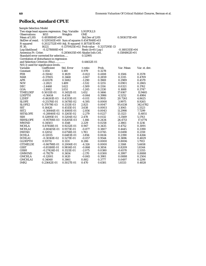# **Pollock, standard CPUE**

| Sample Selection Model                            |                  |                                            |                     |               |                  |               |  |
|---------------------------------------------------|------------------|--------------------------------------------|---------------------|---------------|------------------|---------------|--|
| Two stage least squares regression. Dep. Variable |                  |                                            | <b>LOGPOLLS</b>     |               |                  |               |  |
| <b>Observations</b>                               | 1653             | Weights                                    | <b>ONE</b>          |               |                  |               |  |
| <b>Mean of LHS</b>                                | 0.4938884E+00    | <b>Std.Dev of LHS</b>                      |                     |               | 0.5930371E+00    |               |  |
| StdDev of resid.                                  |                  | 0.5295141E+00 Sum of squares 0.4547848E+03 |                     |               |                  |               |  |
| R-squared                                         |                  | 0.2022732E+00 Adj. R-squared 0.1875187E+00 |                     |               |                  |               |  |
| F[ 30,                                            | 1622]            | 0.1370925E+02 Prob value                   |                     | 0.3217295E-13 |                  |               |  |
| Log-likelihood                                    | $-0.1278888E+04$ |                                            | $Restr.(b=0) Log-1$ |               | $-0.1481315E+04$ |               |  |
| Amemiya Pr. Criter.                               |                  | 0.2856435E+00 Akaike Info.Crit.            |                     |               | $0.1584862E+01$  |               |  |
| Standard error corrected for selection            |                  |                                            | 0.52995             |               |                  |               |  |
| Correlation of disturbance in regression          |                  |                                            |                     |               |                  |               |  |
| and Selection Criterion (Rho)                     |                  |                                            | 0.44612E-01         |               |                  |               |  |
| $N(0,1)$ used for significance levels.            |                  |                                            |                     |               |                  |               |  |
| Variable                                          | Coefficient      | Std. Error                                 | t-ratio             | Prob.         | Var. Mean        | Var. st. dev. |  |
| Constant                                          | 1.1154           | 1.140                                      | 0.979               | 0.3278        |                  |               |  |
| <b>FEB</b>                                        | $-0.15042$       | 0.1829                                     | $-0.822$            | 0.4108        | 0.1506           | 0.3578        |  |
| MAR                                               | $-0.37005$       | 0.3468                                     | $-1.067$            | 0.2859        | 0.3315           | 0.4709        |  |
| <b>APR</b>                                        | $-0.65578$       | 0.5082                                     | $-1.290$            | 0.1969        | 0.2989           | 0.4579        |  |
| <b>NOV</b>                                        | $-2.2821$        | 1.489                                      | $-1.532$            | 0.1255        | 0.0901           | 0.2865        |  |
| DEC                                               | $-2.4468$        | 1.622                                      | $-1.509$            | 0.1314        | 0.0321           | 0.1762        |  |
| GOA                                               | $-1.3082$        | 1.051                                      | $-1.245$            | 0.2130        | 0.1688           | 0.3747        |  |
| TIMELDEP                                          | 0.50111E-01      | 0.3452E-01                                 | 1.452               | 0.1466        | 17.6167          | 11.9465       |  |
| <b>LDEPTH</b>                                     | $-0.36414$       | 0.4314                                     | $-0.844$            | 0.3986        | 4.5252           | 0.4984        |  |
| L2DEP                                             | $-0.46261E-03$   | 0.4333E-01                                 | $-0.011$            | 0.9915        | 20.7261          | 4.8625        |  |
| <b>SLOPE</b>                                      | $-0.25176E-01$   | 0.5478E-02                                 | $-4.595$            | 0.0000        | 3.9975           | 8.9265        |  |
| SLOPE2                                            | 0.37079E-03      | 0.1313E-03                                 | 2.825               | 0.0047        | 95.6138          | 342.6782      |  |
| <b>SST</b>                                        | 0.16426          | 0.4515E-01                                 | 3.638               | 0.0003        | 3.1065           | 1.3323        |  |
| SST <sub>2</sub>                                  | $-0.30844E-01$   | 0.1080E-01                                 | $-2.856$            | 0.0043        | 11.2998          | 7.7299        |  |
| <b>SSTSLOPE</b>                                   | -0.28840E-02     | 0.1265E-02                                 | $-2.279$            | 0.0227        | 13.1123          | 11.4851       |  |
| <b>SSH</b>                                        | 0.12895E-01      | 0.5204E-02                                 | 2.478               | 0.0132        | $-5.3569$        | 5.1763        |  |
| <b>SSHSLOPE</b>                                   | $-0.95708E-03$   | 0.8205E-03                                 | $-1.166$            | 0.2434        | 26.4713          | 17.4774       |  |
| <b>MWIND</b>                                      | 0.34503          | 0.1548                                     | 2.229               | 0.0258        | 2.3861           | 0.1216        |  |
| <b>MCHLA</b>                                      | 0.87458E-01      | 0.9232E-01                                 | 0.947               | 0.3435        | 0.4752           | 0.3091        |  |
| <b>MCHLA1</b>                                     | -0.80405E-01     | 0.9173E-01                                 | $-0.877$            | 0.3807        | 0.4445           | 0.3390        |  |
| <b>DWIND</b>                                      | 0.12052          | 0.6758E-01                                 | 1.783               | 0.0745        | 0.0490           | 0.2159        |  |
| <b>DCHLA</b>                                      | $-0.12035$       | 0.6483E-01                                 | $-1.856$            | 0.0634        | 0.2390           | 0.4266        |  |
| <b>DCHLA1</b>                                     | -0.30161E-02     | 0.5271E-01                                 | $-0.057$            | 0.9544        | 0.3696           | 0.4829        |  |
| <b>GLDEPTH</b>                                    | 0.93711          | 0.1131                                     | 8.286               | 0.0000        | 0.8006           | 1.7913        |  |
| <b>GTIMELDE</b>                                   | $-0.86798E-01$   | 0.2006E-01                                 | $-4.326$            | 0.0000        | 2.3168           | 5.6658        |  |
| <b>GSST</b>                                       | $-0.85188E-01$   | 0.9814E-01                                 | $-0.868$            | 0.3854        | 0.8209           | 1.8344        |  |
| <b>GSSH</b>                                       | $-0.27424E-01$   | 0.1321E-01                                 | $-2.075$            | 0.0380        | $-0.6570$        | 2.5355        |  |
| <b>GMWIND</b>                                     | $-0.79279$       | 0.3654                                     | $-2.170$            | 0.0300        | 0.3997           | 0.8888        |  |
| <b>GMCHLA</b>                                     | $-0.12001$       | 0.1420                                     | $-0.845$            | 0.3981        | 0.0888           | 0.2504        |  |
| <b>GMCHLA1</b>                                    | 0.34060          | 0.3861                                     | 0.882               | 0.3777        | 0.0497           | 0.1298        |  |
| IMR <sub>2</sub>                                  | 0.23642E-01      | 0.5027E-01                                 | 0.470               | 0.6381        | 1.8333           | 0.4828        |  |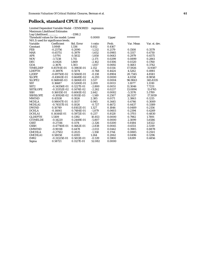# **Pollock, standard CPUE (cont.)**

 Limited Dependent Variable Model - CENSORED regression Maximum Likelihood Estimates

| Log-Likelihood                         |                  | $-1398.2$  |          |        |            |               |
|----------------------------------------|------------------|------------|----------|--------|------------|---------------|
| Threshold values for the model: Lower  |                  |            | 0.0000   | Upper  | ********** |               |
| $N(0,1)$ used for significance levels. |                  |            |          |        |            |               |
| Variable                               | Coefficient      | Std. Error | t-ratio  | Prob.  | Var. Mean  | Var. st. dev. |
| Constant                               | 1.0848           | 1.336      | 0.812    | 0.4167 |            |               |
| <b>FEB</b>                             | $-0.25756$       | 0.2090     | $-1.232$ | 0.2179 | 0.1508     | 0.3579        |
| <b>MAR</b>                             | $-0.65751$       | 0.3979     | $-1.652$ | 0.0985 | 0.3317     | 0.4710        |
| <b>APR</b>                             | $-1.0791$        | 0.5832     | $-1.850$ | 0.0643 | 0.2979     | 0.4575        |
| <b>NOV</b>                             | $-3.7238$        | 1.715      | $-2.171$ | 0.0299 | 0.0899     | 0.2861        |
| <b>DEC</b>                             | $-4.0426$        | 1.869      | $-2.162$ | 0.0306 | 0.0320     | 0.1760        |
| <b>GOA</b>                             | $-2.3676$        | 1.303      | $-1.817$ | 0.0692 | 0.1683     | 0.3742        |
| <b>TIMELDEP</b>                        | 0.85701E-01      | 0.3983E-01 | 2.152    | 0.0314 | 17.5926    | 11.9387       |
| <b>LDEPTH</b>                          | $-0.38976$       | 0.5074     | $-0.768$ | 0.4424 | 4.5262     | 0.4981        |
| L2DEP                                  | $-0.69750E-02$   | 0.5060E-01 | $-0.138$ | 0.8904 | 20.7345    | 4.8581        |
| <b>SLOPE</b>                           | $-0.41843E-01$   | 0.6649E-02 | $-6.293$ | 0.0000 | 4.0358     | 8.9858        |
| SLOPE <sub>2</sub>                     | 0.56804E-03      | 0.1606E-03 | 3.537    | 0.0004 | 96.9843    | 345.8335      |
| <b>SST</b>                             | 0.16687          | 0.5200E-01 | 3.209    | 0.0013 | 3.1077     | 1.3310        |
| SST <sub>2</sub>                       | $-0.34356E - 01$ | 0.1227E-01 | $-2.800$ | 0.0051 | 11.3046    | 7.7231        |
| <b>SSTSLOPE</b>                        | $-0.33352E-02$   | 0.1474E-02 | $-2.262$ | 0.0237 | 13.0894    | 11.4765       |
| <b>SSH</b>                             | 0.16015E-01      | 0.6061E-02 | 2.642    | 0.0082 | $-5.3576$  | 5.1789        |
| <b>SSHSLOPE</b>                        | $-0.10924E-02$   | 0.9511E-03 | $-1.149$ | 0.2507 | 26.5137    | 17.5059       |
| <b>MWIND</b>                           | 0.43538          | 0.1826     | 2.385    | 0.0171 | 2.3863     | 0.1215        |
| <b>MCHLA</b>                           | 0.98047E-01      | 0.1037     | 0.945    | 0.3445 | 0.4746     | 0.3089        |
| MCHLA1                                 | $-0.74557E-01$   | 0.1026     | $-0.727$ | 0.4672 | 0.4437     | 0.3389        |
| <b>DWIND</b>                           | 0.10749          | 0.8102E-01 | 1.327    | 0.1846 | 0.0489     | 0.2156        |
| <b>DCHLA</b>                           | $-0.14061$       | 0.7484E-01 | $-1.879$ | 0.0603 | 0.2394     | 0.4269        |
| <b>DCHLA1</b>                          | 0.14144E-01      | 0.5972E-01 | 0.237    | 0.8128 | 0.3703     | 0.4830        |
| <b>GLDEPTH</b>                         | 1.5109           | 0.1392     | 10.853   | 0.0000 | 0.7982     | 1.7891        |
| <b>GTIMELDE</b>                        | $-0.14220$       | 0.2449E-01 | $-5.807$ | 0.0000 | 2.3099     | 5.6586        |
| <b>GSST</b>                            | $-0.27316$       | 0.1174     | $-2.326$ | 0.0200 | 0.8184     | 1.8322        |
| <b>GSSH</b>                            | $-0.47740E-01$   | 0.1682E-01 | $-2.838$ | 0.0045 | $-0.6551$  | 2.5319        |
| <b>GMWIND</b>                          | $-0.90118$       | 0.4478     | $-2.013$ | 0.0442 | 0.3985     | 0.8878        |
| <b>GMCHLA</b>                          | $-0.27502$       | 0.2025     | $-1.358$ | 0.1744 | 0.0885     | 0.2501        |
| <b>GMCHLA1</b>                         | 0.58058          | 0.4593     | 1.264    | 0.2062 | 0.0496     | 0.1296        |
| IMR <sub>2</sub>                       | $-0.31325E - 01$ | 0.5813E-01 | $-0.539$ | 0.5900 | 1.8289     | 0.4856        |
| Sigma                                  | 0.58721          | 0.1127E-01 | 52.082   | 0.0000 |            |               |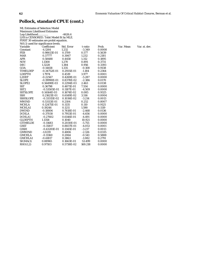# **Pollock, standard CPUE (cont.)**

| <b>ML Estimates of Selection Model</b>   |                  |            |          |        |  |  |  |  |
|------------------------------------------|------------------|------------|----------|--------|--|--|--|--|
| <b>Maximum Likelihood Estimates</b>      |                  |            |          |        |  |  |  |  |
| Log-Likelihood                           |                  | $-4626.4$  |          |        |  |  |  |  |
| LHS is CENSORED. Tobit Model fit by MLE. |                  |            |          |        |  |  |  |  |
| FIRST 30 estimates are probit equation.  |                  |            |          |        |  |  |  |  |
| N(0,1) used for significance levels.     |                  |            |          |        |  |  |  |  |
| Variable                                 | Coefficient      | Std. Error | t-ratio  | Prob.  |  |  |  |  |
| Constant                                 | $-4.1264$        | 1.232      | $-3.349$ | 0.0008 |  |  |  |  |
| <b>FEB</b>                               | 0.98613E-01      | 0.1709     | 0.577    | 0.5639 |  |  |  |  |
| <b>MAR</b>                               | 0.37777          | 0.3067     | 1.232    | 0.2181 |  |  |  |  |
| <b>APR</b>                               | 0.58488          | 0.4458     | 1.312    | 0.1895 |  |  |  |  |
| <b>NOV</b>                               | 1.1308           | 1.270      | 0.891    | 0.3731 |  |  |  |  |
| DEC                                      | 1.3228           | 1.384      | 0.956    | 0.3393 |  |  |  |  |
| GOA                                      | $-0.14458$       | 1.335      | $-0.108$ | 0.9138 |  |  |  |  |
| <b>TIMELDEP</b>                          | $-0.34752E - 01$ | 0.2935E-01 | $-1.184$ | 0.2364 |  |  |  |  |
| <b>LDEPTH</b>                            | 1.7974           | 0.4519     | 3.977    | 0.0001 |  |  |  |  |
| L2DEP                                    | $-0.22567$       | 0.4269E-01 | $-5.287$ | 0.0000 |  |  |  |  |
| <b>SLOPE</b>                             | $-0.19990E-01$   | 0.8378E-02 | $-2.386$ | 0.0170 |  |  |  |  |
| SLOPE <sub>2</sub>                       | 0.56498E-03      | 0.2294E-03 | 2.463    | 0.0138 |  |  |  |  |
| <b>SST</b>                               | 0.36798          | 0.4871E-01 | 7.554    | 0.0000 |  |  |  |  |
| SST <sub>2</sub>                         | $-0.53505E-01$   | 0.1187E-01 | $-4.509$ | 0.0000 |  |  |  |  |
| <b>SSTSLOPE</b>                          | 0.14164E-03      | 0.1674E-02 | 0.085    | 0.9325 |  |  |  |  |
| <b>SSH</b>                               | 0.21621E-01      | 0.6149E-02 | 3.516    | 0.0004 |  |  |  |  |
| <b>SSHSLOPE</b>                          | $-0.33315E-02$   | 0.1036E-02 | $-3.214$ | 0.0013 |  |  |  |  |
| <b>MWIND</b>                             | 0.53113E-01      | 0.2104     | 0.252    | 0.8007 |  |  |  |  |
| <b>MCHLA</b>                             | 0.12475E-01      | 0.1135     | 0.110    | 0.9125 |  |  |  |  |
| <b>MCHLA1</b>                            | 0.19246          | 0.1211     | 1.590    | 0.1119 |  |  |  |  |
| <b>DWIND</b>                             | $-0.18806$       | 0.7618E-01 | $-2.468$ | 0.0136 |  |  |  |  |
| <b>DCHLA</b>                             | $-0.37030$       | 0.7953E-01 | $-4.656$ | 0.0000 |  |  |  |  |
| <b>DCHLA1</b>                            | $-0.27602$       | 0.6146E-01 | $-4.491$ | 0.0000 |  |  |  |  |
| <b>GLDEPTH</b>                           | 1.1358           | 0.1040     | 10.921   | 0.0000 |  |  |  |  |
| <b>GTIMELDE</b>                          | $-0.11683$       | 0.2030E-01 | $-5.755$ | 0.0000 |  |  |  |  |
| <b>GSST</b>                              | $-0.35817$       | 0.8837E-01 | $-4.053$ | 0.0001 |  |  |  |  |
| <b>GSSH</b>                              | $-0.43281E-01$   | 0.1345E-01 | $-3.217$ | 0.0013 |  |  |  |  |
| <b>GMWIND</b>                            | $-1.0219$        | 0.4806     | $-2.126$ | 0.0335 |  |  |  |  |
| <b>GMCHLA</b>                            | $-0.11160$       | 0.2064     | $-0.541$ | 0.5888 |  |  |  |  |
| <b>GMCHLA1</b>                           | $-0.41817$       | 0.3863     | $-1.082$ | 0.2791 |  |  |  |  |
| SIGMA(1)                                 | 0.88965          | 0.1663E-01 | 53.499   | 0.0000 |  |  |  |  |
| RHO(1,2)                                 | 0.97103          | 0.5738E-02 | 169.218  | 0.0000 |  |  |  |  |

ob. Var. Mean Var. st. dev.<br>0008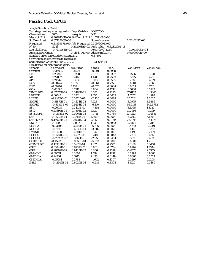### **Pacific Cod, CPUE**

| <b>Sample Selection Model</b>                     |                  |                                            |                     |               |                  |               |
|---------------------------------------------------|------------------|--------------------------------------------|---------------------|---------------|------------------|---------------|
| Two stage least squares regression. Dep. Variable |                  |                                            | LOGPCOD             |               |                  |               |
| <b>Observations</b>                               | 1653             | Weights                                    | <b>ONE</b>          |               |                  |               |
| Mean of LHS                                       |                  | 0.4016436E+00 Std.Dev of LHS 0.4578468E+00 |                     |               |                  |               |
| StdDev of resid.                                  | 0.3778806E+00    |                                            | Sum of squares      |               | $0.2316115E+03$  |               |
| R-squared                                         |                  | 0.3183967E+00 Adj. R-squared 0.3057900E+00 |                     |               |                  |               |
| F[30,                                             | 16221            | $0.2525611E+02$ Prob value                 |                     | 0.3217295E-13 |                  |               |
| Log-likelihood                                    | $-0.7211968E+03$ |                                            | $Restr.(b=0) Log-1$ |               | $-0.1053648E+04$ |               |
| Amemiya Pr. Criter.                               |                  | 0.1454717E+00 Akaike Info.Crit.            |                     |               | 0.9100990E+00    |               |
| Standard error corrected for selection            |                  |                                            | 0.37804             |               |                  |               |
| Correlation of disturbance in regression          |                  |                                            |                     |               |                  |               |
| and Selection Criterion (Rho)                     |                  |                                            | $-0.34165E-01$      |               |                  |               |
| $N(0,1)$ used for significance levels.            |                  |                                            |                     |               |                  |               |
| Variable                                          | Coefficient      | Std. Error                                 | t-ratio             | Prob.         | Var. Mean        | Var. st. dev. |
| Constant                                          | $-0.34035$       | 0.8704                                     | $-0.391$            | 0.6958        |                  |               |
| <b>FEB</b>                                        | 0.26840          | 0.1298                                     | 2.067               | 0.0387        | 0.1506           | 0.3578        |
| MAR                                               | 0.27857          | 0.2469                                     | 1.128               | 0.2592        | 0.3315           | 0.4709        |
| APR                                               | 0.21542          | 0.3635                                     | 0.593               | 0.5535        | 0.2989           | 0.4579        |
| <b>NOV</b>                                        | $-0.38747$       | 1.065                                      | $-0.364$            | 0.7159        | 0.0901           | 0.2865        |
| <b>DEC</b>                                        | $-0.59297$       | 1.157                                      | $-0.512$            | 0.6084        | 0.0321           | 0.1762        |
| GOA                                               | 0.60395          | 0.7511                                     | 0.804               | 0.4214        | 0.1688           | 0.3747        |
| <b>TIMELDEP</b>                                   | 0.87670E-02      | 0.2468E-01                                 | 0.355               | 0.7225        | 17.6167          | 11.9465       |
| <b>LDEPTH</b>                                     | 0.60747          | 0.3311                                     | 1.835               | 0.0665        | 4.5252           | 0.4984        |
| L2DEP                                             | $-0.91019E-01$   | 0.3371E-01                                 | $-2.700$            | 0.0069        | 20.7261          | 4.8625        |
| <b>SLOPE</b>                                      | 0.31871E-01      | 0.4234E-02                                 | 7.528               | 0.0000        | 3.9975           | 8.9265        |
| <b>SLOPE2</b>                                     | $-0.56813E-03$   | 0.9254E-04                                 | $-6.140$            | 0.0000        | 95.6138          | 342.6782      |
| <b>SST</b>                                        | $-0.26935$       | 0.3413E-01                                 | $-7.892$            | 0.0000        | 3.1065           | 1.3323        |
| SST <sub>2</sub>                                  | 0.43395E-01      | 0.7856E-02                                 | 5.524               | 0.0000        | 11.2998          | 7.7299        |
| <b>SSTSLOPE</b>                                   | -0.15933E-02     | 0.9065E-03                                 | $-1.758$            | 0.0788        | 13.1123          | 11.4851       |
| <b>SSH</b>                                        | 0.16291E-01      | 0.3711E-02                                 | 4.390               | 0.0000        | $-5.3569$        | 5.1763        |
| <b>SSHSLOPE</b>                                   | 0.14028E-02      | 0.5978E-03                                 | 2.347               | 0.0189        | 26.4713          | 17.4774       |
| <b>MWIND</b>                                      | 0.11299          | 0.1097                                     | 1.030               | 0.3032        | 2.3861           | 0.1216        |
| <b>MCHLA</b>                                      | $-0.43405$       | 0.6560E-01                                 | $-6.616$            | 0.0000        | 0.4752           | 0.3091        |
| MCHLA1                                            | -0.19937         | 0.6630E-01                                 | $-3.007$            | 0.0026        | 0.4445           | 0.3390        |
| <b>DWIND</b>                                      | 0.16400          | 0.4901E-01                                 | 3.347               | 0.0008        | 0.0490           | 0.2159        |
| <b>DCHLA</b>                                      | 0.11784E-01      | 0.4757E-01                                 | 0.248               | 0.8043        | 0.2390           | 0.4266        |
| <b>DCHLA1</b>                                     | $-0.79232E - 01$ | 0.3865E-01                                 | $-2.050$            | 0.0404        | 0.3696           | 0.4829        |
| <b>GLDEPTH</b>                                    | $-0.45225$       | 0.8058E-01                                 | $-5.612$            | 0.0000        | 0.8006           | 1.7913        |
| GTIMELDE                                          | 0.16988E-01      | 0.1431E-01                                 | 1.187               | 0.2351        | 2.3168           | 5.6658        |
| <b>GSST</b>                                       | 0.61049E-01      | 0.6931E-01                                 | 0.881               | 0.3784        | 0.8209           | 1.8344        |
| <b>GSSH</b>                                       | 0.28799E-02      | 0.9423E-02                                 | 0.306               | 0.7599        | $-0.6570$        | 2.5355        |
| <b>GMWIND</b>                                     | 0.39574          | 0.2607                                     | 1.518               | 0.1291        | 0.3997           | 0.8888        |
| <b>GMCHLA</b>                                     | 0.24716          | 0.1015                                     | 2.436               | 0.0149        | 0.0888           | 0.2504        |
| <b>GMCHLA1</b>                                    | $-0.45681$       | 0.2783                                     | $-1.642$            | 0.1007        | 0.0497           | 0.1298        |
| IMR <sub>2</sub>                                  | -0.12916E-01     | 0.6029E-01                                 | $-0.214$            | 0.8304        | 1.1629           | 0.3469        |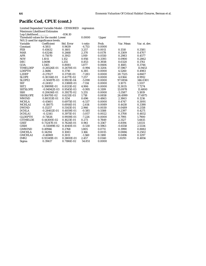#### **Pacific Cod, CPUE (cont.)**

 Limited Dependent Variable Model - CENSORED regression Maximum Likelihood Estimates Log-Likelihood.............. -836.10 Threshold values for the model: Lower 0.0000 Upper \*\*\*\*\*\*\*\*\*\*\* N(0,1) used for significance levels. Variable Coefficient Std. Error t-ratio Prob. Var. Mean Var. st. dev. Constant -4.5811 0.9639 -4.753 0.0000<br>FEB 0.45632 0.1401 3.257 0.0011 FEB 0.45632 0.1401 3.257 0.0011 0.1510 0.3581 MAR 0.63246 0.2668 2.370 0.0178 0.3309 0.4707 APR 0.75070 0.3913 1.919 0.0550 0.2983 0.4577 NOV 1.1011 1.152 0.956 0.3393 0.0900 0.2862 DEC 1.0698 1.255 0.853 0.3938 0.0320 0.1761 GOA 1.5165 0.8081 1.877 0.0606 0.1685 0.3744 TIMELDEP -0.26526E-01 0.2670E-01 -0.994 0.3204 17.5967 11.9453<br>
LDEPTH 2.3686 0.3710 6.385 0.0000 4.5260 0.4983 LDEPTH 2.3686 0.3710 6.385 0.0000 4.5260 0.4983 L2DEP -0.27027 0.3711E-01 -7.283 0.0000 20.7325 4.8607<br>SLOPE 0.30314E-01 0.4177E-02 7.257 0.0000 4.0364 8.9912 SLOPE 0.30314E-01 0.4177E-02 7.257 0.0000 4.0364 8.9912<br>SLOPE2 -0.50497E-03 0.9921E-04 -5.090 0.0000 97.0856 346.0301 SLOPE2 -0.50497E-03 0.9921E-04 -5.090 0.0000 97.0856 346.03<br>SST -0.24102 0.3388E-01 -7.114 0.0000 3.1073 1.3317 SST  $-0.24102$   $0.3388E-01$   $-7.114$   $0.0000$   $3.1073$   $1.3317$ <br>SST2  $0.39899E-01$   $0.8133E-02$   $4.906$   $0.0000$   $11.3035$   $7.7274$  SST2 0.39899E-01 0.8133E-02 4.906 0.0000 11.3035 7.7274 SSTSLOPE -0.94942E-03 0.9545E-03 -0.995 0.3199 13.0978 11.4800<br>SSH 0.20636E-01 0.3927E-02 5.255 0.0000 -5.3587 5.1819 SSH 0.20636E-01 SSHSLOPE 0.10670E-02 0.6211E-03 1.718 0.0858 26.4999 17.4975 MWIND 0.80353E-01 0.1154 0.696 0.4863 2.3863 0.1216 MCHLA -0.45601 0.6975E-01 -6.537 0.0000 0.4747 0.3091<br>MCHLA1 -0.18075 0.6914E-01 -2.614 0.0089 0.4438 0.3390 MCHLA1 -0.18075 0.6914E-01 -2.614 0.0089 0.4438<br>DWIND 0.15257 0.5143E-01 2.966 0.0030 0.0489 DWIND 0.15257 0.5143E-01 2.966 0.0030 0.0489 0.2158 DCHLA -0.28402E-01 0.4859E-01 -0.585 0.5588 0.2397 0.4271 DCHLA1 -0.12141 0.3971E-01 -3.057 0.0022 0.3708 0.4832 GLDEPTH -0.71826 0.9939E-01 -7.226 0.0000 0.7991 1.7900<br>GTIMELDE 0.44300E-02 0.1623E-01 0.273 0.7849 2.3127 5.6615 0.44300E-02 0.1623E-01 0.273 0.7849 2.3127 GSST 0.73247E-01 0.7624E-01 0.961 0.3367 0.8194 1.8331 GSSH -0.55089E-02 0.1040E-01 -0.530 0.5963 -0.6558 2.5334<br>GMWIND 0.49946 0.2768 1.805 0.0711 0.3990 0.8882 GMWIND 0.49946 0.2768 1.805 0.0711 0.3990 0.8882 GMCHLA 0.34294 0.1083 3.166 0.0015 0.0886 0.2502 GMCHLA1 -0.46969 0.3011 -1.560 0.1188 0.0496 0.1297 IMR2 0.93349E-01 0.3800E-01 2.457 0.0140 1.8293 0.4856 Sigma 0.39417 0.7186E-02 54.851 0.0000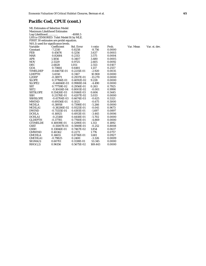## **Pacific Cod, CPUE (cont.)**

|                                          | <b>ML Estimates of Selection Model</b> |            |           |        |  |  |  |  |
|------------------------------------------|----------------------------------------|------------|-----------|--------|--|--|--|--|
| <b>Maximum Likelihood Estimates</b>      |                                        |            |           |        |  |  |  |  |
| Log-Likelihood                           |                                        | $-4088.5$  |           |        |  |  |  |  |
| LHS is CENSORED. Tobit Model fit by MLE. |                                        |            |           |        |  |  |  |  |
| FIRST 30 estimates are probit equation.  |                                        |            |           |        |  |  |  |  |
| N(0,1) used for significance levels.     |                                        |            |           |        |  |  |  |  |
| Variable                                 | Coefficient                            | Std. Error | t-ratio   | Prob.  |  |  |  |  |
| Constant                                 | $-7.2310$                              | 0.8258     | $-8.756$  | 0.0000 |  |  |  |  |
| <b>FEB</b>                               | 0.45676                                | 0.1256     | 3.637     | 0.0003 |  |  |  |  |
| <b>MAR</b>                               | 0.82684                                | 0.2313     | 3.575     | 0.0004 |  |  |  |  |
| <b>APR</b>                               | 1.1856                                 | 0.3407     | 3.480     | 0.0005 |  |  |  |  |
| <b>NOV</b>                               | 2.5329                                 | 0.9725     | 2.605     | 0.0092 |  |  |  |  |
| DEC                                      | 2.6828                                 | 1.051      | 2.553     | 0.0107 |  |  |  |  |
| GOA                                      | 0.73664                                | 0.6481     | 1.137     | 0.2557 |  |  |  |  |
| <b>TIMELDEP</b>                          | $-0.64675E-01$                         | 0.2215E-01 | $-2.920$  | 0.0035 |  |  |  |  |
| <b>LDEPTH</b>                            | 3.4550                                 | 0.3167     | 10.908    | 0.0000 |  |  |  |  |
| L2DEP                                    | $-0.38971$                             | 0.2937E-01 | $-13.270$ | 0.0000 |  |  |  |  |
| <b>SLOPE</b>                             | 0.37766E-01                            | 0.4092E-02 | 9.228     | 0.0000 |  |  |  |  |
| <b>SLOPE2</b>                            | $-0.44846E-03$                         | 0.9988E-04 | $-4.490$  | 0.0000 |  |  |  |  |
| <b>SST</b>                               | 0.77759E-02                            | 0.2956E-01 | 0.263     | 0.7925 |  |  |  |  |
| SST <sub>2</sub>                         | $-0.10414E-04$                         | 0.8001E-02 | $-0.001$  | 0.9990 |  |  |  |  |
| <b>SSTSLOPE</b>                          | 0.55426E-03                            | 0.9146E-03 | 0.606     | 0.5445 |  |  |  |  |
| <b>SSH</b>                               | 0.21176E-01                            | 0.4207E-02 | 5.033     | 0.0000 |  |  |  |  |
| <b>SSHSLOPE</b>                          | $-0.41704E-03$                         | 0.6674E-03 | $-0.625$  | 0.5321 |  |  |  |  |
| <b>MWIND</b>                             | $-0.69156E - 01$                       | 0.1025     | $-0.675$  | 0.5000 |  |  |  |  |
| <b>MCHLA</b>                             | $-0.38958$                             | 0.7398E-01 | $-5.266$  | 0.0000 |  |  |  |  |
| <b>MCHLA1</b>                            | $-0.38286E - 02$                       | 0.9325E-01 | $-0.041$  | 0.9673 |  |  |  |  |
| <b>DWIND</b>                             | $-0.71155E - 01$                       | 0.4193E-01 | $-1.697$  | 0.0897 |  |  |  |  |
| <b>DCHLA</b>                             | $-0.16925$                             | 0.4913E-01 | $-3.445$  | 0.0006 |  |  |  |  |
| DCHLA1                                   | $-0.25188$                             | 0.4418E-01 | $-5.702$  | 0.0000 |  |  |  |  |
| <b>GLDEPTH</b>                           | $-0.37785$                             | 0.7760E-01 | $-4.869$  | 0.0000 |  |  |  |  |
| <b>GTIMELDE</b>                          | 0.16939E-01                            | 0.1290E-01 | 1.313     | 0.1892 |  |  |  |  |
| <b>GSST</b>                              | $-0.15007E-01$                         | 0.5949E-01 | $-0.252$  | 0.8008 |  |  |  |  |
| <b>GSSH</b>                              | 0.13846E-01                            | 0.7467E-02 | 1.854     | 0.0637 |  |  |  |  |
| <b>GMWIND</b>                            | 0.40362                                | 0.2273     | 1.776     | 0.0757 |  |  |  |  |
| <b>GMCHLA</b>                            | 0.14655                                | 0.8716E-01 | 1.681     | 0.0927 |  |  |  |  |
| <b>GMCHLA1</b>                           | $-0.79825$                             | 0.2400     | $-3.326$  | 0.0009 |  |  |  |  |
| SIGMA(1)                                 | 0.60701                                | 0.1138E-01 | 53.345    | 0.0000 |  |  |  |  |
| RHO(1,2)                                 | 0.96156                                | 0.5675E-02 | 169.443   | 0.0000 |  |  |  |  |

Var. Mean Var. st. dev.<br>
10<br>
13<br>
14<br>
15<br>
12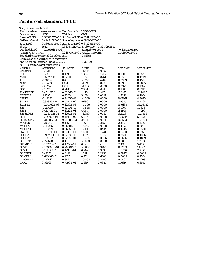# **Pacific cod, standard CPUE**

| <b>Sample Selection Model</b>                     |                    |                                                |                     |               |                  |               |
|---------------------------------------------------|--------------------|------------------------------------------------|---------------------|---------------|------------------|---------------|
| Two stage least squares regression. Dep. Variable |                    |                                                | LOGPCODS            |               |                  |               |
| <b>Observations</b>                               | 1653               | Weights                                        | <b>ONE</b>          |               |                  |               |
| <b>Mean of LHS</b>                                |                    | 0.5852257E+00 Std.Dev of LHS 0.6311426E+00     |                     |               |                  |               |
| StdDev of resid.                                  |                    | $0.4941459E+00$ Sum of squares $0.3960602E+03$ |                     |               |                  |               |
| R-squared                                         |                    | 0.3866361E+00 Adj. R-squared 0.3752915E+00     |                     |               |                  |               |
| F[30,                                             | 1622]              | 0.3408112E+02 Prob value                       |                     | 0.3217295E-13 |                  |               |
| Log-likelihood                                    | $-0.1164618E + 04$ |                                                | $Restr.(b=0) Log-1$ |               | $-0.1584256E+04$ |               |
| Amemiya Pr. Criter.                               |                    | 0.2487594E+00 Akaike Info.Crit.                |                     |               | $0.1446604E+01$  |               |
| Standard error corrected for selection            |                    |                                                | 0.51396             |               |                  |               |
| Correlation of disturbance in regression          |                    |                                                |                     |               |                  |               |
| and Selection Criterion (Rho)                     |                    |                                                | 0.32420             |               |                  |               |
| $N(0,1)$ used for significance levels.            |                    |                                                |                     |               |                  |               |
| Variable                                          | Coefficient        | Std. Error                                     | t-ratio             | Prob.         | Var. Mean        | Var. st. dev. |
| Constant                                          | $-1.8615$          | 1.131                                          | $-1.646$            | 0.0997        |                  |               |
| <b>FEB</b>                                        | 0.23511            | 0.1699                                         | 1.384               | 0.1665        | 0.1506           | 0.3578        |
| <b>MAR</b>                                        | $-0.50209E-01$     | 0.3220                                         | $-0.156$            | 0.8761        | 0.3315           | 0.4709        |
| <b>APR</b>                                        | $-0.34159$         | 0.4737                                         | $-0.721$            | 0.4709        | 0.2989           | 0.4579        |
| <b>NOV</b>                                        | $-2.3463$          | 1.384                                          | $-1.695$            | 0.0901        | 0.0901           | 0.2865        |
| DEC                                               | $-2.6294$          | 1.505                                          | $-1.747$            | 0.0806        | 0.0321           | 0.1762        |
| GOA                                               | 2.2027             | 0.9816                                         | 2.244               | 0.0248        | 0.1688           | 0.3747        |
| TIMELDEP                                          | 0.47112E-01        | 0.3206E-01                                     | 1.470               | 0.1417        | 17.6167          | 11.9465       |
| <b>LDEPTH</b>                                     | 1.3597             | 0.4333                                         | 3.138               | 0.0017        | 4.5252           | 0.4984        |
| L2DEP                                             | $-0.19238$         | 0.4435E-01                                     | $-4.338$            | 0.0000        | 20.7261          | 4.8625        |
| <b>SLOPE</b>                                      | 0.32883E-01        | 0.5784E-02                                     | 5.686               | 0.0000        | 3.9975           | 8.9265        |
| SLOPE2                                            | -0.54462E-03       | 0.1239E-03                                     | $-4.396$            | 0.0000        | 95.6138          | 342.6782      |
| <b>SST</b>                                        | $-0.25440$         | 0.4350E-01                                     | $-5.848$            | 0.0000        | 3.1065           | 1.3323        |
| SST <sub>2</sub>                                  | 0.41775E-01        | 0.1022E-01                                     | 4.087               | 0.0000        | 11.2998          | 7.7299        |
| <b>SSTSLOPE</b>                                   | $-0.24015E-02$     | 0.1207E-02                                     | $-1.989$            | 0.0467        | 13.1123          | 11.4851       |
| <b>SSH</b>                                        | 0.32392E-01        | 0.4910E-02                                     | 6.597               | 0.0000        | $-5.3569$        | 5.1763        |
| SSHSLOPE                                          | 0.21011E-02        | 0.7808E-03                                     | 2.691               | 0.0071        | 26.4713          | 17.4774       |
| <b>MWIND</b>                                      | 0.16945            | 0.1458                                         | 1.163               | 0.2450        | 2.3861           | 0.1216        |
| <b>MCHLA</b>                                      | $-0.48255$         | 0.8668E-01                                     | $-5.567$            | 0.0000        | 0.4752           | 0.3091        |
| MCHLA1                                            | $-0.17339$         | 0.8625E-01                                     | $-2.010$            | 0.0444        | 0.4445           | 0.3390        |
| <b>DWIND</b>                                      | 0.91711E-01        | 0.6415E-01                                     | 1.430               | 0.1528        | 0.0490           | 0.2159        |
| <b>DCHLA</b>                                      | $-0.98280E-01$     | 0.6258E-01                                     | $-1.570$            | 0.1163        | 0.2390           | 0.4266        |
| <b>DCHLA1</b>                                     | $-0.18044$         | 0.5224E-01                                     | $-3.454$            | 0.0006        | 0.3696           | 0.4829        |
| <b>GLDEPTH</b>                                    | $-0.59690$         | 0.1053                                         | -5.668              | 0.0000        | 0.8006           | 1.7913        |
| <b>GTIMELDE</b>                                   | 0.15717E-01        | 0.1872E-01                                     | 0.840               | 0.4011        | 2.3168           | 5.6658        |
| <b>GSST</b>                                       | $-0.79708E-01$     | 0.9060E-01                                     | $-0.880$            | 0.3790        | 0.8209           | 1.8344        |
| <b>GSSH</b>                                       | 0.11185E-01        | 0.1230E-01                                     | 0.909               | 0.3633        | $-0.6570$        | 2.5355        |
| <b>GMWIND</b>                                     | 0.41358            | 0.3414                                         | 1.211               | 0.2258        | 0.3997           | 0.8888        |
| <b>GMCHLA</b>                                     | 0.62346E-01        | 0.1325                                         | 0.471               | 0.6380        | 0.0888           | 0.2504        |
| <b>GMCHLA1</b>                                    | $-0.32412$         | 0.3622                                         | $-0.895$            | 0.3709        | 0.0497           | 0.1298        |
| IMR <sub>2</sub>                                  | 0.16663            | 0.7790E-01                                     | 2.139               | 0.0324        | 1.1639           | 0.3593        |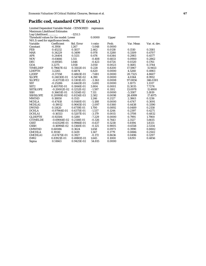## **Pacific cod, standard CPUE (cont.)**

 Limited Dependent Variable Model - CENSORED regression Maximum Likelihood Estimates

| Log-Likelihood                         |                | $-1251.5$  |          |        |            |               |
|----------------------------------------|----------------|------------|----------|--------|------------|---------------|
| Threshold values for the model: Lower  |                |            | 0.0000   | Upper  | ********** |               |
| $N(0,1)$ used for significance levels. |                |            |          |        |            |               |
| Variable                               | Coefficient    | Std. Error | t-ratio  | Prob.  | Var. Mean  | Var. st. dev. |
| Constant                               | $-6.3956$      | 1.267      | $-5.048$ | 0.0000 |            |               |
| <b>FEB</b>                             | 0.45232        | 0.1837     | 2.462    | 0.0138 | 0.1510     | 0.3581        |
| <b>MAR</b>                             | 0.34229        | 0.3499     | 0.978    | 0.3280 | 0.3309     | 0.4707        |
| <b>APR</b>                             | 0.24404        | 0.5131     | 0.476    | 0.6344 | 0.2983     | 0.4577        |
| <b>NOV</b>                             | $-0.61666$     | 1.511      | $-0.408$ | 0.6833 | 0.0900     | 0.2862        |
| <b>DEC</b>                             | $-0.69585$     | 1.646      | $-0.423$ | 0.6724 | 0.0320     | 0.1761        |
| GOA                                    | 3.2275         | 1.058      | 3.050    | 0.0023 | 0.1685     | 0.3744        |
| <b>TIMELDEP</b>                        | 0.79667E-02    | 0.3502E-01 | 0.228    | 0.8200 | 17.5967    | 11.9453       |
| <b>LDEPTH</b>                          | 3.2265         | 0.4874     | 6.620    | 0.0000 | 4.5260     | 0.4983        |
| L2DEP                                  | $-0.37358$     | 0.4863E-01 | $-7.681$ | 0.0000 | 20.7325    | 4.8607        |
| <b>SLOPE</b>                           | 0.24030E-01    | 0.5474E-02 | 4.390    | 0.0000 | 4.0364     | 8.9912        |
| SLOPE2                                 | $-0.43733E-03$ | 0.1301E-03 | $-3.363$ | 0.0008 | 97.0856    | 346.0301      |
| <b>SST</b>                             | $-0.25286$     | 0.4443E-01 | $-5.691$ | 0.0000 | 3.1073     | 1.3317        |
| SST <sub>2</sub>                       | 0.40570E-01    | 0.1066E-01 | 3.804    | 0.0001 | 11.3035    | 7.7274        |
| <b>SSTSLOPE</b>                        | $-0.20002E-02$ | 0.1252E-02 | $-1.597$ | 0.1102 | 13.0978    | 11.4800       |
| <b>SSH</b>                             | 0.36651E-01    | 0.5154E-02 | 7.111    | 0.0000 | $-5.3587$  | 5.1819        |
| <b>SSHSLOPE</b>                        | 0.20999E-02    | 0.8134E-03 | 2.582    | 0.0098 | 26.4999    | 17.4975       |
| <b>MWIND</b>                           | 0.18850        | 0.1513     | 1.246    | 0.2127 | 2.3863     | 0.1216        |
| <b>MCHLA</b>                           | $-0.47418$     | 0.9140E-01 | $-5.188$ | 0.0000 | 0.4747     | 0.3091        |
| MCHLA1                                 | $-0.19012$     | 0.9065E-01 | $-2.097$ | 0.0360 | 0.4438     | 0.3390        |
| <b>DWIND</b>                           | 0.11420        | 0.6719E-01 | 1.700    | 0.0892 | 0.0489     | 0.2158        |
| <b>DCHLA</b>                           | $-0.97964E-01$ | 0.6375E-01 | $-1.537$ | 0.1244 | 0.2397     | 0.4271        |
| <b>DCHLA1</b>                          | $-0.16553$     | 0.5207E-01 | $-3.179$ | 0.0015 | 0.3708     | 0.4832        |
| <b>GLDEPTH</b>                         | $-0.92506$     | 0.1280     | $-7.229$ | 0.0000 | 0.7991     | 1.7900        |
| <b>GTIMELDE</b>                        | $-0.69064E-02$ | 0.2118E-01 | $-0.326$ | 0.7443 | 2.3127     | 5.6615        |
| <b>GSST</b>                            | $-0.63529E-01$ | 0.9966E-01 | $-0.637$ | 0.5238 | 0.8194     | 1.8331        |
| <b>GSSH</b>                            | $-0.16994E-02$ | 0.1360E-01 | $-0.125$ | 0.9005 | $-0.6558$  | 2.5334        |
| <b>GMWIND</b>                          | 0.60086        | 0.3624     | 1.658    | 0.0973 | 0.3990     | 0.8882        |
| <b>GMCHLA</b>                          | 0.19110        | 0.1419     | 1.347    | 0.1779 | 0.0886     | 0.2502        |
| <b>GMCHLA1</b>                         | $-0.67475E-01$ | 0.3927     | $-0.172$ | 0.8636 | 0.0496     | 0.1297        |
| IMR <sub>2</sub>                       | 0.81921E-01    | 0.4980E-01 | 1.645    | 0.1000 | 1.8293     | 0.4856        |
| Sigma                                  | 0.51663        | 0.9425E-02 | 54.815   | 0.0000 |            |               |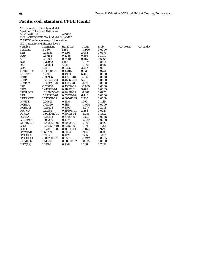# **Pacific cod, standard CPUE (cont.)**

| <b>ML Estimates of Selection Model</b> |                                          |            |          |        |  |  |  |  |
|----------------------------------------|------------------------------------------|------------|----------|--------|--|--|--|--|
| <b>Maximum Likelihood Estimates</b>    |                                          |            |          |        |  |  |  |  |
| Log-Likelihood<br>$-4566.3$            |                                          |            |          |        |  |  |  |  |
|                                        | LHS is CENSORED. Tobit Model fit by MLE. |            |          |        |  |  |  |  |
|                                        | FIRST 30 estimates are probit equation.  |            |          |        |  |  |  |  |
| N(0,1) used for significance levels.   |                                          |            |          |        |  |  |  |  |
| Variable                               | Coefficient                              | Std. Error | t-ratio  | Prob.  |  |  |  |  |
| Constant                               | $-6.3867$                                | 1.286      | $-4.966$ | 0.0000 |  |  |  |  |
| <b>FEB</b>                             | 0.45635                                  | 0.2193     | 2.081    | 0.0375 |  |  |  |  |
| <b>MAR</b>                             | 0.37182                                  | 0.4336     | 0.858    | 0.3911 |  |  |  |  |
| <b>APR</b>                             | 0.31363                                  | 0.6440     | 0.487    | 0.6263 |  |  |  |  |
| <b>NOV</b>                             | $-0.32962$                               | 1.885      | $-0.175$ | 0.8612 |  |  |  |  |
| DEC                                    | $-0.38884$                               | 2.036      | $-0.191$ | 0.8486 |  |  |  |  |
| GOA                                    | 3.3144                                   | 0.9396     | 3.527    | 0.0004 |  |  |  |  |
| <b>TIMELDEP</b>                        | 0.14914E-02                              | 0.4311E-01 | 0.035    | 0.9724 |  |  |  |  |
| <b>LDEPTH</b>                          | 3.2197                                   | 0.4993     | 6.448    | 0.0000 |  |  |  |  |
| L2DEP                                  | $-0.36956$                               | 0.4759E-01 | $-7.765$ | 0.0000 |  |  |  |  |
| <b>SLOPE</b>                           | 0.25667E-01                              | 0.4666E-02 | 5.501    | 0.0000 |  |  |  |  |
| SLOPE <sub>2</sub>                     | $-0.47429E-03$                           | 0.1005E-03 | $-4.718$ | 0.0000 |  |  |  |  |
| <b>SST</b>                             | $-0.26058$                               | 0.4351E-01 | $-5.989$ | 0.0000 |  |  |  |  |
| SST <sub>2</sub>                       | 0.41794E-01                              | 0.1195E-01 | 3.497    | 0.0005 |  |  |  |  |
| <b>SSTSLOPE</b>                        | $-0.20963E-02$                           | 0.1247E-02 | $-1.681$ | 0.0927 |  |  |  |  |
| <b>SSH</b>                             | 0.35638E-01                              | 0.5527E-02 | 6.448    | 0.0000 |  |  |  |  |
| <b>SSHSLOPE</b>                        | 0.21735E-02                              | 0.8050E-03 | 2.700    | 0.0069 |  |  |  |  |
| <b>MWIND</b>                           | 0.20655                                  | 0.1310     | 1.576    | 0.1149 |  |  |  |  |
| <b>MCHLA</b>                           | $-0.45320$                               | 0.1115     | $-4.064$ | 0.0000 |  |  |  |  |
| MCHLA1                                 | $-0.19234$                               | 0.1506     | $-1.277$ | 0.2014 |  |  |  |  |
| <b>DWIND</b>                           | 0.11284                                  | 0.4940E-01 | 2.284    | 0.0224 |  |  |  |  |
| <b>DCHLA</b>                           | $-0.90226E - 01$                         | 0.6071E-01 | $-1.486$ | 0.1372 |  |  |  |  |
| <b>DCHLA1</b>                          | $-0.15534$                               | 0.5928E-01 | $-2.621$ | 0.0088 |  |  |  |  |
| <b>GLDEPTH</b>                         | $-0.94200$                               | 0.1275     | $-7.389$ | 0.0000 |  |  |  |  |
| <b>GTIMELDE</b>                        | $-0.40522E-02$                           | 0.2032E-01 | $-0.199$ | 0.8420 |  |  |  |  |
| <b>GSST</b>                            | $-0.66750E-01$                           | 0.9346E-01 | $-0.714$ | 0.4751 |  |  |  |  |
| <b>GSSH</b>                            | $-0.28497E-03$                           | 0.1100E-01 | $-0.026$ | 0.9793 |  |  |  |  |
| <b>GMWIND</b>                          | 0.60259                                  | 0.3084     | 1.954    | 0.0507 |  |  |  |  |
| <b>GMCHLA</b>                          | 0.19075                                  | 0.1428     | 1.336    | 0.1817 |  |  |  |  |
| <b>GMCHLA1</b>                         | $-0.87730E-01$                           | 0.3621     | $-0.242$ | 0.8085 |  |  |  |  |
| SIGMA(1)                               | 0.51882                                  | 0.8805E-02 | 58.922   | 0.0000 |  |  |  |  |
| RHO(1,2)                               | 0.13195                                  | 0.1042     | 1.266    | 0.2054 |  |  |  |  |

ob. Var. Mean Var. st. dev.<br>0000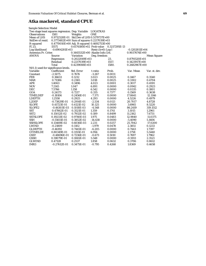## **Atka mackerel, standard CPUE**

| <b>Sample Selection Model</b>                     |                  |                                            |                     |               |                  |                    |
|---------------------------------------------------|------------------|--------------------------------------------|---------------------|---------------|------------------|--------------------|
| Two stage least squares regression. Dep. Variable |                  |                                            | LOGATKAS            |               |                  |                    |
| <b>Observations</b>                               | 1581             | Weights                                    | <b>ONE</b>          |               |                  |                    |
| <b>Mean of LHS</b>                                |                  | 0.9712528E-01 Std.Dev of LHS 0.5179737E+00 |                     |               |                  |                    |
| StdDev of resid.                                  |                  | 0.3773482E+00 Sum of squares 0.2217039E+03 |                     |               |                  |                    |
| R-squared                                         |                  | 0.4770010E+00 Adj. R-squared 0.4692753E+00 |                     |               |                  |                    |
| F[23,                                             | 1557]            | $0.6174180E+02$ Prob value                 |                     | 0.3217295E-13 |                  |                    |
| Log-likelihood                                    | $-0.6904281E+03$ |                                            | $Restr.(b=0) Log-1$ |               | $-0.1202811E+04$ |                    |
| Amemiya Pr. Criter.                               |                  | $0.1445532E+00$ Akaike Info. Crit.         |                     |               | 0.9037674E+00    |                    |
| <b>ANOVA</b>                                      | Source           | <b>Variation</b>                           | Deg. freedom        |               |                  | <b>Mean Square</b> |
|                                                   | Regression       | 0.2022049E+03                              |                     | 23.           | $0.8791520E+01$  |                    |
|                                                   | Residual         | 0.2217039E+03                              |                     | 1557.         | $0.1423917E+00$  |                    |
|                                                   | Total            | 0.4239088E+03                              |                     | 1580.         | $0.2682967E+00$  |                    |
| $N(0,1)$ used for significance levels.            |                  |                                            |                     |               |                  |                    |
| Variable                                          | Coefficient      | Std. Error                                 | t-ratio             | Prob.         | Var. Mean        | Var. st. dev.      |
| Constant                                          | $-2.5075$        | 0.7676                                     | $-3.267$            | 0.0011        |                  |                    |
| <b>FEB</b>                                        | 0.36633          | 0.1212                                     | 3.023               | 0.0025        | 0.1467           | 0.3540             |
| <b>MAR</b>                                        | 0.71386          | 0.2365                                     | 3.018               | 0.0025        | 0.3302           | 0.4704             |
| <b>APR</b>                                        | 1.4063           | 0.3496                                     | 4.023               | 0.0001        | 0.3017           | 0.4591             |
| <b>NOV</b>                                        | 7.2145           | 1.047                                      | 6.891               | 0.0000        | 0.0942           | 0.2923             |
| DEC                                               | 7.5766           | 1.158                                      | 6.542               | 0.0000        | 0.0335           | 0.1801             |
| <b>GOA</b>                                        | 0.24173          | 0.7217                                     | 0.335               | 0.7377        | 0.1569           | 0.3638             |
| TIMELDEP                                          | $-0.18106$       | 0.2456E-01                                 | $-7.371$            | 0.0000        | 17.8641          | 12.1146            |
| <b>LDEPTH</b>                                     | 1.2558           | 0.2925                                     | 4.293               | 0.0000        | 4.5226           | 0.4979             |
| L2DEP                                             | $-0.73829E-01$   | 0.2914E-01                                 | $-2.534$            | 0.0113        | 20.7017          | 4.8728             |
| <b>SLOPE</b>                                      | 0.41723E-01      | 0.4121E-02                                 | 10.125              | 0.0000        | 3.6965           | 8.5220             |
| SLOPE2                                            | $-0.46303E-03$   | 0.1018E-03                                 | $-4.548$            | 0.0000        | 86.2419          | 319.1512           |
| <b>SST</b>                                        | 0.47862E-01      | 0.3521E-01                                 | 1.359               | 0.1741        | 3.1015           | 1.2961             |
| SST <sub>2</sub>                                  | 0.15012E-02      | 0.7932E-02                                 | 0.189               | 0.8499        | 11.2162          | 7.6731             |
| <b>SSTSLOPE</b>                                   | 0.19233E-02      | 0.9740E-03                                 | 1.975               | 0.0483        | 12.9840          | 11.0375            |
| <b>SSH</b>                                        | $-0.55611E-01$   | 0.3852E-02                                 | $-14.438$           | 0.0000        | $-5.4090$        | 5.1606             |
| <b>SSHSLOPE</b>                                   | 0.13469E-02      | 0.6036E-03                                 | 2.231               | 0.0257        | 25.7042          | 17.0200            |
| <b>LWIND</b>                                      | $-0.21809$       | 0.1102                                     | $-1.979$            | 0.0478        | 2.3851           | 0.1233             |
| <b>GLDEPTH</b>                                    | $-0.46192$       | 0.7445E-01                                 | $-6.205$            | 0.0000        | 0.7443           | 1.7397             |
| <b>GTIMELDE</b>                                   | 0.80349E-01      | 0.1155E-01                                 | 6.956               | 0.0000        | 2.1758           | 5.5440             |
| <b>GSST</b>                                       | -0.48696E-01     | 0.7236E-01                                 | $-0.673$            | 0.5010        | 0.7697           | 1.7962             |
| <b>GSSH</b>                                       | 0.59079E-01      | 0.1065E-01                                 | 5.548               | 0.0000        | $-0.5913$        | 2.3521             |
| <b>GLWIND</b>                                     | 0.47128          | 0.2537                                     | 1.858               | 0.0632        | 0.3706           | 0.8612             |
| IMR <sub>3</sub>                                  | $-0.27612E - 01$ | 0.3475E-01                                 | $-0.795$            | 0.4268        | 1.8369           | 0.4658             |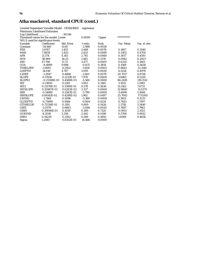## **Atka mackerel, standard CPUE (cont.)**

| Log-Likelihood                        |                | $-301.66$  |          |              |            |               |
|---------------------------------------|----------------|------------|----------|--------------|------------|---------------|
| Threshold values for the model: Lower |                |            | 0.0000   | <b>Upper</b> | ********** |               |
| N(0,1) used for significance levels.  |                |            |          |              |            |               |
| Variable                              | Coefficient    | Std. Error | t-ratio  | Prob.        | Var. Mean  | Var. st. dev. |
| Constant                              | $-34.660$      | 11.60      | $-2.988$ | 0.0028       |            |               |
| <b>FEB</b>                            | 3.8767         | 1.453      | 2.669    | 0.0076       | 0.1467     | 0.3540        |
| <b>MAR</b>                            | 7.4859         | 2.822      | 2.653    | 0.0080       | 0.3302     | 0.4704        |
| APR                                   | 11.374         | 4.143      | 2.745    | 0.0060       | 0.3017     | 0.4591        |
| <b>NOV</b>                            | 38.969         | 26.25      | 1.485    | 0.1376       | 0.0942     | 0.2923        |
| DEC                                   | 47.706         | 13.72      | 3.477    | 0.0005       | 0.0335     | 0.1801        |
| GOA                                   | $-8.4889$      | 9.698      | $-0.875$ | 0.3814       | 0.1569     | 0.3638        |
| <b>TIMELDEP</b>                       | $-1.0691$      | 0.2922     | $-3.659$ | 0.0003       | 17.8641    | 12.1146       |
| <b>LDEPTH</b>                         | 14.818         | 4.787      | 3.095    | 0.0020       | 4.5226     | 0.4979        |
| L2DEP                                 | $-1.2947$      | 0.4866     | $-2.661$ | 0.0078       | 20.7017    | 4.8728        |
| <b>SLOPE</b>                          | 0.17656        | 0.2213E-01 | 7.978    | 0.0000       | 3.6965     | 8.5220        |
| SLOPE <sub>2</sub>                    | $-0.25598E-02$ | 0.4588E-03 | $-5.580$ | 0.0000       | 86.2419    | 319.1512      |
| <b>SST</b>                            | 0.21850        | 0.2181     | 1.002    | 0.3165       | 3.1015     | 1.2961        |
| SST <sub>2</sub>                      | 0.31178E-01    | 0.5390E-01 | 0.578    | 0.5630       | 11.2162    | 7.6731        |
| <b>SSTSLOPE</b>                       | 0.20967E-01    | 0.6283E-02 | 3.337    | 0.0008       | 12.9840    | 11.0375       |
| <b>SSH</b>                            | $-0.14980$     | 0.2583E-01 | $-5.799$ | 0.0000       | $-5.4090$  | 5.1606        |
| <b>SSHSLOPE</b>                       | 0.84141E-02    | 0.4288E-02 | 1.962    | 0.0497       | 25.7042    | 17.0200       |
| <b>LWIND</b>                          | $-1.7169$      | 0.5096     | $-3.369$ | 0.0008       | 2.3851     | 0.1233        |
| <b>GLDEPTH</b>                        | $-0.73699$     | 0.9166     | $-0.804$ | 0.4214       | 0.7443     | 1.7397        |
| <b>GTIMELDE</b>                       | 0.72536E-01    | 0.1191     | 0.609    | 0.5426       | 2.1758     | 5.5440        |
| GSST                                  | $-2.0576$      | 0.6663     | $-3.088$ | 0.0020       | 0.7697     | 1.7962        |
| <b>GSSH</b>                           | 0.39086E-01    | 0.1059     | 0.369    | 0.7120       | $-0.5913$  | 2.3521        |
| <b>GLWIND</b>                         | 8.2018         | 3.358      | 2.442    | 0.0146       | 0.3706     | 0.8612        |
| IMR <sub>3</sub>                      | 0.14239        | 0.2502     | 0.569    | 0.5692       | 1.8369     | 0.4658        |
| Sigma                                 | 1.2081         | 0.8352E-01 | 14.466   | 0.0000       |            |               |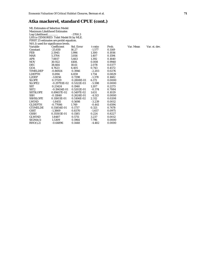## **Atka mackerel, standard CPUE (cont.)**

|                    | <b>ML Estimates of Selection Model</b>   |            |          |        |  |  |  |  |  |
|--------------------|------------------------------------------|------------|----------|--------|--|--|--|--|--|
|                    | <b>Maximum Likelihood Estimates</b>      |            |          |        |  |  |  |  |  |
|                    | Log-Likelihood<br>$-3700.3$              |            |          |        |  |  |  |  |  |
|                    | LHS is CENSORED. Tobit Model fit by MLE. |            |          |        |  |  |  |  |  |
|                    | FIRST 25 estimates are probit equation.  |            |          |        |  |  |  |  |  |
|                    | N(0,1) used for significance levels.     |            |          |        |  |  |  |  |  |
| Variable           | Coefficient                              | Std. Error | t-ratio  | Prob.  |  |  |  |  |  |
| Constant           | $-25.650$                                | 16.27      | $-1.577$ | 0.1149 |  |  |  |  |  |
| <b>FEB</b>         | 2.5945                                   | 1.996      | 1.300    | 0.1936 |  |  |  |  |  |
| <b>MAR</b>         | 5.3704                                   | 3.816      | 1.407    | 0.1594 |  |  |  |  |  |
| <b>APR</b>         | 7.8817                                   | 5.663      | 1.392    | 0.1640 |  |  |  |  |  |
| <b>NOV</b>         | 30.922                                   | 4108.      | 0.008    | 0.9940 |  |  |  |  |  |
| <b>DEC</b>         | 38.664                                   | 18.61      | 2.078    | 0.0377 |  |  |  |  |  |
| <b>GOA</b>         | 4.7623                                   | 6.405      | 0.743    | 0.4572 |  |  |  |  |  |
| TIMELDEP           | $-0.86924$                               | 0.3946     | $-2.203$ | 0.0276 |  |  |  |  |  |
| <b>LDEPTH</b>      | 11.894                                   | 6.859      | 1.734    | 0.0829 |  |  |  |  |  |
| L2DEP              | $-1.0056$                                | 0.7298     | $-1.378$ | 0.1682 |  |  |  |  |  |
| <b>SLOPE</b>       | 0.17329                                  | 0.2808E-01 | 6.172    | 0.0000 |  |  |  |  |  |
| SLOPE <sub>2</sub> | -0.29793E-02                             | 0.5322E-03 | $-5.598$ | 0.0000 |  |  |  |  |  |
| <b>SST</b>         | 0.23424                                  | 0.1940     | 1.207    | 0.2273 |  |  |  |  |  |
| SST <sub>2</sub>   | $-0.19454E-01$                           | 0.5202E-01 | $-0.374$ | 0.7084 |  |  |  |  |  |
| <b>SSTSLOPE</b>    | 0.89657E-02                              | 0.5497E-02 | 1.631    | 0.1029 |  |  |  |  |  |
| <b>SSH</b>         | $-0.11840$                               | 0.2624E-01 | $-4.513$ | 0.0000 |  |  |  |  |  |
| <b>SSHSLOPE</b>    | 0.11803E-01                              | 0.5106E-02 | 2.312    | 0.0208 |  |  |  |  |  |
| <b>LWIND</b>       | $-1.8455$                                | 0.5698     | $-3.239$ | 0.0012 |  |  |  |  |  |
| <b>GLDEPTH</b>     | $-0.77086$                               | 1.749      | $-0.441$ | 0.6594 |  |  |  |  |  |
| <b>GTIMELDE</b>    | 0.55854E-01                              | 0.1737     | 0.321    | 0.7478 |  |  |  |  |  |
| <b>GSST</b>        | $-1.3869$                                | 0.8370     | $-1.657$ | 0.0975 |  |  |  |  |  |
| <b>GSSH</b>        | 0.35503E-01                              | 0.1585     | 0.224    | 0.8227 |  |  |  |  |  |
| <b>GLWIND</b>      | 1.8487                                   | 0.5711     | 3.237    | 0.0012 |  |  |  |  |  |
| SIGMA(1)           | 1.5309                                   | 0.1964     | 7.796    | 0.0000 |  |  |  |  |  |
| RHO(1.2)           | $-0.64896$                               | 0.1448     | $-4.482$ | 0.0000 |  |  |  |  |  |

Var. Mean Var. st. dev.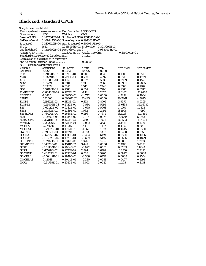# **Black cod, standard CPUE**

| <b>Sample Selection Model</b>                     |                                                |                                   |                                            |                 |                  |               |  |  |
|---------------------------------------------------|------------------------------------------------|-----------------------------------|--------------------------------------------|-----------------|------------------|---------------|--|--|
| Two stage least squares regression. Dep. Variable |                                                |                                   | LOGBCODS                                   |                 |                  |               |  |  |
| <b>Observations</b>                               | 1653                                           | Weights                           | <b>ONE</b>                                 |                 |                  |               |  |  |
| <b>Mean of LHS</b>                                |                                                |                                   | 0.1877368E-01 Std.Dev of LHS 0.1331380E+00 |                 |                  |               |  |  |
| StdDev of resid.                                  | $0.1099445E+00$ Sum of squares $0.1960639E+02$ |                                   |                                            |                 |                  |               |  |  |
| R-squared                                         | 0.3176522E+00 Adj. R-squared 0.3050317E+00     |                                   |                                            |                 |                  |               |  |  |
| F[30,                                             | 1622]                                          | 0.2516956E+02 Prob value          |                                            | 0.3217295E-13   |                  |               |  |  |
| Log-likelihood                                    |                                                | $0.1319602E+04$ Restr.(b=0) Log-l |                                            | $0.9880533E+03$ |                  |               |  |  |
| Amemiya Pr. Criter.                               |                                                | 0.1231448E-01 Akaike Info.Crit.   |                                            |                 | $-0.1559107E+01$ |               |  |  |
| Standard error corrected for selection            |                                                |                                   | 0.11313                                    |                 |                  |               |  |  |
| Correlation of disturbance in regression          |                                                |                                   |                                            |                 |                  |               |  |  |
| and Selection Criterion (Rho)                     |                                                |                                   | $-0.28055$                                 |                 |                  |               |  |  |
| $N(0,1)$ used for significance levels.            |                                                |                                   |                                            |                 |                  |               |  |  |
| Variable                                          | Coefficient                                    | Std. Error                        | t-ratio                                    | Prob.           | Var. Mean        | Var. st. dev. |  |  |
| Constant                                          | 2.4274                                         | 0.2362                            | 10.276                                     | 0.0000          |                  |               |  |  |
| <b>FEB</b>                                        | 0.79184E-02                                    | 0.3793E-01                        | 0.209                                      | 0.8346          | 0.1506           | 0.3578        |  |  |
| MAR                                               | 0.53221E-01                                    | 0.7198E-01                        | 0.739                                      | 0.4597          | 0.3315           | 0.4709        |  |  |
| <b>APR</b>                                        | 0.61085E-01                                    | 0.1059                            | 0.577                                      | 0.5639          | 0.2989           | 0.4579        |  |  |
| <b>NOV</b>                                        | 0.35221                                        | 0.3101                            | 1.136                                      | 0.2560          | 0.0901           | 0.2865        |  |  |
| <b>DEC</b>                                        | 0.39322                                        | 0.3375                            | 1.165                                      | 0.2440          | 0.0321           | 0.1762        |  |  |
| GOA                                               | 0.78183E-01                                    | 0.2188                            | 0.357                                      | 0.7208          | 0.1688           | 0.3747        |  |  |
| TIMELDEP                                          | $-0.80420E-02$                                 | 0.7177E-02                        | $-1.121$                                   | 0.2625          | 17.6167          | 11.9465       |  |  |
| <b>LDEPTH</b>                                     | -1.0480                                        | 0.8925E-01                        | $-11.742$                                  | 0.0000          | 4.5252           | 0.4984        |  |  |
| L2DEP                                             | 0.12000                                        | 0.8940E-02                        | 13.423                                     | 0.0000          | 20.7261          | 4.8625        |  |  |
| <b>SLOPE</b>                                      | 0.19162E-03                                    | 0.1173E-02                        | 0.163                                      | 0.8703          | 3.9975           | 8.9265        |  |  |
| <b>SLOPE2</b>                                     | -0.15904E-04                                   | 0.2722E-04                        | $-0.584$                                   | 0.5591          | 95.6138          | 342.6782      |  |  |
| <b>SST</b>                                        | $-0.62122E-02$                                 | 0.9342E-02                        | $-0.665$                                   | 0.5061          | 3.1065           | 1.3323        |  |  |
| SST <sub>2</sub>                                  | 0.24332E-02                                    | 0.2249E-02                        | 1.082                                      | 0.2792          | 11.2998          | 7.7299        |  |  |
| <b>SSTSLOPE</b>                                   | 0.78424E-04                                    | 0.2648E-03                        | 0.296                                      | 0.7671          | 13.1123          | 11.4851       |  |  |
| <b>SSH</b>                                        | $-0.12560E-03$                                 | 0.1084E-02                        | $-0.116$                                   | 0.9078          | $-5.3569$        | 5.1763        |  |  |
| <b>SSHSLOPE</b>                                   | 0.22311E-03                                    | 0.1731E-03                        | 1.289                                      | 0.1974          | 26.4713          | 17.4774       |  |  |
| <b>MWIND</b>                                      | $-0.29226E - 01$                               | 0.3219E-01                        | $-0.908$                                   | 0.3639          | 2.3861           | 0.1216        |  |  |
| <b>MCHLA</b>                                      | 0.27555E-01                                    | 0.1913E-01                        | 1.441                                      | 0.1497          | 0.4752           | 0.3091        |  |  |
| <b>MCHLA1</b>                                     | $-0.29923E-01$                                 | 0.1915E-01                        | $-1.562$                                   | 0.1182          | 0.4445           | 0.3390        |  |  |
| <b>DWIND</b>                                      | $-0.21355E-01$                                 | 0.1412E-01                        | $-1.513$                                   | 0.1303          | 0.0490           | 0.2159        |  |  |
| <b>DCHLA</b>                                      | $-0.62132E-02$                                 | 0.1338E-01                        | $-0.464$                                   | 0.6424          | 0.2390           | 0.4266        |  |  |
| <b>DCHLA1</b>                                     | $-0.65625E-02$                                 | 0.1078E-01                        | $-0.609$                                   | 0.5427          | 0.3696           | 0.4829        |  |  |
| <b>GLDEPTH</b>                                    | 0.32166E-01                                    | 0.2342E-01                        | 1.374                                      | 0.1696          | 0.8006           | 1.7913        |  |  |
| <b>GTIMELDE</b>                                   | 0.14320E-01                                    | 0.4161E-02                        | 3.442                                      | 0.0006          | 2.3168           | 5.6658        |  |  |
| <b>GSST</b>                                       | $-0.81180E-01$                                 | 0.2034E-01                        | $-3.992$                                   | 0.0001          | 0.8209           | 1.8344        |  |  |
| <b>GSSH</b>                                       | 0.65528E-02                                    | 0.2737E-02                        | 2.394                                      | 0.0167          | $-0.6570$        | 2.5355        |  |  |
| <b>GMWIND</b>                                     | 0.40875E-01                                    | 0.7596E-01                        | 0.538                                      | 0.5905          | 0.3997           | 0.8888        |  |  |
| <b>GMCHLA</b>                                     | $-0.70419E-01$                                 | 0.2949E-01                        | $-2.388$                                   | 0.0170          | 0.0888           | 0.2504        |  |  |
| <b>GMCHLA1</b>                                    | $-0.18011$                                     | 0.8041E-01                        | $-2.240$                                   | 0.0251          | 0.0497           | 0.1298        |  |  |
| IMR <sub>2</sub>                                  | $-0.31739E - 01$                               | 0.1040E-01                        | $-3.053$                                   | 0.0023          | 1.1205           | 0.4131        |  |  |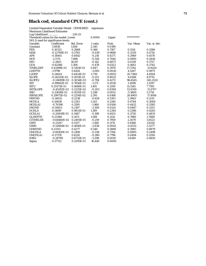# **Black cod, standard CPUE (cont.)**

| Log-Likelihood                         |                  | $-220.25$  |          |        |            |               |
|----------------------------------------|------------------|------------|----------|--------|------------|---------------|
| Threshold values for the model: Lower  |                  |            | 0.0000   | Upper  | ********** |               |
| $N(0,1)$ used for significance levels. |                  |            |          |        |            |               |
| Variable                               | Coefficient      | Std. Error | t-ratio  | Prob.  | Var. Mean  | Var. st. dev. |
| Constant                               | 3.8818           | 1.656      | 2.345    | 0.0190 |            |               |
| <b>FEB</b>                             | 0.10332          | 0.2868     | 0.360    | 0.7187 | 0.1514     | 0.3586        |
| <b>MAR</b>                             | $-0.22769E-01$   | 0.5783     | $-0.039$ | 0.9686 | 0.3329     | 0.4714        |
| <b>APR</b>                             | $-0.18441$       | 0.8442     | $-0.218$ | 0.8271 | 0.2969     | 0.4570        |
| <b>NOV</b>                             | $-2.5711$        | 7.886      | $-0.326$ | 0.7444 | 0.0895     | 0.2856        |
| <b>DEC</b>                             | $-2.2801$        | 16.09      | $-0.142$ | 0.8873 | 0.0319     | 0.1757        |
| GOA                                    | $-0.62586$       | 1.308      | $-0.478$ | 0.6323 | 0.1683     | 0.3742        |
| <b>TIMELDEP</b>                        | 0.43199E-01      | 0.5101E-01 | 0.847    | 0.3970 | 17.5742    | 11.9220       |
| <b>LDEPTH</b>                          | $-1.9790$        | 0.6414     | $-3.085$ | 0.0020 | 4.5267     | 0.4973        |
| L2DEP                                  | 0.24043          | 0.6431E-01 | 3.739    | 0.0002 | 20.7384    | 4.8504        |
| <b>SLOPE</b>                           | $-0.26325E-02$   | 0.1051E-01 | $-0.251$ | 0.8022 | 4.0268     | 8.9715        |
| SLOPE <sub>2</sub>                     | $-0.24089E-03$   | 0.3034E-03 | $-0.794$ | 0.4272 | 96.6545    | 345.2532      |
| <b>SST</b>                             | $-0.99882E - 01$ | 0.7856E-01 | $-1.271$ | 0.2036 | 3.1098     | 1.3297        |
| SST <sub>2</sub>                       | 0.25173E-01      | 0.1688E-01 | 1.491    | 0.1359 | 11.3145    | 7.7193        |
| <b>SSTSLOPE</b>                        | $-0.45292E-03$   | 0.2235E-02 | $-0.203$ | 0.8394 | 13.0559    | 11.4707       |
| <b>SSH</b>                             | 0.33618E-01      | 0.1035E-01 | 3.248    | 0.0012 | $-5.3600$  | 5.1714        |
| <b>SSHSLOPE</b>                        | 0.29973E-02      | 0.1254E-02 | 2.391    | 0.0168 | 26.4905    | 17.4916       |
| <b>MWIND</b>                           | $-0.14052$       | 0.2238     | $-0.628$ | 0.5301 | 2.3863     | 0.1215        |
| <b>MCHLA</b>                           | 0.26636          | 0.2143     | 1.243    | 0.2140 | 0.4744     | 0.3084        |
| MCHLA1                                 | $-0.70390$       | 0.3591     | $-1.960$ | 0.0500 | 0.4432     | 0.3385        |
| <b>DWIND</b>                           | $-0.54923$       | 0.2197     | $-2.500$ | 0.0124 | 0.0487     | 0.2153        |
| <b>DCHLA</b>                           | 0.11690          | 0.9831E-01 | 1.189    | 0.2344 | 0.2386     | 0.4263        |
| <b>DCHLA1</b>                          | $-0.29439E-01$   | 0.1487     | $-0.198$ | 0.8431 | 0.3720     | 0.4835        |
| <b>GLDEPTH</b>                         | 0.23380          | 0.1471     | 1.589    | 0.1120 | 0.7980     | 1.7888        |
| <b>GTIMELDE</b>                        | $-0.64460E-02$   | 0.2493E-01 | $-0.259$ | 0.7959 | 2.3070     | 5.6523        |
| <b>GSST</b>                            | $-0.21247$       | 0.1357     | $-1.566$ | 0.1174 | 0.8186     | 1.8326        |
| <b>GSSH</b>                            | $-0.52664E-01$   | 0.1856E-01 | $-2.838$ | 0.0045 | $-0.6535$  | 2.5277        |
| <b>GMWIND</b>                          | 0.23113          | 0.4277     | 0.540    | 0.5889 | 0.3985     | 0.8879        |
| <b>GMCHLA</b>                          | $-0.84100E-01$   | 0.2490     | $-0.338$ | 0.7356 | 0.0885     | 0.2498        |
| <b>GMCHLA1</b>                         | $-0.17378$       | 0.6210     | $-0.280$ | 0.7796 | 0.0494     | 0.1294        |
| IMR <sub>2</sub>                       | $-0.28799$       | 0.8733E-01 | $-3.298$ | 0.0010 | 1.8280     | 0.4850        |
| Sigma                                  | 0.37722          | 0.2295E-01 | 16.440   | 0.0000 |            |               |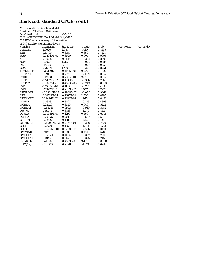## **Black cod, standard CPUE (cont.)**

| <b>ML Estimates of Selection Model</b>   |                                         |            |          |        |  |  |  |
|------------------------------------------|-----------------------------------------|------------|----------|--------|--|--|--|
| <b>Maximum Likelihood Estimates</b>      |                                         |            |          |        |  |  |  |
| $-3543.2$<br>Log-Likelihood              |                                         |            |          |        |  |  |  |
| LHS is CENSORED. Tobit Model fit by MLE. |                                         |            |          |        |  |  |  |
|                                          | FIRST 30 estimates are probit equation. |            |          |        |  |  |  |
|                                          | N(0,1) used for significance levels.    |            |          |        |  |  |  |
| Variable                                 | Coefficient                             | Std. Error | t-ratio  | Prob.  |  |  |  |
| Constant                                 | 2.9620                                  | 2.057      | 1.440    | 0.1499 |  |  |  |
| <b>FEB</b>                               | 0.11760                                 | 0.3187     | 0.369    | 0.7121 |  |  |  |
| <b>MAR</b>                               | 0.42049E-03                             | 0.6920     | 0.001    | 0.9995 |  |  |  |
| <b>APR</b>                               | $-0.19232$                              | 0.9516     | $-0.202$ | 0.8398 |  |  |  |
| <b>NOV</b>                               | $-2.4524$                               | 1232.      | $-0.002$ | 0.9984 |  |  |  |
| DEC                                      | $-1.6980$                               | 327.3      | $-0.005$ | 0.9959 |  |  |  |
| <b>GOA</b>                               | $-0.37774$                              | 1.709      | $-0.221$ | 0.8251 |  |  |  |
| TIMELDEP                                 | 0.38390E-01                             | 0.4995E-01 | 0.769    | 0.4422 |  |  |  |
| <b>LDEPTH</b>                            | $-1.5918$                               | 0.7620     | $-2.089$ | 0.0367 |  |  |  |
| L2DEP                                    | 0.19778                                 | 0.7363E-01 | 2.686    | 0.0072 |  |  |  |
| <b>SLOPE</b>                             | $-0.51571E-02$                          | 0.1535E-01 | $-0.336$ | 0.7368 |  |  |  |
| SLOPE <sub>2</sub>                       | $-0.10672E-03$                          | 0.4393E-03 | $-0.243$ | 0.8080 |  |  |  |
| <b>SST</b>                               | $-0.77259E-01$                          | 0.1102     | $-0.701$ | 0.4833 |  |  |  |
| SST <sub>2</sub>                         | 0.25042E-01                             | 0.2403E-01 | 1.042    | 0.2973 |  |  |  |
| <b>SSTSLOPE</b>                          | $-0.23213E-03$                          | 0.2909E-02 | $-0.080$ | 0.9364 |  |  |  |
| SSH                                      | 0.34729E-01                             | 0.1487E-01 | 2.336    | 0.0195 |  |  |  |
| <b>SSHSLOPE</b>                          | 0.29496E-02                             | 0.1493E-02 | 1.975    | 0.0482 |  |  |  |
| <b>MWIND</b>                             | $-0.23381$                              | 0.3027     | $-0.773$ | 0.4398 |  |  |  |
| <b>MCHLA</b>                             | 0.22720                                 | 0.3550     | 0.640    | 0.5222 |  |  |  |
| <b>MCHLA1</b>                            | $-0.64249$                              | 0.6993     | $-0.919$ | 0.3582 |  |  |  |
| <b>DWIND</b>                             | $-0.55175$                              | 0.3753     | $-1.470$ | 0.1415 |  |  |  |
| <b>DCHLA</b>                             | 0.60389E-01                             | 0.1296     | 0.466    | 0.6413 |  |  |  |
| <b>DCHLA1</b>                            | $-0.10837$                              | 0.2019     | $-0.537$ | 0.5914 |  |  |  |
| <b>GLDEPTH</b>                           | 0.22527                                 | 0.1480     | 1.522    | 0.1281 |  |  |  |
| <b>GTIMELDE</b>                          | $-0.80087E-02$                          | 0.2776E-01 | $-0.289$ | 0.7729 |  |  |  |
| <b>GSST</b>                              | $-0.26293$                              | 0.1854     | $-1.418$ | 0.1562 |  |  |  |
| <b>GSSH</b>                              | $-0.54842E-01$                          | 0.2298E-01 | $-2.386$ | 0.0170 |  |  |  |
| <b>GMWIND</b>                            | 0.21476                                 | 0.5189     | 0.414    | 0.6789 |  |  |  |
| <b>GMCHLA</b>                            | $-0.12324$                              | 0.4085     | $-0.302$ | 0.7629 |  |  |  |
| <b>GMCHLA1</b>                           | $-0.31465$                              | 0.9677     | $-0.325$ | 0.7451 |  |  |  |
| SIGMA(1)                                 | 0.41090                                 | 0.4339E-01 | 9.471    | 0.0000 |  |  |  |
| RHO(1,2)                                 | $-0.41769$                              | 0.2496     | $-1.674$ | 0.0942 |  |  |  |

rob. Var. Mean Var. st. dev.<br>1499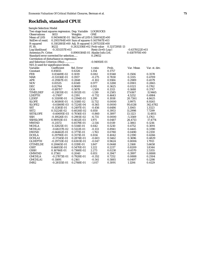#### **Rockfish, standard CPUE**

| <b>Sample Selection Model</b>                                        |                  |                                            |                     |               |                  |               |
|----------------------------------------------------------------------|------------------|--------------------------------------------|---------------------|---------------|------------------|---------------|
| Two stage least squares regression. Dep. Variable<br><b>LOGROCKS</b> |                  |                                            |                     |               |                  |               |
| <b>Observations</b>                                                  | 1653             | Weights                                    | ONE                 |               |                  |               |
| Mean of LHS                                                          |                  | 0.9454465E-01 Std.Dev of LHS 0.3560142E+00 |                     |               |                  |               |
| StdDev of resid.                                                     |                  | 0.2955764E+00 Sum of squares 0.1417067E+03 |                     |               |                  |               |
| R-squared                                                            |                  | 0.3102881E+00 Adj. R-squared 0.2975315E+00 |                     |               |                  |               |
| F[30,                                                                | 1622]            | 0.2432356E+02 Prob value                   |                     | 0.3217295E-13 |                  |               |
| Log-likelihood                                                       | $-0.3151357E+03$ |                                            | $Restr.(b=0) Log-1$ |               | $-0.6378122E+03$ |               |
| Amemiya Pr. Criter.                                                  |                  | 0.8900384E-01 Akaike Info.Crit.            |                     |               | 0.4187970E+00    |               |
| Standard error corrected for selection                               |                  |                                            | 0.29652             |               |                  |               |
| Correlation of disturbance in regression                             |                  |                                            |                     |               |                  |               |
| and Selection Criterion (Rho)                                        |                  |                                            | $-0.94950E-01$      |               |                  |               |
| $N(0,1)$ used for significance levels.                               |                  |                                            |                     |               |                  |               |
| Variable                                                             | Coefficient      | Std. Error                                 | t-ratio             | Prob.         | Var. Mean        | Var. st. dev. |
| Constant                                                             | 0.85655          | 0.6326                                     | 1.354               | 0.1757        |                  |               |
| <b>FEB</b>                                                           | 0.83449E-02      | 0.1019                                     | 0.082               | 0.9348        | 0.1506           | 0.3578        |
| <b>MAR</b>                                                           | $-0.53336E-01$   | 0.1937                                     | $-0.275$            | 0.7830        | 0.3315           | 0.4709        |
| <b>APR</b>                                                           | $-0.29167E-01$   | 0.2848                                     | $-0.102$            | 0.9184        | 0.2989           | 0.4579        |
| <b>NOV</b>                                                           | 0.81535          | 0.8349                                     | 0.977               | 0.3288        | 0.0901           | 0.2865        |
| DEC                                                                  | 0.82764          | 0.9089                                     | 0.911               | 0.3625        | 0.0321           | 0.1762        |
| <b>GOA</b>                                                           | $-0.88707$       | 0.5878                                     | $-1.509$            | 0.1313        | 0.1688           | 0.3747        |
| <b>TIMELDEP</b>                                                      | $-0.21835E-01$   | 0.1932E-01                                 | $-1.130$            | 0.2585        | 17.6167          | 11.9465       |
| <b>LDEPTH</b>                                                        | $-0.17497$       | 0.2391                                     | $-0.732$            | 0.4643        | 4.5252           | 0.4984        |
| L2DEP                                                                | 0.31109E-01      | 0.2394E-01                                 | 1.299               | 0.1938        | 20.7261          | 4.8625        |
| SLOPE                                                                | 0.36580E-01      | 0.3118E-02                                 | 11.732              | 0.0000        | 3.9975           | 8.9265        |
| <b>SLOPE2</b>                                                        | -0.61869E-03     | 0.7224E-04                                 | $-8.565$            | 0.0000        | 95.6138          | 342.6782      |
| <b>SST</b>                                                           | $-0.11381E-01$   | 0.2497E-01                                 | $-0.456$            | 0.6486        | 3.1065           | 1.3323        |
| SST <sub>2</sub>                                                     | 0.51224E-02      | 0.6026E-02                                 | 0.850               | 0.3953        | 11.2998          | 7.7299        |
| <b>SSTSLOPE</b>                                                      | $-0.60695E-03$   | 0.7056E-03                                 | $-0.860$            | 0.3897        | 13.1123          | 11.4851       |
| <b>SSH</b>                                                           | -0.19526E-01     | 0.2901E-02                                 | $-6.731$            | 0.0000        | $-5.3569$        | 5.1763        |
| <b>SSHSLOPE</b>                                                      | 0.90913E-03      | 0.4612E-03                                 | 1.971               | 0.0487        | 26.4713          | 17.4774       |
| <b>MWIND</b>                                                         | $-0.21572$       | 0.8579E-01                                 | $-2.514$            | 0.0119        | 2.3861           | 0.1216        |
| <b>MCHLA</b>                                                         | 0.32825E-01      | 0.5114E-01                                 | 0.642               | 0.5210        | 0.4752           | 0.3091        |
| <b>MCHLA1</b>                                                        | -0.68217E-02     | 0.5122E-01                                 | $-0.133$            | 0.8941        | 0.4445           | 0.3390        |
| <b>DWIND</b>                                                         | $-0.66462E-01$   | 0.3771E-01                                 | $-1.763$            | 0.0780        | 0.0490           | 0.2159        |
| <b>DCHLA</b>                                                         | 0.29790E-01      | 0.3571E-01                                 | 0.834               | 0.4042        | 0.2390           | 0.4266        |
| <b>DCHLA1</b>                                                        | $-0.17345E-01$   | 0.2874E-01                                 | $-0.603$            | 0.5462        | 0.3696           | 0.4829        |
| <b>GLDEPTH</b>                                                       | $-0.29733E-02$   | 0.6303E-01                                 | $-0.047$            | 0.9624        | 0.8006           | 1.7913        |
| <b>GTIMELDE</b>                                                      | 0.20665E-01      | 0.1119E-01                                 | 1.847               | 0.0648        | 2.3168           | 5.6658        |
| <b>GSST</b>                                                          | 0.66855E-01      | 0.5470E-01                                 | 1.222               | 0.2217        | 0.8209           | 1.8344        |
| <b>GSSH</b>                                                          | 0.16746E-01      | 0.7368E-02                                 | 2.273               | 0.0230        | $-0.6570$        | 2.5355        |
| <b>GMWIND</b>                                                        | 0.17361          | 0.2040                                     | 0.851               | 0.3947        | 0.3997           | 0.8888        |
| <b>GMCHLA</b>                                                        | $-0.27873E-01$   | 0.7928E-01                                 | $-0.352$            | 0.7252        | 0.0888           | 0.2504        |
| <b>GMCHLA1</b>                                                       | $-0.11691$       | 0.2161                                     | $-0.541$            | 0.5885        | 0.0497           | 0.1298        |
| IMR <sub>2</sub>                                                     | $-0.28155E-01$   | 0.2768E-01                                 | $-1.017$            | 0.3091        | 1.1206           | 0.4129        |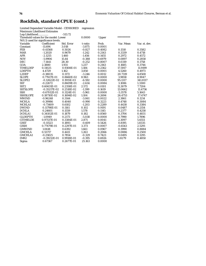# **Rockfish, standard CPUE (cont.)**

| Log-Likelihood                         |                  | $-513.72$  |          |        |            |               |
|----------------------------------------|------------------|------------|----------|--------|------------|---------------|
| Threshold values for the model: Lower  |                  |            | 0.0000   | Upper  | ********** |               |
| $N(0,1)$ used for significance levels. |                  |            |          |        |            |               |
| Variable                               | Coefficient      | Std. Error | t-ratio  | Prob.  | Var. Mean  | Var. st. dev. |
| Constant                               | $-11.694$        | 3.018      | $-3.875$ | 0.0001 |            |               |
| <b>FEB</b>                             | $-0.41568$       | 0.5026     | $-0.827$ | 0.4082 | 0.1510     | 0.3582        |
| <b>MAR</b>                             | $-1.2020$        | 0.9679     | $-1.242$ | 0.2143 | 0.3339     | 0.4718        |
| <b>APR</b>                             | $-2.1255$        | 1.460      | $-1.456$ | 0.1455 | 0.2972     | 0.4572        |
| <b>NOV</b>                             | $-5.9906$        | 15.44      | $-0.388$ | 0.6979 | 0.0897     | 0.2858        |
| <b>DEC</b>                             | $-7.1441$        | 28.30      | $-0.252$ | 0.8007 | 0.0319     | 0.1758        |
| <b>GOA</b>                             | 2.3880           | 1.931      | 1.237    | 0.2163 | 0.1685     | 0.3744        |
| <b>TIMELDEP</b>                        | 0.11025          | 0.9308E-01 | 1.184    | 0.2362 | 17.5917    | 11.9199       |
| <b>LDEPTH</b>                          | 4.4729           | 1.162      | 3.850    | 0.0001 | 4.5260     | 0.4973        |
| L2DEP                                  | $-0.38035$       | 0.1172     | $-3.246$ | 0.0012 | 20.7319    | 4.8508        |
| <b>SLOPE</b>                           | 0.77617E-01      | 0.8660E-02 | 8.963    | 0.0000 | 3.9858     | 8.9047        |
| SLOPE2                                 | $-0.12622E-02$   | 0.1915E-03 | $-6.592$ | 0.0000 | 95.1317    | 341.8117      |
| <b>SST</b>                             | $-0.22672$       | 0.8609E-01 | $-2.634$ | 0.0084 | 3.1086     | 1.3300        |
| SST <sub>2</sub>                       | 0.60631E-01      | 0.2358E-01 | 2.572    | 0.0101 | 11.3079    | 7.7204        |
| <b>SSTSLOPE</b>                        | $-0.35217E-02$   | 0.2518E-02 | $-1.399$ | 0.1619 | 13.0662    | 11.4736       |
| <b>SSH</b>                             | $-0.67012E-01$   | 0.1124E-01 | $-5.961$ | 0.0000 | $-5.3578$  | 5.1643        |
| <b>SSHSLOPE</b>                        | 0.18710E-02      | 0.1694E-02 | 1.104    | 0.2694 | 26.4753    | 17.4747       |
| <b>MWIND</b>                           | $-0.96248$       | 0.3144     | $-3.061$ | 0.0022 | 2.3861     | 0.1214        |
| <b>MCHLA</b>                           | $-0.39986$       | 0.4040     | $-0.990$ | 0.3223 | 0.4748     | 0.3084        |
| MCHLA1                                 | $-0.73409$       | 0.6102     | $-1.203$ | 0.2289 | 0.4438     | 0.3384        |
| <b>DWIND</b>                           | 0.11798E-01      | 0.1161     | 0.102    | 0.9191 | 0.0487     | 0.2154        |
| <b>DCHLA</b>                           | 0.24601          | 0.1559     | 1.578    | 0.1145 | 0.2377     | 0.4258        |
| <b>DCHLA1</b>                          | 0.34102E-01      | 0.1879     | 0.182    | 0.8560 | 0.3706     | 0.4831        |
| <b>GLDEPTH</b>                         | $-1.0949$        | 0.2173     | $-5.038$ | 0.0000 | 0.7990     | 1.7896        |
| <b>GTIMELDE</b>                        | 0.97137E-01      | 0.3384E-01 | 2.871    | 0.0041 | 2.3097     | 5.6551        |
| <b>GSST</b>                            | $-0.11523$       | 0.1893     | $-0.609$ | 0.5426 | 0.8195     | 1.8335        |
| <b>GSSH</b>                            | 0.77479E-01      | 0.2297E-01 | 3.373    | 0.0007 | $-0.6543$  | 2.5291        |
| <b>GMWIND</b>                          | 1.0618           | 0.6392     | 1.661    | 0.0967 | 0.3990     | 0.8884        |
| <b>GMCHLA</b>                          | 0.55717          | 0.4411     | 1.263    | 0.2066 | 0.0886     | 0.2500        |
| <b>GMCHLA1</b>                         | $-0.25825$       | 0.7854     | $-0.329$ | 0.7423 | 0.0495     | 0.1295        |
| IMR <sub>2</sub>                       | $-0.39212E - 01$ | 0.9918E-01 | $-0.395$ | 0.6926 | 1.8279     | 0.4850        |
| Sigma                                  | 0.67367          | 0.2677E-01 | 25.163   | 0.0000 |            |               |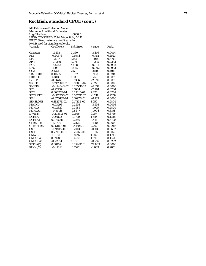## **Rockfish, standard CPUE (cont.)**

|                    | LHS is CENSORED. Tobit Model fit by MLE. |            |          |        |
|--------------------|------------------------------------------|------------|----------|--------|
|                    | FIRST 30 estimates are probit equation.  |            |          |        |
|                    | $N(0,1)$ used for significance levels.   |            |          |        |
| Variable           | Coefficient                              | Std. Error | t-ratio  | Prob.  |
| Constant           | $-11.433$                                | 3.360      | $-3.403$ | 0.0007 |
| <b>FEB</b>         | $-0.44676$                               | 0.5944     | $-0.752$ | 0.4523 |
| <b>MAR</b>         | $-1.1717$                                | 1.155      | $-1.015$ | 0.3103 |
| <b>APR</b>         | $-2.1339$                                | 1.771      | $-1.205$ | 0.2283 |
| <b>NOV</b>         | $-5.5952$                                | 487.8      | $-0.011$ | 0.9908 |
| <b>DEC</b>         | $-6.9311$                                | 3230.      | $-0.002$ | 0.9983 |
| GOA                | 2.1761                                   | 2.591      | 0.840    | 0.4011 |
| <b>TIMELDEP</b>    | 0.11665                                  | 0.1176     | 0.992    | 0.3214 |
| <b>LDEPTH</b>      | 4.3433                                   | 1.333      | 3.259    | 0.0011 |
| L2DEP              | $-0.36760$                               | 0.1366     | $-2.692$ | 0.0071 |
| <b>SLOPE</b>       | 0.74790E-01                              | 0.9806E-02 | 7.627    | 0.0000 |
| SLOPE <sub>2</sub> | $-0.12404E-02$                           | 0.2055E-03 | $-6.037$ | 0.0000 |
| <b>SST</b>         | $-0.22718$                               | 0.1004     | $-2.264$ | 0.0236 |
| SST <sub>2</sub>   | 0.60625E-01                              | 0.2731E-01 | 2.220    | 0.0264 |
| <b>SSTSLOPE</b>    | $-0.37243E-02$                           | 0.3075E-02 | $-1.211$ | 0.2258 |
| <b>SSH</b>         | $-0.67868E - 01$                         | 0.1097E-01 | $-6.185$ | 0.0000 |
| <b>SSHSLOPE</b>    | 0.18257E-02                              | 0.1723E-02 | 1.059    | 0.2894 |
| <b>MWIND</b>       | $-0.93293$                               | 0.2593     | $-3.598$ | 0.0003 |
| <b>MCHLA</b>       | $-0.42820$                               | 0.3984     | $-1.075$ | 0.2824 |
| MCHLA1             | $-0.85148$                               | 0.8477     | $-1.004$ | 0.3151 |
| <b>DWIND</b>       | 0.24351E-01                              | 0.1556     | 0.157    | 0.8756 |
| <b>DCHLA</b>       | 0.25822                                  | 0.1700     | 1.519    | 0.1288 |
| <b>DCHLA1</b>      | 0.97265E-01                              | 0.2350     | 0.414    | 0.6790 |
| <b>GLDEPTH</b>     | $-1.0709$                                | 0.2429     | $-4.409$ | 0.0000 |
| <b>GTIMELDE</b>    | 0.95116E-01                              | 0.4150E-01 | 2.292    | 0.0219 |
| <b>GSST</b>        | $-0.94056E - 01$                         | 0.2143     | $-0.439$ | 0.6607 |
| <b>GSSH</b>        | 0.77905E-01                              | 0.2516E-01 | 3.096    | 0.0020 |
| <b>GMWIND</b>      | 1.0637                                   | 0.8297     | 1.282    | 0.1998 |
| <b>GMCHLA</b>      | 0.59288                                  | 0.4589     | 1.292    | 0.1964 |
| <b>GMCHLA1</b>     | $-0.22814$                               | 1.057      | $-0.216$ | 0.8292 |
| SIGMA(1)           | 0.68102                                  | 0.2746E-01 | 24.803   | 0.0000 |
| RHO(1.2)           | $-0.17018$                               | 0.1592     | $-1.069$ | 0.2851 |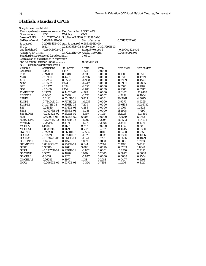# **Flatfish, standard CPUE**

| <b>Sample Selection Model</b>                              |                  |                                            |                     |        |                  |               |
|------------------------------------------------------------|------------------|--------------------------------------------|---------------------|--------|------------------|---------------|
| Two stage least squares regression. Dep. Variable LOGFLATS |                  |                                            |                     |        |                  |               |
| <b>Observations</b>                                        | 1653             | Weights                                    | <b>ONE</b>          |        |                  |               |
| Mean of LHS                                                | 0.1157577E+01    | Std.Dev of LHS 0.8117898E+00               |                     |        |                  |               |
| StdDev of resid.                                           | 0.6808442E+00    |                                            | Sum of squares      |        | $0.7518762E+03$  |               |
| R-squared                                                  |                  | 0.2961645E+00 Adj. R-squared 0.2831466E+00 |                     |        |                  |               |
| F[ 30,                                                     | 1622]            | 0.2275053E+02 Prob value 0.3217295E-13     |                     |        |                  |               |
| Log-likelihood                                             | $-0.1694409E+04$ |                                            | $Restr.(b=0) Log-l$ |        | $-0.2000332E+04$ |               |
| Amemiya Pr. Criter.                                        |                  | $0.4722421E+00$ Akaike Info. Crit.         |                     |        | $0.2087609E+01$  |               |
| Standard error corrected for selection                     |                  |                                            | 0.68107             |        |                  |               |
| Correlation of disturbance in regression                   |                  |                                            |                     |        |                  |               |
| and Selection Criterion (Rho)                              |                  |                                            | $-0.30324E - 01$    |        |                  |               |
| $N(0,1)$ used for significance levels.                     |                  |                                            |                     |        |                  |               |
| Variable                                                   | Coefficient      | Std. Error                                 | t-ratio             | Prob.  | Var. Mean        | Var. st. dev. |
| Constant                                                   | 6.1487           | 1.457                                      | 4.221               | 0.0000 |                  |               |
| <b>FEB</b>                                                 | $-0.97080$       | 0.2348                                     | $-4.135$            | 0.0000 | 0.1506           | 0.3578        |
| <b>MAR</b>                                                 | $-2.0991$        | 0.4461                                     | $-4.706$            | 0.0000 | 0.3315           | 0.4709        |
| <b>APR</b>                                                 | $-3.2206$        | 0.6562                                     | $-4.908$            | 0.0000 | 0.2989           | 0.4579        |
| <b>NOV</b>                                                 | $-8.5532$        | 1.924                                      | $-4.447$            | 0.0000 | 0.0901           | 0.2865        |
| DEC                                                        | $-8.8377$        | 2.094                                      | $-4.221$            | 0.0000 | 0.0321           | 0.1762        |
| GOA                                                        | $-3.5439$        | 1.354                                      | $-2.618$            | 0.0089 | 0.1688           | 0.3747        |
| <b>TIMELDEP</b>                                            | 0.19577          | 0.4452E-01                                 | 4.397               | 0.0000 | 17.6167          | 11.9465       |
| <b>LDEPTH</b>                                              | $-2.0645$        | 0.5506                                     | $-3.750$            | 0.0002 | 4.5252           | 0.4984        |
| L2DEP                                                      | 0.21101          | 0.5513E-01                                 | 3.827               | 0.0001 | 20.7261          | 4.8625        |
| <b>SLOPE</b>                                               | -0.73404E-01     | 0.7173E-02                                 | $-10.233$           | 0.0000 | 3.9975           | 8.9265        |
| SLOPE <sub>2</sub>                                         | 0.11978E-02      | 0.1661E-03                                 | 7.209               | 0.0000 | 95.6138          | 342.6782      |
| <b>SST</b>                                                 | 0.24649          | 0.5749E-01                                 | 4.288               | 0.0000 | 3.1065           | 1.3323        |
| SST <sub>2</sub>                                           | $-0.74073E-01$   | 0.1388E-01                                 | $-5.338$            | 0.0000 | 11.2998          | 7.7299        |
| <b>SSTSLOPE</b>                                            | $-0.25282E-02$   | 0.1624E-02                                 | $-1.557$            | 0.1195 | 13.1123          | 11.4851       |
| <b>SSH</b>                                                 | 0.40100E-01      | 0.6678E-02                                 | 6.005               | 0.0000 | $-5.3569$        | 5.1763        |
| <b>SSHSLOPE</b>                                            | $-0.12754E-02$   | 0.1061E-02                                 | $-1.202$            | 0.2295 | 26.4713          | 17.4774       |
| <b>MWIND</b>                                               | $-0.25255$       | 0.1974                                     | $-1.279$            | 0.2008 | 2.3861           | 0.1216        |
| <b>MCHLA</b>                                               | 1.1488           | 0.1177                                     | 9.757               | 0.0000 | 0.4752           | 0.3091        |
| <b>MCHLA1</b>                                              | 0.86893E-01      | 0.1179                                     | 0.737               | 0.4612 | 0.4445           | 0.3390        |
| <b>DWIND</b>                                               | $-0.22258$       | 0.8680E-01                                 | $-2.564$            | 0.0103 | 0.0490           | 0.2159        |
| <b>DCHLA</b>                                               | $-0.13774$       | 0.8220E-01                                 | $-1.676$            | 0.0938 | 0.2390           | 0.4266        |
| <b>DCHLA1</b>                                              | $-0.88872E-01$   | 0.6615E-01                                 | $-1.344$            | 0.1791 | 0.3696           | 0.4829        |
| <b>GLDEPTH</b>                                             | 0.14648          | 0.1452                                     | 1.009               | 0.3130 | 0.8006           | 1.7913        |
| <b>GTIMELDE</b>                                            | 0.88725E-02      | 0.2577E-01                                 | 0.344               | 0.7307 | 2.3168           | 5.6658        |
| <b>GSST</b>                                                | 0.38910          | 0.1260                                     | 3.088               | 0.0020 | 0.8209           | 1.8344        |
| <b>GSSH</b>                                                | $-0.65376E-01$   | 0.1697E-01                                 | $-3.852$            | 0.0001 | $-0.6570$        | 2.5355        |
| <b>GMWIND</b>                                              | 0.50701          | 0.4698                                     | 1.079               | 0.2805 | 0.3997           | 0.8888        |
| <b>GMCHLA</b>                                              | $-1.0678$        | 0.1826                                     | $-5.847$            | 0.0000 | 0.0888           | 0.2504        |
| <b>GMCHLA1</b>                                             | 0.56283          | 0.4977                                     | 1.131               | 0.2581 | 0.0497           | 0.1298        |
| IMR <sub>2</sub>                                           | $-0.20653E-01$   | 0.6372E-01                                 | $-0.324$            | 0.7458 | 1.1206           | 0.4129        |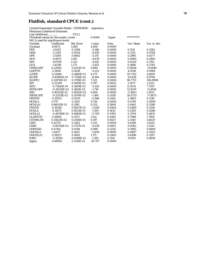#### **Flatfish, standard CPUE (cont.)**

| Log-Likelihood                         |                  | $-1721.2$  |           |        |            |               |
|----------------------------------------|------------------|------------|-----------|--------|------------|---------------|
| Threshold values for the model: Lower  |                  |            | 0.0000    | Upper  | ********** |               |
| $N(0,1)$ used for significance levels. |                  |            |           |        |            |               |
| Variable                               | Coefficient      | Std. Error | t-ratio   | Prob.  | Var. Mean  | Var. st. dev. |
| Constant                               | 6.8473           | 1.489      | 4.600     | 0.0000 |            |               |
| <b>FEB</b>                             | $-1.0425$        | 0.2388     | $-4.366$  | 0.0000 | 0.1511     | 0.3582        |
| <b>MAR</b>                             | $-2.2391$        | 0.4534     | $-4.939$  | 0.0000 | 0.3311     | 0.4708        |
| <b>APR</b>                             | $-3.4395$        | 0.6642     | $-5.178$  | 0.0000 | 0.2985     | 0.4577        |
| <b>NOV</b>                             | $-9.4973$        | 1.947      | $-4.878$  | 0.0000 | 0.0900     | 0.2863        |
| <b>DEC</b>                             | $-9.8708$        | 2.121      | $-4.655$  | 0.0000 | 0.0320     | 0.1761        |
| GOA                                    | $-3.6358$        | 1.371      | $-2.653$  | 0.0080 | 0.1686     | 0.3745        |
| <b>TIMELDEP</b>                        | 0.22064          | 0.4513E-01 | 4.889     | 0.0000 | 17.6044    | 11.9448       |
| <b>LDEPTH</b>                          | $-2.3806$        | 0.5638     | $-4.223$  | 0.0000 | 4.5258     | 0.4984        |
| L2DEP                                  | 0.24184          | 0.5660E-01 | 4.273     | 0.0000 | 20.7312    | 4.8619        |
| <b>SLOPE</b>                           | $-0.81900E-01$   | 0.7336E-02 | $-11.164$ | 0.0000 | 4.0238     | 8.9794        |
| SLOPE2                                 | 0.12876E-02      | 0.1759E-03 | 7.321     | 0.0000 | 96.7721    | 345.8994      |
| <b>SST</b>                             | 0.22309          | 0.5891E-01 | 3.787     | 0.0002 | 3.1071     | 1.3321        |
| SST <sub>2</sub>                       | $-0.73641E - 01$ | 0.1409E-01 | $-5.226$  | 0.0000 | 11.3031    | 7.7297        |
| <b>SSTSLOPE</b>                        | $-0.28536E-02$   | 0.1661E-02 | $-1.718$  | 0.0858 | 13.1029    | 11.4816       |
| <b>SSH</b>                             | 0.46324E-01      | 0.6920E-02 | 6.694     | 0.0000 | $-5.3603$  | 5.1831        |
| <b>SSHSLOPE</b>                        | $-0.12551E-02$   | 0.1076E-02 | $-1.166$  | 0.2436 | 26.4725    | 17.4673       |
| <b>MWIND</b>                           | $-0.19251$       | 0.2035     | $-0.946$  | 0.3442 | 2.3863     | 0.1216        |
| <b>MCHLA</b>                           | 1.1717           | 0.1205     | 9.726     | 0.0000 | 0.4749     | 0.3090        |
| MCHLA1                                 | 0.66035E-01      | 0.1195     | 0.552     | 0.5806 | 0.4441     | 0.3390        |
| <b>DWIND</b>                           | $-0.18149$       | 0.8857E-01 | $-2.049$  | 0.0404 | 0.0489     | 0.2158        |
| <b>DCHLA</b>                           | $-0.11872$       | 0.8521E-01 | $-1.393$  | 0.1635 | 0.2393     | 0.4268        |
| <b>DCHLA1</b>                          | $-0.48766E - 01$ | 0.6881E-01 | $-0.709$  | 0.4785 | 0.3704     | 0.4831        |
| <b>GLDEPTH</b>                         | 0.16995          | 0.1475     | 1.152     | 0.2492 | 0.7996     | 1.7904        |
| <b>GTIMELDE</b>                        | 0.51625E-02      | 0.2618E-01 | 0.197     | 0.8437 | 2.3140     | 5.6629        |
| <b>GSST</b>                            | 0.42715          | 0.1283     | 3.331     | 0.0009 | 0.8199     | 1.8335        |
| <b>GSSH</b>                            | $-0.69744E-01$   | 0.1727E-01 | $-4.039$  | 0.0001 | $-0.6562$  | 2.5341        |
| <b>GMWIND</b>                          | 0.47162          | 0.4768     | 0.989     | 0.3226 | 0.3992     | 0.8884        |
| <b>GMCHLA</b>                          | $-1.0817$        | 0.1852     | $-5.839$  | 0.0000 | 0.0887     | 0.2503        |
| <b>GMCHLA1</b>                         | 0.59237          | 0.5041     | 1.175     | 0.2400 | 0.0496     | 0.1297        |
| IMR <sub>2</sub>                       | $-0.10502$       | 0.6598E-01 | $-1.592$  | 0.1114 | 1.8292     | 0.4858        |
| Sigma                                  | 0.68992          | 0.1216E-01 | 56.747    | 0.0000 |            |               |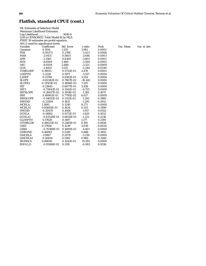## **Flatfish, standard CPUE (cont.)**

| <b>ML Estimates of Selection Model</b>   |                  |            |           |        |  |  |  |
|------------------------------------------|------------------|------------|-----------|--------|--|--|--|
| <b>Maximum Likelihood Estimates</b>      |                  |            |           |        |  |  |  |
| Log-Likelihood<br>$-5040.6$              |                  |            |           |        |  |  |  |
| LHS is CENSORED. Tobit Model fit by MLE. |                  |            |           |        |  |  |  |
| FIRST 30 estimates are probit equation.  |                  |            |           |        |  |  |  |
| N(0,1) used for significance levels.     |                  |            |           |        |  |  |  |
| Variable                                 | Coefficient      | Std. Error | t-ratio   | Prob.  |  |  |  |
| Constant                                 | 6.1914           | 1.555      | 3.981     | 0.0001 |  |  |  |
| <b>FEB</b>                               | $-0.95373$       | 0.2786     | $-3.423$  | 0.0006 |  |  |  |
| <b>MAR</b>                               | $-2.0431$        | 0.5603     | $-3.646$  | 0.0003 |  |  |  |
| <b>APR</b>                               | $-3.1565$        | 0.8300     | $-3.803$  | 0.0001 |  |  |  |
| <b>NOV</b>                               | $-8.6509$        | 2.469      | $-3.504$  | 0.0005 |  |  |  |
| DEC                                      | $-8.9204$        | 2.686      | $-3.321$  | 0.0009 |  |  |  |
| GOA                                      | $-3.4433$        | 1.535      | $-2.244$  | 0.0249 |  |  |  |
| <b>TIMELDEP</b>                          | 0.19935          | 0.5732E-01 | 3.478     | 0.0005 |  |  |  |
| <b>LDEPTH</b>                            | $-2.1238$        | 0.5971     | $-3.557$  | 0.0004 |  |  |  |
| L2DEP                                    | 0.21786          | 0.6183E-01 | 3.524     | 0.0004 |  |  |  |
| <b>SLOPE</b>                             | $-0.82142E-01$   | 0.7867E-02 | $-10.441$ | 0.0000 |  |  |  |
| SLOPE <sub>2</sub>                       | 0.13501E-02      | 0.1894E-03 | 7.129     | 0.0000 |  |  |  |
| <b>SST</b>                               | 0.23645          | 0.6877E-01 | 3.438     | 0.0006 |  |  |  |
| SST <sub>2</sub>                         | $-0.72843E - 01$ | 0.1542E-01 | $-4.725$  | 0.0000 |  |  |  |
| <b>SSTSLOPE</b>                          | $-0.26437E-02$   | 0.1914E-02 | $-1.381$  | 0.1672 |  |  |  |
| <b>SSH</b>                               | 0.46902E-01      | 0.7795E-02 | 6.017     | 0.0000 |  |  |  |
| <b>SSHSLOPE</b>                          | $-0.14632E - 02$ | 0.1132E-02 | $-1.293$  | 0.1960 |  |  |  |
| <b>MWIND</b>                             | $-0.23509$       | 0.1815     | $-1.295$  | 0.1952 |  |  |  |
| <b>MCHLA</b>                             | 1.1495           | 0.1240     | 9.271     | 0.0000 |  |  |  |
| MCHLA1                                   | 0.85693E-01      | 0.1634     | 0.525     | 0.5999 |  |  |  |
| <b>DWIND</b>                             | $-0.20470$       | 0.1068     | $-1.917$  | 0.0552 |  |  |  |
| <b>DCHLA</b>                             | $-0.14862$       | 0.9172E-01 | $-1.620$  | 0.1052 |  |  |  |
| <b>DCHLA1</b>                            | $-0.83526E-01$   | 0.6834E-01 | $-1.222$  | 0.2216 |  |  |  |
| <b>GLDEPTH</b>                           | 0.17628          | 0.1497     | 1.177     | 0.2391 |  |  |  |
| <b>GTIMELDE</b>                          | 0.48022E-02      | 0.2465E-01 | 0.195     | 0.8456 |  |  |  |
| <b>GSST</b>                              | 0.37656          | 0.1239     | 3.039     | 0.0024 |  |  |  |
| <b>GSSH</b>                              | $-0.70388E - 01$ | 0.1600E-01 | $-4.401$  | 0.0000 |  |  |  |
| <b>GMWIND</b>                            | 0.46083          | 0.5310     | 0.868     | 0.3855 |  |  |  |
| <b>GMCHLA</b>                            | $-1.0867$        | 0.2070     | $-5.250$  | 0.0000 |  |  |  |
| <b>GMCHLA1</b>                           | 0.50834          | 0.5185     | 0.980     | 0.3269 |  |  |  |
| SIGMA(1)                                 | 0.69040          | 0.1242E-01 | 55.593    | 0.0000 |  |  |  |
| RHO(1,2)                                 | $-0.93186E - 02$ | 0.1119     | $-0.083$  | 0.9336 |  |  |  |

variable Coefficient Coefficient State Coefficient State Coefficient Studies Var. st. dev.<br>The Var. Mean Var. st. dev.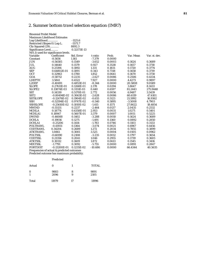#### *2. Summer bottom trawl selection equation (IMR7)*

| <b>Binomial Probit Model</b>           |                  |             |           |        |           |               |
|----------------------------------------|------------------|-------------|-----------|--------|-----------|---------------|
| <b>Maximum Likelihood Estimates</b>    |                  |             |           |        |           |               |
| Log-Likelihood                         |                  | $-1125.6$   |           |        |           |               |
| Restricted (Slopes 0) Log-L.           |                  | $-5571.7$   |           |        |           |               |
| Chi-Squared (29)                       |                  | 8892.3      |           |        |           |               |
| Significance Level                     |                  | 0.32173E-13 |           |        |           |               |
| $N(0,1)$ used for significance levels. |                  |             |           |        |           |               |
| Variable                               | Coefficient      | Std. Error  | t-ratio   | Prob.  | Var. Mean | Var. st. dev. |
| Constant                               | $-8.5656$        | 1.161       | $-7.379$  | 0.0000 |           |               |
| <b>JUN</b>                             | $-0.56585$       | 0.1549      | $-3.652$  | 0.0003 | 0.1624    | 0.3689        |
| <b>JUL</b>                             | 0.14640          | 0.1579      | 0.927     | 0.3538 | 0.1657    | 0.3718        |
| <b>AUG</b>                             | 0.25194          | 0.1892      | 1.331     | 0.1831 | 0.1720    | 0.3774        |
| <b>SEP</b>                             | 0.64802E-01      | 0.1891      | 0.343     | 0.7318 | 0.1658    | 0.3719        |
| <b>OCT</b>                             | 0.32963          | 0.1780      | 1.852     | 0.0641 | 0.1670    | 0.3730        |
| GOA                                    | $-0.58712$       | 0.2235      | $-2.627$  | 0.0086 | 0.2506    | 0.4334        |
| <b>LDEPTH</b>                          | 3.5841           | 0.4522      | 7.927     | 0.0000 | 4.4273    | 0.9897        |
| L2DEP                                  | $-0.40491$       | 0.4853E-01  | $-8.344$  | 0.0000 | 20.5808   | 9.0589        |
| <b>SLOPE</b>                           | 0.27611E-01      | 0.1268E-01  | 2.178     | 0.0294 | 3.8647    | 8.1433        |
| SLOPE2                                 | 0.13874E-03      | 0.3151E-03  | 0.440     | 0.6597 | 81.2443   | 275.9448      |
| <b>SST</b>                             | 0.14330          | 0.5170E-01  | 2.772     | 0.0056 | 6.9487    | 3.5439        |
| SST <sub>2</sub>                       | $-0.80494E-02$   | 0.3063E-02  | $-2.628$  | 0.0086 | 60.6119   | 47.4101       |
| <b>SSTSLOPE</b>                        | $-0.12476E-02$   | 0.1904E-02  | $-0.655$  | 0.5123 | 21.5992   | 16.9362       |
| <b>SSH</b>                             | $-0.52594E-02$   | 0.9747E-02  | $-0.540$  | 0.5895 | $-3.5008$ | 4.7903        |
| <b>SSHSLOPE</b>                        | $-0.25610E-02$   | 0.1810E-02  | $-1.415$  | 0.1571 | 27.8622   | 18.4854       |
| <b>MWIND</b>                           | $-0.55131$       | 0.2237      | $-2.464$  | 0.0137 | 2.0435    | 0.2532        |
| <b>MCHLA</b>                           | 0.18774          | 0.6358E-01  | 2.953     | 0.0031 | 1.0271    | 0.5401        |
| <b>MCHLA1</b>                          | 0.18947          | 0.5607E-01  | 3.379     | 0.0007 | 1.0011    | 0.5225        |
| <b>DWIND</b>                           | $-0.46088$       | 0.1402      | $-3.288$  | 0.0010 | 0.1624    | 0.3689        |
| <b>DCHLA</b>                           | $-0.19016$       | 0.1275      | $-1.491$  | 0.1360 | 0.0892    | 0.2850        |
| DCHLA1                                 | $-0.25206$       | 0.1414      | $-1.783$  | 0.0746 | 0.1103    | 0.3133        |
| <b>POLTRAWL</b>                        | $-0.41931$       | 0.1364      | $-3.074$  | 0.0021 | 0.6967    | 0.4456        |
| <b>CODTRAWL</b>                        | 0.34204          | 0.2689      | 1.272     | 0.2034 | 0.7855    | 0.3899        |
| <b>ATKTRAWL</b>                        | 1.0861           | 0.3081      | 3.525     | 0.0004 | 0.0105    | 0.0962        |
| <b>POLTSSL</b>                         | $-0.68190$       | 0.2108      | $-3.235$  | 0.0012 | 0.1797    | 0.3654        |
| <b>CODTSSL</b>                         | 0.21356          | 0.2041      | 1.046     | 0.2955 | 0.1739    | 0.3605        |
| <b>ATKTSSL</b>                         | 0.30112          | 0.1609      | 1.872     | 0.0613 | 0.1545    | 0.3416        |
| <b>MIXTSSL</b>                         | $-1.7791$        | 0.3092      | $-5.755$  | 0.0000 | 0.0891    | 0.2847        |
| <b>PORTDIST</b>                        | $-0.13200E - 01$ | 0.1235E-02  | $-10.686$ | 0.0000 | 66.4344   | 40.5635       |

Frequencies of actual & predicted outcomes

Predicted outcome has maximum probability.

# Predicted

| Actual        | 0            |        | <b>TOTAL</b> |
|---------------|--------------|--------|--------------|
| $\bf{0}$<br>1 | 9883<br>2096 | 8<br>9 | 9891<br>2105 |
| Total         | 11979        | 17     | 11996        |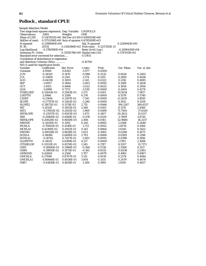# **Pollock , standard CPUE**

| <b>Sample Selection Model</b>                     |                  |                                            |                     |               |                  |               |
|---------------------------------------------------|------------------|--------------------------------------------|---------------------|---------------|------------------|---------------|
| Two stage least squares regression. Dep. Variable |                  |                                            | LOGPOLLS            |               |                  |               |
| <b>Observations</b>                               | 2084             | Weights                                    | <b>ONE</b>          |               |                  |               |
| <b>Mean of LHS</b>                                |                  | 0.5367812E+00 Std.Dev of LHS 0.6599354E+00 |                     |               |                  |               |
| StdDev of resid.                                  |                  | 0.5753294E+00 Sum of squares 0.6795509E+03 |                     |               |                  |               |
| R-squared                                         | 0.2396060E+00    |                                            | Adj. R-squared      |               | 0.2284945E+00    |               |
| F[30,                                             | 2053]            | 0.2156386E+02 Prob value                   |                     | 0.3217295E-13 |                  |               |
| Log-likelihood                                    | $-0.1789390E+04$ |                                            | $Restr.(b=0) Log-1$ |               | $-0.2090430E+04$ |               |
| Amemiya Pr. Criter.                               |                  | 0.3359276E+00 Akaike Info.Crit.            |                     |               | 0.1747015E+01    |               |
| Standard error corrected for selection            |                  |                                            | 0.57811             |               |                  |               |
| Correlation of disturbance in regression          |                  |                                            |                     |               |                  |               |
| and Selection Criterion (Rho)                     |                  |                                            | $-0.10700$          |               |                  |               |
| $N(0,1)$ used for significance levels.            |                  |                                            |                     |               |                  |               |
| Variable                                          | Coefficient      | Std. Error                                 | t-ratio             | Prob.         | Var. Mean        | Var. st. dev. |
| Constant                                          | $-4.9508$        | 0.8283                                     | $-5.977$            | 0.0000        |                  |               |
| <b>JUN</b>                                        | $-0.14520$       | 0.1470                                     | $-0.988$            | 0.3232        | 0.0614           | 0.2402        |
| <b>JUL</b>                                        | $-0.33695$       | 0.2141                                     | $-1.574$            | 0.1155        | 0.2692           | 0.4436        |
| <b>AUG</b>                                        | $-0.64359$       | 0.3005                                     | $-2.141$            | 0.0322        | 0.2116           | 0.4085        |
| <b>SEP</b>                                        | $-1.0007$        | 0.3844                                     | $-2.603$            | 0.0092        | 0.1569           | 0.3638        |
| <b>OCT</b>                                        | $-1.4103$        | 0.4666                                     | $-3.022$            | 0.0025        | 0.1934           | 0.3950        |
| GOA                                               | $-3.6998$        | 0.7372                                     | $-5.019$            | 0.0000        | 0.2404           | 0.4274        |
| <b>TIMELDEP</b>                                   | 0.53041E-01      | 0.2063E-01                                 | 2.571               | 0.0101        | 35.5014          | 7.3817        |
| <b>LDEPTH</b>                                     | 2.0966           | 0.3288                                     | 6.376               | 0.0000        | 4.5578           | 0.5740        |
| L <sub>2</sub> DEP                                | $-0.25616$       | 0.3397E-01                                 | $-7.541$            | 0.0000        | 21.1029          | 5.4919        |
| <b>SLOPE</b>                                      | $-0.27787E-01$   | 0.5262E-02                                 | $-5.280$            | 0.0000        | 4.3812           | 9.3259        |
| SLOPE2                                            | 0.31872E-03      | 0.1174E-03                                 | 2.715               | 0.0066        | 106.1247         | 364.6537      |
| <b>SST</b>                                        | 0.10120          | 0.3953E-01                                 | 2.560               | 0.0105        | 8.1178           | 2.4189        |
| SST <sub>2</sub>                                  | $-0.57602E-02$   | 0.2925E-02                                 | $-1.969$            | 0.0489        | 71.7304          | 37.6320       |
| <b>SSTSLOPE</b>                                   | -0.13557E-02     | 0.9203E-03                                 | $-1.473$            | 0.1407        | 20.1822          | 15.0117       |
| <b>SSH</b>                                        | $-0.29468E - 02$ | 0.6169E-02                                 | $-0.478$            | 0.6329        | $-3.7809$        | 3.8750        |
| <b>SSHSLOPE</b>                                   | 0.20828E-02      | 0.8658E-03                                 | 2.406               | 0.0161        | 22.9680          | 16.3217       |
| <b>MWIND</b>                                      | 0.34110E-01      | 0.1392                                     | 0.245               | 0.8065        | 2.0168           | 0.2648        |
| <b>MCHLA</b>                                      | $-0.70842E-01$   | 0.4116E-01                                 | $-1.721$            | 0.0852        | 1.0076           | 0.4184        |
| <b>MCHLA1</b>                                     | 0.42190E-02      | $0.2952E-01$                               | 0.143               | 0.8864        | 1.0345           | 0.5422        |
| <b>DWIND</b>                                      | 0.88128E-01      | 0.8618E-01                                 | 1.023               | 0.3065        | 0.0288           | 0.1673        |
| <b>DCHLA</b>                                      | 0.18086          | 0.6690E-01                                 | 2.703               | 0.0069        | 0.0509           | 0.2198        |
| <b>DCHLA1</b>                                     | $-0.18743$       | 0.7207E-01                                 | $-2.601$            | 0.0093        | 0.0398           | 0.1956        |
| <b>GLDEPTH</b>                                    | 0.34532          | 0.8189E-01                                 | 4.217               | 0.0000        | 1.1783           | 2.1088        |
| <b>GTIMELDE</b>                                   | 0.11532E-01      | 0.8576E-02                                 | 1.345               | 0.1787        | 8.5557           | 15.7173       |
| <b>GSST</b>                                       | -0.16840E-01     | 0.2986E-01                                 | $-0.564$            | 0.5728        | 2.3308           | 4.3117        |
| <b>GSSH</b>                                       | $-0.19891E-02$   | 0.1075E-01                                 | $-0.185$            | 0.8532        | $-0.8258$        | 2.2383        |
| <b>GMWIND</b>                                     | 0.42804          | 0.2508                                     | 1.707               | 0.0879        | 0.4961           | 0.8907        |
| <b>GMCHLA</b>                                     | 0.27099          | 0.8707E-01                                 | 3.112               | 0.0019        | 0.2574           | 0.4944        |
| <b>GMCHLA1</b>                                    | 0.80668E-01      | 0.8036E-01                                 | 1.004               | 0.3155        | 0.2479           | 0.4876        |
| IMR7                                              | $-0.61856E-01$   | 0.4819E-01                                 | $-1.284$            | 0.1993        | 1.9159           | 0.4657        |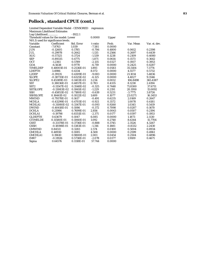## **Pollock , standard CPUE (cont.)**

| Log-Likelihood                         |                  | $-1922.1$  |          |        |            |               |
|----------------------------------------|------------------|------------|----------|--------|------------|---------------|
| Threshold values for the model: Lower  |                  |            | 0.0000   | Upper  | ********** |               |
| $N(0,1)$ used for significance levels. |                  |            |          |        |            |               |
| Variable                               | Coefficient      | Std. Error | t-ratio  | Prob.  | Var. Mean  | Var. st. dev. |
| Constant                               | $-7.8763$        | 1.039      | $-7.581$ | 0.0000 |            |               |
| <b>JUN</b>                             | $-0.12605$       | 0.1785     | $-0.706$ | 0.4800 | 0.0612     | 0.2398        |
| <b>JUL</b>                             | $-0.29978$       | 0.2642     | $-1.135$ | 0.2566 | 0.2697     | 0.4439        |
| <b>AUG</b>                             | $-0.57325$       | 0.3724     | $-1.539$ | 0.1238 | 0.2109     | 0.4080        |
| <b>SEP</b>                             | $-0.89335$       | 0.4775     | $-1.871$ | 0.0614 | 0.1573     | 0.3642        |
| <b>OCT</b>                             | $-1.2361$        | 0.5789     | $-2.135$ | 0.0327 | 0.1937     | 0.3953        |
| GOA                                    | $-6.5638$        | 0.9770     | $-6.719$ | 0.0000 | 0.2425     | 0.4287        |
| <b>TIMELDEP</b>                        | 0.48001E-01      | 0.2536E-01 | 1.893    | 0.0583 | 35.5104    | 7.3774        |
| <b>LDEPTH</b>                          | 3.4986           | 0.4334     | 8.072    | 0.0000 | 4.5577     | 0.5732        |
| L2DEP                                  | $-0.39135$       | 0.4309E-01 | $-9.083$ | 0.0000 | 21.1014    | 5.4836        |
| <b>SLOPE</b>                           | $-0.38735E - 01$ | 0.6325E-02 | $-6.125$ | 0.0000 | 4.4027     | 9.3546        |
| SLOPE <sub>2</sub>                     | 0.45389E-03      | 0.1403E-03 | 3.234    | 0.0012 | 106.8498   | 365.4387      |
| <b>SST</b>                             | 0.38036E-01      | 0.4857E-01 | 0.783    | 0.4335 | 8.1238     | 2.4194        |
| SST <sub>2</sub>                       | $-0.11547E-02$   | 0.3548E-02 | $-0.325$ | 0.7448 | 71.8300    | 37.6711       |
| <b>SSTSLOPE</b>                        | $-0.13083E-02$   | 0.1065E-02 | $-1.229$ | 0.2191 | 20.1950    | 15.0092       |
| <b>SSH</b>                             | $-0.45853E-02$   | 0.7180E-02 | $-0.639$ | 0.5231 | $-3.7775$  | 3.8726        |
| <b>SSHSLOPE</b>                        | 0.16441E-02      | 0.1022E-02 | 1.609    | 0.1077 | 23.0271    | 16.3453       |
| <b>MWIND</b>                           | $-0.79378E - 01$ | 0.1617     | $-0.491$ | 0.6235 | 2.0169     | 0.2647        |
| <b>MCHLA</b>                           | $-0.43299E - 01$ | 0.4703E-01 | $-0.921$ | 0.3572 | 1.0078     | 0.4181        |
| MCHLA1                                 | $-0.31080E - 02$ | 0.3347E-01 | $-0.093$ | 0.9260 | 1.0345     | 0.5419        |
| <b>DWIND</b>                           | $-0.40418E - 01$ | 0.1086     | $-0.372$ | 0.7098 | 0.0287     | 0.1670        |
| <b>DCHLA</b>                           | 0.21986          | 0.7699E-01 | 2.856    | 0.0043 | 0.0507     | 0.2194        |
| <b>DCHLA1</b>                          | $-0.19798$       | 0.8351E-01 | $-2.371$ | 0.0177 | 0.0397     | 0.1953        |
| <b>GLDEPTH</b>                         | 0.63679          | 0.1047     | 6.085    | 0.0000 | 1.1873     | 2.1130        |
| <b>GTIMELDE</b>                        | 0.11580E-01      | 0.1060E-01 | 1.092    | 0.2748 | 8.6344     | 15.7704       |
| <b>GSST</b>                            | $-0.33178E - 01$ | 0.3736E-01 | $-0.888$ | 0.3745 | 2.3526     | 4.3267        |
| <b>GSSH</b>                            | $-0.18198E - 01$ | 0.1383E-01 | $-1.316$ | 0.1881 | $-0.8332$  | 2.2430        |
| <b>GMWIND</b>                          | 0.84511          | 0.3283     | 2.574    | 0.0100 | 0.5004     | 0.8934        |
| <b>GMCHLA</b>                          | 0.48930          | 0.1085     | 4.508    | 0.0000 | 0.2599     | 0.4961        |
| <b>GMCHLA1</b>                         | 0.19610          | 0.9800E-01 | 2.001    | 0.0454 | 0.2504     | 0.4896        |
| IMR7                                   | $-0.11926$       | 0.5738E-01 | $-2.078$ | 0.0377 | 1.9109     | 0.4671        |
| Sigma                                  | 0.64576          | 0.1118E-01 | 57.744   | 0.0000 |            |               |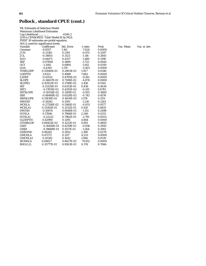## **Pollock , standard CPUE (cont.)**

|                                     | <b>ML Estimates of Selection Model</b>   |            |          |        |  |  |  |  |
|-------------------------------------|------------------------------------------|------------|----------|--------|--|--|--|--|
| <b>Maximum Likelihood Estimates</b> |                                          |            |          |        |  |  |  |  |
| Log-Likelihood                      |                                          | $-6240.2$  |          |        |  |  |  |  |
|                                     | LHS is CENSORED. Tobit Model fit by MLE. |            |          |        |  |  |  |  |
|                                     | FIRST 30 estimates are probit equation.  |            |          |        |  |  |  |  |
|                                     | N(0,1) used for significance levels.     |            |          |        |  |  |  |  |
| Variable                            | Coefficient                              | Std. Error | t-ratio  | Prob.  |  |  |  |  |
| Constant                            | $-8.8557$                                | 1.161      | $-7.624$ | 0.0000 |  |  |  |  |
| JUN                                 | $-0.21361$                               | 0.2191     | $-0.975$ | 0.3297 |  |  |  |  |
| JUL                                 | $-0.34851$                               | 0.3123     | $-1.116$ | 0.2645 |  |  |  |  |
| <b>AUG</b>                          | $-0.64471$                               | 0.4357     | $-1.480$ | 0.1390 |  |  |  |  |
| SEP                                 | $-0.97808$                               | 0.5669     | $-1.725$ | 0.0845 |  |  |  |  |
| <b>OCT</b>                          | $-1.3192$                                | 0.6900     | $-1.912$ | 0.0559 |  |  |  |  |
| GOA                                 | $-6.4392$                                | 1.170      | $-5.503$ | 0.0000 |  |  |  |  |
| <b>TIMELDEP</b>                     | 0.55940E-01                              | 0.2903E-01 | 1.927    | 0.0540 |  |  |  |  |
| <b>LDEPTH</b>                       | 3.8321                                   | 0.4988     | 7.682    | 0.0000 |  |  |  |  |
| L2DEP                               | $-0.43531$                               | 0.4700E-01 | $-9.261$ | 0.0000 |  |  |  |  |
| <b>SLOPE</b>                        | $-0.34657E-01$                           | 0.7108E-02 | $-4.876$ | 0.0000 |  |  |  |  |
| SLOPE2                              | 0.42922E-03                              | 0.1748E-03 | 2.456    | 0.0141 |  |  |  |  |
| <b>SST</b>                          | 0.53129E-01                              | 0.6353E-01 | 0.836    | 0.4030 |  |  |  |  |
| SST <sub>2</sub>                    | $-0.17815E-02$                           | 0.4292E-02 | $-0.415$ | 0.6781 |  |  |  |  |
| <b>SSTSLOPE</b>                     | $-0.10514E-02$                           | 0.1149E-02 | $-0.915$ | 0.3600 |  |  |  |  |
| <b>SSH</b>                          | $-0.48489E-02$                           | 0.6528E-02 | $-0.743$ | 0.4576 |  |  |  |  |
| <b>SSHSLOPE</b>                     | 0.15819E-02                              | 0.1004E-02 | 1.576    | 0.1151 |  |  |  |  |
| <b>MWIND</b>                        | $-0.19282$                               | 0.1593     | $-1.210$ | 0.2261 |  |  |  |  |
| <b>MCHLA</b>                        | $-0.27358E - 02$                         | 0.5160E-01 | $-0.053$ | 0.9577 |  |  |  |  |
| <b>MCHLA1</b>                       | 0.13265E-01                              | 0.3232E-01 | 0.410    | 0.6815 |  |  |  |  |
| <b>DWIND</b>                        | $-0.10874$                               | 0.9448E-01 | $-1.151$ | 0.2498 |  |  |  |  |
| <b>DCHLA</b>                        | 0.17846                                  | 0.7966E-01 | 2.240    | 0.0251 |  |  |  |  |
| <b>DCHLA1</b>                       | $-0.22222$                               | 0.7962E-01 | $-2.791$ | 0.0053 |  |  |  |  |
| <b>GLDEPTH</b>                      | 0.62990                                  | 0.1295     | 4.864    | 0.0000 |  |  |  |  |
| <b>GTIMELDE</b>                     | 0.84452E-02                              | 0.1222E-01 | 0.691    | 0.4893 |  |  |  |  |
| <b>GSST</b>                         | $-0.36456E - 01$                         | 0.4259E-01 | $-0.856$ | 0.3920 |  |  |  |  |
| <b>GSSH</b>                         | -0.19688E-01                             | 0.1557E-01 | $-1.264$ | 0.2061 |  |  |  |  |
| <b>GMWIND</b>                       | 0.86262                                  | 0.3922     | 2.199    | 0.0279 |  |  |  |  |
| <b>GMCHLA</b>                       | 0.47273                                  | 0.1117     | 4.233    | 0.0000 |  |  |  |  |
| <b>GMCHLA1</b>                      | 0.20261                                  | 0.1042     | 1.944    | 0.0519 |  |  |  |  |
| SIGMA(1)                            | 0.64627                                  | 0.8627E-02 | 74.912   | 0.0000 |  |  |  |  |
| RHO(1,2)                            | 0.35777E-01                              | 0.9503E-01 | 0.376    | 0.7066 |  |  |  |  |

rob. Var. Mean Var. st. dev.<br>.0000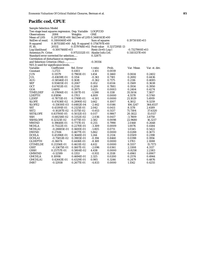#### **Pacific cod, CPUE**

| <b>Sample Selection Model</b>                     |                  |                                            |                     |               |                |               |
|---------------------------------------------------|------------------|--------------------------------------------|---------------------|---------------|----------------|---------------|
| Two stage least squares regression. Dep. Variable |                  |                                            | LOGPCOD             |               |                |               |
| Observations                                      | 2084             | Weights                                    | <b>ONE</b>          |               |                |               |
| Mean of LHS                                       |                  | 0.2972981E+00 Std.Dev of LHS 0.3440143E+00 |                     |               |                |               |
| StdDev of resid.                                  | $0.3100060E+00$  |                                            | Sum of squares      |               | 0.1973010E+03  |               |
| R-squared                                         |                  | 0.1875518E+00 Adj. R-squared 0.1756797E+00 |                     |               |                |               |
| F[ 30,                                            | 2053]            | 0.1579768E+02 Prob value                   |                     | 0.3217295E-13 |                |               |
| Log-likelihood                                    | $-0.5007468E+03$ |                                            | $Restr.(b=0) Log-1$ |               | -0.7327900E+03 |               |
| Amemiya Pr. Criter.                               |                  | 0.9753332E-01 Akaike Info.Crit.            |                     |               | 0.5103137E+00  |               |
| Standard error corrected for selection            |                  |                                            | 0.32875             |               |                |               |
| Correlation of disturbance in regression          |                  |                                            |                     |               |                |               |
| and Selection Criterion (Rho)                     |                  |                                            | $-0.39356$          |               |                |               |
| $N(0,1)$ used for significance levels.            |                  |                                            |                     |               |                |               |
| Variable                                          | Coefficient      | Std. Error                                 | t-ratio             | Prob.         | Var. Mean      | Var. st. dev. |
| Constant                                          | $-1.2723$        | 0.4103                                     | $-3.101$            | 0.0019        |                |               |
| <b>JUN</b>                                        | 0.11579          | 0.7965E-01                                 | 1.454               | 0.1460        | 0.0614         | 0.2402        |
| <b>JUL</b>                                        | $-0.41659E-01$   | 0.1154                                     | $-0.361$            | 0.7181        | 0.2692         | 0.4436        |
| AUG                                               | $-0.58546E-01$   | 0.1618                                     | $-0.362$            | 0.7175        | 0.2116         | 0.4085        |
| <b>SEP</b>                                        | 0.93405E-01      | 0.2067                                     | 0.452               | 0.6514        | 0.1569         | 0.3638        |
| <b>OCT</b>                                        | 0.67453E-01      | 0.2510                                     | 0.269               | 0.7881        | 0.1934         | 0.3950        |
| <b>GOA</b>                                        | 1.4409           | 0.3975                                     | 3.625               | 0.0003        | 0.2404         | 0.4274        |
| <b>TIMELDEP</b>                                   | $-0.17606E - 01$ | 0.1107E-01                                 | $-1.590$            | 0.1118        | 35.5014        | 7.3817        |
| <b>LDEPTH</b>                                     | 0.81896          | 0.1703                                     | 4.809               | 0.0000        | 4.5578         | 0.5740        |
| L2DEP                                             | $-0.78711E-01$   | 0.1749E-01                                 | $-4.501$            | 0.0000        | 21.1029        | 5.4919        |
| <b>SLOPE</b>                                      | 0.47438E-02      | 0.2890E-02                                 | 1.642               | 0.1007        | 4.3812         | 9.3259        |
| <b>SLOPE2</b>                                     | -0.15830E-03     | 0.6482E-04                                 | $-2.442$            | 0.0146        | 106.1247       | 364.6537      |
| <b>SST</b>                                        | 0.43391E-01      | 0.2125E-01                                 | 2.042               | 0.0411        | 8.1178         | 2.4189        |
| SST <sub>2</sub>                                  | -0.10287E-02     | 0.1575E-02                                 | $-0.653$            | 0.5137        | 71.7304        | 37.6320       |
| SSTSLOPE                                          | 0.83700E-05      | 0.5032E-03                                 | 0.017               | 0.9867        | 20.1822        | 15.0117       |
| <b>SSH</b>                                        | -0.68258E-02     | 0.3352E-02                                 | $-2.036$            | 0.0417        | $-3.7809$      | 3.8750        |
| <b>SSHSLOPE</b>                                   | 0.12321E-02      | 0.4771E-03                                 | 2.582               | 0.0098        | 22.9680        | 16.3217       |
| <b>MWIND</b>                                      | 0.19648E-01      | 0.7717E-01                                 | 0.255               | 0.7990        | 2.0168         | 0.2648        |
| <b>MCHLA</b>                                      | $-0.75122E-01$   | 0.2270E-01                                 | $-3.309$            | 0.0009        | 1.0076         | 0.4184        |
| <b>MCHLA1</b>                                     | $-0.28885E-01$   | 0.1600E-01                                 | $-1.805$            | 0.0711        | 1.0345         | 0.5422        |
| <b>DWIND</b>                                      | 0.27416          | 0.4677E-01                                 | 5.862               | 0.0000        | 0.0288         | 0.1673        |
| <b>DCHLA</b>                                      | 0.45396E-01      | 0.3648E-01                                 | 1.244               | 0.2134        | 0.0509         | 0.2198        |
| <b>DCHLA1</b>                                     | $-0.75853E-02$   | 0.3905E-01                                 | $-0.194$            | 0.8460        | 0.0398         | 0.1956        |
| <b>GLDEPTH</b>                                    | $-0.36074$       | 0.4416E-01                                 | $-8.169$            | 0.0000        | 1.1783         | 2.1088        |
| <b>GTIMELDE</b>                                   | 0.21356E-01      | 0.4631E-02                                 | 4.612               | 0.0000        | 8.5557         | 15.7173       |
| <b>GSST</b>                                       | $-0.33675E-01$   | 0.1607E-01                                 | $-2.096$            | 0.0361        | 2.3308         | 4.3117        |
| <b>GSSH</b>                                       | 0.25757E-01      | 0.5804E-02                                 | 4.438               | 0.0000        | $-0.8258$      | 2.2383        |
| <b>GMWIND</b>                                     | $-0.12599$       | 0.1353                                     | $-0.931$            | 0.3518        | 0.4961         | 0.8907        |
| GMCHLA                                            | 0.10916          | 0.4694E-01                                 | 2.325               | 0.0200        | 0.2574         | 0.4944        |
| <b>GMCHLA1</b>                                    | 0.42643E-01      | 0.4329E-01                                 | 0.985               | 0.3246        | 0.2479         | 0.4876        |
| IMR7                                              | -0.12938         | 0.2677E-01                                 | $-4.833$            | 0.0000        | 1.1542         | 0.4255        |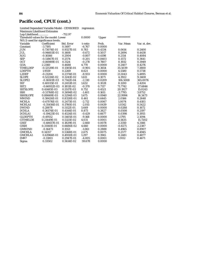#### **Pacific cod, CPUE (cont.)**

 Limited Dependent Variable Model - CENSORED regression Maximum Likelihood Estimates Log-Likelihood.............. -752.97 Threshold values for the model: Lower 0.0000 Upper \*\*\*\*\*\*\*\*\*\*\* N(0,1) used for significance levels. Variable Coefficient Std. Error t-ratio Prob. Var. Mean Var. st. dev. Constant -3.7195 0.5497 -6.767 0.0000<br>JUN 0.73074E-01 0.9327E-01 0.783 0.4334 JUN 0.73074E-01 0.9327E-01 0.783 0.4334 0.0614 0.2400 JUL -0.94603E-01 0.1408 -0.672 0.5017 0.2694 0.4438 AUG -0.16166 0.2004 -0.807 0.4198 0.2114 0.4084 SEP -0.51867E-01 0.2574 -0.201 0.8403 0.1572 0.3641 OCT -0.86989E-01 0.3124 -0.278 0.7807 0.1932 0.3949 GOA 2.2360 0.4688 4.770 0.0000 0.2407 0.4276 TIMELDEP -0.12539E-01 0.1385E-01 -0.905 0.3654 35.5039 7.3800 LDEPTH 1.9559 0.2269 8.621 0.0000 4.5580 0.5738 L2DEP -0.21204 0.2374E-01 -8.933 0.0000 21.1043 5.4895<br>SLOPE 0.52226E-02 0.3241E-02 1.611 0.1071 4.3922 9.3408 SLOPE 0.52226E-02 0.3241E-02 1.611 0.1071 4.3922 9.3408<br>SLOPE2 -0.16501E-03 0.7142E-04 -2.310 0.0209 106.5008 365.0076 SLOPE2 -0.16501E-03 0.7142E-04 -2.310 0.0209 106.5008 365.00<br>SST 0.40015E-01 0.2453E-01 1.632 0.1028 8.1200 2.4204 SST 0.40015E-01 0.2453E-01 1.632 0.1028 8.1200 2.4204<br>SST2 -0.66932E-03 0.1811E-02 -0.370 0.7117 71.7742 37.6846 SST2 -0.66932E-03<br>SSTSLOPE 0.41485E-03 0.41485E-03 0.5517E-03 0.752 0.4521 20.1927 15.0243<br>
-0.51768E-02 0.3694E-02 -1.401 0.1611 -3.7785 3.8752 SSH -0.51768E-02 SSHSLOPE 0.88669E-03 0.5294E-03 1.675 0.0940 22.9994 16.3473<br>MWIND 0.38426E-01 0.8328E-01 0.461 0.6445 2.0166 0.2648 MWIND 0.38426E-01 0.8328E-01 0.461 0.6445 2.0166 0.2648 MCHLA -0.67076E-01 0.2473E-01 -2.712 0.0067 1.0074 0.4183<br>MCHLA1 -0.35456E-01 0.1760E-01 -2.015 0.0439 1.0342 0.5422 MCHLA1 -0.35456E-01 0.1760E-01 -2.015 0.0439 1.0342 0.5422<br>DWIND 0.28878 0.5112E-01 5.649 0.0000 0.0288 0.1672 DWIND 0.28878 0.5112E-01 5.649 0.0000 0.0288 0.1672<br>DCHLA 0.36174E-01 0.4144E-01 0.873 0.3827 0.0508 0.2197 DCHLA 0.36174E-01 0.4144E-01 0.873 0.3827 0.0508 0.2197 -0.19423E-01 GLDEPTH -0.49552 0.5405E-01 -9.168 0.0000 1.1795 2.1094<br>GTIMELDE 0.21449E-01 0.5321E-02 4.031 0.0001 8.5635 15.7202  $0.21449E-01$   $0.5321E-02$   $4.031$ GSST -0.48657E-01 0.1829E-01 -2.660 0.0078 2.3350 4.3166 GSSH 0.31160E-01 0.6686E-02 4.660 0.0000 -0.8271 2.2387 GMWIND -0.16473 0.1553 -1.061 0.2888 0.4965 0.8907 GMCHLA 0.14357 0.5368E-01 2.675 0.0075 0.2577 0.4945 GMCHLA1 0.63966E-01 0.4930E-01 1.297 0.1945 0.2481 0.4877<br>1MR7 -0.11801 0.2947E-01 -4.005 0.0001 1.9112 0.4671  $\begin{array}{ll} \mbox{0.2947E-01} & \quad \mbox{-4.005} \\ \mbox{0.5614E-02} & \quad \mbox{59.678} \end{array}$ Sigma 0.33502 0.5614E-02 59.678 0.0000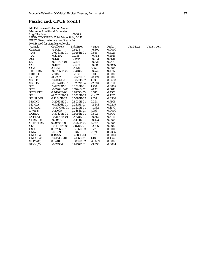## **Pacific cod, CPUE (cont.)**

|                                          | <b>ML Estimates of Selection Model</b> |            |          |        |  |  |  |  |  |
|------------------------------------------|----------------------------------------|------------|----------|--------|--|--|--|--|--|
| <b>Maximum Likelihood Estimates</b>      |                                        |            |          |        |  |  |  |  |  |
| Log-Likelihood<br>$-5068.9$              |                                        |            |          |        |  |  |  |  |  |
| LHS is CENSORED. Tobit Model fit by MLE. |                                        |            |          |        |  |  |  |  |  |
| FIRST 30 estimates are probit equation.  |                                        |            |          |        |  |  |  |  |  |
| N(0,1) used for significance levels.     |                                        |            |          |        |  |  |  |  |  |
| Variable                                 | Coefficient                            | Std. Error | t-ratio  | Prob.  |  |  |  |  |  |
| Constant                                 | $-4.2442$                              | 0.6238     | $-6.804$ | 0.0000 |  |  |  |  |  |
| <b>JUN</b>                               | 0.60673E-01                            | 0.9264E-01 | 0.655    | 0.5125 |  |  |  |  |  |
| JUL                                      | $-0.10202$                             | 0.1355     | $-0.753$ | 0.4516 |  |  |  |  |  |
| <b>AUG</b>                               | $-0.17891$                             | 0.1959     | $-0.913$ | 0.3611 |  |  |  |  |  |
| <b>SEP</b>                               | $-0.81157E-01$                         | 0.2507     | $-0.324$ | 0.7461 |  |  |  |  |  |
| <b>OCT</b>                               | $-0.11978$                             | 0.3072     | $-0.390$ | 0.6966 |  |  |  |  |  |
| GOA                                      | 2.2362                                 | 0.4178     | 5.352    | 0.0000 |  |  |  |  |  |
| <b>TIMELDEP</b>                          | $-0.97058E - 02$                       | 0.1348E-01 | $-0.720$ | 0.4717 |  |  |  |  |  |
| <b>LDEPTH</b>                            | 2.1088                                 | 0.2630     | 8.018    | 0.0000 |  |  |  |  |  |
| L2DEP                                    | $-0.22970$                             | 0.2727E-01 | $-8.424$ | 0.0000 |  |  |  |  |  |
| <b>SLOPE</b>                             | 0.61017E-02                            | 0.3329E-02 | 1.833    | 0.0668 |  |  |  |  |  |
| SLOPE2                                   | $-0.17241E-03$                         | 0.7232E-04 | $-2.384$ | 0.0171 |  |  |  |  |  |
| <b>SST</b>                               | 0.44229E-01                            | 0.2528E-01 | 1.750    | 0.0802 |  |  |  |  |  |
| SST <sub>2</sub>                         | $-0.79041E-03$                         | 0.1924E-02 | $-0.411$ | 0.6812 |  |  |  |  |  |
| <b>SSTSLOPE</b>                          | 0.46403E-03                            | 0.6213E-03 | 0.747    | 0.4551 |  |  |  |  |  |
| <b>SSH</b>                               | $-0.52626E - 02$                       | 0.3588E-02 | $-1.467$ | 0.1425 |  |  |  |  |  |
| <b>SSHSLOPE</b>                          | 0.10845E-02                            | 0.5087E-03 | 2.132    | 0.0330 |  |  |  |  |  |
| <b>MWIND</b>                             | 0.22658E-01                            | 0.8935E-01 | 0.254    | 0.7998 |  |  |  |  |  |
| <b>MCHLA</b>                             | $-0.63126E - 01$                       | 0.2815E-01 | $-2.243$ | 0.0249 |  |  |  |  |  |
| <b>MCHLA1</b>                            | $-0.30799E-01$                         | 0.2229E-01 | $-1.382$ | 0.1670 |  |  |  |  |  |
| <b>DWIND</b>                             | 0.27695                                | 0.3481E-01 | 7.956    | 0.0000 |  |  |  |  |  |
| <b>DCHLA</b>                             | 0.30429E-01                            | 0.5056E-01 | 0.602    | 0.5473 |  |  |  |  |  |
| DCHLA1                                   | $-0.31148E - 01$                       | 0.4778E-01 | $-0.652$ | 0.5144 |  |  |  |  |  |
| <b>GLDEPTH</b>                           | $-0.49579$                             | 0.5434E-01 | $-9.123$ | 0.0000 |  |  |  |  |  |
| <b>GTIMELDE</b>                          | 0.20498E-01                            | 0.5050E-02 | 4.059    | 0.0000 |  |  |  |  |  |
| <b>GSST</b>                              | $-0.49139E-01$                         | 0.1878E-01 | $-2.616$ | 0.0089 |  |  |  |  |  |
| <b>GSSH</b>                              | 0.31766E-01                            | 0.5106E-02 | 6.221    | 0.0000 |  |  |  |  |  |
| <b>GMWIND</b>                            | $-0.15793$                             | 0.1317     | $-1.199$ | 0.2306 |  |  |  |  |  |
| <b>GMCHLA</b>                            | 0.14375                                | 0.4085E-01 | 3.519    | 0.0004 |  |  |  |  |  |
| <b>GMCHLA1</b>                           | 0.61543E-01                            | 0.4136E-01 | 1.488    | 0.1367 |  |  |  |  |  |
| SIGMA(1)                                 | 0.34485                                | 0.7897E-02 | 43.669   | 0.0000 |  |  |  |  |  |
| RHO(1,2)                                 | $-0.27904$                             | 0.9210E-01 | $-3.030$ | 0.0024 |  |  |  |  |  |

Var. Mean Var. st. dev.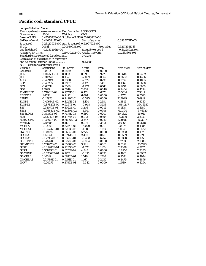# **Pacific cod, standard CPUE**

| <b>Sample Selection Model</b>                     |                  |                                            |                      |            |                  |               |
|---------------------------------------------------|------------------|--------------------------------------------|----------------------|------------|------------------|---------------|
| Two stage least squares regression. Dep. Variable |                  |                                            | LOGPCODS             |            |                  |               |
| <b>Observations</b>                               | 2084             | Weights                                    | <b>ONE</b>           |            |                  |               |
| Mean of LHS                                       |                  | 0.4752573E+00 Std.Dev of LHS 0.5026082E+00 |                      |            |                  |               |
| StdDev of resid.                                  | 0.4405847E+00    |                                            | Sum of squares       |            | 0.3985179E+03    |               |
| R-squared                                         |                  | 0.2312093E+00 Adj. R-squared 0.2199752E+00 |                      |            |                  |               |
| F[ 30,                                            | 2053]            | $0.2058093E+02$                            |                      | Prob value | 0.3217295E-13    |               |
| Log-likelihood                                    | $-0.1233296E+04$ |                                            | Restr. $(b=0)$ Log-l |            | $-0.1522892E+04$ |               |
| Amemiya Pr. Criter.                               |                  | 0.1970024E+00 Akaike Info.Crit.            |                      |            | $0.1213336E+01$  |               |
| Standard error corrected for selection            |                  |                                            | 0.47276              |            |                  |               |
| Correlation of disturbance in regression          |                  |                                            |                      |            |                  |               |
| and Selection Criterion (Rho)                     |                  |                                            | $-0.42883$           |            |                  |               |
| $N(0,1)$ used for significance levels.            |                  |                                            |                      |            |                  |               |
| Variable                                          | Coefficient      | Std. Error                                 | t-ratio              | Prob.      | Var. Mean        | Var. st. dev. |
| Constant                                          | $-3.0312$        | 0.5839                                     | $-5.191$             | 0.0000     |                  |               |
| <b>JUN</b>                                        | 0.10253E-01      | 0.1133                                     | 0.090                | 0.9279     | 0.0614           | 0.2402        |
| <b>JUL</b>                                        | $-0.34272$       | 0.1640                                     | $-2.089$             | 0.0367     | 0.2692           | 0.4436        |
| <b>AUG</b>                                        | $-0.49949$       | 0.2300                                     | $-2.172$             | 0.0299     | 0.2116           | 0.4085        |
| <b>SEP</b>                                        | $-0.43265$       | 0.2937                                     | $-1.473$             | 0.1408     | 0.1569           | 0.3638        |
| <b>OCT</b>                                        | $-0.63212$       | 0.3566                                     | $-1.773$             | 0.0763     | 0.1934           | 0.3950        |
| GOA                                               | 1.5999           | 0.5649                                     | 2.832                | 0.0046     | 0.2404           | 0.4274        |
| TIMELDEP                                          | 0.74061E-02      | 0.1573E-01                                 | 0.471                | 0.6378     | 35.5014          | 7.3817        |
| <b>LDEPTH</b>                                     | 1.4534           | 0.2422                                     | 6.001                | 0.0000     | 4.5578           | 0.5740        |
| L2DEP                                             | $-0.15923$       | 0.2490E-01                                 | $-6.395$             | 0.0000     | 21.1029          | 5.4919        |
| <b>SLOPE</b>                                      | $-0.47634E-02$   | 0.4127E-02                                 | $-1.154$             | 0.2484     | 4.3812           | 9.3259        |
| SLOPE2                                            | $-0.87827E-04$   | 0.9267E-04                                 | $-0.948$             | 0.3433     | 106.1247         | 364.6537      |
| <b>SST</b>                                        | 0.98077E-01      | 0.3022E-01                                 | 3.246                | 0.0012     | 8.1178           | 2.4189        |
| SST <sub>2</sub>                                  | -0.36883E-02     | 0.2240E-02                                 | $-1.647$             | 0.0996     | 71.7304          | 37.6320       |
| <b>SSTSLOPE</b>                                   | 0.35150E-03      | 0.7179E-03                                 | 0.490                | 0.6244     | 20.1822          | 15.0117       |
| <b>SSH</b>                                        | 0.63242E-04      | 0.4775E-02                                 | 0.013                | 0.9894     | $-3.7809$        | 3.8750        |
| <b>SSHSLOPE</b>                                   | 0.15362E-02      | 0.6806E-03                                 | 2.257                | 0.0240     | 22.9680          | 16.3217       |
| <b>MWIND</b>                                      | 0.10685          | 0.1100                                     | 0.972                | 0.3313     | 2.0168           | 0.2648        |
| <b>MCHLA</b>                                      | $-0.12999$       | 0.3234E-01                                 | $-4.020$             | 0.0001     | 1.0076           | 0.4184        |
| <b>MCHLA1</b>                                     | $-0.36242E-01$   | 0.2283E-01                                 | $-1.588$             | 0.1123     | 1.0345           | 0.5422        |
| <b>DWIND</b>                                      | 0.38428          | 0.6654E-01                                 | 5.775                | 0.0000     | 0.0288           | 0.1673        |
| <b>DCHLA</b>                                      | 0.12941          | 0.5197E-01                                 | 2.490                | 0.0128     | 0.0509           | 0.2198        |
| <b>DCHLA1</b>                                     | $-0.27154E-01$   | 0.5566E-01                                 | $-0.488$             | 0.6257     | 0.0398           | 0.1956        |
| <b>GLDEPTH</b>                                    | $-0.44470$       | 0.6278E-01                                 | $-7.084$             | 0.0000     | 1.1783           | 2.1088        |
| <b>GTIMELDE</b>                                   | 0.25827E-01      | 0.6586E-02                                 | 3.921                | 0.0001     | 8.5557           | 15.7173       |
| <b>GSST</b>                                       | $-0.35985E-01$   | 0.2283E-01                                 | $-1.576$             | 0.1150     | 2.3308           | 4.3117        |
| <b>GSSH</b>                                       | 0.35849E-01      | 0.8251E-02                                 | 4.345                | 0.0000     | $-0.8258$        | 2.2383        |
| <b>GMWIND</b>                                     | $-0.37602E-01$   | 0.1924                                     | $-0.195$             | 0.8450     | 0.4961           | 0.8907        |
| <b>GMCHLA</b>                                     | 0.10319          | 0.6673E-01                                 | 1.546                | 0.1220     | 0.2574           | 0.4944        |
| <b>GMCHLA1</b>                                    | 0.71789E-01      | 0.6151E-01                                 | 1.167                | 0.2432     | 0.2479           | 0.4876        |
| IMR7                                              | $-0.20273$       | 0.3795E-01                                 | $-5.342$             | 0.0000     | 1.1540           | 0.4264        |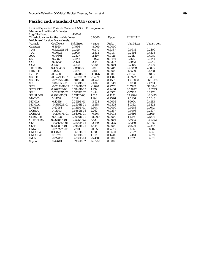# **Pacific cod, standard CPUE (cont.)**

| Log-Likelihood                         |                  | $-1400.0$  |           |        |            |               |
|----------------------------------------|------------------|------------|-----------|--------|------------|---------------|
| Threshold values for the model: Lower  |                  |            | 0.0000    | Upper  | ********** |               |
| $N(0,1)$ used for significance levels. |                  |            |           |        |            |               |
| Variable                               | Coefficient      | Std. Error | t-ratio   | Prob.  | Var. Mean  | Var. st. dev. |
| Constant                               | $-6.3560$        | 0.7936     | $-8.009$  | 0.0000 |            |               |
| <b>JUN</b>                             | $-0.62224E-01$   | 0.1325     | $-0.470$  | 0.6387 | 0.0614     | 0.2400        |
| <b>JUL</b>                             | $-0.46524$       | 0.1995     | $-2.332$  | 0.0197 | 0.2694     | 0.4438        |
| <b>AUG</b>                             | $-0.70861$       | 0.2837     | $-2.497$  | 0.0125 | 0.2114     | 0.4084        |
| <b>SEP</b>                             | $-0.71877$       | 0.3645     | $-1.972$  | 0.0486 | 0.1572     | 0.3641        |
| <b>OCT</b>                             | $-0.95623$       | 0.4424     | $-2.161$  | 0.0307 | 0.1932     | 0.3949        |
| GOA                                    | 2.5754           | 0.6638     | 3.880     | 0.0001 | 0.2407     | 0.4276        |
| <b>TIMELDEP</b>                        | 0.19013E-01      | 0.1958E-01 | 0.971     | 0.3314 | 35.5039    | 7.3800        |
| <b>LDEPTH</b>                          | 3.0260           | 0.3295     | 9.184     | 0.0000 | 4.5580     | 0.5738        |
| L2DEP                                  | $-0.34505$       | 0.3424E-01 | $-10.076$ | 0.0000 | 21.1043    | 5.4895        |
| <b>SLOPE</b>                           | $-0.64795E-02$   | 0.4597E-02 | $-1.409$  | 0.1587 | 4.3922     | 9.3408        |
| SLOPE2                                 | $-0.75276E-04$   | 0.1015E-03 | $-0.742$  | 0.4581 | 106.5008   | 365.0076      |
| <b>SST</b>                             | 0.86105E-01      | 0.3538E-01 | 2.434     | 0.0149 | 8.1200     | 2.4204        |
| SST <sub>2</sub>                       | $-0.28320E - 02$ | 0.2598E-02 | $-1.090$  | 0.2757 | 71.7742    | 37.6846       |
| <b>SSTSLOPE</b>                        | 0.90923E-03      | 0.7848E-03 | 1.159     | 0.2466 | 20.1927    | 15.0243       |
| <b>SSH</b>                             | 0.24922E-02      | 0.5253E-02 | 0.474     | 0.6352 | $-3.7785$  | 3.8752        |
| <b>SSHSLOPE</b>                        | 0.99416E-03      | 0.7513E-03 | 1.323     | 0.1858 | 22.9994    | 16.3473       |
| <b>MWIND</b>                           | 0.14132          | 0.1184     | 1.194     | 0.2326 | 2.0166     | 0.2648        |
| <b>MCHLA</b>                           | $-0.12416$       | 0.3519E-01 | $-3.528$  | 0.0004 | 1.0074     | 0.4183        |
| MCHLA1                                 | $-0.53522E-01$   | 0.2503E-01 | $-2.138$  | 0.0325 | 1.0342     | 0.5422        |
| <b>DWIND</b>                           | 0.40964          | 0.7310E-01 | 5.604     | 0.0000 | 0.0288     | 0.1672        |
| <b>DCHLA</b>                           | 0.13303          | 0.5882E-01 | 2.262     | 0.0237 | 0.0508     | 0.2197        |
| <b>DCHLA1</b>                          | $-0.29947E-01$   | 0.6410E-01 | $-0.467$  | 0.6403 | 0.0398     | 0.1955        |
| <b>GLDEPTH</b>                         | $-0.61108$       | 0.7630E-01 | $-8.009$  | 0.0000 | 1.1795     | 2.1094        |
| <b>GTIMELDE</b>                        | 0.26484E-01      | 0.7525E-02 | 3.520     | 0.0004 | 8.5635     | 15.7202       |
| <b>GSST</b>                            | $-0.55655E-01$   | 0.2602E-01 | $-2.139$  | 0.0325 | 2.3350     | 4.3166        |
| <b>GSSH</b>                            | 0.42989E-01      | 0.9458E-02 | 4.545     | 0.0000 | $-0.8271$  | 2.2387        |
| <b>GMWIND</b>                          | $-0.78227E-01$   | 0.2201     | $-0.355$  | 0.7223 | 0.4965     | 0.8907        |
| <b>GMCHLA</b>                          | 0.13823          | 0.7603E-01 | 1.818     | 0.0690 | 0.2577     | 0.4945        |
| <b>GMCHLA1</b>                         | 0.10721          | 0.6978E-01 | 1.537     | 0.1244 | 0.2481     | 0.4877        |
| IMR7                                   | $-0.22882$       | 0.4230E-01 | $-5.410$  | 0.0000 | 1.9112     | 0.4671        |
| Sigma                                  | 0.47643          | 0.7996E-02 | 59.582    | 0.0000 |            |               |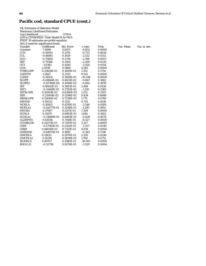## **Pacific cod, standard CPUE (cont.)**

| <b>ML Estimates of Selection Model</b>   |                  |            |           |        |  |  |  |  |  |
|------------------------------------------|------------------|------------|-----------|--------|--|--|--|--|--|
| <b>Maximum Likelihood Estimates</b>      |                  |            |           |        |  |  |  |  |  |
| Log-Likelihood                           |                  | $-5719.8$  |           |        |  |  |  |  |  |
| LHS is CENSORED. Tobit Model fit by MLE. |                  |            |           |        |  |  |  |  |  |
| FIRST 30 estimates are probit equation.  |                  |            |           |        |  |  |  |  |  |
| N(0,1) used for significance levels.     |                  |            |           |        |  |  |  |  |  |
| Variable                                 | Coefficient      | Std. Error | t-ratio   | Prob.  |  |  |  |  |  |
| Constant                                 | $-7.4990$        | 0.8471     | $-8.852$  | 0.0000 |  |  |  |  |  |
| JUN                                      | $-0.10092$       | 0.1376     | $-0.733$  | 0.4634 |  |  |  |  |  |
| JUL                                      | $-0.48861$       | 0.1929     | $-2.532$  | 0.0113 |  |  |  |  |  |
| <b>AUG</b>                               | $-0.75684$       | 0.2736     | $-2.766$  | 0.0057 |  |  |  |  |  |
| SEP                                      | $-0.79366$       | 0.3505     | $-2.264$  | 0.0235 |  |  |  |  |  |
| <b>OCT</b>                               | $-1.0382$        | 0.4283     | $-2.424$  | 0.0154 |  |  |  |  |  |
| GOA                                      | 2.5939           | 0.5660     | 4.583     | 0.0000 |  |  |  |  |  |
| <b>TIMELDEP</b>                          | 0.25656E-01      | 0.1893E-01 | 1.355     | 0.1754 |  |  |  |  |  |
| <b>LDEPTH</b>                            | 3.3667           | 0.3535     | 9.525     | 0.0000 |  |  |  |  |  |
| L2DEP                                    | $-0.38555$       | 0.3659E-01 | $-10.538$ | 0.0000 |  |  |  |  |  |
| <b>SLOPE</b>                             | $-0.41864E-02$   | 0.4831E-02 | $-0.867$  | 0.3861 |  |  |  |  |  |
| SLOPE2                                   | $-0.92706E-04$   | 0.1096E-03 | $-0.845$  | 0.3978 |  |  |  |  |  |
| <b>SST</b>                               | 0.96412E-01      | 0.3881E-01 | 2.484     | 0.0130 |  |  |  |  |  |
| SST <sub>2</sub>                         | $-0.31448E - 02$ | 0.2783E-02 | $-1.130$  | 0.2585 |  |  |  |  |  |
| <b>SSTSLOPE</b>                          | 0.10493E-02      | 0.8380E-03 | 1.252     | 0.2105 |  |  |  |  |  |
| <b>SSH</b>                               | 0.23009E-02      | 0.5296E-02 | 0.434     | 0.6640 |  |  |  |  |  |
| <b>SSHSLOPE</b>                          | 0.12845E-02      | 0.7238E-03 | 1.775     | 0.0760 |  |  |  |  |  |
| <b>MWIND</b>                             | 0.10022          | 0.1332     | 0.753     | 0.4518 |  |  |  |  |  |
| <b>MCHLA</b>                             | $-0.10925$       | 0.4291E-01 | $-2.546$  | 0.0109 |  |  |  |  |  |
| MCHLA1                                   | $-0.42077E-01$   | 0.3249E-01 | $-1.295$  | 0.1952 |  |  |  |  |  |
| <b>DWIND</b>                             | 0.37687          | 0.5157E-01 | 7.309     | 0.0000 |  |  |  |  |  |
| <b>DCHLA</b>                             | 0.11479          | 0.6983E-01 | 1.644     | 0.1002 |  |  |  |  |  |
| <b>DCHLA1</b>                            | $-0.53688E - 01$ | 0.6483E-01 | $-0.828$  | 0.4076 |  |  |  |  |  |
| <b>GLDEPTH</b>                           | $-0.61036$       | 0.7158E-01 | $-8.527$  | 0.0000 |  |  |  |  |  |
| <b>GTIMELDE</b>                          | 0.24273E-01      | 0.7297E-02 | 3.327     | 0.0009 |  |  |  |  |  |
| <b>GSST</b>                              | $-0.57593E-01$   | 0.2552E-01 | $-2.257$  | 0.0240 |  |  |  |  |  |
| <b>GSSH</b>                              | 0.44010E-01      | 0.7312E-02 | 6.019     | 0.0000 |  |  |  |  |  |
| GMWIND                                   | $-0.64972E-01$   | 0.1895     | $-0.343$  | 0.7318 |  |  |  |  |  |
| <b>GMCHLA</b>                            | 0.13433          | 0.5970E-01 | 2.250     | 0.0244 |  |  |  |  |  |
| <b>GMCHLA1</b>                           | 0.10391          | 0.5838E-01 | 1.780     | 0.0751 |  |  |  |  |  |
| SIGMA(1)                                 | 0.49707          | 0.1360E-01 | 36.545    | 0.0000 |  |  |  |  |  |
| RHO(1,2)                                 | $-0.32736$       | 0.9276E-01 | $-3.529$  | 0.0004 |  |  |  |  |  |

variable Coefficient Coefficient Studies Var. st. dev.<br>
State Coefficient State Var. st. dev.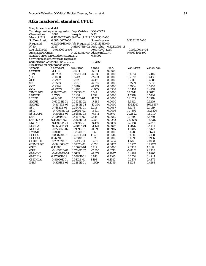#### **Atka mackerel, standard CPUE**

| <b>Sample Selection Model</b>                     |                  |                                            |                   |               |                 |               |
|---------------------------------------------------|------------------|--------------------------------------------|-------------------|---------------|-----------------|---------------|
| Two stage least squares regression. Dep. Variable |                  |                                            | LOGATKAS          |               |                 |               |
| <b>Observations</b>                               | 2084             | Weights                                    | <b>ONE</b>        |               |                 |               |
| Mean of LHS                                       |                  | 0.1138042E+00 Std.Dev of LHS 0.5121301E+00 |                   |               |                 |               |
| StdDev of resid.                                  | 0.3874007E+00    |                                            | Sum of squares    |               | $0.3081128E+03$ |               |
| R-squared                                         |                  | 0.4275091E+00 Adj. R-squared 0.4191435E+00 |                   |               |                 |               |
| F[ 30,                                            | 2053]            | 0.5110278E+02 Prob value                   |                   | 0.3217295E-13 |                 |               |
| Log-likelihood                                    | $-0.9652031E+03$ |                                            | Restr.(b=0) Log-l |               | -0.1562004E+04  |               |
| Amemiya Pr. Criter.                               |                  | 0.1523118E+00 Akaike Info.Crit.            |                   |               | 0.9560491E+00   |               |
| Standard error corrected for selection            |                  |                                            | 0.38994           |               |                 |               |
| Correlation of disturbance in regression          |                  |                                            |                   |               |                 |               |
| and Selection Criterion (Rho)                     |                  |                                            | $-0.13468$        |               |                 |               |
| $N(0,1)$ used for significance levels.            |                  |                                            |                   |               |                 |               |
| Variable                                          | Coefficient      | Std. Error                                 | t-ratio           | Prob.         | Var. Mean       | Var. st. dev. |
| Constant                                          | $-3.4712$        | 0.5074                                     | $-6.841$          | 0.0000        |                 |               |
| <b>JUN</b>                                        | $-0.67829$       | 0.9920E-01                                 | $-6.838$          | 0.0000        | 0.0614          | 0.2402        |
| <b>JUL</b>                                        | $-1.1060$        | 0.1442                                     | $-7.673$          | 0.0000        | 0.2692          | 0.4436        |
| <b>AUG</b>                                        | $-1.2967$        | 0.2023                                     | $-6.411$          | 0.0000        | 0.2116          | 0.4085        |
| <b>SEP</b>                                        | $-1.5553$        | 0.2586                                     | $-6.015$          | 0.0000        | 0.1569          | 0.3638        |
| <b>OCT</b>                                        | $-1.9524$        | 0.3140                                     | $-6.219$          | 0.0000        | 0.1934          | 0.3950        |
| GOA                                               | $-0.97079$       | 0.4965                                     | $-1.955$          | 0.0506        | 0.2404          | 0.4274        |
| <b>TIMELDEP</b>                                   | 0.79617E-01      | 0.1385E-01                                 | 5.747             | 0.0000        | 35.5014         | 7.3817        |
| <b>LDEPTH</b>                                     | 1.5793           | 0.2108                                     | 7.492             | 0.0000        | 4.5578          | 0.5740        |
| L2DEP                                             | $-0.24881$       | 0.2161E-01                                 | $-11.515$         | 0.0000        | 21.1029         | 5.4919        |
| SLOPE                                             | 0.60933E-01      | 0.3525E-02                                 | 17.284            | 0.0000        | 4.3812          | 9.3259        |
| SLOPE2                                            | -0.81759E-03     | 0.7889E-04                                 | $-10.364$         | 0.0000        | 106.1247        | 364.6537      |
| <b>SST</b>                                        | 0.71823E-01      | 0.2647E-01                                 | 2.713             | 0.0067        | 8.1178          | 2.4189        |
| SST <sub>2</sub>                                  | -0.70958E-02     | 0.1965E-02                                 | $-3.611$          | 0.0003        | 71.7304         | 37.6320       |
| SSTSLOPE                                          | -0.35416E-03     | 0.6188E-03                                 | $-0.572$          | 0.5671        | 20.1822         | 15.0117       |
| <b>SSH</b>                                        | 0.10969E-01      | 0.4147E-02                                 | 2.645             | 0.0082        | $-3.7809$       | 3.8750        |
| <b>SSHSLOPE</b>                                   | 0.13210E-02      | 0.5863E-03                                 | 2.253             | 0.0242        | 22.9680         | 16.3217       |
| <b>MWIND</b>                                      | -0.13900E-01     | 0.9491E-01                                 | $-0.146$          | 0.8836        | 2.0168          | 0.2648        |
| <b>MCHLA</b>                                      | $-0.95928E-01$   | 0.2804E-01                                 | $-3.421$          | 0.0006        | 1.0076          | 0.4184        |
| <b>MCHLA1</b>                                     | -0.77336E-02     | 0.1969E-01                                 | $-0.393$          | 0.6945        | 1.0345          | 0.5422        |
| <b>DWIND</b>                                      | 0.31106          | 0.5794E-01                                 | 5.368             | 0.0000        | 0.0288          | 0.1673        |
| <b>DCHLA</b>                                      | 0.87823E-01      | 0.4508E-01                                 | 1.948             | 0.0514        | 0.0509          | 0.2198        |
| <b>DCHLA1</b>                                     | 0.26594          | 0.4818E-01                                 | 5.520             | 0.0000        | 0.0398          | 0.1956        |
| <b>GLDEPTH</b>                                    | 0.25282E-01      | 0.5511E-01                                 | 0.459             | 0.6464        | 1.1783          | 2.1088        |
| <b>GTIMELDE</b>                                   | $-0.99106E-02$   | 0.5767E-02                                 | $-1.718$          | 0.0857        | 8.5557          | 15.7173       |
| <b>GSST</b>                                       | 0.10888          | 0.2009E-01                                 | 5.419             | 0.0000        | 2.3308          | 4.3117        |
| <b>GSSH</b>                                       | $-0.16702E-01$   | 0.7246E-02                                 | $-2.305$          | 0.0212        | $-0.8258$       | 2.2383        |
| <b>GMWIND</b>                                     | $-0.64004E-01$   | 0.1689                                     | $-0.379$          | 0.7047        | 0.4961          | 0.8907        |
| <b>GMCHLA</b>                                     | 0.47865E-01      | 0.5866E-01                                 | 0.816             | 0.4145        | 0.2574          | 0.4944        |
| <b>GMCHLA1</b>                                    | 0.81060E-01      | 0.5412E-01                                 | 1.498             | 0.1342        | 0.2479          | 0.4876        |
| IMR7                                              | $-0.52518E-01$   | 0.3285E-01                                 | $-1.599$          | 0.1099        | 1.1538          | 0.4263        |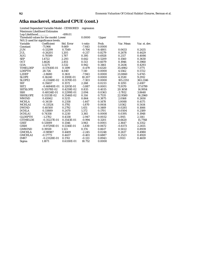## **Atka mackerel, standard CPUE (cont.)**

| Log-Likelihood                         |                  | $-499.01$  |          |        |            |               |
|----------------------------------------|------------------|------------|----------|--------|------------|---------------|
| Threshold values for the model: Lower  |                  |            | 0.0000   | Upper  | ********** |               |
| $N(0,1)$ used for significance levels. |                  |            |          |        |            |               |
| Variable                               | Coefficient      | Std. Error | t-ratio  | Prob.  | Var. Mean  | Var. st. dev. |
| Constant                               | $-71.966$        | 9.669      | $-7.443$ | 0.0000 |            |               |
| <b>JUN</b>                             | $-0.53299$       | 0.7549     | $-0.706$ | 0.4801 | 0.0633     | 0.2435        |
| <b>JUL</b>                             | $-0.26201$       | 1.205      | $-0.217$ | 0.8279 | 0.2678     | 0.4429        |
| <b>AUG</b>                             | 0.70599          | 1.787      | 0.395    | 0.6928 | 0.2117     | 0.4086        |
| <b>SEP</b>                             | 1.4722           | 2.293      | 0.642    | 0.5209 | 0.1560     | 0.3630        |
| <b>OCT</b>                             | 1.4626           | 2.851      | 0.513    | 0.6079 | 0.1946     | 0.3960        |
| <b>GOA</b>                             | 3.3275           | 3.532      | 0.942    | 0.3461 | 0.2436     | 0.4293        |
| <b>TIMELDEP</b>                        | $-0.57410E-01$   | 0.1199     | $-0.479$ | 0.6320 | 35.4982    | 7.3771        |
| <b>LDEPTH</b>                          | 28.726           | 4.040      | 7.110    | 0.0000 | 4.5562     | 0.5722        |
| L2DEP                                  | $-2.8680$        | 0.3611     | $-7.943$ | 0.0000 | 21.0860    | 5.4745        |
| <b>SLOPE</b>                           | 0.16240          | 0.1591E-01 | 10.207   | 0.0000 | 4.3530     | 9.2912        |
| SLOPE2                                 | $-0.23148E - 02$ | 0.3170E-03 | $-7.303$ | 0.0000 | 105.2351   | 363.2146      |
| <b>SST</b>                             | 0.35657          | 0.1572     | 2.268    | 0.0233 | 8.1293     | 2.4187        |
| SST <sub>2</sub>                       | $-0.46840E-01$   | 0.1205E-01 | $-3.887$ | 0.0001 | 71.9170    | 37.6799       |
| <b>SSTSLOPE</b>                        | 0.35578E-02      | 0.4259E-02 | 0.835    | 0.4035 | 20.1658    | 14.9954       |
| <b>SSH</b>                             | 0.48134E-01      | 0.2299E-01 | 2.094    | 0.0363 | $-3.7812$  | 3.8648        |
| <b>SSHSLOPE</b>                        | 0.11133E-02      | 0.3546E-02 | 0.314    | 0.7535 | 22.9580    | 16.2960       |
| <b>MWIND</b>                           | 0.45062          | 0.5215     | 0.864    | 0.3875 | 2.0168     | 0.2650        |
| <b>MCHLA</b>                           | $-0.34119$       | 0.2358     | $-1.447$ | 0.1478 | 1.0088     | 0.4175        |
| MCHLA1                                 | $-0.33524$       | 0.1792     | $-1.870$ | 0.0614 | 1.0362     | 0.5414        |
| <b>DWIND</b>                           | 0.40500          | 0.2792     | 1.451    | 0.1469 | 0.0285     | 0.1666        |
| <b>DCHLA</b>                           | 0.33889          | 0.2470     | 1.372    | 0.1701 | 0.0504     | 0.2189        |
| <b>DCHLA1</b>                          | 0.74358          | 0.2210     | 3.365    | 0.0008 | 0.0395     | 0.1948        |
| <b>GLDEPTH</b>                         | $-1.2782$        | 0.4338     | $-2.947$ | 0.0032 | 1.1915     | 2.1141        |
| <b>GTIMELDE</b>                        | $-0.35227E-01$   | 0.3543E-01 | $-0.994$ | 0.3201 | 8.6620     | 15.7768       |
| <b>GSST</b>                            | 0.53089          | 0.1346     | 3.943    | 0.0001 | 2.3647     | 4.3352        |
| <b>GSSH</b>                            | $-0.97291E-01$   | 0.5316E-01 | $-1.830$ | 0.0672 | $-0.8373$  | 2.2455        |
| <b>GMWIND</b>                          | 0.19559          | 1.123      | 0.174    | 0.8617 | 0.5022     | 0.8939        |
| <b>GMCHLA</b>                          | $-0.98987$       | 0.4409     | $-2.245$ | 0.0248 | 0.2617     | 0.4980        |
| <b>GMCHLA1</b>                         | $-0.17773$       | 0.4437     | $-0.401$ | 0.6887 | 0.2523     | 0.4920        |
| IMR7                                   | $-0.23128E - 01$ | 0.1741     | $-0.133$ | 0.8943 | 1.9113     | 0.4659        |
| Sigma                                  | 1.1871           | 0.6330E-01 | 18.752   | 0.0000 |            |               |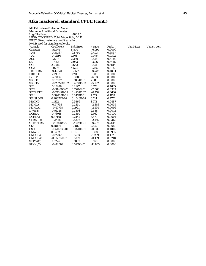## **Atka mackerel, standard CPUE (cont.)**

| <b>ML Estimates of Selection Model</b> |                                          |            |           |        |           |               |
|----------------------------------------|------------------------------------------|------------|-----------|--------|-----------|---------------|
| <b>Maximum Likelihood Estimates</b>    |                                          |            |           |        |           |               |
| Log-Likelihood                         |                                          | $-4808.5$  |           |        |           |               |
|                                        | LHS is CENSORED. Tobit Model fit by MLE. |            |           |        |           |               |
|                                        | FIRST 30 estimates are probit equation.  |            |           |        |           |               |
|                                        | $N(0,1)$ used for significance levels.   |            |           |        |           |               |
| Variable                               | Coefficient                              | Std. Error | t-ratio   | Prob.  | Var. Mean | Var. st. dev. |
| Constant                               | $-54.075$                                | 8.874      | $-6.094$  | 0.0000 |           |               |
| <b>JUN</b>                             | 0.35337                                  | 0.8760     | 0.403     | 0.6867 |           |               |
| JUL                                    | 0.11495                                  | 1.508      | 0.076     | 0.9392 |           |               |
| <b>AUG</b>                             | 1.2717                                   | 2.289      | 0.556     | 0.5785 |           |               |
| <b>SEP</b>                             | 1.7955                                   | 2.963      | 0.606     | 0.5445 |           |               |
| <b>OCT</b>                             | 2.0186                                   | 3.662      | 0.551     | 0.5814 |           |               |
| GOA                                    | 1.0775                                   | 4.573      | 0.236     | 0.8137 |           |               |
| <b>TIMELDEP</b>                        | $-0.10824$                               | 0.1534     | $-0.706$  | 0.4804 |           |               |
| <b>LDEPTH</b>                          | 21.902                                   | 3.711      | 5.901     | 0.0000 |           |               |
| L2DEP                                  | $-2.1076$                                | 0.3086     | $-6.830$  | 0.0000 |           |               |
| <b>SLOPE</b>                           | 0.13907                                  | 0.1884E-01 | 7.380     | 0.0000 |           |               |
| SLOPE <sub>2</sub>                     | $-0.23223E-02$                           | 0.4010E-03 | $-5.792$  | 0.0000 |           |               |
| <b>SST</b>                             | 0.15489                                  | 0.2127     | 0.728     | 0.4665 |           |               |
| SST <sub>2</sub>                       | $-0.31409E-01$                           | 0.1520E-01 | $-2.066$  | 0.0389 |           |               |
| <b>SSTSLOPE</b>                        | $-0.21312E-02$                           | 0.4937E-02 | $-0.432$  | 0.6660 |           |               |
| <b>SSH</b>                             | 0.39028E-01                              | 0.2478E-01 | 1.575     | 0.1153 |           |               |
| <b>SSHSLOPE</b>                        | 0.28872E-02                              | 0.4043E-02 | 0.714     | 0.4752 |           |               |
| <b>MWIND</b>                           | 1.1562                                   | 0.5865     | 1.972     | 0.0487 |           |               |
| <b>MCHLA</b>                           | $-0.67795$                               | 0.2351     | $-2.883$  | 0.0039 |           |               |
| MCHLA1                                 | $-0.49768$                               | 0.1921     | $-2.591$  | 0.0096 |           |               |
| <b>DWIND</b>                           | 0.91228                                  | 0.3394     | 2.688     | 0.0072 |           |               |
| <b>DCHLA</b>                           | 0.73018                                  | 0.2850     | 2.562     | 0.0104 |           |               |
| <b>DCHLA1</b>                          | 0.87158                                  | 0.2442     | 3.570     | 0.0004 |           |               |
| <b>GLDEPTH</b>                         | $-1.1428$                                | 0.5303     | $-2.155$  | 0.0312 |           |               |
| <b>GTIMELDE</b>                        | $-0.13840E-01$                           | 0.4993E-01 | $-0.277$  | 0.7816 |           |               |
| <b>GSST</b>                            | 0.48191                                  | 0.1817     | 2.652     | 0.0080 |           |               |
| <b>GSSH</b>                            | $-0.61423E-01$                           | 0.7320E-01 | $-0.839$  | 0.4014 |           |               |
| <b>GMWIND</b>                          | 0.64325                                  | 1.615      | 0.398     | 0.6905 |           |               |
| <b>GMCHLA</b>                          | $-0.72321$                               | 0.5613     | $-1.289$  | 0.1976 |           |               |
| <b>GMCHLA1</b>                         | $-0.85615E-01$                           | 0.5399     | $-0.159$  | 0.8740 |           |               |
| SIGMA(1)                               | 1.6226                                   | 0.1807     | 8.979     | 0.0000 |           |               |
| RHO(1,2)                               | $-0.82007$                               | 0.5919E-01 | $-13.855$ | 0.0000 |           |               |
|                                        |                                          |            |           |        |           |               |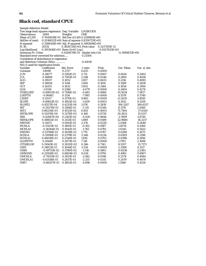# **Black cod, standard CPUE**

| <b>Sample Selection Model</b>                     |                |                                                |            |                  |                  |               |
|---------------------------------------------------|----------------|------------------------------------------------|------------|------------------|------------------|---------------|
| Two stage least squares regression. Dep. Variable |                |                                                | LOGBCODS   |                  |                  |               |
| <b>Observations</b>                               | 2084           | Weights                                        | <b>ONE</b> |                  |                  |               |
| Mean of LHS                                       |                | 0.7045839E-01 Std.Dev of LHS 0.2518961E+00     |            |                  |                  |               |
| StdDev of resid.                                  |                | 0.2016822E+00 Sum of squares 0.8350725E+02     |            |                  |                  |               |
| R-squared                                         |                | $0.3586414E+00$ Adj. R-squared $0.3492694E+00$ |            |                  |                  |               |
| F[ 30,                                            | 2053]          | 0.3826724E+02 Prob value                       |            | 0.3217295E-13    |                  |               |
| Log-likelihood                                    |                | $0.3951616E+03$ Restr. (b=0) Log-l             |            | $-0.8327635E+02$ |                  |               |
| Amemiya Pr. Criter.                               |                | 0.4128078E-01 Akaike Info.Crit.                |            |                  | $-0.3494833E+00$ |               |
| Standard error corrected for selection            |                |                                                | 0.21504    |                  |                  |               |
| Correlation of disturbance in regression          |                |                                                |            |                  |                  |               |
| and Selection Criterion (Rho)                     |                |                                                | $-0.41018$ |                  |                  |               |
| $N(0,1)$ used for significance levels.            |                |                                                |            |                  |                  |               |
| Variable                                          | Coefficient    | Std. Error                                     | t-ratio    | Prob.            | Var. Mean        | Var. st. dev. |
| Constant                                          | 1.8098         | 0.2727                                         | 6.635      | 0.0000           |                  |               |
| <b>JUN</b>                                        | 0.14077        | 0.5192E-01                                     | 2.711      | 0.0067           | 0.0614           | 0.2402        |
| <b>JUL</b>                                        | 0.16869        | 0.7505E-01                                     | 2.248      | 0.0246           | 0.2692           | 0.4436        |
| <b>AUG</b>                                        | 0.19537        | 0.1052                                         | 1.857      | 0.0633           | 0.2116           | 0.4085        |
| <b>SEP</b>                                        | 0.18826        | 0.1344                                         | 1.400      | 0.1614           | 0.1569           | 0.3638        |
| <b>OCT</b>                                        | 0.16351        | 0.1632                                         | 1.002      | 0.3164           | 0.1934           | 0.3950        |
| GOA                                               | $-1.0550$      | 0.2586                                         | $-4.079$   | 0.0000           | 0.2404           | 0.4274        |
| <b>TIMELDEP</b>                                   | $-0.49002E-02$ | 0.7198E-02                                     | $-0.681$   | 0.4960           | 35.5014          | 7.3817        |
| <b>LDEPTH</b>                                     | $-0.90681$     | 0.1134                                         | $-7.995$   | 0.0000           | 4.5578           | 0.5740        |
| L2DEP                                             | 0.11537        | 0.1170E-01                                     | 9.863      | 0.0000           | 21.1029          | 5.4919        |
| <b>SLOPE</b>                                      | $-0.69613E-02$ | 0.1903E-02                                     | $-3.659$   | 0.0003           | 4.3812           | 9.3259        |
| SLOPE2                                            | 0.45571E-04    | 0.4235E-04                                     | 1.076      | 0.2819           | 106.1247         | 364.6537      |
| <b>SST</b>                                        | $-0.29274E-01$ | 0.1384E-01                                     | $-2.115$   | 0.0344           | 8.1178           | 2.4189        |
| SST <sub>2</sub>                                  | 0.86234E-03    | 0.1025E-02                                     | 0.841      | 0.4003           | 71.7304          | 37.6320       |
| <b>SSTSLOPE</b>                                   | 0.52476E-04    | 0.3278E-03                                     | 0.160      | 0.8728           | 20.1822          | 15.0117       |
| SSH                                               | $-0.42687E-04$ | 0.2183E-02                                     | $-0.020$   | 0.9844           | $-3.7809$        | 3.8750        |
| <b>SSHSLOPE</b>                                   | 0.58802E-03    | 0.3113E-03                                     | 1.889      | 0.0589           | 22.9680          | 16.3217       |
| <b>MWIND</b>                                      | 0.11473        | 0.5041E-01                                     | 2.276      | 0.0229           | 2.0168           | 0.2648        |
| <b>MCHLA</b>                                      | $-0.15123E-02$ | 0.1481E-01                                     | $-0.102$   | 0.9187           | 1.0076           | 0.4184        |
| <b>MCHLA1</b>                                     | $-0.18364E-01$ | 0.1042E-01                                     | $-1.762$   | 0.0781           | 1.0345           | 0.5422        |
| <b>DWIND</b>                                      | 0.53786E-01    | 0.3039E-01                                     | 1.770      | 0.0767           | 0.0288           | 0.1673        |
| <b>DCHLA</b>                                      | 0.53918E-01    | 0.2379E-01                                     | 2.266      | 0.0234           | 0.0509           | 0.2198        |
| <b>DCHLA1</b>                                     | 0.46058E-01    | 0.2544E-01                                     | 1.810      | 0.0703           | 0.0398           | 0.1956        |
| <b>GLDEPTH</b>                                    | 0.20449        | 0.2873E-01                                     | 7.118      | 0.0000           | 1.1783           | 2.1088        |
| GTIMELDE                                          | 0.11063E-02    | 0.3020E-02                                     | 0.366      | 0.7141           | 8.5557           | 15.7173       |
| <b>GSST</b>                                       | 0.34821E-01    | 0.1044E-01                                     | 3.334      | 0.0009           | 2.3308           | 4.3117        |
| <b>GSSH</b>                                       | -0.49733E-02   | 0.3780E-02                                     | $-1.316$   | 0.1883           | $-0.8258$        | 2.2383        |
| <b>GMWIND</b>                                     | 0.22938E-02    | 0.8804E-01                                     | 0.026      | 0.9792           | 0.4961           | 0.8907        |
| <b>GMCHLA</b>                                     | $-0.74513E-01$ | 0.3051E-01                                     | $-2.442$   | 0.0146           | 0.2574           | 0.4944        |
| <b>GMCHLA1</b>                                    | $-0.63518E-01$ | 0.2817E-01                                     | $-2.255$   | 0.0241           | 0.2479           | 0.4876        |
| IMR7                                              | $-0.88207E-01$ | 0.1802E-01                                     | $-4.896$   | 0.0000           | 1.1568           | 0.4254        |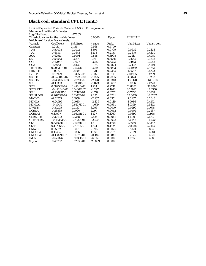## **Black cod, standard CPUE (cont.)**

| Log-Likelihood                         |                  | $-475.33$  |          |        |            |               |
|----------------------------------------|------------------|------------|----------|--------|------------|---------------|
| Threshold values for the model: Lower  |                  |            | 0.0000   | Upper  | ********** |               |
| $N(0,1)$ used for significance levels. |                  |            |          |        |            |               |
| Variable                               | Coefficient      | Std. Error | t-ratio  | Prob.  | Var. Mean  | Var. st. dev. |
| Constant                               | 1.2131           | 2.136      | 0.568    | 0.5700 |            |               |
| <b>JUN</b>                             | 0.54405          | 0.3012     | 1.806    | 0.0709 | 0.0632     | 0.2433        |
| <b>JUL</b>                             | 0.45107          | 0.3643     | 1.238    | 0.2157 | 0.2679     | 0.4430        |
| <b>AUG</b>                             | 0.42911          | 0.5001     | 0.858    | 0.3908 | 0.2114     | 0.4084        |
| <b>SEP</b>                             | 0.58552          | 0.6314     | 0.927    | 0.3538 | 0.1563     | 0.3632        |
| <b>OCT</b>                             | 0.47957          | 0.7677     | 0.625    | 0.5322 | 0.1943     | 0.3958        |
| GOA                                    | $-1.4643$        | 0.8430     | $-1.737$ | 0.0824 | 0.2437     | 0.4294        |
| <b>TIMELDEP</b>                        | 0.20330E-01      | 0.3037E-01 | 0.669    | 0.5033 | 35.4959    | 7.3762        |
| <b>LDEPTH</b>                          | $-1.0072$        | 0.8306     | $-1.213$ | 0.2253 | 4.5567     | 0.5722        |
| L2DEP                                  | 0.18929          | 0.7475E-01 | 2.532    | 0.0113 | 21.0905    | 5.4739        |
| <b>SLOPE</b>                           | $-0.94604E-02$   | 0.7722E-02 | $-1.225$ | 0.2205 | 4.3824     | 9.3282        |
| SLOPE2                                 | $-0.43875E-03$   | 0.2070E-03 | $-2.120$ | 0.0340 | 106.1783   | 364.3158      |
| <b>SST</b>                             | $-0.13363$       | 0.7330E-01 | $-1.823$ | 0.0683 | 8.1266     | 2.4220        |
| SST <sub>2</sub>                       | 0.58258E-02      | 0.4761E-02 | 1.224    | 0.2211 | 71.8882    | 37.6890       |
| <b>SSTSLOPE</b>                        | $-0.19264E-02$   | 0.1486E-02 | $-1.297$ | 0.1948 | 20.1915    | 15.0350       |
| <b>SSH</b>                             | $-0.21699E - 01$ | 0.1219E-01 | $-1.779$ | 0.0752 | $-3.7830$  | 3.8678        |
| <b>SSHSLOPE</b>                        | 0.26229E-02      | 0.1163E-02 | 2.255    | 0.0241 | 23.0019    | 16.3287       |
| <b>MWIND</b>                           | $-0.41253$       | 0.1958     | $-2.107$ | 0.0351 | 2.0167     | 0.2648        |
| <b>MCHLA</b>                           | $-0.24595$       | 0.1010     | $-2.436$ | 0.0149 | 1.0086     | 0.4172        |
| MCHLA1                                 | $-0.10473$       | 0.6237E-01 | $-1.679$ | 0.0931 | 1.0359     | 0.5412        |
| <b>DWIND</b>                           | 0.37205          | 0.1130     | 3.293    | 0.0010 | 0.0290     | 0.1678        |
| <b>DCHLA</b>                           | 0.28535          | 0.1020     | 2.797    | 0.0052 | 0.0504     | 0.2187        |
| <b>DCHLA1</b>                          | 0.14997          | 0.9825E-01 | 1.527    | 0.1269 | 0.0399     | 0.1958        |
| <b>GLDEPTH</b>                         | 0.32492          | 0.1238     | 2.625    | 0.0087 | 1.1919     | 2.1142        |
| <b>GTIMELDE</b>                        | $-0.43333E-01$   | 0.1475E-01 | $-2.937$ | 0.0033 | 8.6648     | 15.7758       |
| <b>GSST</b>                            | 0.52365E-01      | 0.3993E-01 | 1.311    | 0.1898 | 2.3660     | 4.3357        |
| <b>GSSH</b>                            | 0.19796E-01      | 0.1484E-01 | 1.334    | 0.1824 | $-0.8388$  | 2.2465        |
| <b>GMWIND</b>                          | 0.95612          | 0.3191     | 2.996    | 0.0027 | 0.5024     | 0.8940        |
| <b>GMCHLA</b>                          | 0.15454          | 0.1236     | 1.250    | 0.2112 | 0.2619     | 0.4981        |
| <b>GMCHLA1</b>                         | $-0.13879E - 01$ | 0.9517E-01 | $-0.146$ | 0.8841 | 0.2526     | 0.4922        |
| IMR7                                   | $-0.59326$       | 0.9035E-01 | $-6.566$ | 0.0000 | 1.9115     | 0.4680        |
| Sigma                                  | 0.48232          | 0.1793E-01 | 26.899   | 0.0000 |            |               |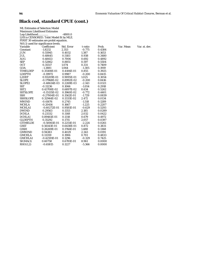## **Black cod, standard CPUE (cont.)**

| <b>ML Estimates of Selection Model</b>   |                  |            |          |        |  |  |  |  |
|------------------------------------------|------------------|------------|----------|--------|--|--|--|--|
| <b>Maximum Likelihood Estimates</b>      |                  |            |          |        |  |  |  |  |
| Log-Likelihood                           |                  | $-4800.0$  |          |        |  |  |  |  |
| LHS is CENSORED. Tobit Model fit by MLE. |                  |            |          |        |  |  |  |  |
| FIRST 30 estimates are probit equation.  |                  |            |          |        |  |  |  |  |
| N(0,1) used for significance levels.     |                  |            |          |        |  |  |  |  |
| Variable                                 | Coefficient      | Std. Error | t-ratio  | Prob.  |  |  |  |  |
| Constant                                 | $-1.8232$        | 2.353      | $-0.775$ | 0.4384 |  |  |  |  |
| <b>JUN</b>                               | 0.55945          | 0.4032     | 1.387    | 0.1653 |  |  |  |  |
| JUL                                      | 0.48645          | 0.5183     | 0.938    | 0.3480 |  |  |  |  |
| <b>AUG</b>                               | 0.48453          | 0.7006     | 0.692    | 0.4892 |  |  |  |  |
| <b>SEP</b>                               | 0.52862          | 0.8851     | 0.597    | 0.5504 |  |  |  |  |
| <b>OCT</b>                               | 0.35517          | 1.074      | 0.331    | 0.7409 |  |  |  |  |
| GOA                                      | $-1.3881$        | 1.064      | $-1.305$ | 0.1919 |  |  |  |  |
| <b>TIMELDEP</b>                          | 0.35108E-01      | 0.4106E-01 | 0.855    | 0.3925 |  |  |  |  |
| <b>LDEPTH</b>                            | $-0.19972$       | 0.9987     | $-0.200$ | 0.8415 |  |  |  |  |
| L2DEP                                    | 0.93209E-01      | 0.9095E-01 | 1.025    | 0.3054 |  |  |  |  |
| <b>SLOPE</b>                             | $-0.17968E - 02$ | 0.8992E-02 | $-0.200$ | 0.8416 |  |  |  |  |
| SLOPE2                                   | $-0.48634E-03$   | 0.2269E-03 | $-2.143$ | 0.0321 |  |  |  |  |
| <b>SST</b>                               | $-0.11236$       | 0.1066     | $-1.054$ | 0.2918 |  |  |  |  |
| SST <sub>2</sub>                         | 0.43708E-02      | 0.6897E-02 | 0.634    | 0.5262 |  |  |  |  |
| <b>SSTSLOPE</b>                          | $-0.15135E-02$   | 0.1960E-02 | $-0.772$ | 0.4401 |  |  |  |  |
| SSH                                      | $-0.27004E-01$   | 0.1562E-01 | $-1.729$ | 0.0839 |  |  |  |  |
| <b>SSHSLOPE</b>                          | 0.32944E-02      | 0.1333E-02 | 2.472    | 0.0134 |  |  |  |  |
| <b>MWIND</b>                             | $-0.41676$       | 0.2745     | $-1.518$ | 0.1289 |  |  |  |  |
| <b>MCHLA</b>                             | $-0.20416$       | 0.1667     | $-1.225$ | 0.2207 |  |  |  |  |
| MCHLA1                                   | $-0.60272E-01$   | 0.9581E-01 | $-0.629$ | 0.5293 |  |  |  |  |
| <b>DWIND</b>                             | 0.29563          | 0.1353     | 2.185    | 0.0289 |  |  |  |  |
| <b>DCHLA</b>                             | 0.23332          | 0.1148     | 2.032    | 0.0422 |  |  |  |  |
| <b>DCHLA1</b>                            | 0.89461E-01      | 0.1318     | 0.679    | 0.4972 |  |  |  |  |
| <b>GLDEPTH</b>                           | 0.35292          | 0.1715     | 2.057    | 0.0397 |  |  |  |  |
| <b>GTIMELDE</b>                          | $-0.50061E-01$   | 0.2251E-01 | $-2.224$ | 0.0261 |  |  |  |  |
| <b>GSST</b>                              | 0.56143E-01      | 0.6438E-01 | 0.872    | 0.3831 |  |  |  |  |
| <b>GSSH</b>                              | 0.26269E-01      | 0.1766E-01 | 1.488    | 0.1368 |  |  |  |  |
| <b>GMWIND</b>                            | 0.94383          | 0.4029     | 2.343    | 0.0191 |  |  |  |  |
| <b>GMCHLA</b>                            | 0.13359          | 0.1906     | 0.701    | 0.4833 |  |  |  |  |
| <b>GMCHLA1</b>                           | $-0.42591E-01$   | 0.1296     | $-0.329$ | 0.7425 |  |  |  |  |
| SIGMA(1)                                 | 0.60758          | 0.6781E-01 | 8.961    | 0.0000 |  |  |  |  |
| RHO(1,2)                                 | $-0.65815$       | 0.1227     | $-5.366$ | 0.0000 |  |  |  |  |

variable Coefficient Coefficient State Coefficient State Coefficient State State Coefficient State Coefficient <br>The Var. Mean Var. st. dev.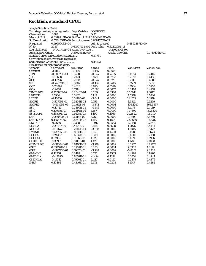## **Rockfish, standard CPUE**

| <b>Sample Selection Model</b>                     |                                                    |                                            |                 |                   |               |               |
|---------------------------------------------------|----------------------------------------------------|--------------------------------------------|-----------------|-------------------|---------------|---------------|
| Two stage least squares regression. Dep. Variable |                                                    |                                            | <b>LOGROCKS</b> |                   |               |               |
| <b>Observations</b>                               | 2084                                               | Weights                                    | <b>ONE</b>      |                   |               |               |
| <b>Mean of LHS</b>                                |                                                    | 0.3189948E+00 Std.Dev of LHS 0.8042483E+00 |                 |                   |               |               |
| StdDev of resid.                                  | 0.5704857E+00 Sum of squares 0.6681570E+03         |                                            |                 |                   |               |               |
| R-squared                                         | 0.4965948E+00                                      |                                            | Adj. R-squared  |                   | 0.4892387E+00 |               |
| F[30,                                             | 2053]<br>0.6750753E+02 Prob value<br>0.3217295E-13 |                                            |                 |                   |               |               |
| Log-likelihood                                    |                                                    | $-0.1771771E+04$ Restr.(b=0) Log-l         |                 | $-0.2502574E+04$  |               |               |
| Amemiya Pr. Criter.                               |                                                    | 0.3302952E+00                              |                 | Akaike Info.Crit. |               | 0.1730106E+01 |
| Standard error corrected for selection            |                                                    |                                            | 0.57731         |                   |               |               |
| Correlation of disturbance in regression          |                                                    |                                            |                 |                   |               |               |
| and Selection Criterion (Rho)                     |                                                    |                                            | 0.18122         |                   |               |               |
| $N(0,1)$ used for significance levels.            |                                                    |                                            |                 |                   |               |               |
| Variable                                          | Coefficient                                        | Std. Error                                 | t-ratio         | Prob.             | Var. Mean     | Var. st. dev. |
| Constant                                          | $-3.1113$                                          | 0.7469                                     | $-4.165$        | 0.0000            |               |               |
| <b>JUN</b>                                        | $-0.50678E - 01$                                   | 0.1460                                     | $-0.347$        | 0.7285            | 0.0614        | 0.2402        |
| JUL                                               | 0.18668                                            | 0.2123                                     | 0.879           | 0.3792            | 0.2692        | 0.4436        |
| <b>AUG</b>                                        | $-0.19276$                                         | 0.2978                                     | $-0.647$        | 0.5175            | 0.2116        | 0.4085        |
| <b>SEP</b>                                        | $-0.74679E-01$                                     | 0.3807                                     | $-0.196$        | 0.8445            | 0.1569        | 0.3638        |
| <b>OCT</b>                                        | 0.28892                                            | 0.4623                                     | 0.625           | 0.5320            | 0.1934        | 0.3950        |
| GOA                                               | $-1.9658$                                          | 0.7314                                     | $-2.688$        | 0.0072            | 0.2404        | 0.4274        |
| <b>TIMELDEP</b>                                   | 0.42586E-02                                        | 0.2040E-01                                 | 0.209           | 0.8346            | 35.5014       | 7.3817        |
| <b>LDEPTH</b>                                     | 1.5964                                             | 0.3102                                     | 5.147           | 0.0000            | 4.5578        | 0.5740        |
| L2DEP                                             | $-0.16010$                                         | 0.3176E-01                                 | $-5.041$        | 0.0000            | 21.1029       | 5.4919        |
| <b>SLOPE</b>                                      | 0.50755E-01                                        | 0.5203E-02                                 | 9.754           | 0.0000            | 4.3812        | 9.3259        |
| <b>SLOPE2</b>                                     | -0.45105E-03                                       | 0.1165E-03                                 | $-3.872$        | 0.0001            | 106.1247      | 364.6537      |
| <b>SST</b>                                        | $-0.17723$                                         | 0.3899E-01                                 | $-4.546$        | 0.0000            | 8.1178        | 2.4189        |
| SST <sub>2</sub>                                  | 0.14955E-01                                        | 0.2894E-02                                 | 5.167           | 0.0000            | 71.7304       | 37.6320       |
| <b>SSTSLOPE</b>                                   | 0.13599E-02                                        | 0.9128E-03                                 | 1.490           | 0.1363            | 20.1822       | 15.0117       |
| <b>SSH</b>                                        | 0.23040E-01                                        | 0.6114E-02                                 | 3.769           | 0.0002            | $-3.7809$     | 3.8750        |
| <b>SSHSLOPE</b>                                   | 0.13567E-02                                        | 0.8649E-03                                 | 1.569           | 0.1167            | 22.9680       | 16.3217       |
| MWIND                                             | $-0.26801$                                         | 0.1398                                     | $-1.917$        | 0.0552            | 2.0168        | 0.2648        |
| <b>MCHLA</b>                                      | 0.23437E-01                                        | 0.4124E-01                                 | 0.568           | 0.5698            | 1.0076        | 0.4184        |
| <b>MCHLA1</b>                                     | $-0.10672$                                         | 0.2902E-01                                 | $-3.678$        | 0.0002            | 1.0345        | 0.5422        |
| <b>DWIND</b>                                      | 0.64795E-01                                        | 0.8539E-01                                 | 0.759           | 0.4480            | 0.0288        | 0.1673        |
| <b>DCHLA</b>                                      | 0.24483                                            | 0.6637E-01                                 | 3.689           | 0.0002            | 0.0509        | 0.2198        |
| <b>DCHLA1</b>                                     | 0.32186                                            | 0.7106E-01                                 | 4.529           | 0.0000            | 0.0398        | 0.1956        |
| <b>GLDEPTH</b>                                    | 0.35931                                            | 0.8116E-01                                 | 4.427           | 0.0000            | 1.1783        | 2.1088        |
| <b>GTIMELDE</b>                                   | $-0.31584E-01$                                     | 0.8495E-02                                 | $-3.718$        | 0.0002            | 8.5557        | 15.7173       |
| <b>GSST</b>                                       | 0.89732E-01                                        | 0.2959E-01                                 | 3.033           | 0.0024            | 2.3308        | 4.3117        |
| <b>GSSH</b>                                       | $-0.39775E-01$                                     | 0.1067E-01                                 | $-3.728$        | 0.0002            | $-0.8258$     | 2.2383        |
| <b>GMWIND</b>                                     | 0.18776                                            | 0.2487                                     | 0.755           | 0.4503            | 0.4961        | 0.8907        |
| <b>GMCHLA</b>                                     | $-0.12895$                                         | 0.8632E-01                                 | $-1.494$        | 0.1352            | 0.2574        | 0.4944        |
| <b>GMCHLA1</b>                                    | 0.19343                                            | 0.7970E-01                                 | 2.427           | 0.0152            | 0.2479        | 0.4876        |
| IMR7                                              | 0.10462                                            | 0.4816E-01                                 | 2.172           | 0.0298            | 1.1547        | 0.4262        |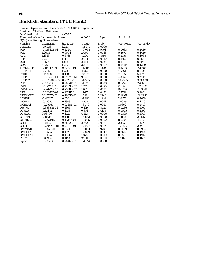# **Rockfish, standard CPUE (cont.)**

| Log-Likelihood                         |                                       | $-1058.7$  |           |        |            |               |
|----------------------------------------|---------------------------------------|------------|-----------|--------|------------|---------------|
|                                        | Threshold values for the model: Lower |            |           | Upper  | ********** |               |
| $N(0,1)$ used for significance levels. |                                       |            |           |        |            |               |
| Variable                               | Coefficient                           | Std. Error | t-ratio   | Prob.  | Var. Mean  | Var. st. dev. |
| Constant                               | $-59.038$                             | 4.225      | $-13.975$ | 0.0000 |            |               |
| <b>JUN</b>                             | $-0.15847E-01$                        | 0.4224     | $-0.038$  | 0.9701 | 0.0633     | 0.2436        |
| <b>JUL</b>                             | 1.2045                                | 0.6004     | 2.006     | 0.0448 | 0.2671     | 0.4426        |
| <b>AUG</b>                             | 1.1343                                | 0.8765     | 1.294     | 0.1956 | 0.2119     | 0.4088        |
| <b>SEP</b>                             | 2.3211                                | 1.119      | 2.074     | 0.0380 | 0.1562     | 0.3631        |
| <b>OCT</b>                             | 3.1534                                | 1.383      | 2.281     | 0.0226 | 0.1948     | 0.3961        |
| <b>GOA</b>                             | 5.7371                                | 1.695      | 3.385     | 0.0007 | 0.2429     | 0.4289        |
| <b>TIMELDEP</b>                        | $-0.84149E -01$                       | 0.5672E-01 | $-1.484$  | 0.1379 | 35.5010    | 7.3800        |
| <b>LDEPTH</b>                          | 21.942                                | 1.623      | 13.521    | 0.0000 | 4.5561     | 0.5725        |
| L2DEP                                  | $-1.9408$                             | 0.1388     | $-13.979$ | 0.0000 | 21.0856    | 5.4770        |
| <b>SLOPE</b>                           | 0.89567E-01                           | 0.9907E-02 | 9.040     | 0.0000 | 4.3567     | 9.2949        |
| SLOPE <sub>2</sub>                     | -0.97000E-03                          | 0.2125E-03 | $-4.565$  | 0.0000 | 105.3350   | 363.3731      |
| <b>SST</b>                             | $-0.18383$                            | 0.9804E-01 | $-1.875$  | 0.0608 | 8.1259     | 2.4168        |
| SST <sub>2</sub>                       | 0.11912E-01                           | 0.7003E-02 | 1.701     | 0.0890 | 71.8521    | 37.6225       |
| <b>SSTSLOPE</b>                        | 0.49697E-02                           | 0.2508E-02 | 1.981     | 0.0475 | 20.1507    | 14.9848       |
| <b>SSH</b>                             | 0.32366E-01                           | 0.1621E-01 | 1.997     | 0.0458 | $-3.7796$  | 3.8661        |
| <b>SSHSLOPE</b>                        | 0.24707E-02                           | 0.2035E-02 | 1.214     | 0.2248 | 22.9461    | 16.2950       |
| <b>MWIND</b>                           | $-0.46247$                            | 0.3564     | $-1.298$  | 0.1944 | 2.0170     | 0.2650        |
| <b>MCHLA</b>                           | 0.45035                               | 0.1383     | 3.257     | 0.0011 | 1.0089     | 0.4176        |
| MCHLA1                                 | $-0.29367$                            | 0.9248E-01 | $-3.176$  | 0.0015 | 1.0362     | 0.5416        |
| <b>DWIND</b>                           | 0.35857E-01                           | 0.1803     | 0.199     | 0.8424 | 0.0286     | 0.1666        |
| <b>DCHLA</b>                           | 0.12472                               | 0.1533     | 0.814     | 0.4158 | 0.0505     | 0.2190        |
| <b>DCHLA1</b>                          | 0.58706                               | 0.1424     | 4.123     | 0.0000 | 0.0395     | 0.1949        |
| <b>GLDEPTH</b>                         | $-0.96351$                            | 0.1986     | $-4.852$  | 0.0000 | 1.1882     | 2.1125        |
| <b>GTIMELDE</b>                        | $-0.56791E-01$                        | 0.1835E-01 | $-3.095$  | 0.0020 | 8.6394     | 15.7671       |
| <b>GSST</b>                            | 0.18872                               | 0.6882E-01 | 2.742     | 0.0061 | 2.3558     | 4.3273        |
| <b>GSSH</b>                            | $-0.69470E-01$                        | 0.2373E-01 | $-2.927$  | 0.0034 | $-0.8329$  | 2.2418        |
| <b>GMWIND</b>                          | $-0.18797E-01$                        | 0.5551     | $-0.034$  | 0.9730 | 0.5009     | 0.8934        |
| <b>GMCHLA</b>                          | $-0.55850$                            | 0.1975     | $-2.829$  | 0.0047 | 0.2612     | 0.4978        |
| <b>GMCHLA1</b>                         | 0.30757                               | 0.1641     | 1.874     | 0.0609 | 0.2516     | 0.4917        |
| IMR7                                   | 0.33952                               | 0.1143     | 2.970     | 0.0030 | 1.9112     | 0.4661        |
| Sigma                                  | 0.98623                               | 0.2846E-01 | 34.654    | 0.0000 |            |               |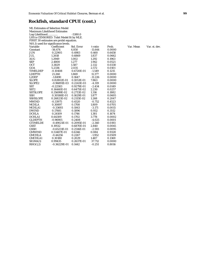## **Rockfish, standard CPUE (cont.)**

| <b>ML Estimates of Selection Model</b> |                                          |            |           |        |           |               |
|----------------------------------------|------------------------------------------|------------|-----------|--------|-----------|---------------|
| <b>Maximum Likelihood Estimates</b>    |                                          |            |           |        |           |               |
| Log-Likelihood                         |                                          | $-5380.0$  |           |        |           |               |
|                                        | LHS is CENSORED. Tobit Model fit by MLE. |            |           |        |           |               |
|                                        | FIRST 30 estimates are probit equation.  |            |           |        |           |               |
|                                        | $N(0,1)$ used for significance levels.   |            |           |        |           |               |
| Variable                               | Coefficient                              | Std. Error | t-ratio   | Prob.  | Var. Mean | Var. st. dev. |
| Constant                               | $-56.474$                                | 4.850      | $-11.644$ | 0.0000 |           |               |
| <b>JUN</b>                             | 0.22905                                  | 0.4983     | 0.460     | 0.6458 |           |               |
| <b>JUL</b>                             | 1.2618                                   | 0.6869     | 1.837     | 0.0662 |           |               |
| <b>AUG</b>                             | 1.2949                                   | 1.002      | 1.292     | 0.1963 |           |               |
| <b>SEP</b>                             | 2.4800                                   | 1.277      | 1.942     | 0.0521 |           |               |
| <b>OCT</b>                             | 3.3829                                   | 1.587      | 2.132     | 0.0330 |           |               |
| <b>GOA</b>                             | 5.2336                                   | 2.035      | 2.572     | 0.0101 |           |               |
| <b>TIMELDEP</b>                        | $-0.10408$                               | 0.6720E-01 | $-1.549$  | 0.1215 |           |               |
| <b>LDEPTH</b>                          | 21.260                                   | 1.869      | 11.377    | 0.0000 |           |               |
| L2DEP                                  | $-1.8490$                                | 0.1647     | $-11.226$ | 0.0000 |           |               |
| <b>SLOPE</b>                           | 0.82802E-01                              | 0.1053E-01 | 7.863     | 0.0000 |           |               |
| SLOPE2                                 | $-0.96891E-03$                           | 0.2243E-03 | $-4.319$  | 0.0000 |           |               |
| <b>SST</b>                             | $-0.22583$                               | 0.9279E-01 | $-2.434$  | 0.0149 |           |               |
| SST <sub>2</sub>                       | 0.14440E-01                              | 0.6475E-02 | 2.230     | 0.0257 |           |               |
| <b>SSTSLOPE</b>                        | 0.35699E-02                              | 0.2713E-02 | 1.316     | 0.1882 |           |               |
| <b>SSH</b>                             | 0.30588E-01                              | 0.1629E-01 | 1.877     | 0.0605 |           |               |
| <b>SSHSLOPE</b>                        | 0.26823E-02                              | 0.2115E-02 | 1.268     | 0.2047 |           |               |
| <b>MWIND</b>                           | $-0.33975$                               | 0.4520     | $-0.752$  | 0.4523 |           |               |
| <b>MCHLA</b>                           | 0.30897                                  | 0.1708     | 1.809     | 0.0705 |           |               |
| <b>MCHLA1</b>                          | $-0.33693$                               | 0.1063     | $-3.171$  | 0.0015 |           |               |
| <b>DWIND</b>                           | 0.17681                                  | 0.1896     | 0.932     | 0.3512 |           |               |
| <b>DCHLA</b>                           | 0.24109                                  | 0.1746     | 1.381     | 0.1674 |           |               |
| <b>DCHLA1</b>                          | 0.64309                                  | 0.1702     | 3.778     | 0.0002 |           |               |
| <b>GLDEPTH</b>                         | $-0.96905$                               | 0.2408     | $-4.025$  | 0.0001 |           |               |
| <b>GTIMELDE</b>                        | $-0.49021E-01$                           | 0.2095E-01 | $-2.340$  | 0.0193 |           |               |
| <b>GSST</b>                            | 0.19512                                  | 0.6870E-01 | 2.840     | 0.0045 |           |               |
| <b>GSSH</b>                            | $-0.65231E-01$                           | 0.2516E-01 | $-2.593$  | 0.0095 |           |               |
| <b>GMWIND</b>                          | 0.53487E-01                              | 0.6346     | 0.084     | 0.9328 |           |               |
| <b>GMCHLA</b>                          | $-0.44256$                               | 0.2267     | $-1.952$  | 0.0509 |           |               |
| <b>GMCHLA1</b>                         | 0.30180                                  | 0.2029     | 1.487     | 0.1369 |           |               |
| SIGMA(1)                               | 0.99435                                  | 0.2637E-01 | 37.712    | 0.0000 |           |               |
| RHO(1,2)                               | $-0.36229E-01$                           | 0.1442     | $-0.251$  | 0.8016 |           |               |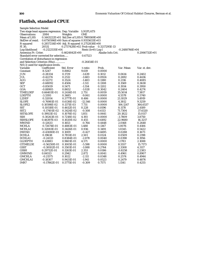# **Flatfish, standard CPUE**

| <b>Sample Selection Model</b>                     |                                            |                          |                     |                   |                  |                 |
|---------------------------------------------------|--------------------------------------------|--------------------------|---------------------|-------------------|------------------|-----------------|
| Two stage least squares regression. Dep. Variable |                                            |                          | <b>LOGFLATS</b>     |                   |                  |                 |
| <b>Observations</b>                               | 2084                                       | Weights                  | <b>ONE</b>          |                   |                  |                 |
| Mean of LHS                                       | 0.1443222E+01 Std.Dev of LHS 0.7989369E+00 |                          |                     |                   |                  |                 |
| StdDev of resid.                                  | 0.6750596E+00 Sum of squares 0.9355633E+03 |                          |                     |                   |                  |                 |
| R-squared                                         | 0.2857214E+00 Adj. R-squared 0.2752838E+00 |                          |                     |                   |                  |                 |
| F[ 30,                                            | 2053]                                      | 0.2737428E+02 Prob value |                     | 0.3217295E-13     |                  |                 |
| Log-likelihood                                    | $-0.2122535E+04$                           |                          | $Restr.(b=0) Log-1$ |                   | $-0.2488766E+04$ |                 |
| Amemiya Pr. Criter.                               |                                            | $0.4624842E+00$          |                     | Akaike Info.Crit. |                  | $0.2066732E+01$ |
| Standard error corrected for selection            |                                            |                          | 0.67523             |                   |                  |                 |
| Correlation of disturbance in regression          |                                            |                          |                     |                   |                  |                 |
| and Selection Criterion (Rho)                     |                                            |                          | $-0.26454E-01$      |                   |                  |                 |
| $N(0,1)$ used for significance levels.            |                                            |                          |                     |                   |                  |                 |
| Variable                                          | Coefficient                                | Std. Error               | t-ratio             | Prob.             | Var. Mean        | Var. st. dev.   |
| Constant                                          | 8.5247                                     | 0.8862                   | 9.619               | 0.0000            |                  |                 |
| <b>JUN</b>                                        | $-0.28334$                                 | 0.1729                   | $-1.639$            | 0.1012            | 0.0614           | 0.2402          |
| JUL                                               | $-0.42274$                                 | 0.2512                   | $-1.683$            | 0.0924            | 0.2692           | 0.4436          |
| <b>AUG</b>                                        | $-0.52272$                                 | 0.3524                   | $-1.483$            | 0.1380            | 0.2116           | 0.4085          |
| <b>SEP</b>                                        | $-0.68092$                                 | 0.4506                   | $-1.511$            | 0.1308            | 0.1569           | 0.3638          |
| <b>OCT</b>                                        | $-0.85019$                                 | 0.5471                   | $-1.554$            | 0.1202            | 0.1934           | 0.3950          |
| GOA                                               | $-0.88905$                                 | 0.8652                   | $-1.028$            | 0.3042            | 0.2404           | 0.4274          |
| TIMELDEP                                          | 0.66403E-01                                | 0.2414E-01               | 2.751               | 0.0059            | 35.5014          | 7.3817          |
| <b>LDEPTH</b>                                     | $-3.3393$                                  | 0.3685                   | $-9.061$            | 0.0000            | 4.5578           | 0.5740          |
| L2DEP                                             | 0.32054                                    | 0.3777E-01               | 8.486               | 0.0000            | 21.1029          | 5.4919          |
| <b>SLOPE</b>                                      | $-0.76981E-01$                             | 0.6136E-02               | $-12.546$           | 0.0000            | 4.3812           | 9.3259          |
| SLOPE <sub>2</sub>                                | 0.10598E-02                                | 0.1371E-03               | 7.731               | 0.0000            | 106.1247         | 364.6537        |
| <b>SST</b>                                        | 0.10518E-01                                | 0.4612E-01               | 0.228               | 0.8196            | 8.1178           | 2.4189          |
| SST <sub>2</sub>                                  | -0.17401E-02                               | 0.3424E-02               | $-0.508$            | 0.6113            | 71.7304          | 37.6320         |
| <b>SSTSLOPE</b>                                   | 0.19921E-02                                | 0.1076E-02               | 1.851               | 0.0641            | 20.1822          | 15.0117         |
| <b>SSH</b>                                        | 0.30263E-01                                | 0.7218E-02               | 4.193               | 0.0000            | $-3.7809$        | 3.8750          |
| SSHSLOPE                                          | 0.46397E-03                                | 0.1020E-02               | 0.455               | 0.6492            | 22.9680          | 16.3217         |
| <b>MWIND</b>                                      | $-0.12633$                                 | 0.1653                   | $-0.764$            | 0.4448            | 2.0168           | 0.2648          |
| <b>MCHLA</b>                                      | 0.72674E-01                                | 0.4883E-01               | 1.488               | 0.1367            | 1.0076           | 0.4184          |
| <b>MCHLA1</b>                                     | 0.32083E-01                                | 0.3426E-01               | 0.936               | 0.3491            | 1.0345           | 0.5422          |
| <b>DWIND</b>                                      | $-0.43080E - 01$                           | 0.1009                   | $-0.427$            | 0.6695            | 0.0288           | 0.1673          |
| <b>DCHLA</b>                                      | 0.19638                                    | 0.7851E-01               | 2.501               | 0.0124            | 0.0509           | 0.2198          |
| <b>DCHLA1</b>                                     | $-0.24133$                                 | 0.8384E-01               | $-2.878$            | 0.0040            | 0.0398           | 0.1956          |
| <b>GLDEPTH</b>                                    | 0.43883                                    | 0.9601E-01               | 4.571               | 0.0000            | 1.1783           | 2.1088          |
| <b>GTIMELDE</b>                                   | $-0.56250E-01$                             | 0.1005E-01               | $-5.598$            | 0.0000            | 8.5557           | 15.7173         |
| <b>GSST</b>                                       | $-0.38102E-01$                             | 0.3501E-01               | $-1.088$            | 0.2764            | 2.3308           | 4.3117          |
| <b>GSSH</b>                                       | 0.29712E-01                                | 0.1263E-01               | 2.353               | 0.0186            | $-0.8258$        | 2.2383          |
| <b>GMWIND</b>                                     | 0.84513                                    | 0.2942                   | 2.872               | 0.0041            | 0.4961           | 0.8907          |
| <b>GMCHLA</b>                                     | $-0.21575$                                 | 0.1022                   | $-2.111$            | 0.0348            | 0.2574           | 0.4944          |
| <b>GMCHLA1</b>                                    | $-0.18307$                                 | 0.9431E-01               | $-1.941$            | 0.0523            | 0.2479           | 0.4876          |
| IMR7                                              | $-0.17862E-01$                             | 0.5775E-01               | $-0.309$            | 0.7571            | 1.1541           | 0.4255          |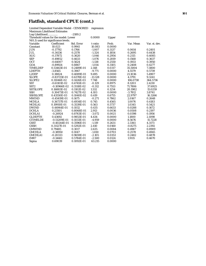#### **Flatfish, standard CPUE (cont.)**

| Log-Likelihood                         |                                       | $-2189.2$  |           |        |            |               |
|----------------------------------------|---------------------------------------|------------|-----------|--------|------------|---------------|
|                                        | Threshold values for the model: Lower |            |           | Upper  | ********** |               |
| $N(0,1)$ used for significance levels. |                                       |            |           |        |            |               |
| Variable                               | Coefficient                           | Std. Error | t-ratio   | Prob.  | Var. Mean  | Var. st. dev. |
| Constant                               | 10.023                                | 0.9941     | 10.083    | 0.0000 |            |               |
| <b>JUN</b>                             | $-0.17792$                            | 0.1766     | $-1.007$  | 0.3137 | 0.0614     | 0.2401        |
| <b>JUL</b>                             | $-0.34136$                            | 0.2578     | $-1.324$  | 0.1854 | 0.2695     | 0.4438        |
| <b>AUG</b>                             | $-0.37872$                            | 0.3620     | $-1.046$  | 0.2954 | 0.2115     | 0.4085        |
| <b>SEP</b>                             | $-0.49852$                            | 0.4633     | $-1.076$  | 0.2819 | 0.1568     | 0.3637        |
| <b>OCT</b>                             | $-0.64007$                            | 0.5624     | $-1.138$  | 0.2550 | 0.1933     | 0.3950        |
| GOA                                    | $-0.89924$                            | 0.8867     | $-1.014$  | 0.3105 | 0.2408     | 0.4277        |
| <b>TIMELDEP</b>                        | 0.53463E-01                           | 0.2489E-01 | 2.148     | 0.0317 | 35.5004    | 7.3800        |
| <b>LDEPTH</b>                          | $-3.8565$                             | 0.3947     | $-9.771$  | 0.0000 | 4.5579     | 0.5739        |
| L2DEP                                  | 0.38824                               | 0.4089E-01 | 9.495     | 0.0000 | 21.1036    | 5.4907        |
| <b>SLOPE</b>                           | $-0.83725E-01$                        | 0.6378E-02 | $-13.128$ | 0.0000 | 4.3791     | 9.3241        |
| SLOPE2                                 | 0.11046E-02                           | 0.1426E-03 | 7.748     | 0.0000 | 106.0738   | 364.5736      |
| <b>SST</b>                             | $-0.61101E-02$                        | 0.4745E-01 | $-0.129$  | 0.8975 | 8.1203     | 2.4210        |
| SST <sub>2</sub>                       | $-0.10966E - 02$                      | 0.3518E-02 | $-0.312$  | 0.7553 | 71.7806    | 37.6925       |
| <b>SSTSLOPE</b>                        | 0.16883E-02                           | 0.1102E-02 | 1.532     | 0.1254 | 20.1982    | 15.0259       |
| <b>SSH</b>                             | 0.30473E-01                           | 0.7427E-02 | 4.103     | 0.0000 | $-3.7812$  | 3.8741        |
| <b>SSHSLOPE</b>                        | 0.43550E-03                           | 0.1040E-02 | 0.419     | 0.6755 | 22.9797    | 16.3266       |
| <b>MWIND</b>                           | $-0.45419E-01$                        | 0.1675     | $-0.271$  | 0.7862 | 2.0167     | 0.2648        |
| <b>MCHLA</b>                           | 0.36737E-01                           | 0.4934E-01 | 0.745     | 0.4565 | 1.0076     | 0.4183        |
| MCHLA1                                 | 0.19910E-01                           | 0.3539E-01 | 0.563     | 0.5737 | 1.0345     | 0.5421        |
| <b>DWIND</b>                           | 0.44944E-01                           | 0.1032     | 0.435     | 0.6633 | 0.0288     | 0.1672        |
| <b>DCHLA</b>                           | 0.23501                               | 0.8068E-01 | 2.913     | 0.0036 | 0.0508     | 0.2197        |
| <b>DCHLA1</b>                          | $-0.26924$                            | 0.8763E-01 | $-3.072$  | 0.0021 | 0.0398     | 0.1956        |
| <b>GLDEPTH</b>                         | 0.43692                               | 0.9853E-01 | 4.434     | 0.0000 | 1.1800     | 2.1098        |
| <b>GTIMELDE</b>                        | $-0.51209E-01$                        | 0.1033E-01 | $-4.959$  | 0.0000 | 8.5676     | 15.7228       |
| <b>GSST</b>                            | $-0.40244E-01$                        | 0.3596E-01 | $-1.119$  | 0.2631 | 2.3361     | 4.3173        |
| <b>GSSH</b>                            | 0.31127E-01                           | 0.1292E-01 | 2.410     | 0.0160 | $-0.8275$  | 2.2392        |
| <b>GMWIND</b>                          | 0.79485                               | 0.3017     | 2.635     | 0.0084 | 0.4967     | 0.8909        |
| <b>GMCHLA</b>                          | $-0.18950$                            | 0.1047     | $-1.810$  | 0.0703 | 0.2578     | 0.4945        |
| <b>GMCHLA1</b>                         | $-0.20333$                            | 0.9659E-01 | $-2.105$  | 0.0353 | 0.2482     | 0.4878        |
| IMR7                                   | $-0.14461$                            | 0.5784E-01 | $-2.500$  | 0.0124 | 1.9115     | 0.4670        |
| Sigma                                  | 0.69039                               | 0.1092E-01 | 63.215    | 0.0000 |            |               |